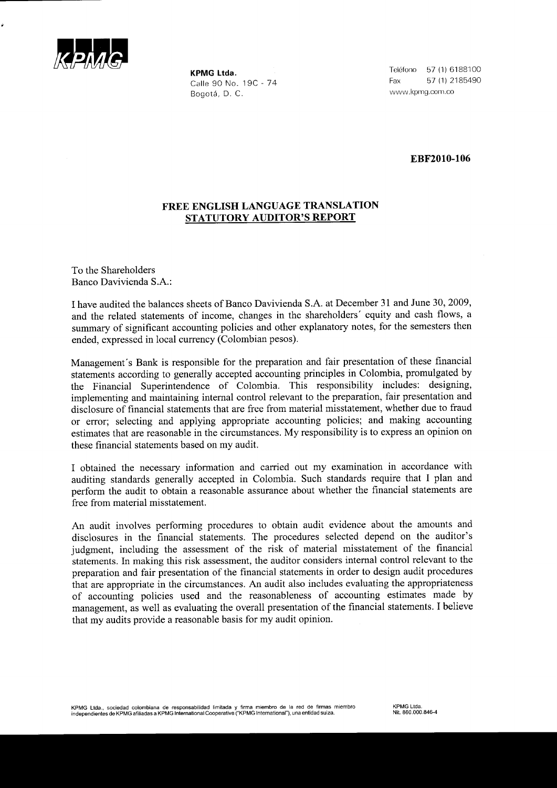

KPMG Ltda Calle 90 No. 19C - 74 Bogotá, D. C.

Teléfono 57 (1) 6188100 Fax 57 \1) 2185490 www.kpmg.com.co

EBF2010-106

## FREE ENGLISH LANGUAGE TRANSLATION STATUTORY AUDITOR'S REPOXT

To the Shareholders Banco Davivienda S.A.:

I have audited the balances sheets of Banco Davivienda S.A. at December 31 and June 30, 2009, and the related statements of income, changes in the shareholders' equity and cash flows, a summary of significant accounting policies and other explanatory notes, for the semesters then ended, expressed in local currency (Colombian pesos).

Management's Bank is responsible for the preparation and fair presentation of these financial statements according to generally accepted accounting principles in Colombia, promulgated by the Financial Superintendence of Colombia. This responsibility includes: designing, implementing and maintaining internal control relevant to the preparation, fair presentation and disclosure of financial statements that are free from material misstatement, whether due to fraud or error; selecting and applying appropriate accounting policies; and making accounting estimates that are reasonable in the circumstances. My responsibility is to express an opinion on these financial statements based on my audit.

I obtained the necessary information and carried out my examination in accordance with auditing standards generally accepted in Colombia. Such standards require that I plan and perform the audit to obtain a reasonable assurance about whether the financial statements are free from material misstatement.

An audit involves performing procedures to obtain audit evidence about the amounts and disclosures in the financial statements. The procedures selected depend on the auditor's judgment, including the assessment of the risk of material misstatement of the financial statements. In making this risk assessment, the auditor considers internal control relevant to the preparation and fair presentation of the financial statements in order to design audit procedures that are appropriate in the circumstances. An audit also includes evaluating the appropriateness of accounting policies used and the reasonableness of accounting estimates made by management, as well as evaluating the overall presentation of the financial statements. I believe that my audits provide a reasonable basis for my audit opinion.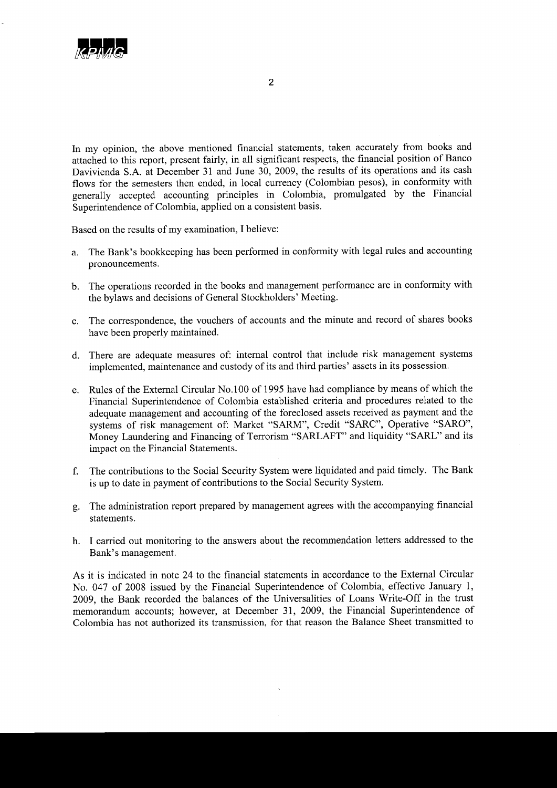

In my opinion, the above mentioned financial statements, taken accurately from books and attached to this report, present fairly, in all significant respects, the financial position of Banco Davivienda S.A. at December 31 and June 30,2009, the results of its operations and its cash flows for the semesters then ended, in local currency (Colombian pesos), in conformity with generally accepted accounting principles in Colombia, promulgated by the Financial Superintendence of Colombia, applied on a consistent basis.

Based on the results of my examination, I believe:

- a. The Bank's bookkeeping has been performed in conformity with legal rules and accounting pronouncements.
- b. The operations recorded in the books and management performance are in conformity with the bylaws and decisions of General Stockholders' Meeting.
- c. The correspondence, the vouchers of accounts and the minute and record of shares books have been properly maintained.
- d. There are adequate measures of: intemal control that include risk management systems implemented, maintenance and custody of its and third parties' assets in its possession.
- e. Rules of the External Circular No. 100 of 1 995 have had compliance by means of which the Financial Superintendence of Colombia established criteria and procedures related to the adequate management and accounting of the foreclosed assets received as payment and the systems of risk management of: Market "SARM", Credit "SARC", Operative "SARO", Money Laundering and Financing of Terrorism "SARLAFT" and liquidity "SARL" and its impact on the Financial Statements.
- f. The contributions to the Social Security System were liquidated and paid timely. The Bank is up to date in payment of contributions to the Social Security System.
- g. The administration report prepared by management agrees with the accompanying financial statements.
- h. I carried out monitoring to the answers about the recommendation letters addressed to the Bank's management.

As it is indicated in note 24 to the financial statements in accordance to the External Circular No. 047 of 2008 issued by the Financial Superintendence of Colombia, effective January 1, 2009, the Bank recorded the balances of the Universalities of Loans Write-Off in the trust memorandum accounts; however, at December 31, 2009, the Financial Superintendence of Colombia has not authorized its transmission, for that reason the Balance Sheet transmitted to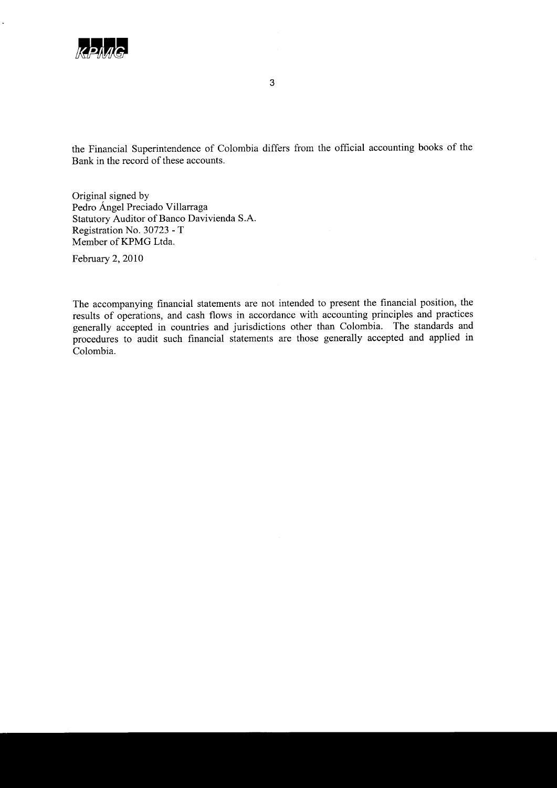

the Financial Superintendence of Colombia differs from the official accountins books of the Bank in the record of these accounts.

Original signed by Pedro Angel Preciado Villarraga Statutory Auditor of Banco Davivienda S.A. Registration No. 30723 - T Member of KPMG Ltda.

February 2, 2010

The accompanying financial statements are not intended to present the financial position, the results of operations, and cash flows in accordance with accounting principles and practices generally accepted in countries and jurisdictions other than Colombia. The standards and procedures to audit such financial statements are those generally accepted and applied in Colombia.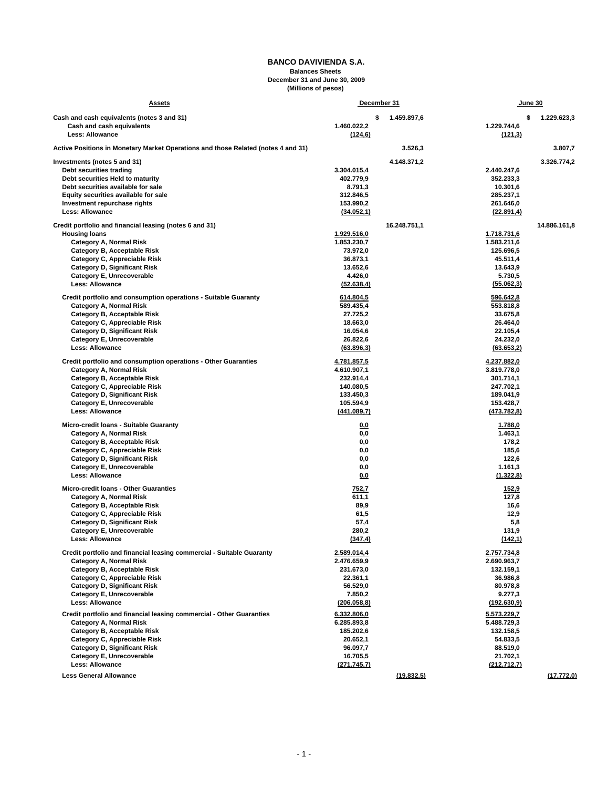#### **BANCO DAVIVIENDA S.A. Balances Sheets December 31 and June 30, 2009 (Millions of pesos)**

| <u>Assets</u>                                                                     |                        | December 31       |                        | June 30           |  |  |
|-----------------------------------------------------------------------------------|------------------------|-------------------|------------------------|-------------------|--|--|
| Cash and cash equivalents (notes 3 and 31)                                        |                        | 1.459.897,6<br>\$ |                        | 1.229.623,3<br>\$ |  |  |
| Cash and cash equivalents                                                         | 1.460.022,2            |                   | 1.229.744,6            |                   |  |  |
| <b>Less: Allowance</b>                                                            | (124, 6)               |                   | (121,3)                |                   |  |  |
| Active Positions in Monetary Market Operations and those Related (notes 4 and 31) |                        | 3.526,3           |                        | 3.807,7           |  |  |
| Investments (notes 5 and 31)                                                      |                        | 4.148.371,2       |                        | 3.326.774,2       |  |  |
| Debt securities trading                                                           | 3.304.015,4            |                   | 2.440.247,6            |                   |  |  |
| Debt securities Held to maturity                                                  | 402.779,9              |                   | 352.233,3              |                   |  |  |
| Debt securities available for sale                                                | 8.791,3                |                   | 10.301,6               |                   |  |  |
| Equity securities available for sale                                              | 312.846,5              |                   | 285.237,1              |                   |  |  |
| Investment repurchase rights                                                      | 153.990,2              |                   | 261.646,0              |                   |  |  |
| <b>Less: Allowance</b>                                                            | (34.052, 1)            |                   | (22.891,4)             |                   |  |  |
| Credit portfolio and financial leasing (notes 6 and 31)                           |                        | 16.248.751,1      |                        | 14.886.161,8      |  |  |
| <b>Housing loans</b>                                                              | 1.929.516,0            |                   | 1.718.731,6            |                   |  |  |
| <b>Category A, Normal Risk</b>                                                    | 1.853.230,7            |                   | 1.583.211,6            |                   |  |  |
| Category B, Acceptable Risk                                                       | 73.972,0               |                   | 125.696,5              |                   |  |  |
| Category C, Appreciable Risk                                                      | 36.873,1               |                   | 45.511,4               |                   |  |  |
| <b>Category D, Significant Risk</b>                                               | 13.652,6               |                   | 13.643,9               |                   |  |  |
| Category E, Unrecoverable<br><b>Less: Allowance</b>                               | 4.426,0<br>(52.638, 4) |                   | 5.730,5<br>(55.062,3)  |                   |  |  |
|                                                                                   |                        |                   |                        |                   |  |  |
| Credit portfolio and consumption operations - Suitable Guaranty                   | 614.804,5              |                   | 596.642,8              |                   |  |  |
| <b>Category A, Normal Risk</b>                                                    | 589.435,4              |                   | 553.818,8              |                   |  |  |
| Category B, Acceptable Risk                                                       | 27.725,2               |                   | 33.675,8               |                   |  |  |
| Category C, Appreciable Risk                                                      | 18.663,0               |                   | 26.464,0               |                   |  |  |
| <b>Category D, Significant Risk</b>                                               | 16.054,6               |                   | 22.105,4               |                   |  |  |
| Category E, Unrecoverable<br><b>Less: Allowance</b>                               | 26.822,6               |                   | 24.232,0               |                   |  |  |
|                                                                                   | (63.896,3)             |                   | (63.653,2)             |                   |  |  |
| Credit portfolio and consumption operations - Other Guaranties                    | 4.781.857,5            |                   | 4.237.882,0            |                   |  |  |
| <b>Category A, Normal Risk</b>                                                    | 4.610.907,1            |                   | 3.819.778,0            |                   |  |  |
| Category B, Acceptable Risk                                                       | 232.914,4              |                   | 301.714,1              |                   |  |  |
| Category C, Appreciable Risk                                                      | 140.080,5              |                   | 247.702,1              |                   |  |  |
| <b>Category D, Significant Risk</b>                                               | 133.450,3<br>105.594,9 |                   | 189.041,9<br>153.428,7 |                   |  |  |
| Category E, Unrecoverable<br><b>Less: Allowance</b>                               | (441.089,7)            |                   | (473.782, 8)           |                   |  |  |
| Micro-credit Ioans - Suitable Guaranty                                            | 0,0                    |                   | 1.788,0                |                   |  |  |
| Category A, Normal Risk                                                           | 0,0                    |                   | 1.463,1                |                   |  |  |
| Category B, Acceptable Risk                                                       | 0,0                    |                   | 178,2                  |                   |  |  |
| Category C, Appreciable Risk                                                      | 0,0                    |                   | 185,6                  |                   |  |  |
| <b>Category D, Significant Risk</b>                                               | 0,0                    |                   | 122,6                  |                   |  |  |
| Category E, Unrecoverable                                                         | 0,0                    |                   | 1.161,3                |                   |  |  |
| <b>Less: Allowance</b>                                                            | 0,0                    |                   | (1.322, 8)             |                   |  |  |
| Micro-credit Ioans - Other Guaranties                                             | 752,7                  |                   | 152,9                  |                   |  |  |
| <b>Category A, Normal Risk</b>                                                    | 611,1                  |                   | 127,8                  |                   |  |  |
| Category B, Acceptable Risk                                                       | 89,9                   |                   | 16,6                   |                   |  |  |
| Category C, Appreciable Risk                                                      | 61,5                   |                   | 12,9                   |                   |  |  |
| <b>Category D, Significant Risk</b><br>Category E, Unrecoverable                  | 57,4<br>280,2          |                   | 5,8<br>131,9           |                   |  |  |
| Less: Allowance                                                                   | (347, 4)               |                   | (142, 1)               |                   |  |  |
|                                                                                   |                        |                   |                        |                   |  |  |
| Credit portfolio and financial leasing commercial - Suitable Guaranty             | 2.589.014,4            |                   | 2.757.734,8            |                   |  |  |
| <b>Category A, Normal Risk</b>                                                    | 2.476.659,9            |                   | 2.690.963,7            |                   |  |  |
| Category B, Acceptable Risk                                                       | 231.673,0              |                   | 132.159,1              |                   |  |  |
| Category C, Appreciable Risk<br><b>Category D, Significant Risk</b>               | 22.361,1<br>56.529,0   |                   | 36.986,8<br>80.978,8   |                   |  |  |
| Category E, Unrecoverable                                                         | 7.850,2                |                   | 9.277,3                |                   |  |  |
| <b>Less: Allowance</b>                                                            | (206.058, 8)           |                   | (192.630, 9)           |                   |  |  |
| Credit portfolio and financial leasing commercial - Other Guaranties              | 6.332.806,0            |                   | 5.573.229,7            |                   |  |  |
| <b>Category A, Normal Risk</b>                                                    | 6.285.893,8            |                   | 5.488.729,3            |                   |  |  |
| Category B, Acceptable Risk                                                       | 185.202,6              |                   | 132.158,5              |                   |  |  |
| Category C, Appreciable Risk                                                      | 20.652,1               |                   | 54.833,5               |                   |  |  |
| <b>Category D, Significant Risk</b>                                               | 96.097,7               |                   | 88.519,0               |                   |  |  |
| Category E, Unrecoverable                                                         | 16.705,5               |                   | 21.702,1               |                   |  |  |
| <b>Less: Allowance</b>                                                            | (271.745,7)            |                   | (212.712,7)            |                   |  |  |
| <b>Less General Allowance</b>                                                     |                        | (19.832,5)        |                        | (17.772,0)        |  |  |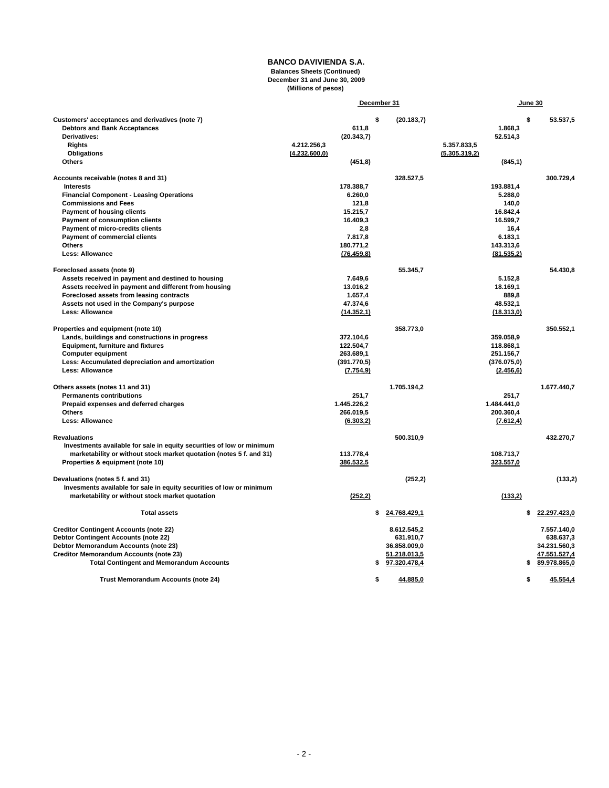#### **BANCO DAVIVIENDA S.A. Balances Sheets (Continued) December 31 and June 30, 2009 (Millions of pesos)**

|                                                                       | December 31   |              |    |              |               | June 30 |              |
|-----------------------------------------------------------------------|---------------|--------------|----|--------------|---------------|---------|--------------|
| Customers' acceptances and derivatives (note 7)                       |               |              | \$ | (20.183,7)   |               | \$      | 53.537.5     |
| <b>Debtors and Bank Acceptances</b>                                   |               | 611.8        |    |              | 1.868.3       |         |              |
| Derivatives:                                                          |               | (20.343,7)   |    |              | 52.514,3      |         |              |
| <b>Rights</b>                                                         | 4.212.256.3   |              |    |              | 5.357.833,5   |         |              |
| <b>Obligations</b>                                                    | (4.232.600,0) |              |    |              | (5.305.319,2) |         |              |
| <b>Others</b>                                                         |               | (451, 8)     |    |              | (845, 1)      |         |              |
| Accounts receivable (notes 8 and 31)                                  |               |              |    | 328.527,5    |               |         | 300.729,4    |
| <b>Interests</b>                                                      |               | 178.388.7    |    |              | 193.881.4     |         |              |
| <b>Financial Component - Leasing Operations</b>                       |               | 6.260.0      |    |              | 5.288.0       |         |              |
| <b>Commissions and Fees</b>                                           |               | 121.8        |    |              | 140.0         |         |              |
| <b>Payment of housing clients</b>                                     |               | 15.215.7     |    |              | 16.842.4      |         |              |
| <b>Payment of consumption clients</b>                                 |               | 16.409.3     |    |              | 16.599.7      |         |              |
| Payment of micro-credits clients                                      |               | 2.8          |    |              | 16.4          |         |              |
| <b>Payment of commercial clients</b>                                  |               | 7.817.8      |    |              | 6.183.1       |         |              |
| <b>Others</b>                                                         |               | 180.771.2    |    |              | 143.313,6     |         |              |
| <b>Less: Allowance</b>                                                |               | (76.459, 8)  |    |              | (81.535,2)    |         |              |
| Foreclosed assets (note 9)                                            |               |              |    | 55.345,7     |               |         | 54.430.8     |
| Assets received in payment and destined to housing                    |               | 7.649.6      |    |              | 5.152,8       |         |              |
| Assets received in payment and different from housing                 |               | 13.016,2     |    |              | 18.169,1      |         |              |
| Foreclosed assets from leasing contracts                              |               | 1.657.4      |    |              | 889.8         |         |              |
| Assets not used in the Company's purpose                              |               | 47.374,6     |    |              | 48.532.1      |         |              |
| <b>Less: Allowance</b>                                                |               | (14.352, 1)  |    |              | (18.313,0)    |         |              |
| Properties and equipment (note 10)                                    |               |              |    | 358.773,0    |               |         | 350.552.1    |
| Lands, buildings and constructions in progress                        |               | 372.104,6    |    |              | 359.058,9     |         |              |
| <b>Equipment, furniture and fixtures</b>                              |               | 122.504,7    |    |              | 118.868,1     |         |              |
| <b>Computer equipment</b>                                             |               | 263.689,1    |    |              | 251.156,7     |         |              |
| Less: Accumulated depreciation and amortization                       |               | (391.770, 5) |    |              | (376.075, 0)  |         |              |
| <b>Less: Allowance</b>                                                |               | (7.754, 9)   |    |              | (2.456, 6)    |         |              |
| Others assets (notes 11 and 31)                                       |               |              |    | 1.705.194.2  |               |         | 1.677.440.7  |
| <b>Permanents contributions</b>                                       |               | 251,7        |    |              | 251,7         |         |              |
| Prepaid expenses and deferred charges                                 |               | 1.445.226,2  |    |              | 1.484.441,0   |         |              |
| <b>Others</b>                                                         |               | 266.019.5    |    |              | 200.360.4     |         |              |
| <b>Less: Allowance</b>                                                |               | (6.303,2)    |    |              | (7.612, 4)    |         |              |
| <b>Revaluations</b>                                                   |               |              |    | 500.310,9    |               |         | 432.270,7    |
| Investments available for sale in equity securities of low or minimum |               |              |    |              |               |         |              |
| marketability or without stock market quotation (notes 5 f. and 31)   |               | 113.778,4    |    |              | 108.713,7     |         |              |
| Properties & equipment (note 10)                                      |               | 386.532,5    |    |              | 323.557,0     |         |              |
|                                                                       |               |              |    |              |               |         |              |
| Devaluations (notes 5 f. and 31)                                      |               |              |    | (252, 2)     |               |         | (133,2)      |
| Invesments available for sale in equity securities of low or minimum  |               |              |    |              |               |         |              |
| marketability or without stock market quotation                       |               | (252, 2)     |    |              | (133,2)       |         |              |
| <b>Total assets</b>                                                   |               |              | \$ | 24.768.429,1 |               | \$      | 22.297.423,0 |
| <b>Creditor Contingent Accounts (note 22)</b>                         |               |              |    | 8.612.545,2  |               |         | 7.557.140,0  |
| <b>Debtor Contingent Accounts (note 22)</b>                           |               |              |    | 631.910,7    |               |         | 638.637,3    |
| Debtor Memorandum Accounts (note 23)                                  |               |              |    | 36.858.009,0 |               |         | 34.231.560,3 |
| <b>Creditor Memorandum Accounts (note 23)</b>                         |               |              |    | 51.218.013,5 |               |         | 47.551.527,4 |
| <b>Total Contingent and Memorandum Accounts</b>                       |               |              | \$ | 97.320.478,4 |               | \$      | 89.978.865,0 |
|                                                                       |               |              |    |              |               |         |              |
| Trust Memorandum Accounts (note 24)                                   |               |              | \$ | 44.885,0     |               | \$      | 45.554,4     |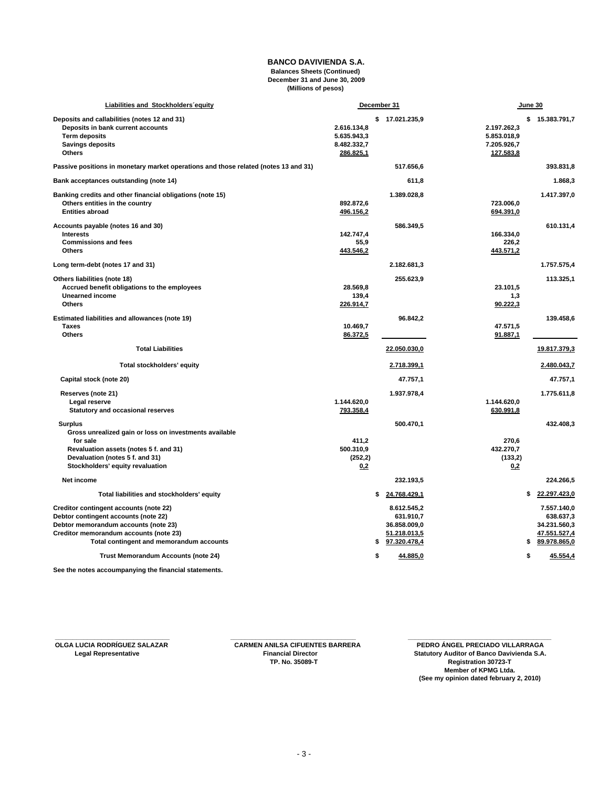#### **BANCO DAVIVIENDA S.A. Balances Sheets (Continued) December 31 and June 30, 2009 (Millions of pesos)**

| Liabilities and Stockholders equity                                                                                                                                                                          |                                                        | December 31 |                                                                          | June 30                                                |    |                                                                          |
|--------------------------------------------------------------------------------------------------------------------------------------------------------------------------------------------------------------|--------------------------------------------------------|-------------|--------------------------------------------------------------------------|--------------------------------------------------------|----|--------------------------------------------------------------------------|
| Deposits and callabilities (notes 12 and 31)<br>Deposits in bank current accounts<br><b>Term deposits</b><br><b>Savings deposits</b><br>Others                                                               | 2.616.134,8<br>5.635.943,3<br>8.482.332,7<br>286.825,1 |             | \$17.021.235,9                                                           | 2.197.262,3<br>5.853.018,9<br>7.205.926,7<br>127.583,8 |    | \$15.383.791,7                                                           |
| Passive positions in monetary market operations and those related (notes 13 and 31)                                                                                                                          |                                                        |             | 517.656,6                                                                |                                                        |    | 393.831,8                                                                |
| Bank acceptances outstanding (note 14)                                                                                                                                                                       |                                                        |             | 611,8                                                                    |                                                        |    | 1.868,3                                                                  |
| Banking credits and other financial obligations (note 15)<br>Others entities in the country<br><b>Entities abroad</b>                                                                                        | 892.872,6<br>496.156,2                                 |             | 1.389.028,8                                                              | 723.006,0<br>694.391,0                                 |    | 1.417.397,0                                                              |
| Accounts payable (notes 16 and 30)<br><b>Interests</b><br><b>Commissions and fees</b><br><b>Others</b>                                                                                                       | 142.747,4<br>55,9<br>443.546,2                         |             | 586.349,5                                                                | 166.334,0<br>226.2<br>443.571,2                        |    | 610.131,4                                                                |
| Long term-debt (notes 17 and 31)                                                                                                                                                                             |                                                        |             | 2.182.681,3                                                              |                                                        |    | 1.757.575,4                                                              |
| Others liabilities (note 18)<br>Accrued benefit obligations to the employees<br><b>Unearned income</b><br><b>Others</b>                                                                                      | 28.569.8<br>139.4<br>226.914,7                         |             | 255.623,9                                                                | 23.101,5<br>1,3<br>90.222,3                            |    | 113.325,1                                                                |
| Estimated liabilities and allowances (note 19)<br><b>Taxes</b><br><b>Others</b>                                                                                                                              | 10.469,7<br>86.372,5                                   |             | 96.842,2                                                                 | 47.571,5<br>91.887,1                                   |    | 139.458,6                                                                |
| <b>Total Liabilities</b>                                                                                                                                                                                     |                                                        |             | 22.050.030,0                                                             |                                                        |    | 19.817.379,3                                                             |
| Total stockholders' equity                                                                                                                                                                                   |                                                        |             | 2.718.399,1                                                              |                                                        |    | 2.480.043,7                                                              |
| Capital stock (note 20)                                                                                                                                                                                      |                                                        |             | 47.757,1                                                                 |                                                        |    | 47.757.1                                                                 |
| Reserves (note 21)<br>Legal reserve<br><b>Statutory and occasional reserves</b>                                                                                                                              | 1.144.620,0<br>793.358,4                               |             | 1.937.978,4                                                              | 1.144.620,0<br>630.991,8                               |    | 1.775.611,8                                                              |
| <b>Surplus</b><br>Gross unrealized gain or loss on investments available<br>for sale<br>Revaluation assets (notes 5 f. and 31)<br>Devaluation (notes 5 f. and 31)<br>Stockholders' equity revaluation        | 411,2<br>500.310,9<br>(252, 2)<br>0.2                  |             | 500.470,1                                                                | 270,6<br>432.270,7<br>(133,2)<br>0,2                   |    | 432.408,3                                                                |
| Net income                                                                                                                                                                                                   |                                                        |             | 232.193,5                                                                |                                                        |    | 224.266.5                                                                |
| Total liabilities and stockholders' equity                                                                                                                                                                   |                                                        | \$          | 24.768.429,1                                                             |                                                        | \$ | 22.297.423,0                                                             |
| Creditor contingent accounts (note 22)<br>Debtor contingent accounts (note 22)<br>Debtor memorandum accounts (note 23)<br>Creditor memorandum accounts (note 23)<br>Total contingent and memorandum accounts |                                                        | \$          | 8.612.545,2<br>631.910,7<br>36.858.009,0<br>51.218.013,5<br>97.320.478,4 |                                                        | \$ | 7.557.140,0<br>638.637,3<br>34.231.560,3<br>47.551.527,4<br>89.978.865,0 |
| Trust Memorandum Accounts (note 24)                                                                                                                                                                          |                                                        | \$          | 44.885,0                                                                 |                                                        | \$ | 45.554,4                                                                 |

**See the notes accoumpanying the financial statements.**

 **\_\_\_\_\_\_\_\_\_\_\_\_\_\_\_\_\_\_\_\_\_\_\_\_\_\_\_\_\_\_\_\_ \_\_\_\_\_\_\_\_\_\_\_\_\_\_\_\_\_\_\_\_\_\_\_\_\_\_\_\_\_\_\_\_\_\_\_ \_\_\_\_\_\_\_\_\_\_\_\_\_\_\_\_\_\_\_\_\_\_\_\_\_\_\_\_\_\_\_\_\_\_\_\_\_\_\_\_**

 **OLGA LUCIA RODRÍGUEZ SALAZAR CARMEN ANILSA CIFUENTES BARRERA LUCIA RODRÍGUEZ SALAZAR CARMEN ANILSA CIFUENTES BARRERA**<br>Legal Representative **Financial Director** Financial Director Statutory Auditor of Banco Davivienda S.A  **Legan Representative Financial Director Statutory Auditor of Banco Davivienda S.A.**<br>TP. No. 35089-T<br>Compared Auditory Registration 30723-T **Registration 30723-T Member of KPMG Ltda. (See my opinion dated february 2, 2010)**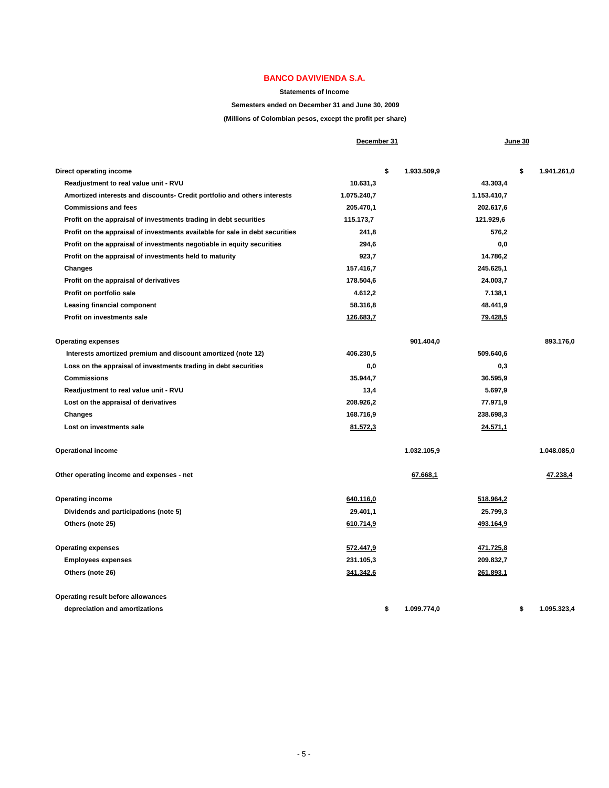**Statements of Income** 

#### **Semesters ended on December 31 and June 30, 2009**

**(Millions of Colombian pesos, except the profit per share)**

|                                                                              | December 31 |                   |                  | June 30 |             |
|------------------------------------------------------------------------------|-------------|-------------------|------------------|---------|-------------|
| Direct operating income                                                      |             | \$<br>1.933.509,9 |                  | \$      | 1.941.261,0 |
| Readjustment to real value unit - RVU                                        | 10.631,3    |                   | 43.303,4         |         |             |
| Amortized interests and discounts- Credit portfolio and others interests     | 1.075.240,7 |                   | 1.153.410,7      |         |             |
| <b>Commissions and fees</b>                                                  | 205.470,1   |                   | 202.617,6        |         |             |
| Profit on the appraisal of investments trading in debt securities            | 115.173,7   |                   | 121.929,6        |         |             |
| Profit on the appraisal of investments available for sale in debt securities | 241,8       |                   | 576,2            |         |             |
| Profit on the appraisal of investments negotiable in equity securities       | 294,6       |                   | 0,0              |         |             |
| Profit on the appraisal of investments held to maturity                      | 923,7       |                   | 14.786,2         |         |             |
| Changes                                                                      | 157.416,7   |                   | 245.625,1        |         |             |
| Profit on the appraisal of derivatives                                       | 178.504,6   |                   | 24.003,7         |         |             |
| Profit on portfolio sale                                                     | 4.612,2     |                   | 7.138,1          |         |             |
| <b>Leasing financial component</b>                                           | 58.316,8    |                   | 48.441,9         |         |             |
| Profit on investments sale                                                   | 126.683,7   |                   | 79.428,5         |         |             |
| <b>Operating expenses</b>                                                    |             | 901.404,0         |                  |         | 893.176,0   |
| Interests amortized premium and discount amortized (note 12)                 | 406.230,5   |                   | 509.640,6        |         |             |
| Loss on the appraisal of investments trading in debt securities              | 0,0         |                   | 0,3              |         |             |
| <b>Commissions</b>                                                           | 35.944,7    |                   | 36.595,9         |         |             |
| Readjustment to real value unit - RVU                                        | 13,4        |                   | 5.697,9          |         |             |
| Lost on the appraisal of derivatives                                         | 208.926,2   |                   | 77.971,9         |         |             |
| <b>Changes</b>                                                               | 168.716,9   |                   | 238.698,3        |         |             |
| Lost on investments sale                                                     | 81.572,3    |                   | 24.571,1         |         |             |
| <b>Operational income</b>                                                    |             | 1.032.105,9       |                  |         | 1.048.085,0 |
| Other operating income and expenses - net                                    |             | 67.668,1          |                  |         | 47.238,4    |
| <b>Operating income</b>                                                      | 640.116,0   |                   | 518.964,2        |         |             |
| Dividends and participations (note 5)                                        | 29.401,1    |                   | 25.799,3         |         |             |
| Others (note 25)                                                             | 610.714,9   |                   | 493.164,9        |         |             |
| <b>Operating expenses</b>                                                    | 572.447,9   |                   | <u>471.725,8</u> |         |             |
| <b>Employees expenses</b>                                                    | 231.105,3   |                   | 209.832,7        |         |             |
| Others (note 26)                                                             | 341.342,6   |                   | 261.893,1        |         |             |
| Operating result before allowances                                           |             |                   |                  |         |             |
| depreciation and amortizations                                               |             | \$<br>1.099.774.0 |                  | \$      | 1.095.323.4 |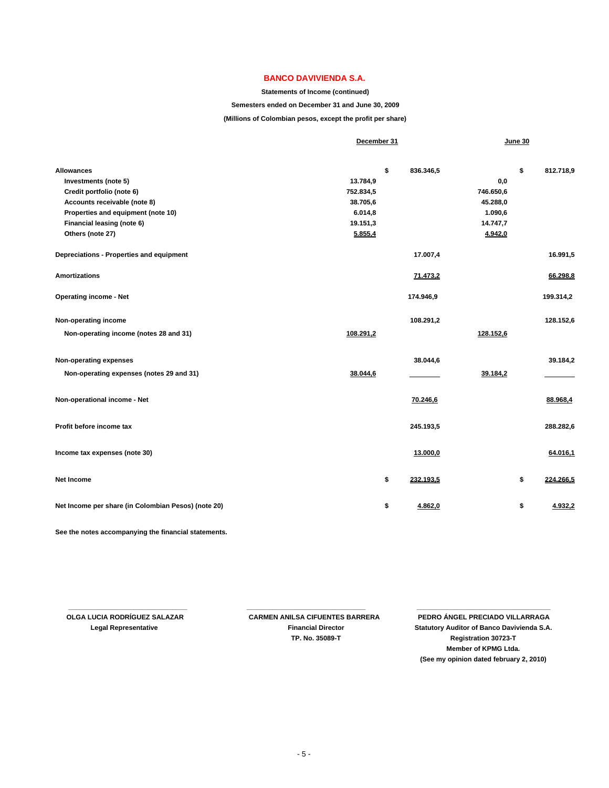#### **Statements of Income (continued)**

#### **Semesters ended on December 31 and June 30, 2009**

**(Millions of Colombian pesos, except the profit per share)**

|                                                     | December 31 |                 |           | June 30 |           |
|-----------------------------------------------------|-------------|-----------------|-----------|---------|-----------|
| <b>Allowances</b>                                   |             | \$<br>836.346,5 |           | \$      | 812.718,9 |
| Investments (note 5)                                | 13.784,9    |                 | 0,0       |         |           |
| Credit portfolio (note 6)                           | 752.834,5   |                 | 746.650,6 |         |           |
| Accounts receivable (note 8)                        | 38.705,6    |                 | 45.288,0  |         |           |
| Properties and equipment (note 10)                  | 6.014,8     |                 | 1.090,6   |         |           |
| Financial leasing (note 6)                          | 19.151,3    |                 | 14.747,7  |         |           |
| Others (note 27)                                    | 5.855,4     |                 | 4.942,0   |         |           |
| Depreciations - Properties and equipment            |             | 17.007,4        |           |         | 16.991,5  |
| <b>Amortizations</b>                                |             | 71.473,2        |           |         | 66.298,8  |
| <b>Operating income - Net</b>                       |             | 174.946,9       |           |         | 199.314,2 |
| Non-operating income                                |             | 108.291,2       |           |         | 128.152,6 |
| Non-operating income (notes 28 and 31)              | 108.291,2   |                 | 128.152,6 |         |           |
| Non-operating expenses                              |             | 38.044,6        |           |         | 39.184,2  |
| Non-operating expenses (notes 29 and 31)            | 38.044,6    |                 | 39.184,2  |         |           |
| Non-operational income - Net                        |             | 70.246,6        |           |         | 88.968,4  |
| Profit before income tax                            |             | 245.193,5       |           |         | 288.282,6 |
| Income tax expenses (note 30)                       |             | 13.000,0        |           |         | 64.016,1  |
| <b>Net Income</b>                                   |             | \$<br>232.193,5 |           | \$      | 224.266,5 |
| Net Income per share (in Colombian Pesos) (note 20) |             | \$<br>4.862,0   |           | \$      | 4.932,2   |

**See the notes accompanying the financial statements.**

 **\_\_\_\_\_\_\_\_\_\_\_\_\_\_\_\_\_\_\_\_\_\_\_\_\_\_\_\_\_\_\_\_ \_\_\_\_\_\_\_\_\_\_\_\_\_\_\_\_\_\_\_\_\_\_\_\_\_\_\_\_\_\_\_\_ \_\_\_\_\_\_\_\_\_\_\_\_\_\_\_\_\_\_\_\_\_\_\_\_\_\_\_\_\_\_\_\_\_\_\_\_**

 **OLGA LUCIA RODRÍGUEZ SALAZAR CARMEN ANILSA CIFUENTES BARRERA PEDRO ÁNGEL PRECIADO VILLARRAGA Legal Representative Financial Director Statutory Auditor of Banco Davivienda S.A. TP. No. 35089-T Registration 30723-T Member of KPMG Ltda. (See my opinion dated february 2, 2010)**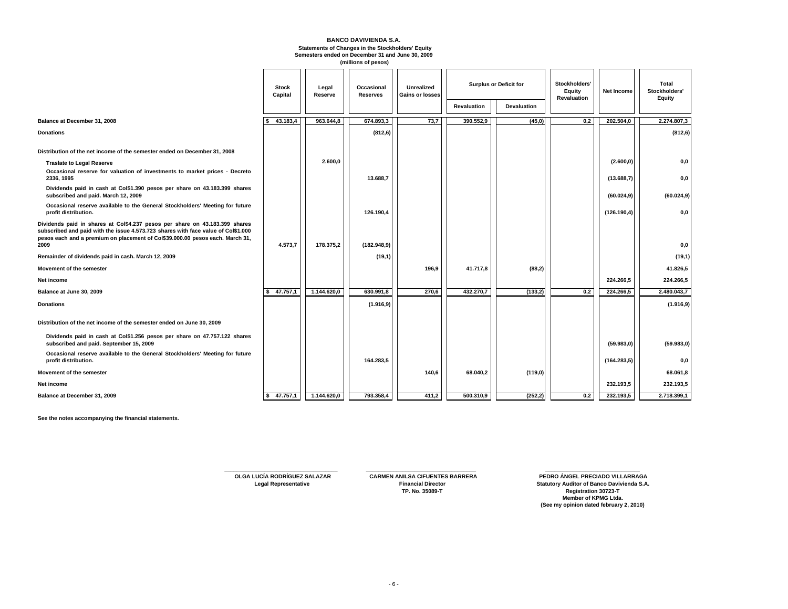#### **BANCO DAVIVIENDA S.A. Statements of Changes in the Stockholders' Equity Semesters ended on December 31 and June 30, 2009 (millions of pesos)**

|                                                                                                                                                                                                                                                   | <b>Stock</b><br>Capital | Legal<br>Reserve | Occasional<br><b>Reserves</b> | <b>Unrealized</b><br><b>Gains or losses</b> | <b>Surplus or Deficit for</b> |                    |     |              |             |  |  |  |  |  |  |  |  |  |  |  |  |  |  |  |  |  |  |  |  |  |  |  |  |  |  |  |  |  |  |  |  |  | Stockholders'<br>Equity<br>Revaluation | <b>Net Income</b> | Total<br>Stockholders'<br>Equity |
|---------------------------------------------------------------------------------------------------------------------------------------------------------------------------------------------------------------------------------------------------|-------------------------|------------------|-------------------------------|---------------------------------------------|-------------------------------|--------------------|-----|--------------|-------------|--|--|--|--|--|--|--|--|--|--|--|--|--|--|--|--|--|--|--|--|--|--|--|--|--|--|--|--|--|--|--|--|--|----------------------------------------|-------------------|----------------------------------|
|                                                                                                                                                                                                                                                   |                         |                  |                               |                                             | <b>Revaluation</b>            | <b>Devaluation</b> |     |              |             |  |  |  |  |  |  |  |  |  |  |  |  |  |  |  |  |  |  |  |  |  |  |  |  |  |  |  |  |  |  |  |  |  |                                        |                   |                                  |
| Balance at December 31, 2008                                                                                                                                                                                                                      | 43.183,4<br>l S         | 963.644,8        | 674.893,3                     | 73,7                                        | 390.552,9                     | (45,0)             | 0,2 | 202.504,0    | 2.274.807,3 |  |  |  |  |  |  |  |  |  |  |  |  |  |  |  |  |  |  |  |  |  |  |  |  |  |  |  |  |  |  |  |  |  |                                        |                   |                                  |
| <b>Donations</b>                                                                                                                                                                                                                                  |                         |                  | (812, 6)                      |                                             |                               |                    |     |              | (812, 6)    |  |  |  |  |  |  |  |  |  |  |  |  |  |  |  |  |  |  |  |  |  |  |  |  |  |  |  |  |  |  |  |  |  |                                        |                   |                                  |
| Distribution of the net income of the semester ended on December 31, 2008                                                                                                                                                                         |                         |                  |                               |                                             |                               |                    |     |              |             |  |  |  |  |  |  |  |  |  |  |  |  |  |  |  |  |  |  |  |  |  |  |  |  |  |  |  |  |  |  |  |  |  |                                        |                   |                                  |
| <b>Traslate to Legal Reserve</b>                                                                                                                                                                                                                  |                         | 2.600.0          |                               |                                             |                               |                    |     | (2.600, 0)   | 0,0         |  |  |  |  |  |  |  |  |  |  |  |  |  |  |  |  |  |  |  |  |  |  |  |  |  |  |  |  |  |  |  |  |  |                                        |                   |                                  |
| Occasional reserve for valuation of investments to market prices - Decreto<br>2336, 1995                                                                                                                                                          |                         |                  | 13.688,7                      |                                             |                               |                    |     | (13.688,7)   | 0,0         |  |  |  |  |  |  |  |  |  |  |  |  |  |  |  |  |  |  |  |  |  |  |  |  |  |  |  |  |  |  |  |  |  |                                        |                   |                                  |
| Dividends paid in cash at Col\$1.390 pesos per share on 43.183.399 shares<br>subscribed and paid. March 12, 2009                                                                                                                                  |                         |                  |                               |                                             |                               |                    |     | (60.024, 9)  | (60.024, 9) |  |  |  |  |  |  |  |  |  |  |  |  |  |  |  |  |  |  |  |  |  |  |  |  |  |  |  |  |  |  |  |  |  |                                        |                   |                                  |
| Occasional reserve available to the General Stockholders' Meeting for future<br>profit distribution.                                                                                                                                              |                         |                  | 126.190,4                     |                                             |                               |                    |     | (126.190,4)  | 0,0         |  |  |  |  |  |  |  |  |  |  |  |  |  |  |  |  |  |  |  |  |  |  |  |  |  |  |  |  |  |  |  |  |  |                                        |                   |                                  |
| Dividends paid in shares at Col\$4.237 pesos per share on 43.183.399 shares<br>subscribed and paid with the issue 4.573.723 shares with face value of Col\$1.000<br>pesos each and a premium on placement of Col\$39.000.00 pesos each. March 31, |                         |                  |                               |                                             |                               |                    |     |              |             |  |  |  |  |  |  |  |  |  |  |  |  |  |  |  |  |  |  |  |  |  |  |  |  |  |  |  |  |  |  |  |  |  |                                        |                   |                                  |
| 2009                                                                                                                                                                                                                                              | 4.573,7                 | 178.375,2        | (182.948, 9)                  |                                             |                               |                    |     |              | 0,0         |  |  |  |  |  |  |  |  |  |  |  |  |  |  |  |  |  |  |  |  |  |  |  |  |  |  |  |  |  |  |  |  |  |                                        |                   |                                  |
| Remainder of dividends paid in cash. March 12, 2009                                                                                                                                                                                               |                         |                  | (19,1)                        |                                             |                               |                    |     |              | (19,1)      |  |  |  |  |  |  |  |  |  |  |  |  |  |  |  |  |  |  |  |  |  |  |  |  |  |  |  |  |  |  |  |  |  |                                        |                   |                                  |
| Movement of the semester                                                                                                                                                                                                                          |                         |                  |                               | 196,9                                       | 41.717,8                      | (88,2)             |     |              | 41.826,5    |  |  |  |  |  |  |  |  |  |  |  |  |  |  |  |  |  |  |  |  |  |  |  |  |  |  |  |  |  |  |  |  |  |                                        |                   |                                  |
| Net income                                                                                                                                                                                                                                        |                         |                  |                               |                                             |                               |                    |     | 224.266.5    | 224.266,5   |  |  |  |  |  |  |  |  |  |  |  |  |  |  |  |  |  |  |  |  |  |  |  |  |  |  |  |  |  |  |  |  |  |                                        |                   |                                  |
| Balance at June 30, 2009                                                                                                                                                                                                                          | \$ 47.757,1             | 1.144.620,0      | 630.991,8                     | 270,6                                       | 432.270,7                     | (133,2)            | 0,2 | 224.266,5    | 2.480.043,7 |  |  |  |  |  |  |  |  |  |  |  |  |  |  |  |  |  |  |  |  |  |  |  |  |  |  |  |  |  |  |  |  |  |                                        |                   |                                  |
| <b>Donations</b>                                                                                                                                                                                                                                  |                         |                  | (1.916, 9)                    |                                             |                               |                    |     |              | (1.916, 9)  |  |  |  |  |  |  |  |  |  |  |  |  |  |  |  |  |  |  |  |  |  |  |  |  |  |  |  |  |  |  |  |  |  |                                        |                   |                                  |
| Distribution of the net income of the semester ended on June 30, 2009                                                                                                                                                                             |                         |                  |                               |                                             |                               |                    |     |              |             |  |  |  |  |  |  |  |  |  |  |  |  |  |  |  |  |  |  |  |  |  |  |  |  |  |  |  |  |  |  |  |  |  |                                        |                   |                                  |
| Dividends paid in cash at Col\$1.256 pesos per share on 47.757.122 shares<br>subscribed and paid. September 15, 2009                                                                                                                              |                         |                  |                               |                                             |                               |                    |     | (59.983, 0)  | (59.983, 0) |  |  |  |  |  |  |  |  |  |  |  |  |  |  |  |  |  |  |  |  |  |  |  |  |  |  |  |  |  |  |  |  |  |                                        |                   |                                  |
| Occasional reserve available to the General Stockholders' Meeting for future<br>profit distribution.                                                                                                                                              |                         |                  | 164.283,5                     |                                             |                               |                    |     | (164.283, 5) | 0,0         |  |  |  |  |  |  |  |  |  |  |  |  |  |  |  |  |  |  |  |  |  |  |  |  |  |  |  |  |  |  |  |  |  |                                        |                   |                                  |
| Movement of the semester                                                                                                                                                                                                                          |                         |                  |                               | 140,6                                       | 68.040,2                      | (119,0)            |     |              | 68.061,8    |  |  |  |  |  |  |  |  |  |  |  |  |  |  |  |  |  |  |  |  |  |  |  |  |  |  |  |  |  |  |  |  |  |                                        |                   |                                  |
| Net income                                                                                                                                                                                                                                        |                         |                  |                               |                                             |                               |                    |     | 232.193,5    | 232.193,5   |  |  |  |  |  |  |  |  |  |  |  |  |  |  |  |  |  |  |  |  |  |  |  |  |  |  |  |  |  |  |  |  |  |                                        |                   |                                  |
| Balance at December 31, 2009                                                                                                                                                                                                                      | \$47.757,1              | 1.144.620,0      | 793.358,4                     | 411,2                                       | 500.310,9                     | (252, 2)           | 0,2 | 232.193,5    | 2.718.399,1 |  |  |  |  |  |  |  |  |  |  |  |  |  |  |  |  |  |  |  |  |  |  |  |  |  |  |  |  |  |  |  |  |  |                                        |                   |                                  |

**See the notes accompanying the financial statements.** 

**OLGA LUCÍA RODRÍGUEZ SALAZAR CARMEN ANILSA CIFUENTES BARRERA** 

**OLGA LUCÍA RODRÍGUEZ SALAZAR CARMEN ANILSA CIFUENTES BARRERA PEDRO ÁNGEL PRECIADO VILLARRAGA Legal Representative Financial Director Statutory Auditor of Banco Davivienda S.A. TP. No. 35089-T Registration 30723-T Member of KPMG Ltda. (See my opinion dated february 2, 2010) \_\_\_\_\_\_\_\_\_\_\_\_\_\_\_\_\_\_\_\_\_\_\_\_\_\_\_\_\_\_\_\_**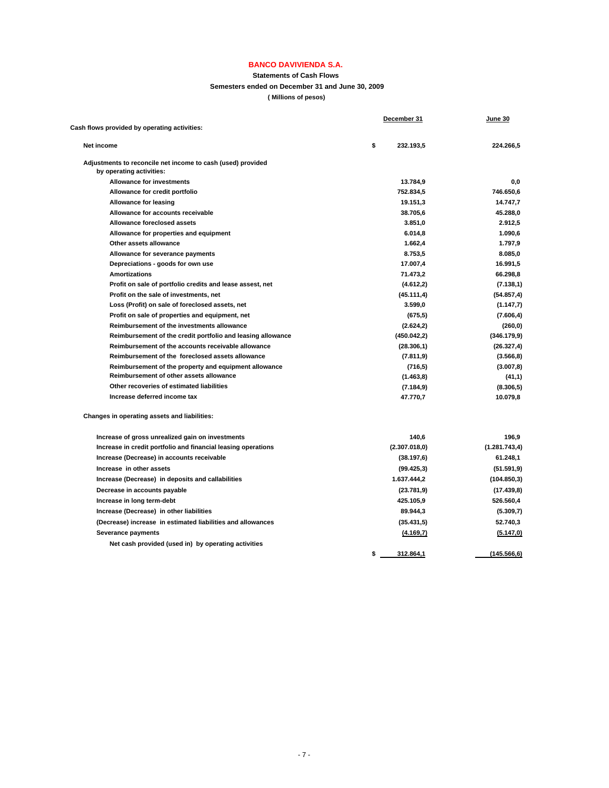#### **Statements of Cash Flows**

**Semesters ended on December 31 and June 30, 2009**

**( Millions of pesos)**

|                                                               | December 31 | June 30       |               |
|---------------------------------------------------------------|-------------|---------------|---------------|
| Cash flows provided by operating activities:                  |             |               |               |
| Net income                                                    | \$          | 232.193,5     | 224.266,5     |
| Adjustments to reconcile net income to cash (used) provided   |             |               |               |
| by operating activities:                                      |             |               |               |
| <b>Allowance for investments</b>                              |             | 13.784,9      | 0.0           |
| Allowance for credit portfolio                                |             | 752.834,5     | 746.650,6     |
| <b>Allowance for leasing</b>                                  |             | 19.151,3      | 14.747,7      |
| Allowance for accounts receivable                             |             | 38.705,6      | 45.288,0      |
| Allowance foreclosed assets                                   |             | 3.851,0       | 2.912.5       |
| Allowance for properties and equipment                        |             | 6.014,8       | 1.090,6       |
| Other assets allowance                                        |             | 1.662,4       | 1.797,9       |
| Allowance for severance payments                              |             | 8.753,5       | 8.085,0       |
| Depreciations - goods for own use                             |             | 17.007,4      | 16.991,5      |
| Amortizations                                                 |             | 71.473,2      | 66.298,8      |
| Profit on sale of portfolio credits and lease assest, net     |             | (4.612,2)     | (7.138, 1)    |
| Profit on the sale of investments, net                        |             | (45.111,4)    | (54.857, 4)   |
| Loss (Profit) on sale of foreclosed assets, net               |             | 3.599,0       | (1.147,7)     |
| Profit on sale of properties and equipment, net               |             | (675, 5)      | (7.606, 4)    |
| Reimbursement of the investments allowance                    |             | (2.624, 2)    | (260, 0)      |
| Reimbursement of the credit portfolio and leasing allowance   |             | (450.042,2)   | (346.179,9)   |
| Reimbursement of the accounts receivable allowance            |             | (28.306, 1)   | (26.327, 4)   |
| Reimbursement of the foreclosed assets allowance              |             | (7.811, 9)    | (3.566, 8)    |
| Reimbursement of the property and equipment allowance         |             | (716, 5)      | (3.007, 8)    |
| Reimbursement of other assets allowance                       |             | (1.463, 8)    | (41,1)        |
| Other recoveries of estimated liabilities                     |             | (7.184, 9)    | (8.306, 5)    |
| Increase deferred income tax                                  |             | 47.770,7      | 10.079,8      |
| Changes in operating assets and liabilities:                  |             |               |               |
| Increase of gross unrealized gain on investments              |             | 140,6         | 196,9         |
| Increase in credit portfolio and financial leasing operations |             | (2.307.018.0) | (1.281.743,4) |
| Increase (Decrease) in accounts receivable                    |             | (38.197, 6)   | 61.248,1      |
| Increase in other assets                                      |             | (99.425, 3)   | (51.591, 9)   |
| Increase (Decrease) in deposits and callabilities             |             | 1.637.444,2   | (104.850, 3)  |
| Decrease in accounts payable                                  |             | (23.781, 9)   | (17.439, 8)   |
| Increase in long term-debt                                    |             | 425.105,9     | 526.560,4     |
| Increase (Decrease) in other liabilities                      |             | 89.944,3      | (5.309,7)     |
| (Decrease) increase in estimated liabilities and allowances   |             | (35.431, 5)   | 52.740,3      |
| Severance payments                                            |             | (4.169,7)     | (5.147,0)     |
| Net cash provided (used in) by operating activities           |             |               |               |
|                                                               | \$          | 312.864,1     | (145.566, 6)  |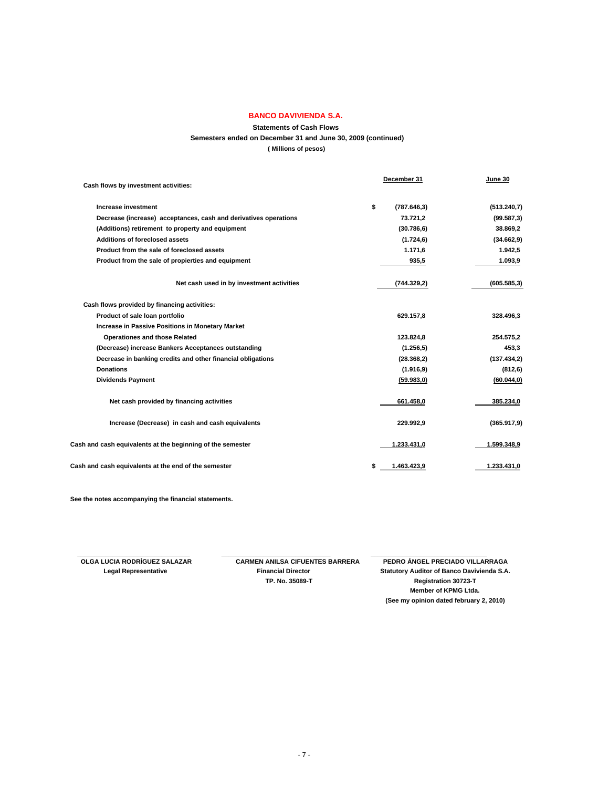## **Statements of Cash Flows Semesters ended on December 31 and June 30, 2009 (continued) ( Millions of pesos)**

| Cash flows by investment activities:                             | December 31        | June 30      |
|------------------------------------------------------------------|--------------------|--------------|
|                                                                  |                    |              |
| Increase investment                                              | \$<br>(787.646, 3) | (513.240.7)  |
| Decrease (increase) acceptances, cash and derivatives operations | 73.721,2           | (99.587,3)   |
| (Additions) retirement to property and equipment                 | (30.786, 6)        | 38.869,2     |
| Additions of foreclosed assets                                   | (1.724, 6)         | (34.662, 9)  |
| Product from the sale of foreclosed assets                       | 1.171,6            | 1.942,5      |
| Product from the sale of propierties and equipment               | 935,5              | 1.093,9      |
| Net cash used in by investment activities                        | (744.329.2)        | (605.585, 3) |
| Cash flows provided by financing activities:                     |                    |              |
| Product of sale loan portfolio                                   | 629.157,8          | 328.496,3    |
| <b>Increase in Passive Positions in Monetary Market</b>          |                    |              |
| <b>Operationes and those Related</b>                             | 123.824,8          | 254.575,2    |
| (Decrease) increase Bankers Acceptances outstanding              | (1.256, 5)         | 453,3        |
| Decrease in banking credits and other financial obligations      | (28.368, 2)        | (137.434.2)  |
| <b>Donations</b>                                                 | (1.916, 9)         | (812, 6)     |
| <b>Dividends Payment</b>                                         | (59.983, 0)        | (60.044, 0)  |
| Net cash provided by financing activities                        | 661.458,0          | 385.234,0    |
| Increase (Decrease) in cash and cash equivalents                 | 229.992,9          | (365.917, 9) |
| Cash and cash equivalents at the beginning of the semester       | 1.233.431,0        | 1.599.348,9  |
| Cash and cash equivalents at the end of the semester             | 1.463.423,9<br>\$  | 1.233.431,0  |

**See the notes accompanying the financial statements.**

 **\_\_\_\_\_\_\_\_\_\_\_\_\_\_\_\_\_\_\_\_\_\_\_\_\_\_\_\_\_\_\_\_ \_\_\_\_\_\_\_\_\_\_\_\_\_\_\_\_\_\_\_\_\_\_\_\_\_\_\_\_\_\_\_ \_\_\_\_\_\_\_\_\_\_\_\_\_\_\_\_\_\_\_\_\_\_\_\_\_\_\_\_\_\_\_\_\_** 

 **OLGA LUCIA RODRÍGUEZ SALAZAR CARMEN ANILSA CIFUENTES BARRERA PEDRO ÁNGEL PRECIADO VILLARRAGA Legal Representative Financial Director Statutory Auditor of Banco Davivienda S.A. TP. No. 35089-T Registration 30723-T Member of KPMG Ltda. (See my opinion dated february 2, 2010)**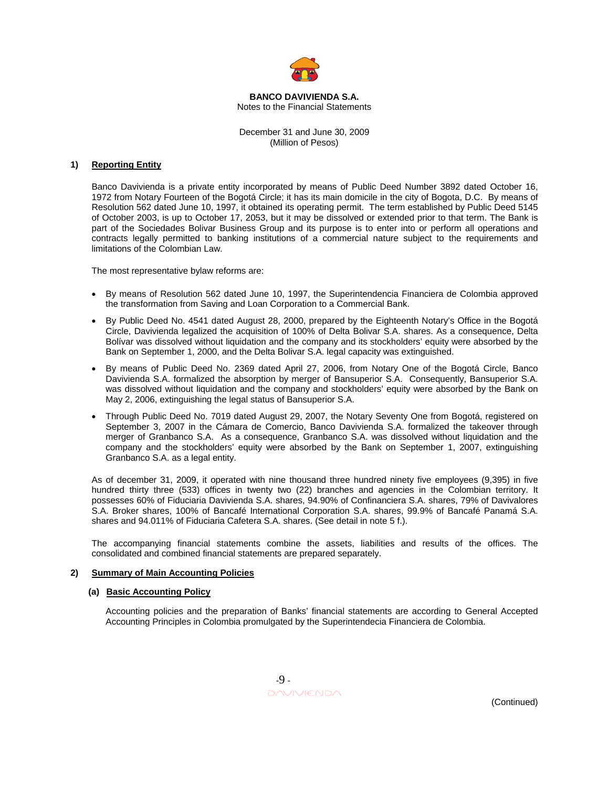

#### **BANCO DAVIVIENDA S.A.**  Notes to the Financial Statements

December 31 and June 30, 2009 (Million of Pesos)

## **1) Reporting Entity**

Banco Davivienda is a private entity incorporated by means of Public Deed Number 3892 dated October 16, 1972 from Notary Fourteen of the Bogotá Circle; it has its main domicile in the city of Bogota, D.C. By means of Resolution 562 dated June 10, 1997, it obtained its operating permit. The term established by Public Deed 5145 of October 2003, is up to October 17, 2053, but it may be dissolved or extended prior to that term. The Bank is part of the Sociedades Bolivar Business Group and its purpose is to enter into or perform all operations and contracts legally permitted to banking institutions of a commercial nature subject to the requirements and limitations of the Colombian Law.

The most representative bylaw reforms are:

- By means of Resolution 562 dated June 10, 1997, the Superintendencia Financiera de Colombia approved the transformation from Saving and Loan Corporation to a Commercial Bank.
- By Public Deed No. 4541 dated August 28, 2000, prepared by the Eighteenth Notary's Office in the Bogotá Circle, Davivienda legalized the acquisition of 100% of Delta Bolivar S.A. shares. As a consequence, Delta Bolívar was dissolved without liquidation and the company and its stockholders' equity were absorbed by the Bank on September 1, 2000, and the Delta Bolivar S.A. legal capacity was extinguished.
- By means of Public Deed No. 2369 dated April 27, 2006, from Notary One of the Bogotá Circle, Banco Davivienda S.A. formalized the absorption by merger of Bansuperior S.A. Consequently, Bansuperior S.A. was dissolved without liquidation and the company and stockholders' equity were absorbed by the Bank on May 2, 2006, extinguishing the legal status of Bansuperior S.A.
- Through Public Deed No. 7019 dated August 29, 2007, the Notary Seventy One from Bogotá, registered on September 3, 2007 in the Cámara de Comercio, Banco Davivienda S.A. formalized the takeover through merger of Granbanco S.A. As a consequence, Granbanco S.A. was dissolved without liquidation and the company and the stockholders' equity were absorbed by the Bank on September 1, 2007, extinguishing Granbanco S.A. as a legal entity.

As of december 31, 2009, it operated with nine thousand three hundred ninety five employees (9,395) in five hundred thirty three (533) offices in twenty two (22) branches and agencies in the Colombian territory. It possesses 60% of Fiduciaria Davivienda S.A. shares, 94.90% of Confinanciera S.A. shares, 79% of Davivalores S.A. Broker shares, 100% of Bancafé International Corporation S.A. shares, 99.9% of Bancafé Panamá S.A. shares and 94.011% of Fiduciaria Cafetera S.A. shares. (See detail in note 5 f.).

The accompanying financial statements combine the assets, liabilities and results of the offices. The consolidated and combined financial statements are prepared separately.

## **2) Summary of Main Accounting Policies**

#### **(a) Basic Accounting Policy**

 Accounting policies and the preparation of Banks' financial statements are according to General Accepted Accounting Principles in Colombia promulgated by the Superintendecia Financiera de Colombia.

 $-9$  - $\Box \land \lor \lor \lor \land \land$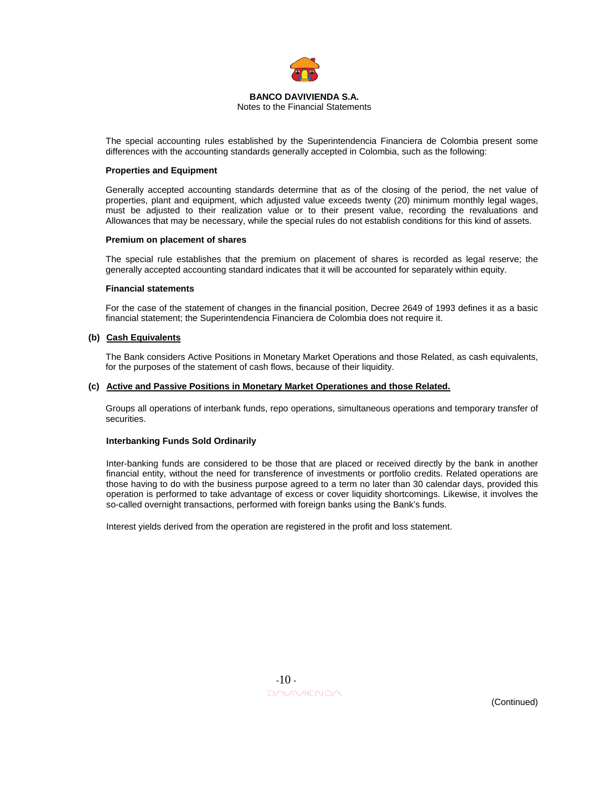

Notes to the Financial Statements

The special accounting rules established by the Superintendencia Financiera de Colombia present some differences with the accounting standards generally accepted in Colombia, such as the following:

#### **Properties and Equipment**

Generally accepted accounting standards determine that as of the closing of the period, the net value of properties, plant and equipment, which adjusted value exceeds twenty (20) minimum monthly legal wages, must be adjusted to their realization value or to their present value, recording the revaluations and Allowances that may be necessary, while the special rules do not establish conditions for this kind of assets.

## **Premium on placement of shares**

The special rule establishes that the premium on placement of shares is recorded as legal reserve; the generally accepted accounting standard indicates that it will be accounted for separately within equity.

#### **Financial statements**

For the case of the statement of changes in the financial position, Decree 2649 of 1993 defines it as a basic financial statement; the Superintendencia Financiera de Colombia does not require it.

## **(b) Cash Equivalents**

The Bank considers Active Positions in Monetary Market Operations and those Related, as cash equivalents, for the purposes of the statement of cash flows, because of their liquidity.

#### **(c) Active and Passive Positions in Monetary Market Operationes and those Related.**

Groups all operations of interbank funds, repo operations, simultaneous operations and temporary transfer of securities.

## **Interbanking Funds Sold Ordinarily**

Inter-banking funds are considered to be those that are placed or received directly by the bank in another financial entity, without the need for transference of investments or portfolio credits. Related operations are those having to do with the business purpose agreed to a term no later than 30 calendar days, provided this operation is performed to take advantage of excess or cover liquidity shortcomings. Likewise, it involves the so-called overnight transactions, performed with foreign banks using the Bank's funds.

Interest yields derived from the operation are registered in the profit and loss statement.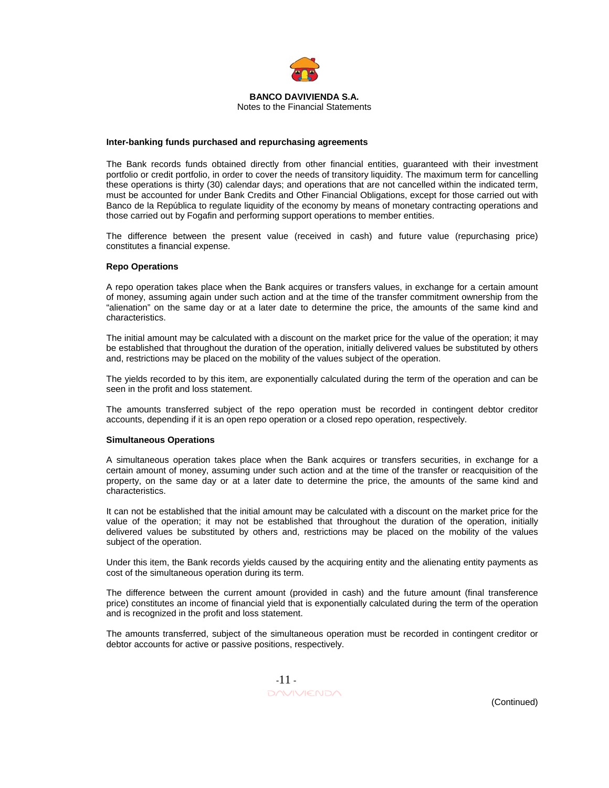

Notes to the Financial Statements

#### **Inter-banking funds purchased and repurchasing agreements**

The Bank records funds obtained directly from other financial entities, guaranteed with their investment portfolio or credit portfolio, in order to cover the needs of transitory liquidity. The maximum term for cancelling these operations is thirty (30) calendar days; and operations that are not cancelled within the indicated term, must be accounted for under Bank Credits and Other Financial Obligations, except for those carried out with Banco de la República to regulate liquidity of the economy by means of monetary contracting operations and those carried out by Fogafin and performing support operations to member entities.

The difference between the present value (received in cash) and future value (repurchasing price) constitutes a financial expense.

#### **Repo Operations**

A repo operation takes place when the Bank acquires or transfers values, in exchange for a certain amount of money, assuming again under such action and at the time of the transfer commitment ownership from the "alienation" on the same day or at a later date to determine the price, the amounts of the same kind and characteristics.

The initial amount may be calculated with a discount on the market price for the value of the operation; it may be established that throughout the duration of the operation, initially delivered values be substituted by others and, restrictions may be placed on the mobility of the values subject of the operation.

The yields recorded to by this item, are exponentially calculated during the term of the operation and can be seen in the profit and loss statement.

The amounts transferred subject of the repo operation must be recorded in contingent debtor creditor accounts, depending if it is an open repo operation or a closed repo operation, respectively.

#### **Simultaneous Operations**

A simultaneous operation takes place when the Bank acquires or transfers securities, in exchange for a certain amount of money, assuming under such action and at the time of the transfer or reacquisition of the property, on the same day or at a later date to determine the price, the amounts of the same kind and characteristics.

It can not be established that the initial amount may be calculated with a discount on the market price for the value of the operation; it may not be established that throughout the duration of the operation, initially delivered values be substituted by others and, restrictions may be placed on the mobility of the values subject of the operation.

Under this item, the Bank records yields caused by the acquiring entity and the alienating entity payments as cost of the simultaneous operation during its term.

The difference between the current amount (provided in cash) and the future amount (final transference price) constitutes an income of financial yield that is exponentially calculated during the term of the operation and is recognized in the profit and loss statement.

The amounts transferred, subject of the simultaneous operation must be recorded in contingent creditor or debtor accounts for active or passive positions, respectively.

 -11 - DAVIVIENDA (Continued)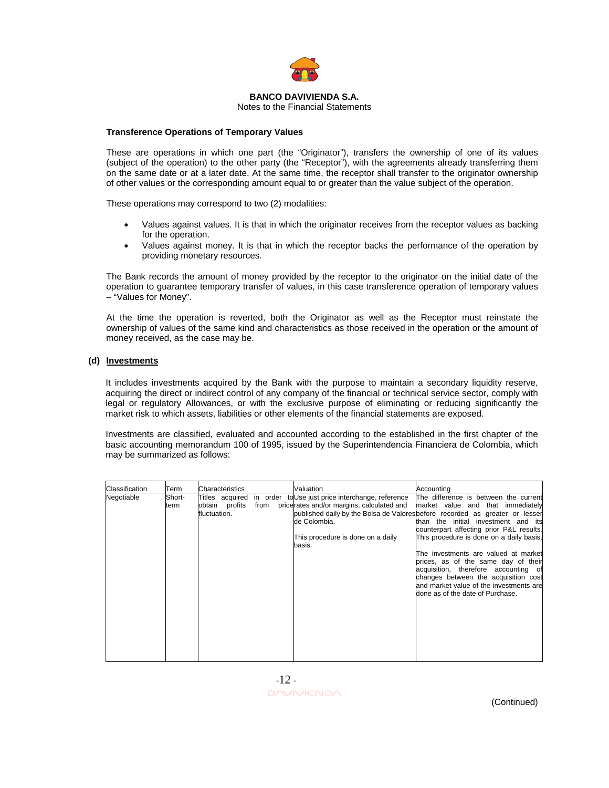

Notes to the Financial Statements

## **Transference Operations of Temporary Values**

These are operations in which one part (the "Originator"), transfers the ownership of one of its values (subject of the operation) to the other party (the "Receptor"), with the agreements already transferring them on the same date or at a later date. At the same time, the receptor shall transfer to the originator ownership of other values or the corresponding amount equal to or greater than the value subject of the operation.

These operations may correspond to two (2) modalities:

- Values against values. It is that in which the originator receives from the receptor values as backing for the operation.
- Values against money. It is that in which the receptor backs the performance of the operation by providing monetary resources.

The Bank records the amount of money provided by the receptor to the originator on the initial date of the operation to guarantee temporary transfer of values, in this case transference operation of temporary values – "Values for Money".

At the time the operation is reverted, both the Originator as well as the Receptor must reinstate the ownership of values of the same kind and characteristics as those received in the operation or the amount of money received, as the case may be.

## **(d) Investments**

It includes investments acquired by the Bank with the purpose to maintain a secondary liquidity reserve, acquiring the direct or indirect control of any company of the financial or technical service sector, comply with legal or regulatory Allowances, or with the exclusive purpose of eliminating or reducing significantly the market risk to which assets, liabilities or other elements of the financial statements are exposed.

Investments are classified, evaluated and accounted according to the established in the first chapter of the basic accounting memorandum 100 of 1995, issued by the Superintendencia Financiera de Colombia, which may be summarized as follows:

| Classification | Term           | Characteristics                                   |      | Valuation                                                                                                                                                     | Accountina                                                                                                                                                                                                                                                                                                                                                                                                                                                                                                                             |
|----------------|----------------|---------------------------------------------------|------|---------------------------------------------------------------------------------------------------------------------------------------------------------------|----------------------------------------------------------------------------------------------------------------------------------------------------------------------------------------------------------------------------------------------------------------------------------------------------------------------------------------------------------------------------------------------------------------------------------------------------------------------------------------------------------------------------------------|
| Negotiable     | Short-<br>term | Titles acquired<br>obtain profits<br>fluctuation. | from | in order to Use just price interchange, reference<br>pricerates and/or margins, calculated and<br>de Colombia.<br>This procedure is done on a daily<br>basis. | The difference is between the current<br>market value and that immediately<br>published daily by the Bolsa de Valoresbefore recorded as greater or lesser<br>than the initial investment and its<br>counterpart affecting prior P&L results.<br>This procedure is done on a daily basis.<br>The investments are valued at market<br>prices, as of the same day of their<br>acquisition, therefore accounting of<br>changes between the acquisition cost<br>and market value of the investments are<br>done as of the date of Purchase. |

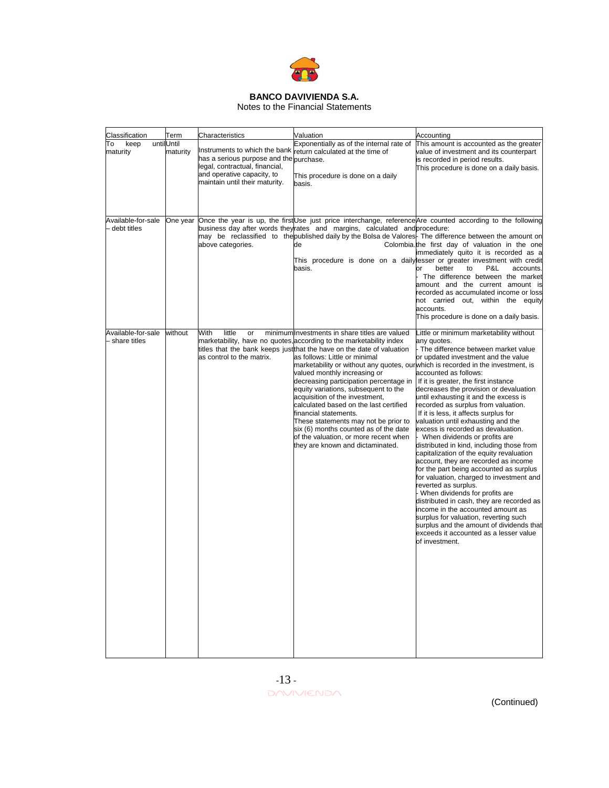

Notes to the Financial Statements

| Classification                     | Term                   | Characteristics                                                                                                                                                            | Valuation                                                                                                                                                                                                                                                                                                                                                                                                                                                                                                                                                                                                                                                                                                 | Accounting                                                                                                                                                                                                                                                                                                                                                                                                                                                                                                                                                                                                                                                                                                                                                                                                                                                                                                                                                                                                 |
|------------------------------------|------------------------|----------------------------------------------------------------------------------------------------------------------------------------------------------------------------|-----------------------------------------------------------------------------------------------------------------------------------------------------------------------------------------------------------------------------------------------------------------------------------------------------------------------------------------------------------------------------------------------------------------------------------------------------------------------------------------------------------------------------------------------------------------------------------------------------------------------------------------------------------------------------------------------------------|------------------------------------------------------------------------------------------------------------------------------------------------------------------------------------------------------------------------------------------------------------------------------------------------------------------------------------------------------------------------------------------------------------------------------------------------------------------------------------------------------------------------------------------------------------------------------------------------------------------------------------------------------------------------------------------------------------------------------------------------------------------------------------------------------------------------------------------------------------------------------------------------------------------------------------------------------------------------------------------------------------|
| To<br>keep<br>maturity             | untilUntil<br>maturity | Instruments to which the bank<br>has a serious purpose and the purchase.<br>legal, contractual, financial,<br>and operative capacity, to<br>maintain until their maturity. | Exponentially as of the internal rate of<br>return calculated at the time of<br>This procedure is done on a daily<br>basis.                                                                                                                                                                                                                                                                                                                                                                                                                                                                                                                                                                               | This amount is accounted as the greater<br>value of investment and its counterpart<br>is recorded in period results.<br>This procedure is done on a daily basis.                                                                                                                                                                                                                                                                                                                                                                                                                                                                                                                                                                                                                                                                                                                                                                                                                                           |
| Available-for-sale<br>debt titles  | One year               | above categories.                                                                                                                                                          | business day after words theyrates and margins, calculated and procedure:<br>de<br>basis.                                                                                                                                                                                                                                                                                                                                                                                                                                                                                                                                                                                                                 | Once the year is up, the first Use just price interchange, reference Are counted according to the following<br>may be reclassified to the published daily by the Bolsa de Valores. The difference between the amount on<br>Colombia.the first day of valuation in the one<br>immediately quito it is recorded as a<br>This procedure is done on a daily lesser or greater investment with credit<br>or<br>better<br>P&L<br>to<br>accounts.<br>The difference between the market<br>amount and the current amount is<br>recorded as accumulated income or loss<br>not carried out, within the equity<br>accounts.<br>This procedure is done on a daily basis.                                                                                                                                                                                                                                                                                                                                               |
| Available-for-sale<br>share titles | without                | With<br>little<br>or<br>as control to the matrix.                                                                                                                          | minimum Investments in share titles are valued<br>marketability, have no quotes, according to the marketability index<br>titles that the bank keeps just that the have on the date of valuation<br>as follows: Little or minimal<br>marketability or without any quotes, our which is recorded in the investment, is<br>valued monthly increasing or<br>decreasing participation percentage in<br>equity variations, subsequent to the<br>acquisition of the investment.<br>calculated based on the last certified<br>financial statements.<br>These statements may not be prior to<br>six (6) months counted as of the date<br>of the valuation, or more recent when<br>they are known and dictaminated. | Little or minimum marketability without<br>any quotes.<br>The difference between market value<br>or updated investment and the value<br>accounted as follows:<br>If it is greater, the first instance<br>decreases the provision or devaluation<br>until exhausting it and the excess is<br>recorded as surplus from valuation.<br>If it is less, it affects surplus for<br>valuation until exhausting and the<br>excess is recorded as devaluation.<br>When dividends or profits are<br>distributed in kind, including those from<br>capitalization of the equity revaluation<br>account, they are recorded as income<br>for the part being accounted as surplus<br>for valuation, charged to investment and<br>reverted as surplus.<br>When dividends for profits are<br>distributed in cash, they are recorded as<br>income in the accounted amount as<br>surplus for valuation, reverting such<br>surplus and the amount of dividends that<br>exceeds it accounted as a lesser value<br>of investment. |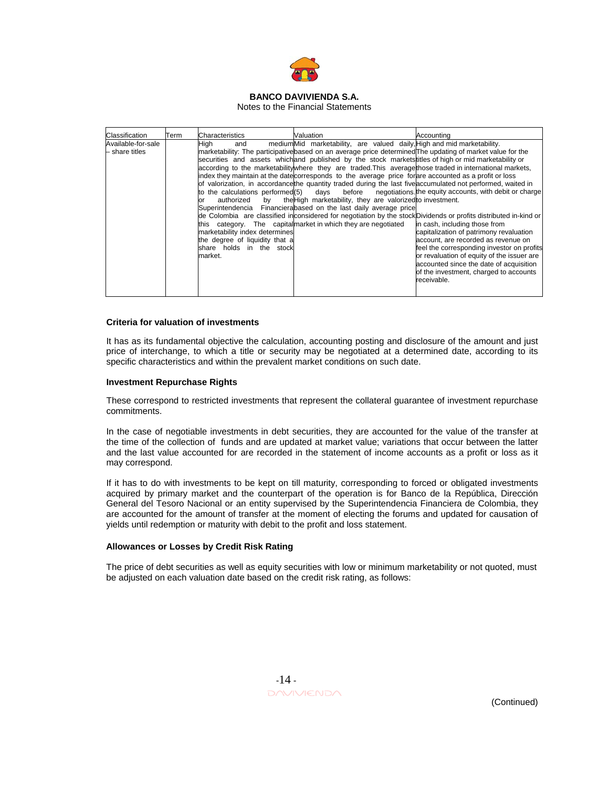

Notes to the Financial Statements

| Classification                       | Term | Characteristics                                                                                                                                                                      | Valuation                                                                                                                                                                                                                                                                                                                                                                                                                                                                                                                                                                                                                                                                                                                                                                                                                              | Accountina                                                                                                                                                                                                                                                                                                                                                                                                                                                                                               |
|--------------------------------------|------|--------------------------------------------------------------------------------------------------------------------------------------------------------------------------------------|----------------------------------------------------------------------------------------------------------------------------------------------------------------------------------------------------------------------------------------------------------------------------------------------------------------------------------------------------------------------------------------------------------------------------------------------------------------------------------------------------------------------------------------------------------------------------------------------------------------------------------------------------------------------------------------------------------------------------------------------------------------------------------------------------------------------------------------|----------------------------------------------------------------------------------------------------------------------------------------------------------------------------------------------------------------------------------------------------------------------------------------------------------------------------------------------------------------------------------------------------------------------------------------------------------------------------------------------------------|
| Available-for-sale<br>- share titles |      | High<br>and<br>to the calculations performed(5)<br>authorized<br>bv<br>or<br>marketability index determines<br>the degree of liquidity that a<br>share holds in the stock<br>market. | mediumMid marketability, are valued daily High and mid marketability.<br>marketability: The participative based on an average price determined The updating of market value for the<br>securities and assets which and published by the stock market stitles of high or mid market ability or<br>according to the marketability where they are traded. This average those traded in international markets,<br>index they maintain at the date corresponds to the average price for are accounted as a profit or loss<br>of valorization, in accordance the quantity traded during the last five accumulated not performed, waited in<br>the High marketability, they are valorized to investment.<br>Superintendencia Financierabased on the last daily average price<br>this category. The capitalmarket in which they are negotiated | days before negotiations the equity accounts, with debit or charge<br>de Colombia are classified inconsidered for negotiation by the stockDividends or profits distributed in-kind or<br>in cash, including those from<br>capitalization of patrimony revaluation<br>account, are recorded as revenue on<br>feel the corresponding investor on profits<br>or revaluation of equity of the issuer are<br>accounted since the date of acquisition<br>of the investment, charged to accounts<br>receivable. |

## **Criteria for valuation of investments**

It has as its fundamental objective the calculation, accounting posting and disclosure of the amount and just price of interchange, to which a title or security may be negotiated at a determined date, according to its specific characteristics and within the prevalent market conditions on such date.

#### **Investment Repurchase Rights**

These correspond to restricted investments that represent the collateral guarantee of investment repurchase commitments.

In the case of negotiable investments in debt securities, they are accounted for the value of the transfer at the time of the collection of funds and are updated at market value; variations that occur between the latter and the last value accounted for are recorded in the statement of income accounts as a profit or loss as it may correspond.

If it has to do with investments to be kept on till maturity, corresponding to forced or obligated investments acquired by primary market and the counterpart of the operation is for Banco de la República, Dirección General del Tesoro Nacional or an entity supervised by the Superintendencia Financiera de Colombia, they are accounted for the amount of transfer at the moment of electing the forums and updated for causation of yields until redemption or maturity with debit to the profit and loss statement.

## **Allowances or Losses by Credit Risk Rating**

The price of debt securities as well as equity securities with low or minimum marketability or not quoted, must be adjusted on each valuation date based on the credit risk rating, as follows:

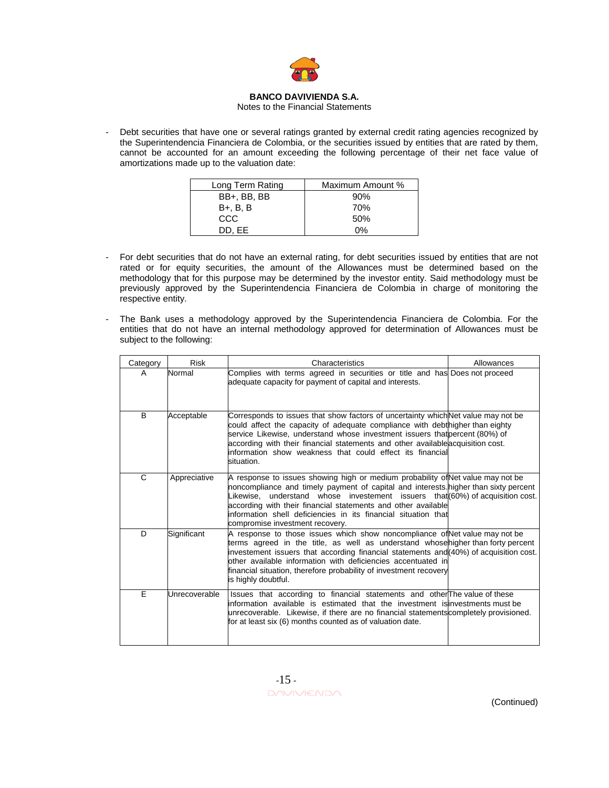

#### Notes to the Financial Statements

Debt securities that have one or several ratings granted by external credit rating agencies recognized by the Superintendencia Financiera de Colombia, or the securities issued by entities that are rated by them, cannot be accounted for an amount exceeding the following percentage of their net face value of amortizations made up to the valuation date:

| Long Term Rating | Maximum Amount % |
|------------------|------------------|
| BB+, BB, BB      | 90%              |
| B+, B, B         | 70%              |
| CCC              | 50%              |
| DD. EE           | ሰ%               |

- For debt securities that do not have an external rating, for debt securities issued by entities that are not rated or for equity securities, the amount of the Allowances must be determined based on the methodology that for this purpose may be determined by the investor entity. Said methodology must be previously approved by the Superintendencia Financiera de Colombia in charge of monitoring the respective entity.
- The Bank uses a methodology approved by the Superintendencia Financiera de Colombia. For the entities that do not have an internal methodology approved for determination of Allowances must be subject to the following:

| Category | <b>Risk</b>                                                                                                                                                                                                                                                                                                                                                                                                                         | Characteristics                                                                                                                                                                                                                                                                                                                                                                                                                | Allowances |
|----------|-------------------------------------------------------------------------------------------------------------------------------------------------------------------------------------------------------------------------------------------------------------------------------------------------------------------------------------------------------------------------------------------------------------------------------------|--------------------------------------------------------------------------------------------------------------------------------------------------------------------------------------------------------------------------------------------------------------------------------------------------------------------------------------------------------------------------------------------------------------------------------|------------|
| A        | Normal                                                                                                                                                                                                                                                                                                                                                                                                                              | Complies with terms agreed in securities or title and has Does not proceed<br>adequate capacity for payment of capital and interests.                                                                                                                                                                                                                                                                                          |            |
| B.       | Acceptable                                                                                                                                                                                                                                                                                                                                                                                                                          | Corresponds to issues that show factors of uncertainty which Net value may not be<br>could affect the capacity of adequate compliance with debthigher than eighty<br>service Likewise, understand whose investment issuers that percent (80%) of<br>according with their financial statements and other available acquisition cost.<br>information show weakness that could effect its financial<br>situation.                 |            |
| C        | Appreciative                                                                                                                                                                                                                                                                                                                                                                                                                        | A response to issues showing high or medium probability of Net value may not be<br>noncompliance and timely payment of capital and interests higher than sixty percent<br>Likewise, understand whose investement issuers that (60%) of acquisition cost.<br>according with their financial statements and other available<br>information shell deficiencies in its financial situation that<br>compromise investment recovery. |            |
| D        | Significant<br>A response to those issues which show noncompliance of Net value may not be<br>terms agreed in the title, as well as understand whosehigher than forty percent<br>investement issuers that according financial statements and (40%) of acquisition cost.<br>other available information with deficiencies accentuated in<br>financial situation, therefore probability of investment recovery<br>is highly doubtful. |                                                                                                                                                                                                                                                                                                                                                                                                                                |            |
| F.       | Unrecoverable                                                                                                                                                                                                                                                                                                                                                                                                                       | Issues that according to financial statements and other <sup>T</sup> he value of these<br>linformation available is estimated that the investment is investments must be<br>unrecoverable. Likewise, if there are no financial statements completely provisioned.<br>for at least six (6) months counted as of valuation date.                                                                                                 |            |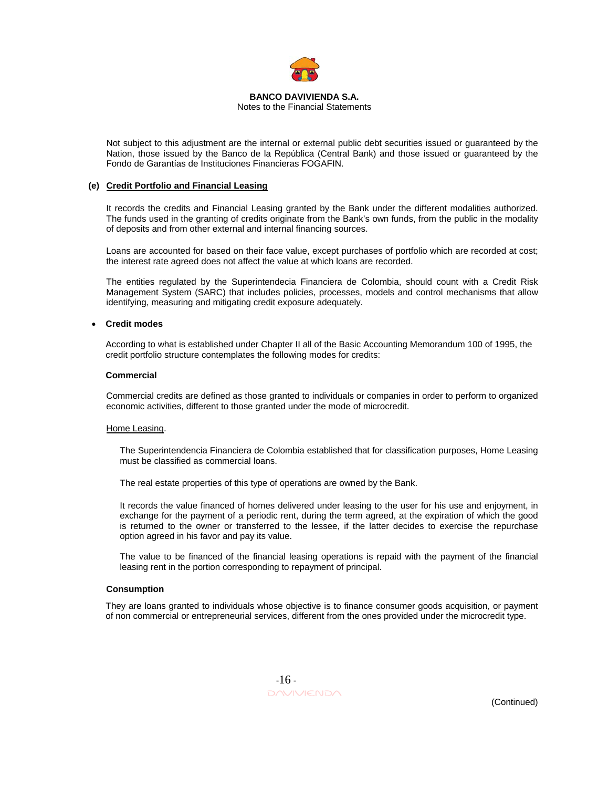

Notes to the Financial Statements

Not subject to this adjustment are the internal or external public debt securities issued or guaranteed by the Nation, those issued by the Banco de la República (Central Bank) and those issued or guaranteed by the Fondo de Garantías de Instituciones Financieras FOGAFIN.

## **(e) Credit Portfolio and Financial Leasing**

It records the credits and Financial Leasing granted by the Bank under the different modalities authorized. The funds used in the granting of credits originate from the Bank's own funds, from the public in the modality of deposits and from other external and internal financing sources.

Loans are accounted for based on their face value, except purchases of portfolio which are recorded at cost; the interest rate agreed does not affect the value at which loans are recorded.

The entities regulated by the Superintendecia Financiera de Colombia, should count with a Credit Risk Management System (SARC) that includes policies, processes, models and control mechanisms that allow identifying, measuring and mitigating credit exposure adequately.

## • **Credit modes**

According to what is established under Chapter II all of the Basic Accounting Memorandum 100 of 1995, the credit portfolio structure contemplates the following modes for credits:

## **Commercial**

Commercial credits are defined as those granted to individuals or companies in order to perform to organized economic activities, different to those granted under the mode of microcredit.

## Home Leasing.

The Superintendencia Financiera de Colombia established that for classification purposes, Home Leasing must be classified as commercial loans.

The real estate properties of this type of operations are owned by the Bank.

It records the value financed of homes delivered under leasing to the user for his use and enjoyment, in exchange for the payment of a periodic rent, during the term agreed, at the expiration of which the good is returned to the owner or transferred to the lessee, if the latter decides to exercise the repurchase option agreed in his favor and pay its value.

The value to be financed of the financial leasing operations is repaid with the payment of the financial leasing rent in the portion corresponding to repayment of principal.

## **Consumption**

They are loans granted to individuals whose objective is to finance consumer goods acquisition, or payment of non commercial or entrepreneurial services, different from the ones provided under the microcredit type.

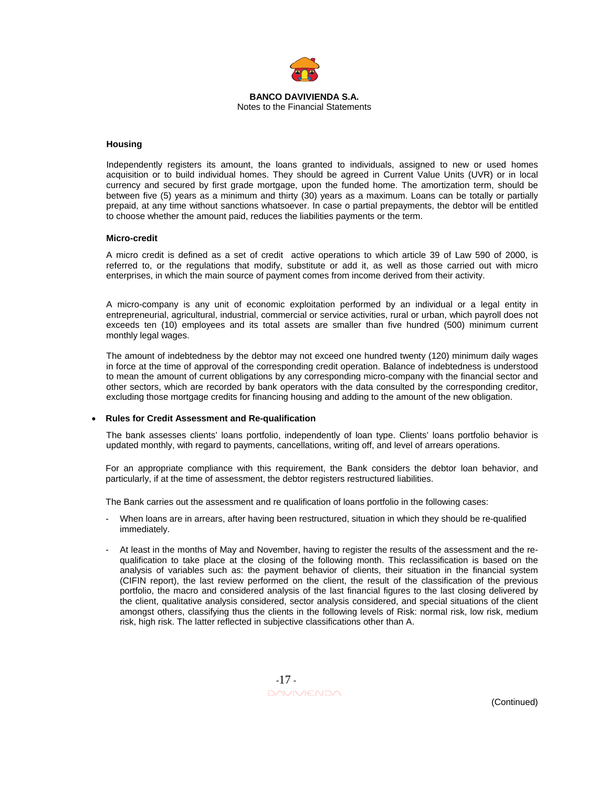

**BANCO DAVIVIENDA S.A.**  Notes to the Financial Statements

#### **Housing**

Independently registers its amount, the loans granted to individuals, assigned to new or used homes acquisition or to build individual homes. They should be agreed in Current Value Units (UVR) or in local currency and secured by first grade mortgage, upon the funded home. The amortization term, should be between five (5) years as a minimum and thirty (30) years as a maximum. Loans can be totally or partially prepaid, at any time without sanctions whatsoever. In case o partial prepayments, the debtor will be entitled to choose whether the amount paid, reduces the liabilities payments or the term.

#### **Micro-credit**

A micro credit is defined as a set of credit active operations to which article 39 of Law 590 of 2000, is referred to, or the regulations that modify, substitute or add it, as well as those carried out with micro enterprises, in which the main source of payment comes from income derived from their activity.

A micro-company is any unit of economic exploitation performed by an individual or a legal entity in entrepreneurial, agricultural, industrial, commercial or service activities, rural or urban, which payroll does not exceeds ten (10) employees and its total assets are smaller than five hundred (500) minimum current monthly legal wages.

The amount of indebtedness by the debtor may not exceed one hundred twenty (120) minimum daily wages in force at the time of approval of the corresponding credit operation. Balance of indebtedness is understood to mean the amount of current obligations by any corresponding micro-company with the financial sector and other sectors, which are recorded by bank operators with the data consulted by the corresponding creditor, excluding those mortgage credits for financing housing and adding to the amount of the new obligation.

## • **Rules for Credit Assessment and Re-qualification**

The bank assesses clients' loans portfolio, independently of loan type. Clients' loans portfolio behavior is updated monthly, with regard to payments, cancellations, writing off, and level of arrears operations.

For an appropriate compliance with this requirement, the Bank considers the debtor loan behavior, and particularly, if at the time of assessment, the debtor registers restructured liabilities.

The Bank carries out the assessment and re qualification of loans portfolio in the following cases:

- When loans are in arrears, after having been restructured, situation in which they should be re-qualified immediately.
- At least in the months of May and November, having to register the results of the assessment and the requalification to take place at the closing of the following month. This reclassification is based on the analysis of variables such as: the payment behavior of clients, their situation in the financial system (CIFIN report), the last review performed on the client, the result of the classification of the previous portfolio, the macro and considered analysis of the last financial figures to the last closing delivered by the client, qualitative analysis considered, sector analysis considered, and special situations of the client amongst others, classifying thus the clients in the following levels of Risk: normal risk, low risk, medium risk, high risk. The latter reflected in subjective classifications other than A.

 -17 - DAVIVIENDA (Continued)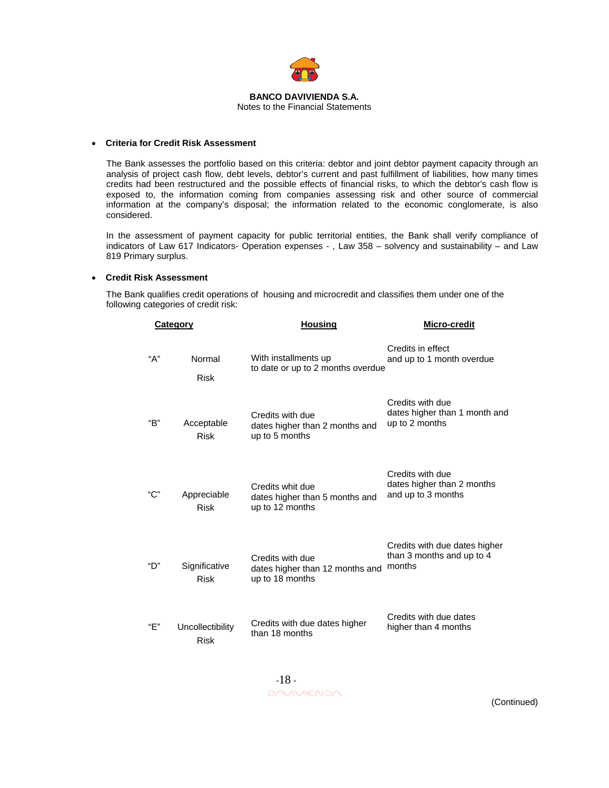

#### **BANCO DAVIVIENDA S.A.**  Notes to the Financial Statements

#### • **Criteria for Credit Risk Assessment**

The Bank assesses the portfolio based on this criteria: debtor and joint debtor payment capacity through an analysis of project cash flow, debt levels, debtor's current and past fulfillment of liabilities, how many times credits had been restructured and the possible effects of financial risks, to which the debtor's cash flow is exposed to, the information coming from companies assessing risk and other source of commercial information at the company's disposal; the information related to the economic conglomerate, is also considered.

In the assessment of payment capacity for public territorial entities, the Bank shall verify compliance of indicators of Law 617 Indicators- Operation expenses - , Law 358 – solvency and sustainability – and Law 819 Primary surplus.

#### • **Credit Risk Assessment**

The Bank qualifies credit operations of housing and microcredit and classifies them under one of the following categories of credit risk:

| Category |                                 | <b>Housing</b>                                                         | Micro-credit                                                         |  |
|----------|---------------------------------|------------------------------------------------------------------------|----------------------------------------------------------------------|--|
| "А"      | Normal<br><b>Risk</b>           | With installments up<br>to date or up to 2 months overdue              | Credits in effect<br>and up to 1 month overdue                       |  |
| "В"      | Acceptable<br><b>Risk</b>       | Credits with due<br>dates higher than 2 months and<br>up to 5 months   | Credits with due<br>dates higher than 1 month and<br>up to 2 months  |  |
| "С"      | Appreciable<br><b>Risk</b>      | Credits whit due<br>dates higher than 5 months and<br>up to 12 months  | Credits with due<br>dates higher than 2 months<br>and up to 3 months |  |
| "D"      | Significative<br><b>Risk</b>    | Credits with due<br>dates higher than 12 months and<br>up to 18 months | Credits with due dates higher<br>than 3 months and up to 4<br>months |  |
| "F"      | Uncollectibility<br><b>Risk</b> | Credits with due dates higher<br>than 18 months                        | Credits with due dates<br>higher than 4 months                       |  |

 -18 - DAVIVIENDA (Continued)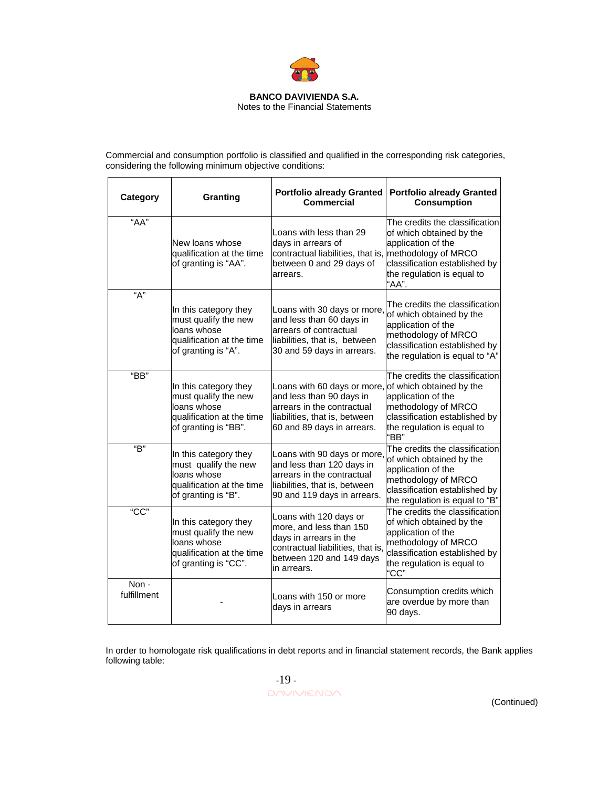

Notes to the Financial Statements

Commercial and consumption portfolio is classified and qualified in the corresponding risk categories, considering the following minimum objective conditions:

| Category            | Granting                                                                                                          | <b>Portfolio already Granted</b><br><b>Commercial</b>                                                                                                                         | <b>Portfolio already Granted</b><br><b>Consumption</b>                                                                                                                         |
|---------------------|-------------------------------------------------------------------------------------------------------------------|-------------------------------------------------------------------------------------------------------------------------------------------------------------------------------|--------------------------------------------------------------------------------------------------------------------------------------------------------------------------------|
| "AA"                | New loans whose<br>qualification at the time<br>of granting is "AA".                                              | Loans with less than 29<br>days in arrears of<br>contractual liabilities, that is, methodology of MRCO<br>between 0 and 29 days of<br>arrears.                                | The credits the classification<br>of which obtained by the<br>application of the<br>classification established by<br>the regulation is equal to<br>"AA".                       |
| "А"                 | In this category they<br>must qualify the new<br>loans whose<br>qualification at the time<br>of granting is "A".  | Loans with 30 days or more,<br>and less than 60 days in<br>arrears of contractual<br>liabilities, that is, between<br>30 and 59 days in arrears.                              | The credits the classification<br>of which obtained by the<br>application of the<br>methodology of MRCO<br>classification established by<br>the regulation is equal to "A"     |
| "BB"                | In this category they<br>must qualify the new<br>loans whose<br>qualification at the time<br>of granting is "BB". | Loans with 60 days or more, of which obtained by the<br>and less than 90 days in<br>arrears in the contractual<br>liabilities, that is, between<br>60 and 89 days in arrears. | The credits the classification<br>application of the<br>methodology of MRCO<br>classification established by<br>the regulation is equal to<br>"BB"                             |
| "B"                 | In this category they<br>must qualify the new<br>loans whose<br>qualification at the time<br>of granting is "B".  | Loans with 90 days or more,<br>and less than 120 days in<br>arrears in the contractual<br>liabilities, that is, between<br>90 and 119 days in arrears.                        | The credits the classification<br>of which obtained by the<br>application of the<br>methodology of MRCO<br>classification established by<br>the regulation is equal to "B"     |
| "CC"                | In this category they<br>must qualify the new<br>loans whose<br>qualification at the time<br>of granting is "CC". | Loans with 120 days or<br>more, and less than 150<br>days in arrears in the<br>contractual liabilities, that is,<br>between 120 and 149 days<br>in arrears.                   | The credits the classification<br>of which obtained by the<br>application of the<br>methodology of MRCO<br>classification established by<br>the regulation is equal to<br>"CC" |
| Non-<br>fulfillment |                                                                                                                   | Loans with 150 or more<br>days in arrears                                                                                                                                     | Consumption credits which<br>are overdue by more than<br>90 days.                                                                                                              |

In order to homologate risk qualifications in debt reports and in financial statement records, the Bank applies following table:

 $-19$  -DAVIVIENDA (Continued)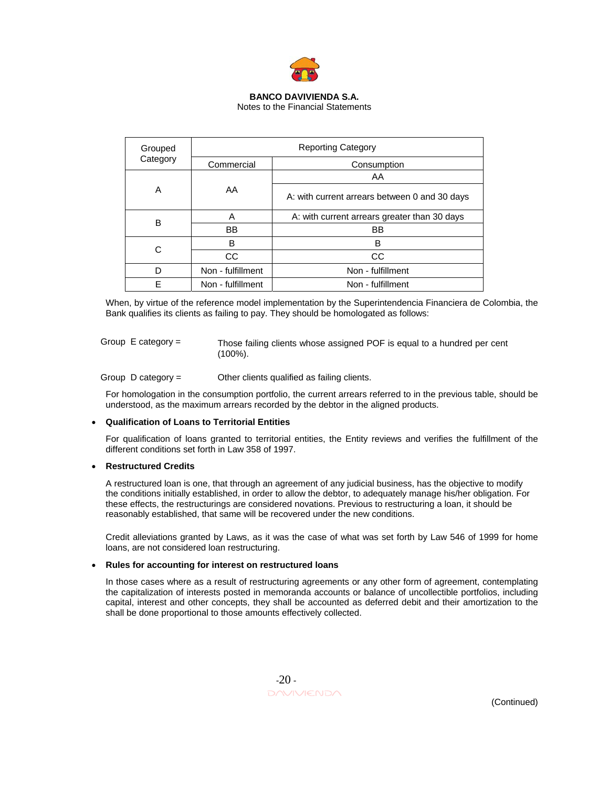

Notes to the Financial Statements

| Grouped  | <b>Reporting Category</b> |                                               |  |
|----------|---------------------------|-----------------------------------------------|--|
| Category | Commercial                | Consumption                                   |  |
|          |                           | AA                                            |  |
| Α        | AA                        | A: with current arrears between 0 and 30 days |  |
| в        | А                         | A: with current arrears greater than 30 days  |  |
|          | BB                        | BB                                            |  |
|          | B                         | в                                             |  |
|          | CC                        | <b>CC</b>                                     |  |
| D        | Non - fulfillment         | Non - fulfillment                             |  |
| F        | Non - fulfillment         | Non - fulfillment                             |  |

When, by virtue of the reference model implementation by the Superintendencia Financiera de Colombia, the Bank qualifies its clients as failing to pay. They should be homologated as follows:

Group E category =

Those failing clients whose assigned POF is equal to a hundred per cent (100%).

Group D category = Other clients qualified as failing clients.

For homologation in the consumption portfolio, the current arrears referred to in the previous table, should be understood, as the maximum arrears recorded by the debtor in the aligned products.

## • **Qualification of Loans to Territorial Entities**

For qualification of loans granted to territorial entities, the Entity reviews and verifies the fulfillment of the different conditions set forth in Law 358 of 1997.

## • **Restructured Credits**

A restructured loan is one, that through an agreement of any judicial business, has the objective to modify the conditions initially established, in order to allow the debtor, to adequately manage his/her obligation. For these effects, the restructurings are considered novations. Previous to restructuring a loan, it should be reasonably established, that same will be recovered under the new conditions.

Credit alleviations granted by Laws, as it was the case of what was set forth by Law 546 of 1999 for home loans, are not considered loan restructuring.

## • **Rules for accounting for interest on restructured loans**

In those cases where as a result of restructuring agreements or any other form of agreement, contemplating the capitalization of interests posted in memoranda accounts or balance of uncollectible portfolios, including capital, interest and other concepts, they shall be accounted as deferred debit and their amortization to the shall be done proportional to those amounts effectively collected.

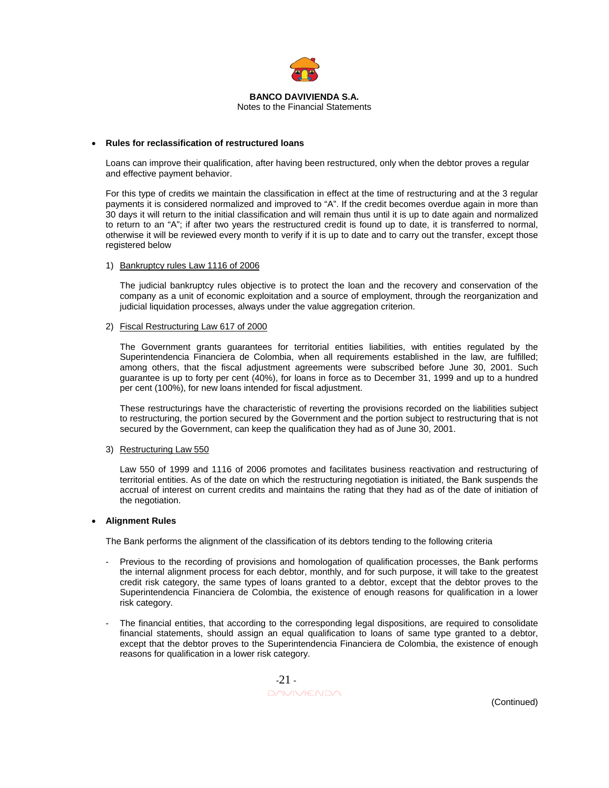

#### **BANCO DAVIVIENDA S.A.**  Notes to the Financial Statements

#### • **Rules for reclassification of restructured loans**

Loans can improve their qualification, after having been restructured, only when the debtor proves a regular and effective payment behavior.

For this type of credits we maintain the classification in effect at the time of restructuring and at the 3 regular payments it is considered normalized and improved to "A". If the credit becomes overdue again in more than 30 days it will return to the initial classification and will remain thus until it is up to date again and normalized to return to an "A"; if after two years the restructured credit is found up to date, it is transferred to normal, otherwise it will be reviewed every month to verify if it is up to date and to carry out the transfer, except those registered below

#### 1) Bankruptcy rules Law 1116 of 2006

The judicial bankruptcy rules objective is to protect the loan and the recovery and conservation of the company as a unit of economic exploitation and a source of employment, through the reorganization and judicial liquidation processes, always under the value aggregation criterion.

#### 2) Fiscal Restructuring Law 617 of 2000

The Government grants guarantees for territorial entities liabilities, with entities regulated by the Superintendencia Financiera de Colombia, when all requirements established in the law, are fulfilled; among others, that the fiscal adjustment agreements were subscribed before June 30, 2001. Such guarantee is up to forty per cent (40%), for loans in force as to December 31, 1999 and up to a hundred per cent (100%), for new loans intended for fiscal adjustment.

These restructurings have the characteristic of reverting the provisions recorded on the liabilities subject to restructuring, the portion secured by the Government and the portion subject to restructuring that is not secured by the Government, can keep the qualification they had as of June 30, 2001.

## 3) Restructuring Law 550

Law 550 of 1999 and 1116 of 2006 promotes and facilitates business reactivation and restructuring of territorial entities. As of the date on which the restructuring negotiation is initiated, the Bank suspends the accrual of interest on current credits and maintains the rating that they had as of the date of initiation of the negotiation.

#### • **Alignment Rules**

The Bank performs the alignment of the classification of its debtors tending to the following criteria

- Previous to the recording of provisions and homologation of qualification processes, the Bank performs the internal alignment process for each debtor, monthly, and for such purpose, it will take to the greatest credit risk category, the same types of loans granted to a debtor, except that the debtor proves to the Superintendencia Financiera de Colombia, the existence of enough reasons for qualification in a lower risk category.
- The financial entities, that according to the corresponding legal dispositions, are required to consolidate financial statements, should assign an equal qualification to loans of same type granted to a debtor, except that the debtor proves to the Superintendencia Financiera de Colombia, the existence of enough reasons for qualification in a lower risk category.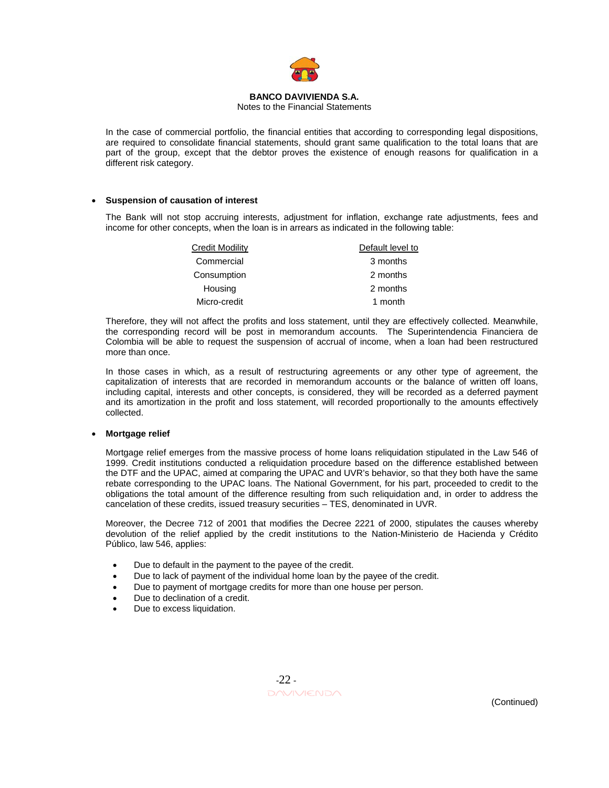

#### Notes to the Financial Statements

In the case of commercial portfolio, the financial entities that according to corresponding legal dispositions, are required to consolidate financial statements, should grant same qualification to the total loans that are part of the group, except that the debtor proves the existence of enough reasons for qualification in a different risk category.

## • **Suspension of causation of interest**

The Bank will not stop accruing interests, adjustment for inflation, exchange rate adjustments, fees and income for other concepts, when the loan is in arrears as indicated in the following table:

| <b>Credit Modility</b> | Default level to |
|------------------------|------------------|
| Commercial             | 3 months         |
| Consumption            | 2 months         |
| Housing                | 2 months         |
| Micro-credit           | 1 month          |

Therefore, they will not affect the profits and loss statement, until they are effectively collected. Meanwhile, the corresponding record will be post in memorandum accounts. The Superintendencia Financiera de Colombia will be able to request the suspension of accrual of income, when a loan had been restructured more than once.

In those cases in which, as a result of restructuring agreements or any other type of agreement, the capitalization of interests that are recorded in memorandum accounts or the balance of written off loans, including capital, interests and other concepts, is considered, they will be recorded as a deferred payment and its amortization in the profit and loss statement, will recorded proportionally to the amounts effectively collected.

#### • **Mortgage relief**

Mortgage relief emerges from the massive process of home loans reliquidation stipulated in the Law 546 of 1999. Credit institutions conducted a reliquidation procedure based on the difference established between the DTF and the UPAC, aimed at comparing the UPAC and UVR's behavior, so that they both have the same rebate corresponding to the UPAC loans. The National Government, for his part, proceeded to credit to the obligations the total amount of the difference resulting from such reliquidation and, in order to address the cancelation of these credits, issued treasury securities – TES, denominated in UVR.

Moreover, the Decree 712 of 2001 that modifies the Decree 2221 of 2000, stipulates the causes whereby devolution of the relief applied by the credit institutions to the Nation-Ministerio de Hacienda y Crédito Público, law 546, applies:

- Due to default in the payment to the payee of the credit.
- Due to lack of payment of the individual home loan by the payee of the credit.
- Due to payment of mortgage credits for more than one house per person.
- Due to declination of a credit.
- Due to excess liquidation.

 -22 - DAVIVIENDA (Continued)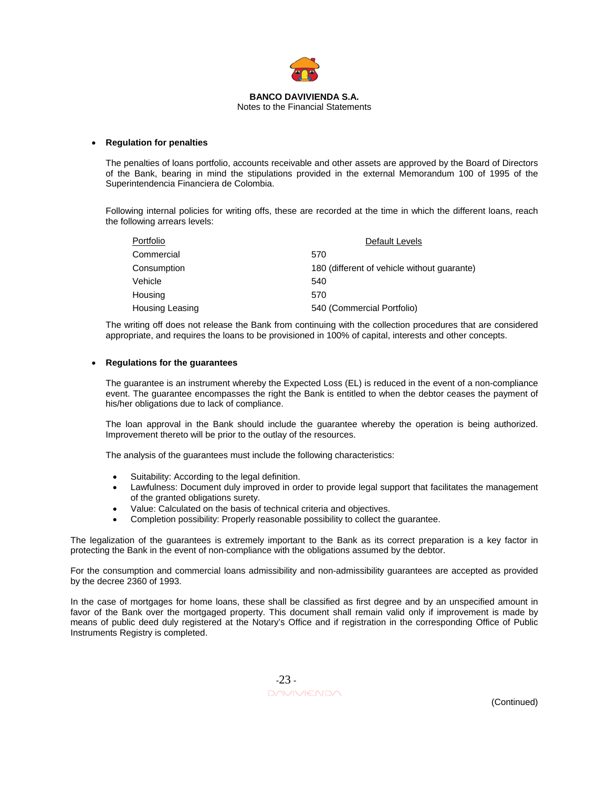

Notes to the Financial Statements

## • **Regulation for penalties**

The penalties of loans portfolio, accounts receivable and other assets are approved by the Board of Directors of the Bank, bearing in mind the stipulations provided in the external Memorandum 100 of 1995 of the Superintendencia Financiera de Colombia.

Following internal policies for writing offs, these are recorded at the time in which the different loans, reach the following arrears levels:

| Portfolio              | Default Levels                              |
|------------------------|---------------------------------------------|
| Commercial             | 570                                         |
| Consumption            | 180 (different of vehicle without quarante) |
| Vehicle                | 540                                         |
| Housing                | 570                                         |
| <b>Housing Leasing</b> | 540 (Commercial Portfolio)                  |

The writing off does not release the Bank from continuing with the collection procedures that are considered appropriate, and requires the loans to be provisioned in 100% of capital, interests and other concepts.

## • **Regulations for the guarantees**

The guarantee is an instrument whereby the Expected Loss (EL) is reduced in the event of a non-compliance event. The guarantee encompasses the right the Bank is entitled to when the debtor ceases the payment of his/her obligations due to lack of compliance.

The loan approval in the Bank should include the guarantee whereby the operation is being authorized. Improvement thereto will be prior to the outlay of the resources.

The analysis of the guarantees must include the following characteristics:

- Suitability: According to the legal definition.
- Lawfulness: Document duly improved in order to provide legal support that facilitates the management of the granted obligations surety.
- Value: Calculated on the basis of technical criteria and objectives.
- Completion possibility: Properly reasonable possibility to collect the guarantee.

The legalization of the guarantees is extremely important to the Bank as its correct preparation is a key factor in protecting the Bank in the event of non-compliance with the obligations assumed by the debtor.

For the consumption and commercial loans admissibility and non-admissibility guarantees are accepted as provided by the decree 2360 of 1993.

In the case of mortgages for home loans, these shall be classified as first degree and by an unspecified amount in favor of the Bank over the mortgaged property. This document shall remain valid only if improvement is made by means of public deed duly registered at the Notary's Office and if registration in the corresponding Office of Public Instruments Registry is completed.

 -23 -  $\Box \land \lor \lor \lor \land \land$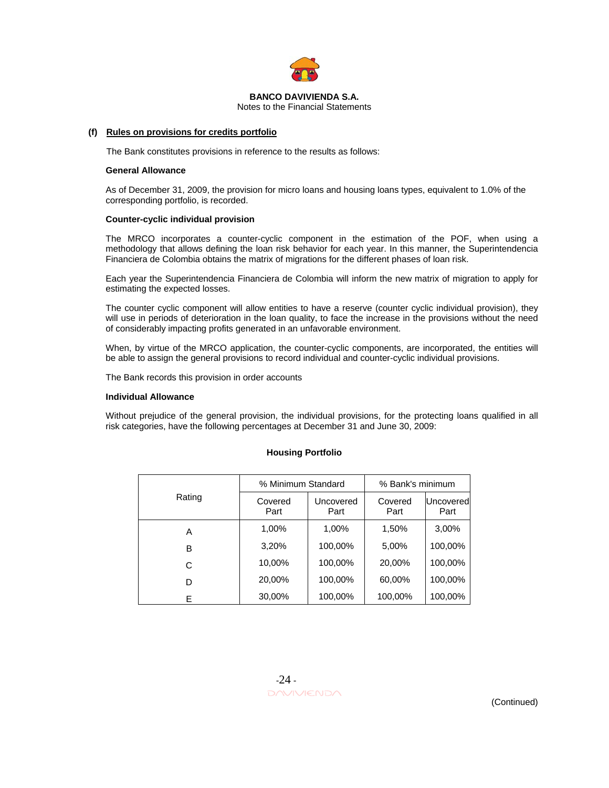

Notes to the Financial Statements

#### **(f) Rules on provisions for credits portfolio**

The Bank constitutes provisions in reference to the results as follows:

#### **General Allowance**

As of December 31, 2009, the provision for micro loans and housing loans types, equivalent to 1.0% of the corresponding portfolio, is recorded.

#### **Counter-cyclic individual provision**

The MRCO incorporates a counter-cyclic component in the estimation of the POF, when using a methodology that allows defining the loan risk behavior for each year. In this manner, the Superintendencia Financiera de Colombia obtains the matrix of migrations for the different phases of loan risk.

Each year the Superintendencia Financiera de Colombia will inform the new matrix of migration to apply for estimating the expected losses.

The counter cyclic component will allow entities to have a reserve (counter cyclic individual provision), they will use in periods of deterioration in the loan quality, to face the increase in the provisions without the need of considerably impacting profits generated in an unfavorable environment.

When, by virtue of the MRCO application, the counter-cyclic components, are incorporated, the entities will be able to assign the general provisions to record individual and counter-cyclic individual provisions.

The Bank records this provision in order accounts

#### **Individual Allowance**

Without prejudice of the general provision, the individual provisions, for the protecting loans qualified in all risk categories, have the following percentages at December 31 and June 30, 2009:

|        | % Minimum Standard |                   | % Bank's minimum |                          |
|--------|--------------------|-------------------|------------------|--------------------------|
| Rating | Covered<br>Part    | Uncovered<br>Part | Covered<br>Part  | <b>Uncovered</b><br>Part |
| Α      | 1,00%              | 1,00%             | 1,50%            | 3,00%                    |
| в      | 3,20%              | 100,00%           | 5,00%            | 100,00%                  |
| C      | 10,00%             | 100,00%           | 20,00%           | 100,00%                  |
| D      | 20,00%             | 100,00%           | 60,00%           | 100,00%                  |
| E      | 30,00%             | 100,00%           | 100,00%          | 100,00%                  |

#### **Housing Portfolio**

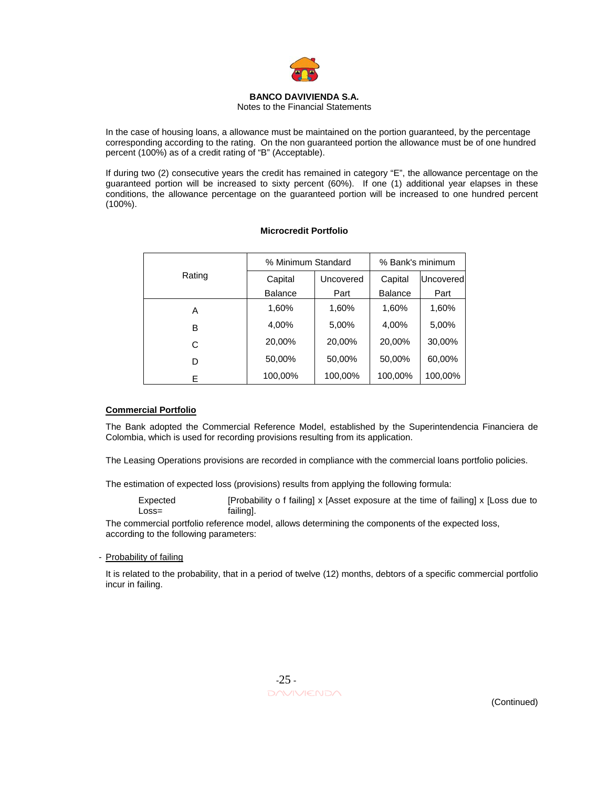

Notes to the Financial Statements

In the case of housing loans, a allowance must be maintained on the portion guaranteed, by the percentage corresponding according to the rating. On the non guaranteed portion the allowance must be of one hundred percent (100%) as of a credit rating of "B" (Acceptable).

If during two (2) consecutive years the credit has remained in category "E", the allowance percentage on the guaranteed portion will be increased to sixty percent (60%). If one (1) additional year elapses in these conditions, the allowance percentage on the guaranteed portion will be increased to one hundred percent (100%).

|        | % Minimum Standard |           | % Bank's minimum |           |
|--------|--------------------|-----------|------------------|-----------|
| Rating | Capital            | Uncovered | Capital          | Uncovered |
|        | <b>Balance</b>     | Part      | <b>Balance</b>   | Part      |
| A      | 1,60%              | 1,60%     | 1,60%            | 1,60%     |
| В      | 4,00%              | 5,00%     | 4,00%            | 5,00%     |
| C      | 20,00%             | 20,00%    | 20,00%           | 30,00%    |
| D      | 50,00%             | 50,00%    | 50,00%           | 60,00%    |
| E      | 100,00%            | 100,00%   | 100,00%          | 100,00%   |

## **Microcredit Portfolio**

## **Commercial Portfolio**

The Bank adopted the Commercial Reference Model, established by the Superintendencia Financiera de Colombia, which is used for recording provisions resulting from its application.

The Leasing Operations provisions are recorded in compliance with the commercial loans portfolio policies.

The estimation of expected loss (provisions) results from applying the following formula:

Expected Loss= [Probability o f failing] x [Asset exposure at the time of failing] x [Loss due to failing].

The commercial portfolio reference model, allows determining the components of the expected loss, according to the following parameters:

## - Probability of failing

It is related to the probability, that in a period of twelve (12) months, debtors of a specific commercial portfolio incur in failing.

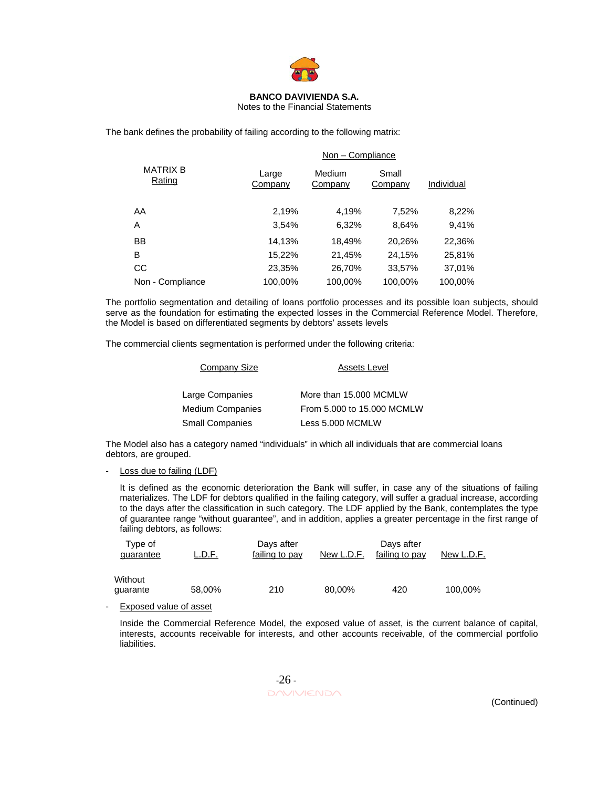

#### Notes to the Financial Statements

The bank defines the probability of failing according to the following matrix:

|                           |                  | Non - Compliance  |                  |            |
|---------------------------|------------------|-------------------|------------------|------------|
| <b>MATRIX B</b><br>Rating | Large<br>Company | Medium<br>Company | Small<br>Company | Individual |
| AA                        | 2,19%            | 4,19%             | 7,52%            | 8,22%      |
| A                         | 3,54%            | 6,32%             | 8,64%            | 9,41%      |
| <b>BB</b>                 | 14,13%           | 18,49%            | 20,26%           | 22,36%     |
| B                         | 15,22%           | 21,45%            | 24,15%           | 25,81%     |
| CС                        | 23,35%           | 26,70%            | 33,57%           | 37,01%     |
| Non - Compliance          | 100.00%          | 100.00%           | 100.00%          | 100.00%    |

The portfolio segmentation and detailing of loans portfolio processes and its possible loan subjects, should serve as the foundation for estimating the expected losses in the Commercial Reference Model. Therefore, the Model is based on differentiated segments by debtors' assets levels

The commercial clients segmentation is performed under the following criteria:

| Company Size            | Assets Level               |
|-------------------------|----------------------------|
| Large Companies         | More than 15,000 MCMLW     |
| <b>Medium Companies</b> | From 5,000 to 15,000 MCMLW |
| <b>Small Companies</b>  | Less 5.000 MCMLW           |

The Model also has a category named "individuals" in which all individuals that are commercial loans debtors, are grouped.

Loss due to failing (LDF)

It is defined as the economic deterioration the Bank will suffer, in case any of the situations of failing materializes. The LDF for debtors qualified in the failing category, will suffer a gradual increase, according to the days after the classification in such category. The LDF applied by the Bank, contemplates the type of guarantee range "without guarantee", and in addition, applies a greater percentage in the first range of failing debtors, as follows:

| Type of<br>quarantee | L.D.F. | Days after<br>failing to pay | New L.D.F. | Days after<br>failing to pay | New L.D.F. |
|----------------------|--------|------------------------------|------------|------------------------------|------------|
| Without<br>guarante  | 58,00% | 210                          | 80,00%     | 420                          | 100.00%    |

Exposed value of asset

Inside the Commercial Reference Model, the exposed value of asset, is the current balance of capital, interests, accounts receivable for interests, and other accounts receivable, of the commercial portfolio liabilities.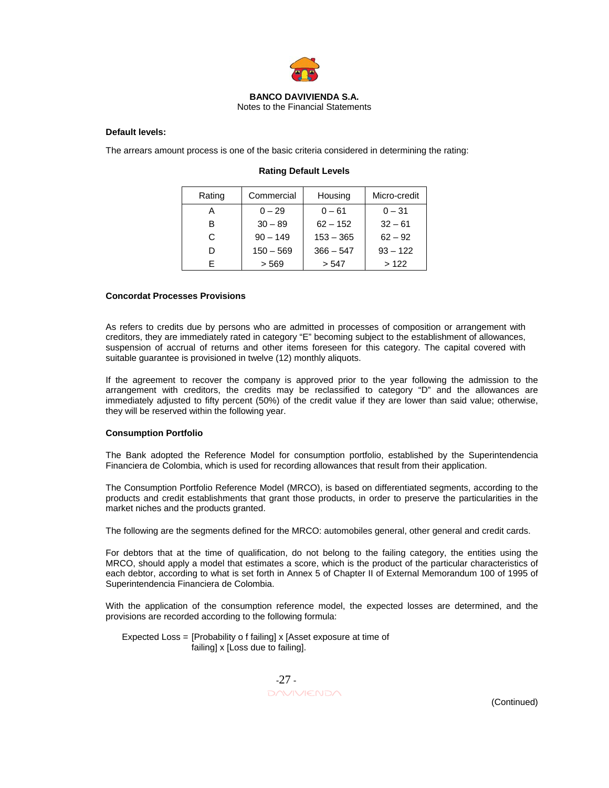

## Notes to the Financial Statements

## **Default levels:**

The arrears amount process is one of the basic criteria considered in determining the rating:

| Rating | Commercial  | Housing     | Micro-credit |
|--------|-------------|-------------|--------------|
| А      | $0 - 29$    | $0 - 61$    | $0 - 31$     |
| R      | $30 - 89$   | $62 - 152$  | $32 - 61$    |
| C      | $90 - 149$  | $153 - 365$ | $62 - 92$    |
|        | $150 - 569$ | $366 - 547$ | $93 - 122$   |
|        | > 569       | > 547       | >122         |

## **Rating Default Levels**

#### **Concordat Processes Provisions**

As refers to credits due by persons who are admitted in processes of composition or arrangement with creditors, they are immediately rated in category "E" becoming subject to the establishment of allowances, suspension of accrual of returns and other items foreseen for this category. The capital covered with suitable guarantee is provisioned in twelve (12) monthly aliquots.

If the agreement to recover the company is approved prior to the year following the admission to the arrangement with creditors, the credits may be reclassified to category "D" and the allowances are immediately adjusted to fifty percent (50%) of the credit value if they are lower than said value; otherwise, they will be reserved within the following year.

## **Consumption Portfolio**

The Bank adopted the Reference Model for consumption portfolio, established by the Superintendencia Financiera de Colombia, which is used for recording allowances that result from their application.

The Consumption Portfolio Reference Model (MRCO), is based on differentiated segments, according to the products and credit establishments that grant those products, in order to preserve the particularities in the market niches and the products granted.

The following are the segments defined for the MRCO: automobiles general, other general and credit cards.

For debtors that at the time of qualification, do not belong to the failing category, the entities using the MRCO, should apply a model that estimates a score, which is the product of the particular characteristics of each debtor, according to what is set forth in Annex 5 of Chapter II of External Memorandum 100 of 1995 of Superintendencia Financiera de Colombia.

With the application of the consumption reference model, the expected losses are determined, and the provisions are recorded according to the following formula:

 Expected Loss = [Probability o f failing] x [Asset exposure at time of failing] x [Loss due to failing].

 -27 - DAVIVIENDA (Continued)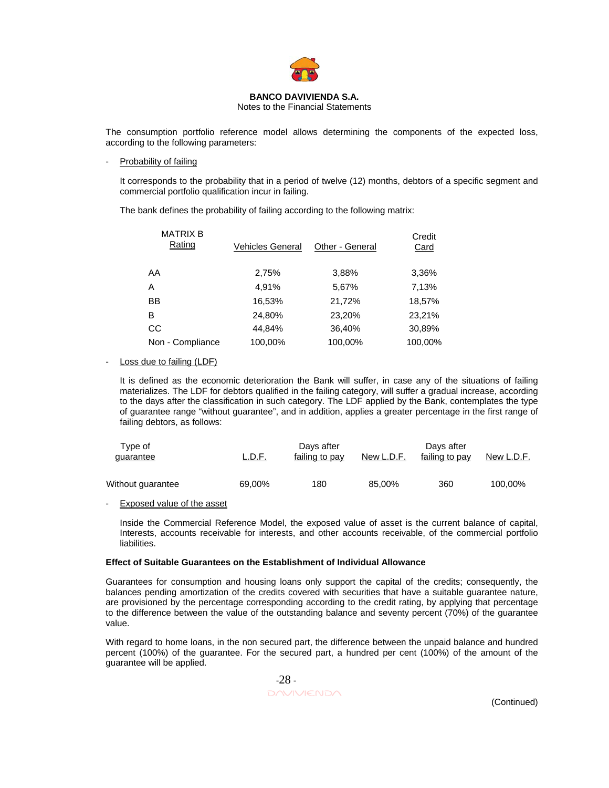

Notes to the Financial Statements

The consumption portfolio reference model allows determining the components of the expected loss, according to the following parameters:

#### Probability of failing

It corresponds to the probability that in a period of twelve (12) months, debtors of a specific segment and commercial portfolio qualification incur in failing.

The bank defines the probability of failing according to the following matrix:

| <b>MATRIX B</b><br>Rating | Vehicles General | Other - General | Credit<br>Card |
|---------------------------|------------------|-----------------|----------------|
| AA                        | 2,75%            | 3,88%           | 3,36%          |
| A                         | 4,91%            | 5,67%           | 7,13%          |
| BB                        | 16,53%           | 21,72%          | 18,57%         |
| B                         | 24,80%           | 23,20%          | 23,21%         |
| CC                        | 44,84%           | 36,40%          | 30,89%         |
| Non - Compliance          | 100,00%          | 100,00%         | 100,00%        |

## - Loss due to failing (LDF)

It is defined as the economic deterioration the Bank will suffer, in case any of the situations of failing materializes. The LDF for debtors qualified in the failing category, will suffer a gradual increase, according to the days after the classification in such category. The LDF applied by the Bank, contemplates the type of guarantee range "without guarantee", and in addition, applies a greater percentage in the first range of failing debtors, as follows:

| Tvpe of<br>quarantee | ∟.D.F. | Days after<br>failing to pay | New L.D.F. | Davs after<br>failing to pay | New L.D.F. |
|----------------------|--------|------------------------------|------------|------------------------------|------------|
| Without guarantee    | 69,00% | 180                          | 85,00%     | 360                          | 100,00%    |

- Exposed value of the asset

Inside the Commercial Reference Model, the exposed value of asset is the current balance of capital, Interests, accounts receivable for interests, and other accounts receivable, of the commercial portfolio liabilities.

## **Effect of Suitable Guarantees on the Establishment of Individual Allowance**

Guarantees for consumption and housing loans only support the capital of the credits; consequently, the balances pending amortization of the credits covered with securities that have a suitable guarantee nature, are provisioned by the percentage corresponding according to the credit rating, by applying that percentage to the difference between the value of the outstanding balance and seventy percent (70%) of the guarantee value.

With regard to home loans, in the non secured part, the difference between the unpaid balance and hundred percent (100%) of the guarantee. For the secured part, a hundred per cent (100%) of the amount of the guarantee will be applied.

 -28 - DAVIVIENDA (Continued)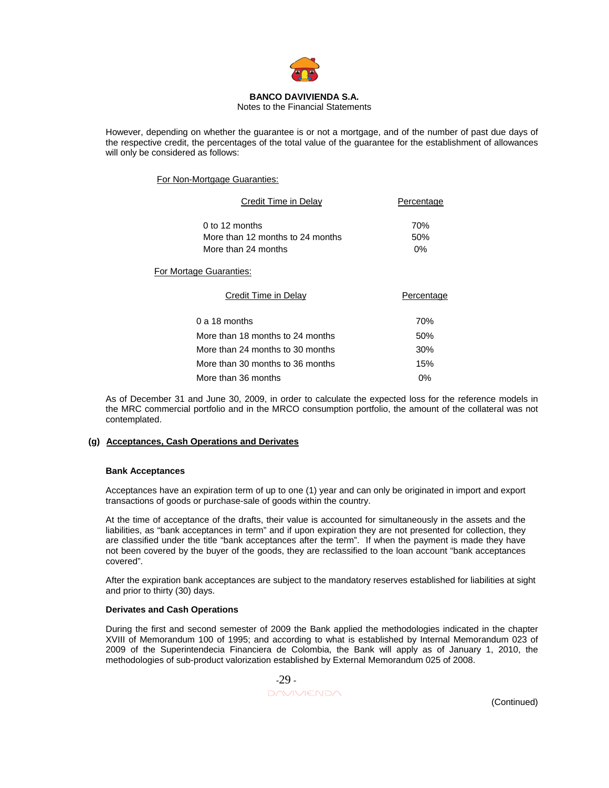

Notes to the Financial Statements

However, depending on whether the guarantee is or not a mortgage, and of the number of past due days of the respective credit, the percentages of the total value of the guarantee for the establishment of allowances will only be considered as follows:

## For Non-Mortgage Guaranties:

| Credit Time in Delay                                                      | Percentage          |  |
|---------------------------------------------------------------------------|---------------------|--|
| 0 to 12 months<br>More than 12 months to 24 months<br>More than 24 months | 70%<br>50%<br>$0\%$ |  |
| For Mortage Guaranties:                                                   |                     |  |
| Credit Time in Delay                                                      | Percentage          |  |
| $0a 18$ months                                                            | 70%                 |  |
| More than 18 months to 24 months                                          | 50%                 |  |
| More than 24 months to 30 months                                          | 30%                 |  |
| More than 30 months to 36 months                                          | 15%                 |  |
| More than 36 months                                                       | 0%                  |  |

As of December 31 and June 30, 2009, in order to calculate the expected loss for the reference models in the MRC commercial portfolio and in the MRCO consumption portfolio, the amount of the collateral was not contemplated.

## **(g) Acceptances, Cash Operations and Derivates**

## **Bank Acceptances**

Acceptances have an expiration term of up to one (1) year and can only be originated in import and export transactions of goods or purchase-sale of goods within the country.

At the time of acceptance of the drafts, their value is accounted for simultaneously in the assets and the liabilities, as "bank acceptances in term" and if upon expiration they are not presented for collection, they are classified under the title "bank acceptances after the term". If when the payment is made they have not been covered by the buyer of the goods, they are reclassified to the loan account "bank acceptances covered".

After the expiration bank acceptances are subject to the mandatory reserves established for liabilities at sight and prior to thirty (30) days.

## **Derivates and Cash Operations**

During the first and second semester of 2009 the Bank applied the methodologies indicated in the chapter XVIII of Memorandum 100 of 1995; and according to what is established by Internal Memorandum 023 of 2009 of the Superintendecia Financiera de Colombia, the Bank will apply as of January 1, 2010, the methodologies of sub-product valorization established by External Memorandum 025 of 2008.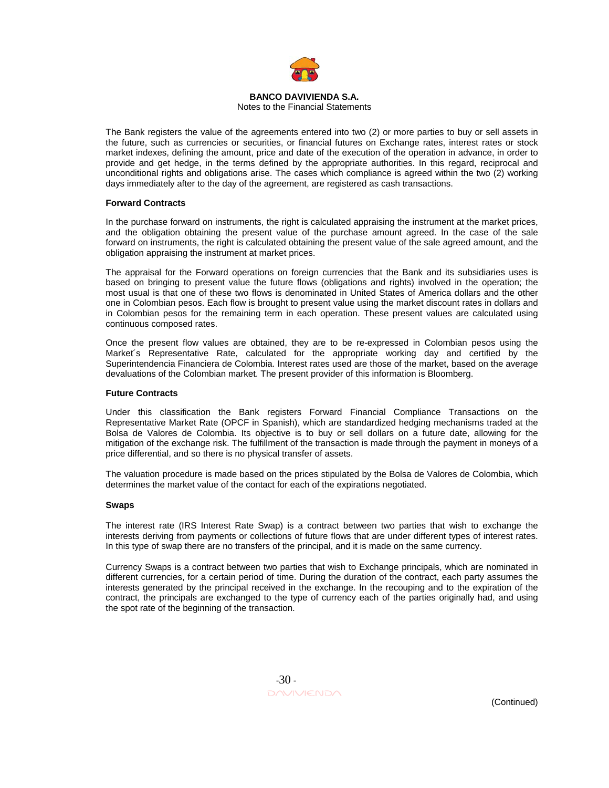

Notes to the Financial Statements

The Bank registers the value of the agreements entered into two (2) or more parties to buy or sell assets in the future, such as currencies or securities, or financial futures on Exchange rates, interest rates or stock market indexes, defining the amount, price and date of the execution of the operation in advance, in order to provide and get hedge, in the terms defined by the appropriate authorities. In this regard, reciprocal and unconditional rights and obligations arise. The cases which compliance is agreed within the two (2) working days immediately after to the day of the agreement, are registered as cash transactions.

## **Forward Contracts**

In the purchase forward on instruments, the right is calculated appraising the instrument at the market prices, and the obligation obtaining the present value of the purchase amount agreed. In the case of the sale forward on instruments, the right is calculated obtaining the present value of the sale agreed amount, and the obligation appraising the instrument at market prices.

The appraisal for the Forward operations on foreign currencies that the Bank and its subsidiaries uses is based on bringing to present value the future flows (obligations and rights) involved in the operation; the most usual is that one of these two flows is denominated in United States of America dollars and the other one in Colombian pesos. Each flow is brought to present value using the market discount rates in dollars and in Colombian pesos for the remaining term in each operation. These present values are calculated using continuous composed rates.

Once the present flow values are obtained, they are to be re-expressed in Colombian pesos using the Market´s Representative Rate, calculated for the appropriate working day and certified by the Superintendencia Financiera de Colombia. Interest rates used are those of the market, based on the average devaluations of the Colombian market. The present provider of this information is Bloomberg.

## **Future Contracts**

Under this classification the Bank registers Forward Financial Compliance Transactions on the Representative Market Rate (OPCF in Spanish), which are standardized hedging mechanisms traded at the Bolsa de Valores de Colombia. Its objective is to buy or sell dollars on a future date, allowing for the mitigation of the exchange risk. The fulfillment of the transaction is made through the payment in moneys of a price differential, and so there is no physical transfer of assets.

The valuation procedure is made based on the prices stipulated by the Bolsa de Valores de Colombia, which determines the market value of the contact for each of the expirations negotiated.

## **Swaps**

The interest rate (IRS Interest Rate Swap) is a contract between two parties that wish to exchange the interests deriving from payments or collections of future flows that are under different types of interest rates. In this type of swap there are no transfers of the principal, and it is made on the same currency.

Currency Swaps is a contract between two parties that wish to Exchange principals, which are nominated in different currencies, for a certain period of time. During the duration of the contract, each party assumes the interests generated by the principal received in the exchange. In the recouping and to the expiration of the contract, the principals are exchanged to the type of currency each of the parties originally had, and using the spot rate of the beginning of the transaction.

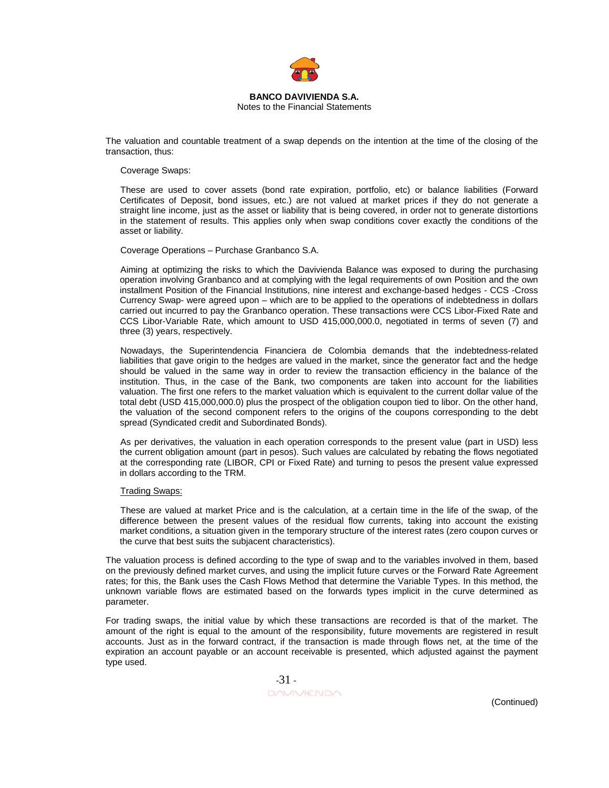

#### **BANCO DAVIVIENDA S.A.**  Notes to the Financial Statements

The valuation and countable treatment of a swap depends on the intention at the time of the closing of the transaction, thus:

#### Coverage Swaps:

These are used to cover assets (bond rate expiration, portfolio, etc) or balance liabilities (Forward Certificates of Deposit, bond issues, etc.) are not valued at market prices if they do not generate a straight line income, just as the asset or liability that is being covered, in order not to generate distortions in the statement of results. This applies only when swap conditions cover exactly the conditions of the asset or liability.

Coverage Operations – Purchase Granbanco S.A.

Aiming at optimizing the risks to which the Davivienda Balance was exposed to during the purchasing operation involving Granbanco and at complying with the legal requirements of own Position and the own installment Position of the Financial Institutions, nine interest and exchange-based hedges - CCS -Cross Currency Swap- were agreed upon – which are to be applied to the operations of indebtedness in dollars carried out incurred to pay the Granbanco operation. These transactions were CCS Libor-Fixed Rate and CCS Libor-Variable Rate, which amount to USD 415,000,000.0, negotiated in terms of seven (7) and three (3) years, respectively.

Nowadays, the Superintendencia Financiera de Colombia demands that the indebtedness-related liabilities that gave origin to the hedges are valued in the market, since the generator fact and the hedge should be valued in the same way in order to review the transaction efficiency in the balance of the institution. Thus, in the case of the Bank, two components are taken into account for the liabilities valuation. The first one refers to the market valuation which is equivalent to the current dollar value of the total debt (USD 415,000,000.0) plus the prospect of the obligation coupon tied to libor. On the other hand, the valuation of the second component refers to the origins of the coupons corresponding to the debt spread (Syndicated credit and Subordinated Bonds).

As per derivatives, the valuation in each operation corresponds to the present value (part in USD) less the current obligation amount (part in pesos). Such values are calculated by rebating the flows negotiated at the corresponding rate (LIBOR, CPI or Fixed Rate) and turning to pesos the present value expressed in dollars according to the TRM.

#### Trading Swaps:

These are valued at market Price and is the calculation, at a certain time in the life of the swap, of the difference between the present values of the residual flow currents, taking into account the existing market conditions, a situation given in the temporary structure of the interest rates (zero coupon curves or the curve that best suits the subjacent characteristics).

The valuation process is defined according to the type of swap and to the variables involved in them, based on the previously defined market curves, and using the implicit future curves or the Forward Rate Agreement rates; for this, the Bank uses the Cash Flows Method that determine the Variable Types. In this method, the unknown variable flows are estimated based on the forwards types implicit in the curve determined as parameter.

For trading swaps, the initial value by which these transactions are recorded is that of the market. The amount of the right is equal to the amount of the responsibility, future movements are registered in result accounts. Just as in the forward contract, if the transaction is made through flows net, at the time of the expiration an account payable or an account receivable is presented, which adjusted against the payment type used.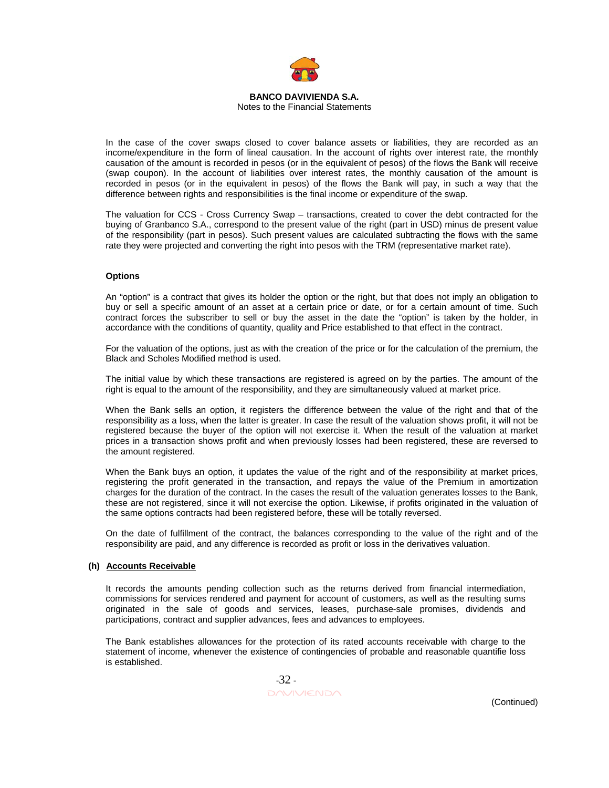

Notes to the Financial Statements

In the case of the cover swaps closed to cover balance assets or liabilities, they are recorded as an income/expenditure in the form of lineal causation. In the account of rights over interest rate, the monthly causation of the amount is recorded in pesos (or in the equivalent of pesos) of the flows the Bank will receive (swap coupon). In the account of liabilities over interest rates, the monthly causation of the amount is recorded in pesos (or in the equivalent in pesos) of the flows the Bank will pay, in such a way that the difference between rights and responsibilities is the final income or expenditure of the swap.

The valuation for CCS - Cross Currency Swap – transactions, created to cover the debt contracted for the buying of Granbanco S.A., correspond to the present value of the right (part in USD) minus de present value of the responsibility (part in pesos). Such present values are calculated subtracting the flows with the same rate they were projected and converting the right into pesos with the TRM (representative market rate).

## **Options**

An "option" is a contract that gives its holder the option or the right, but that does not imply an obligation to buy or sell a specific amount of an asset at a certain price or date, or for a certain amount of time. Such contract forces the subscriber to sell or buy the asset in the date the "option" is taken by the holder, in accordance with the conditions of quantity, quality and Price established to that effect in the contract.

For the valuation of the options, just as with the creation of the price or for the calculation of the premium, the Black and Scholes Modified method is used.

The initial value by which these transactions are registered is agreed on by the parties. The amount of the right is equal to the amount of the responsibility, and they are simultaneously valued at market price.

When the Bank sells an option, it registers the difference between the value of the right and that of the responsibility as a loss, when the latter is greater. In case the result of the valuation shows profit, it will not be registered because the buyer of the option will not exercise it. When the result of the valuation at market prices in a transaction shows profit and when previously losses had been registered, these are reversed to the amount registered.

When the Bank buys an option, it updates the value of the right and of the responsibility at market prices, registering the profit generated in the transaction, and repays the value of the Premium in amortization charges for the duration of the contract. In the cases the result of the valuation generates losses to the Bank, these are not registered, since it will not exercise the option. Likewise, if profits originated in the valuation of the same options contracts had been registered before, these will be totally reversed.

On the date of fulfillment of the contract, the balances corresponding to the value of the right and of the responsibility are paid, and any difference is recorded as profit or loss in the derivatives valuation.

## **(h) Accounts Receivable**

It records the amounts pending collection such as the returns derived from financial intermediation, commissions for services rendered and payment for account of customers, as well as the resulting sums originated in the sale of goods and services, leases, purchase-sale promises, dividends and participations, contract and supplier advances, fees and advances to employees.

The Bank establishes allowances for the protection of its rated accounts receivable with charge to the statement of income, whenever the existence of contingencies of probable and reasonable quantifie loss is established.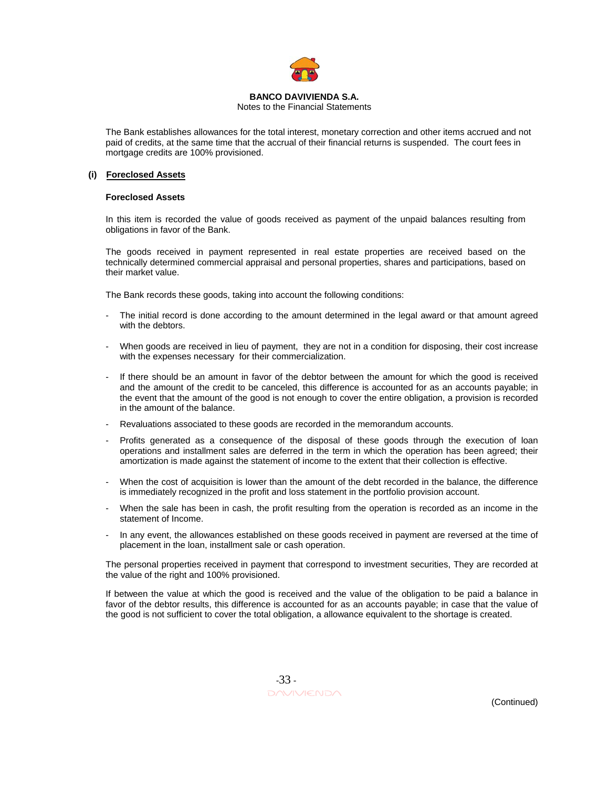

Notes to the Financial Statements

The Bank establishes allowances for the total interest, monetary correction and other items accrued and not paid of credits, at the same time that the accrual of their financial returns is suspended. The court fees in mortgage credits are 100% provisioned.

## **(i) Foreclosed Assets**

#### **Foreclosed Assets**

In this item is recorded the value of goods received as payment of the unpaid balances resulting from obligations in favor of the Bank.

The goods received in payment represented in real estate properties are received based on the technically determined commercial appraisal and personal properties, shares and participations, based on their market value.

The Bank records these goods, taking into account the following conditions:

- The initial record is done according to the amount determined in the legal award or that amount agreed with the debtors.
- When goods are received in lieu of payment, they are not in a condition for disposing, their cost increase with the expenses necessary for their commercialization.
- If there should be an amount in favor of the debtor between the amount for which the good is received and the amount of the credit to be canceled, this difference is accounted for as an accounts payable; in the event that the amount of the good is not enough to cover the entire obligation, a provision is recorded in the amount of the balance.
- Revaluations associated to these goods are recorded in the memorandum accounts.
- Profits generated as a consequence of the disposal of these goods through the execution of loan operations and installment sales are deferred in the term in which the operation has been agreed; their amortization is made against the statement of income to the extent that their collection is effective.
- When the cost of acquisition is lower than the amount of the debt recorded in the balance, the difference is immediately recognized in the profit and loss statement in the portfolio provision account.
- When the sale has been in cash, the profit resulting from the operation is recorded as an income in the statement of Income.
- In any event, the allowances established on these goods received in payment are reversed at the time of placement in the loan, installment sale or cash operation.

The personal properties received in payment that correspond to investment securities, They are recorded at the value of the right and 100% provisioned.

If between the value at which the good is received and the value of the obligation to be paid a balance in favor of the debtor results, this difference is accounted for as an accounts payable; in case that the value of the good is not sufficient to cover the total obligation, a allowance equivalent to the shortage is created.

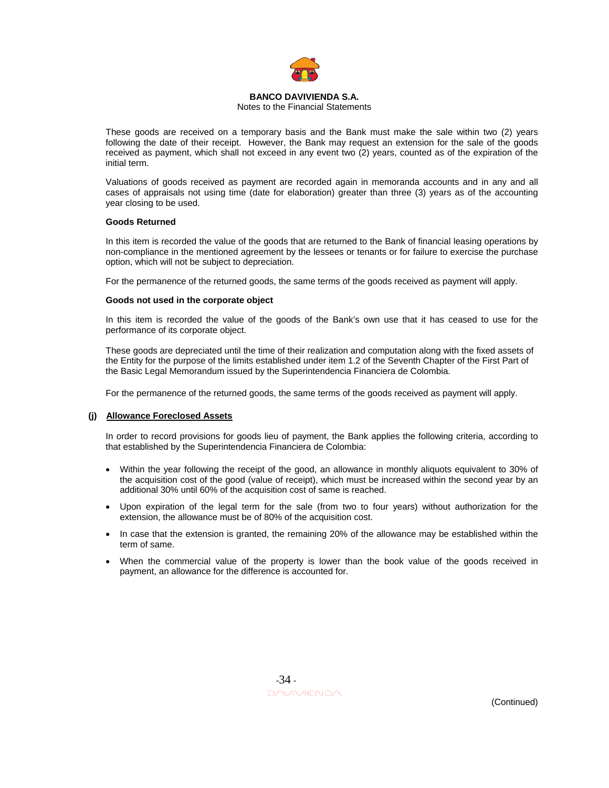

#### Notes to the Financial Statements

These goods are received on a temporary basis and the Bank must make the sale within two (2) years following the date of their receipt. However, the Bank may request an extension for the sale of the goods received as payment, which shall not exceed in any event two (2) years, counted as of the expiration of the initial term.

Valuations of goods received as payment are recorded again in memoranda accounts and in any and all cases of appraisals not using time (date for elaboration) greater than three (3) years as of the accounting year closing to be used.

#### **Goods Returned**

In this item is recorded the value of the goods that are returned to the Bank of financial leasing operations by non-compliance in the mentioned agreement by the lessees or tenants or for failure to exercise the purchase option, which will not be subject to depreciation.

For the permanence of the returned goods, the same terms of the goods received as payment will apply.

#### **Goods not used in the corporate object**

In this item is recorded the value of the goods of the Bank's own use that it has ceased to use for the performance of its corporate object.

These goods are depreciated until the time of their realization and computation along with the fixed assets of the Entity for the purpose of the limits established under item 1.2 of the Seventh Chapter of the First Part of the Basic Legal Memorandum issued by the Superintendencia Financiera de Colombia.

For the permanence of the returned goods, the same terms of the goods received as payment will apply.

#### **(j) Allowance Foreclosed Assets**

In order to record provisions for goods lieu of payment, the Bank applies the following criteria, according to that established by the Superintendencia Financiera de Colombia:

- Within the year following the receipt of the good, an allowance in monthly aliquots equivalent to 30% of the acquisition cost of the good (value of receipt), which must be increased within the second year by an additional 30% until 60% of the acquisition cost of same is reached.
- Upon expiration of the legal term for the sale (from two to four years) without authorization for the extension, the allowance must be of 80% of the acquisition cost.
- In case that the extension is granted, the remaining 20% of the allowance may be established within the term of same.
- When the commercial value of the property is lower than the book value of the goods received in payment, an allowance for the difference is accounted for.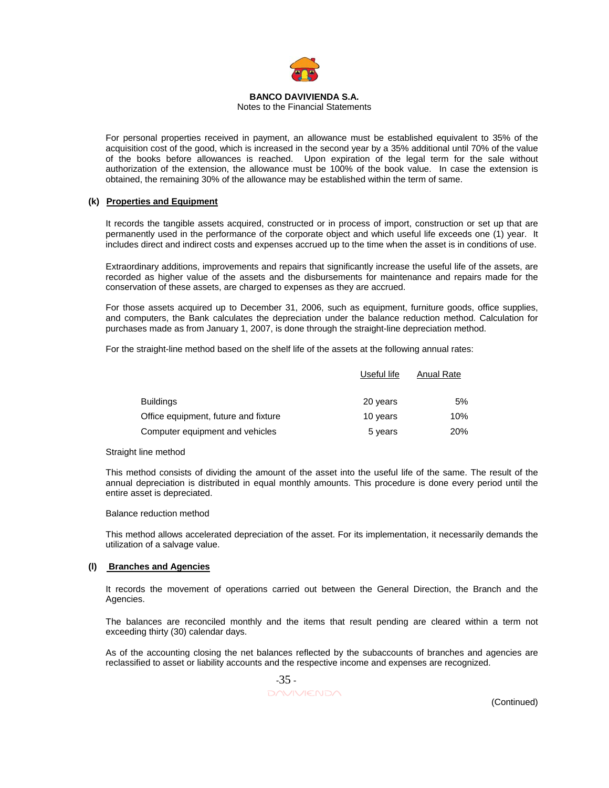

#### Notes to the Financial Statements

For personal properties received in payment, an allowance must be established equivalent to 35% of the acquisition cost of the good, which is increased in the second year by a 35% additional until 70% of the value of the books before allowances is reached. Upon expiration of the legal term for the sale without authorization of the extension, the allowance must be 100% of the book value. In case the extension is obtained, the remaining 30% of the allowance may be established within the term of same.

## **(k) Properties and Equipment**

It records the tangible assets acquired, constructed or in process of import, construction or set up that are permanently used in the performance of the corporate object and which useful life exceeds one (1) year. It includes direct and indirect costs and expenses accrued up to the time when the asset is in conditions of use.

Extraordinary additions, improvements and repairs that significantly increase the useful life of the assets, are recorded as higher value of the assets and the disbursements for maintenance and repairs made for the conservation of these assets, are charged to expenses as they are accrued.

For those assets acquired up to December 31, 2006, such as equipment, furniture goods, office supplies, and computers, the Bank calculates the depreciation under the balance reduction method. Calculation for purchases made as from January 1, 2007, is done through the straight-line depreciation method.

For the straight-line method based on the shelf life of the assets at the following annual rates:

|                                      | Useful life | Anual Rate |
|--------------------------------------|-------------|------------|
| <b>Buildings</b>                     | 20 years    | 5%         |
| Office equipment, future and fixture | 10 years    | 10%        |
| Computer equipment and vehicles      | 5 years     | <b>20%</b> |

#### Straight line method

This method consists of dividing the amount of the asset into the useful life of the same. The result of the annual depreciation is distributed in equal monthly amounts. This procedure is done every period until the entire asset is depreciated.

#### Balance reduction method

This method allows accelerated depreciation of the asset. For its implementation, it necessarily demands the utilization of a salvage value.

#### **(l) Branches and Agencies**

It records the movement of operations carried out between the General Direction, the Branch and the Agencies.

The balances are reconciled monthly and the items that result pending are cleared within a term not exceeding thirty (30) calendar days.

As of the accounting closing the net balances reflected by the subaccounts of branches and agencies are reclassified to asset or liability accounts and the respective income and expenses are recognized.

$$
-35
$$

(Continued)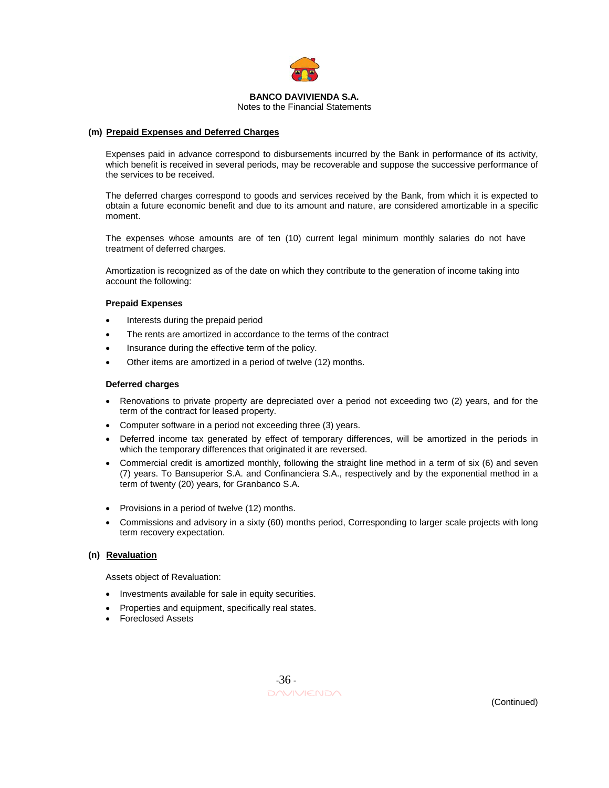

Notes to the Financial Statements

## **(m) Prepaid Expenses and Deferred Charges**

Expenses paid in advance correspond to disbursements incurred by the Bank in performance of its activity, which benefit is received in several periods, may be recoverable and suppose the successive performance of the services to be received.

The deferred charges correspond to goods and services received by the Bank, from which it is expected to obtain a future economic benefit and due to its amount and nature, are considered amortizable in a specific moment.

The expenses whose amounts are of ten (10) current legal minimum monthly salaries do not have treatment of deferred charges.

Amortization is recognized as of the date on which they contribute to the generation of income taking into account the following:

## **Prepaid Expenses**

- Interests during the prepaid period
- The rents are amortized in accordance to the terms of the contract
- Insurance during the effective term of the policy.
- Other items are amortized in a period of twelve (12) months.

#### **Deferred charges**

- Renovations to private property are depreciated over a period not exceeding two (2) years, and for the term of the contract for leased property.
- Computer software in a period not exceeding three (3) years.
- Deferred income tax generated by effect of temporary differences, will be amortized in the periods in which the temporary differences that originated it are reversed.
- Commercial credit is amortized monthly, following the straight line method in a term of six (6) and seven (7) years. To Bansuperior S.A. and Confinanciera S.A., respectively and by the exponential method in a term of twenty (20) years, for Granbanco S.A.
- Provisions in a period of twelve (12) months.
- Commissions and advisory in a sixty (60) months period, Corresponding to larger scale projects with long term recovery expectation.

# **(n) Revaluation**

Assets object of Revaluation:

- Investments available for sale in equity securities.
- Properties and equipment, specifically real states.
- Foreclosed Assets

 -36 - DAVIVIENDA<br>
Continued)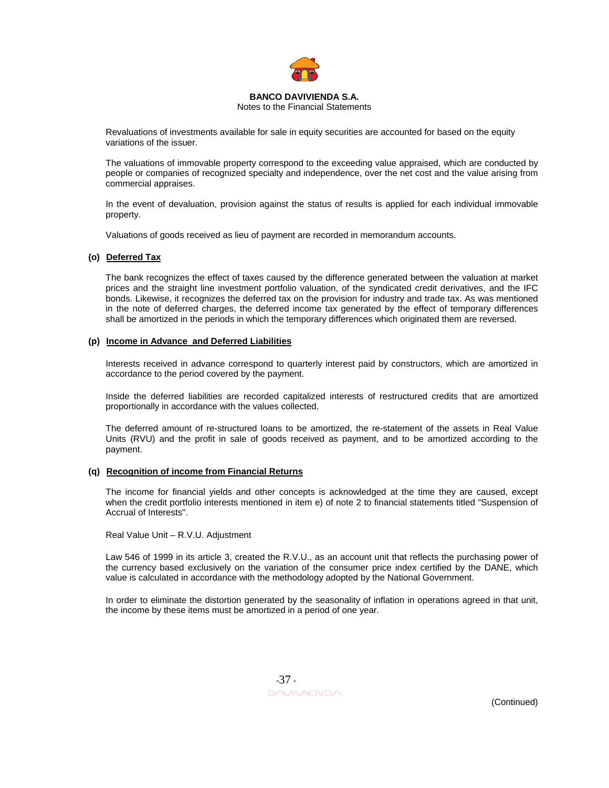

Notes to the Financial Statements

Revaluations of investments available for sale in equity securities are accounted for based on the equity variations of the issuer.

The valuations of immovable property correspond to the exceeding value appraised, which are conducted by people or companies of recognized specialty and independence, over the net cost and the value arising from commercial appraises.

In the event of devaluation, provision against the status of results is applied for each individual immovable property.

Valuations of goods received as lieu of payment are recorded in memorandum accounts.

#### **(o) Deferred Tax**

The bank recognizes the effect of taxes caused by the difference generated between the valuation at market prices and the straight line investment portfolio valuation, of the syndicated credit derivatives, and the IFC bonds. Likewise, it recognizes the deferred tax on the provision for industry and trade tax. As was mentioned in the note of deferred charges, the deferred income tax generated by the effect of temporary differences shall be amortized in the periods in which the temporary differences which originated them are reversed.

#### **(p) Income in Advance and Deferred Liabilities**

Interests received in advance correspond to quarterly interest paid by constructors, which are amortized in accordance to the period covered by the payment.

Inside the deferred liabilities are recorded capitalized interests of restructured credits that are amortized proportionally in accordance with the values collected.

The deferred amount of re-structured loans to be amortized, the re-statement of the assets in Real Value Units (RVU) and the profit in sale of goods received as payment, and to be amortized according to the payment.

#### **(q) Recognition of income from Financial Returns**

The income for financial yields and other concepts is acknowledged at the time they are caused, except when the credit portfolio interests mentioned in item e) of note 2 to financial statements titled "Suspension of Accrual of Interests".

Real Value Unit – R.V.U. Adjustment

Law 546 of 1999 in its article 3, created the R.V.U., as an account unit that reflects the purchasing power of the currency based exclusively on the variation of the consumer price index certified by the DANE, which value is calculated in accordance with the methodology adopted by the National Government.

In order to eliminate the distortion generated by the seasonality of inflation in operations agreed in that unit, the income by these items must be amortized in a period of one year.

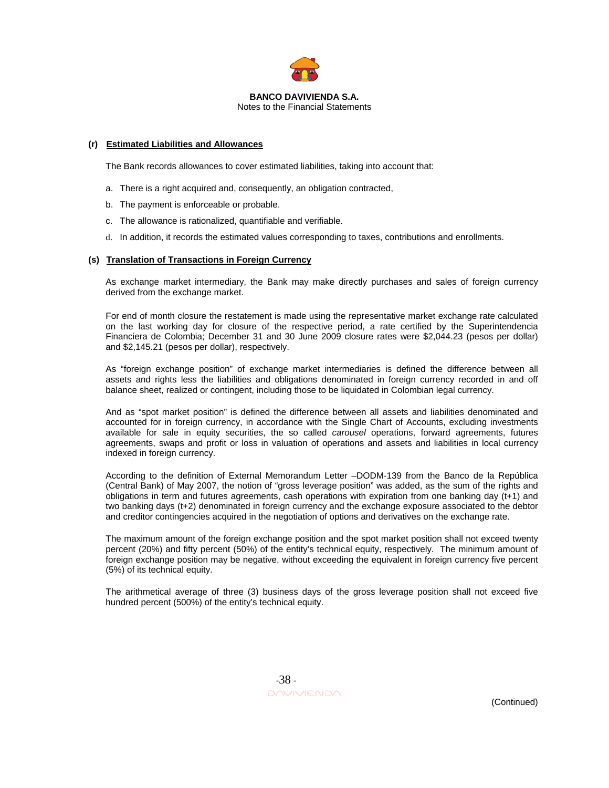

Notes to the Financial Statements

#### **(r) Estimated Liabilities and Allowances**

The Bank records allowances to cover estimated liabilities, taking into account that:

- a. There is a right acquired and, consequently, an obligation contracted,
- b. The payment is enforceable or probable.
- c. The allowance is rationalized, quantifiable and verifiable.
- d. In addition, it records the estimated values corresponding to taxes, contributions and enrollments.

#### **(s) Translation of Transactions in Foreign Currency**

As exchange market intermediary, the Bank may make directly purchases and sales of foreign currency derived from the exchange market.

For end of month closure the restatement is made using the representative market exchange rate calculated on the last working day for closure of the respective period, a rate certified by the Superintendencia Financiera de Colombia; December 31 and 30 June 2009 closure rates were \$2,044.23 (pesos per dollar) and \$2,145.21 (pesos per dollar), respectively.

As "foreign exchange position" of exchange market intermediaries is defined the difference between all assets and rights less the liabilities and obligations denominated in foreign currency recorded in and off balance sheet, realized or contingent, including those to be liquidated in Colombian legal currency.

And as "spot market position" is defined the difference between all assets and liabilities denominated and accounted for in foreign currency, in accordance with the Single Chart of Accounts, excluding investments available for sale in equity securities, the so called *carousel* operations, forward agreements, futures agreements, swaps and profit or loss in valuation of operations and assets and liabilities in local currency indexed in foreign currency.

According to the definition of External Memorandum Letter –DODM-139 from the Banco de la República (Central Bank) of May 2007, the notion of "gross leverage position" was added, as the sum of the rights and obligations in term and futures agreements, cash operations with expiration from one banking day (t+1) and two banking days (t+2) denominated in foreign currency and the exchange exposure associated to the debtor and creditor contingencies acquired in the negotiation of options and derivatives on the exchange rate.

The maximum amount of the foreign exchange position and the spot market position shall not exceed twenty percent (20%) and fifty percent (50%) of the entity's technical equity, respectively. The minimum amount of foreign exchange position may be negative, without exceeding the equivalent in foreign currency five percent (5%) of its technical equity.

The arithmetical average of three (3) business days of the gross leverage position shall not exceed five hundred percent (500%) of the entity's technical equity.

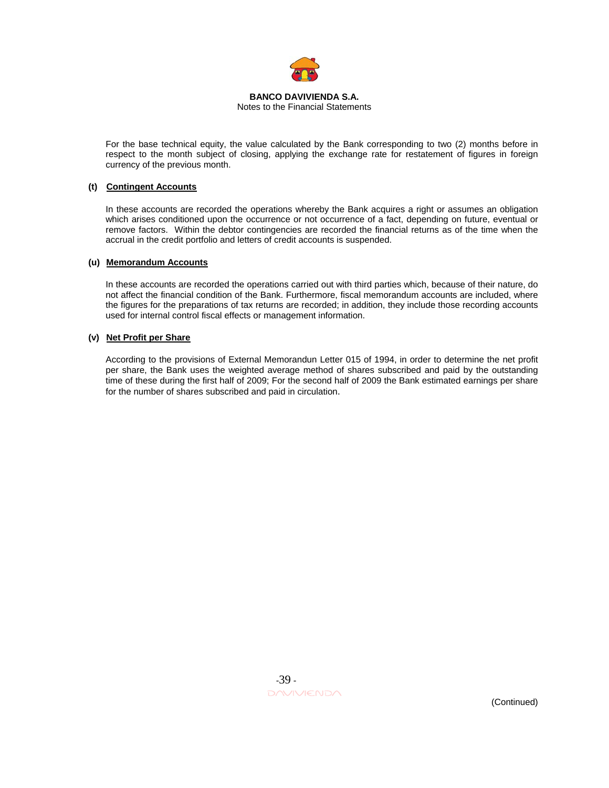

Notes to the Financial Statements

For the base technical equity, the value calculated by the Bank corresponding to two (2) months before in respect to the month subject of closing, applying the exchange rate for restatement of figures in foreign currency of the previous month.

# **(t) Contingent Accounts**

In these accounts are recorded the operations whereby the Bank acquires a right or assumes an obligation which arises conditioned upon the occurrence or not occurrence of a fact, depending on future, eventual or remove factors. Within the debtor contingencies are recorded the financial returns as of the time when the accrual in the credit portfolio and letters of credit accounts is suspended.

## **(u) Memorandum Accounts**

In these accounts are recorded the operations carried out with third parties which, because of their nature, do not affect the financial condition of the Bank. Furthermore, fiscal memorandum accounts are included, where the figures for the preparations of tax returns are recorded; in addition, they include those recording accounts used for internal control fiscal effects or management information.

#### **(v) Net Profit per Share**

According to the provisions of External Memorandun Letter 015 of 1994, in order to determine the net profit per share, the Bank uses the weighted average method of shares subscribed and paid by the outstanding time of these during the first half of 2009; For the second half of 2009 the Bank estimated earnings per share for the number of shares subscribed and paid in circulation.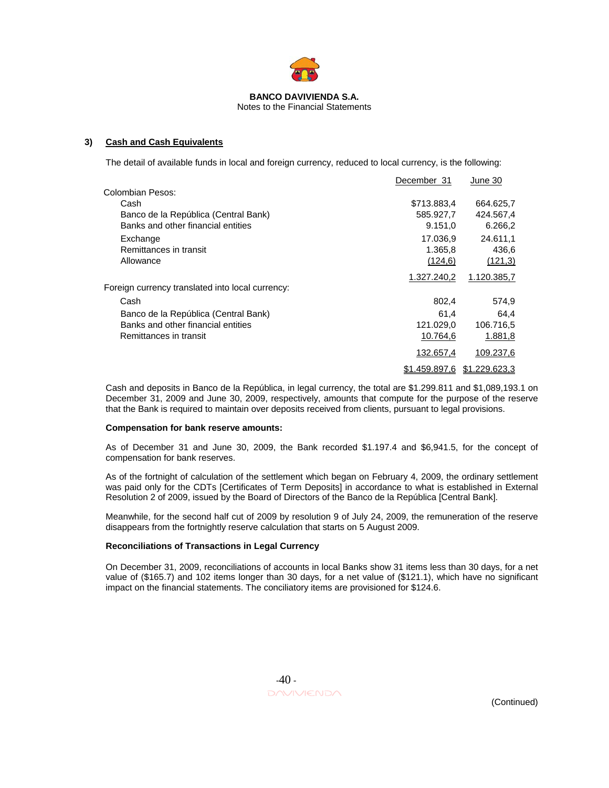

Notes to the Financial Statements

# **3) Cash and Cash Equivalents**

The detail of available funds in local and foreign currency, reduced to local currency, is the following:

|                                                  | December 31   | June 30       |
|--------------------------------------------------|---------------|---------------|
| Colombian Pesos:                                 |               |               |
| Cash                                             | \$713.883,4   | 664.625,7     |
| Banco de la República (Central Bank)             | 585.927,7     | 424.567,4     |
| Banks and other financial entities               | 9.151,0       | 6.266,2       |
| Exchange                                         | 17.036.9      | 24.611.1      |
| Remittances in transit                           | 1.365,8       | 436,6         |
| Allowance                                        | (124.6)       | (121,3)       |
|                                                  | 1.327.240,2   | 1.120.385,7   |
| Foreign currency translated into local currency: |               |               |
| Cash                                             | 802,4         | 574,9         |
| Banco de la República (Central Bank)             | 61.4          | 64,4          |
| Banks and other financial entities               | 121.029,0     | 106.716,5     |
| Remittances in transit                           | 10.764,6      | 1.881,8       |
|                                                  | 132.657,4     | 109.237,6     |
|                                                  | \$1.459.897,6 | \$1,229,623.3 |

Cash and deposits in Banco de la República, in legal currency, the total are \$1.299.811 and \$1,089,193.1 on December 31, 2009 and June 30, 2009, respectively, amounts that compute for the purpose of the reserve that the Bank is required to maintain over deposits received from clients, pursuant to legal provisions.

#### **Compensation for bank reserve amounts:**

As of December 31 and June 30, 2009, the Bank recorded \$1.197.4 and \$6,941.5, for the concept of compensation for bank reserves.

As of the fortnight of calculation of the settlement which began on February 4, 2009, the ordinary settlement was paid only for the CDTs [Certificates of Term Deposits] in accordance to what is established in External Resolution 2 of 2009, issued by the Board of Directors of the Banco de la República [Central Bank].

Meanwhile, for the second half cut of 2009 by resolution 9 of July 24, 2009, the remuneration of the reserve disappears from the fortnightly reserve calculation that starts on 5 August 2009.

#### **Reconciliations of Transactions in Legal Currency**

On December 31, 2009, reconciliations of accounts in local Banks show 31 items less than 30 days, for a net value of (\$165.7) and 102 items longer than 30 days, for a net value of (\$121.1), which have no significant impact on the financial statements. The conciliatory items are provisioned for \$124.6.

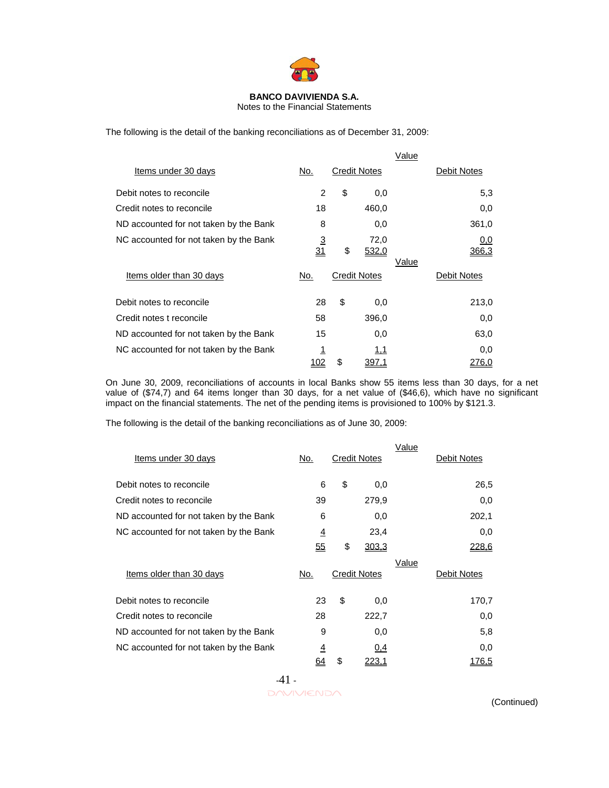

Notes to the Financial Statements

The following is the detail of the banking reconciliations as of December 31, 2009:

|                                        |                |                            | Value |              |
|----------------------------------------|----------------|----------------------------|-------|--------------|
| Items under 30 days                    | No.            | <b>Credit Notes</b>        |       | Debit Notes  |
| Debit notes to reconcile               | 2              | \$<br>0,0                  |       | 5,3          |
| Credit notes to reconcile              | 18             | 460,0                      |       | 0,0          |
| ND accounted for not taken by the Bank | 8              | 0,0                        |       | 361,0        |
| NC accounted for not taken by the Bank | $\frac{3}{31}$ | \$<br>72,0<br><u>532,0</u> | Value | 0,0<br>366,3 |
| Items older than 30 days               | No.            | <b>Credit Notes</b>        |       | Debit Notes  |
| Debit notes to reconcile               | 28             | \$<br>0,0                  |       | 213,0        |
| Credit notes t reconcile               | 58             | 396,0                      |       | 0,0          |
| ND accounted for not taken by the Bank | 15             | 0,0                        |       | 63,0         |
| NC accounted for not taken by the Bank | <u> 1</u>      | 1,1                        |       | 0,0          |
|                                        | 102            | \$<br><u>397.1</u>         |       | 276.0        |

On June 30, 2009, reconciliations of accounts in local Banks show 55 items less than 30 days, for a net value of (\$74,7) and 64 items longer than 30 days, for a net value of (\$46,6), which have no significant impact on the financial statements. The net of the pending items is provisioned to 100% by \$121.3.

The following is the detail of the banking reconciliations as of June 30, 2009:

| Items under 30 days                    | No.            | <b>Credit Notes</b> | Value | Debit Notes |
|----------------------------------------|----------------|---------------------|-------|-------------|
| Debit notes to reconcile               | 6              | \$<br>0,0           |       | 26,5        |
| Credit notes to reconcile              | 39             | 279,9               |       | 0,0         |
| ND accounted for not taken by the Bank | 6              | 0,0                 |       | 202,1       |
| NC accounted for not taken by the Bank | $\overline{4}$ | 23,4                |       | 0,0         |
|                                        | 55             | \$<br>303,3         |       | 228,6       |
| Items older than 30 days               | No.            | <b>Credit Notes</b> | Value | Debit Notes |
| Debit notes to reconcile               | 23             | \$<br>0,0           |       | 170,7       |
| Credit notes to reconcile              | 28             | 222,7               |       | 0,0         |
| ND accounted for not taken by the Bank | 9              | 0,0                 |       | 5,8         |
| NC accounted for not taken by the Bank | $\overline{4}$ | 0,4                 |       | 0,0         |
|                                        | <u>64</u>      | \$<br>223,1         |       | 176,5       |

-41 -

 $\Box \land \lor \Box \land \land$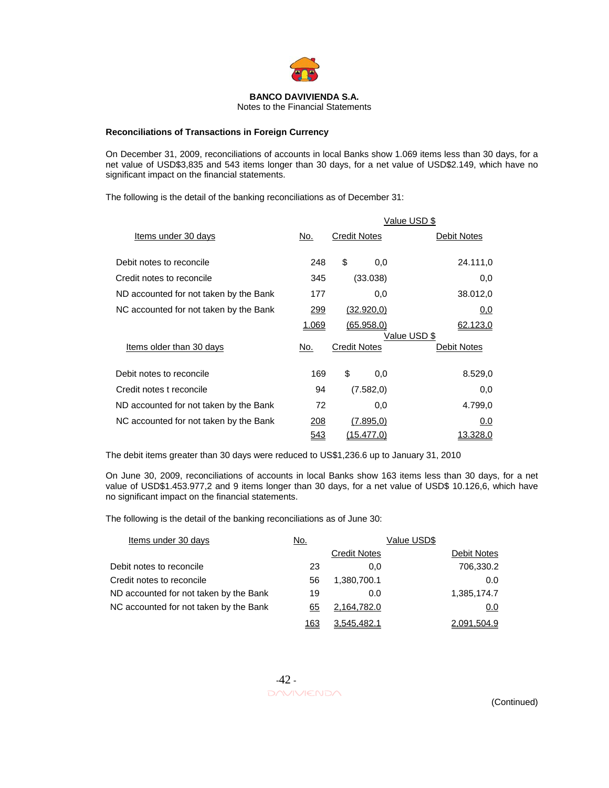

Notes to the Financial Statements

# **Reconciliations of Transactions in Foreign Currency**

On December 31, 2009, reconciliations of accounts in local Banks show 1.069 items less than 30 days, for a net value of USD\$3,835 and 543 items longer than 30 days, for a net value of USD\$2.149, which have no significant impact on the financial statements.

The following is the detail of the banking reconciliations as of December 31:

|                                        | Value USD \$ |                     |                          |  |  |
|----------------------------------------|--------------|---------------------|--------------------------|--|--|
| Items under 30 days                    | No.          | <b>Credit Notes</b> | Debit Notes              |  |  |
| Debit notes to reconcile               | 248          | \$<br>0,0           | 24.111,0                 |  |  |
| Credit notes to reconcile              | 345          | (33.038)            | 0,0                      |  |  |
| ND accounted for not taken by the Bank | 177          | 0,0                 | 38.012,0                 |  |  |
| NC accounted for not taken by the Bank | 299          | (32.920,0)          | 0,0                      |  |  |
|                                        | 1.069        | (65.958.0)          | 62.123.0<br>Value USD \$ |  |  |
| Items older than 30 days               | No.          | <b>Credit Notes</b> | Debit Notes              |  |  |
| Debit notes to reconcile               | 169          | \$<br>0,0           | 8.529,0                  |  |  |
| Credit notes t reconcile               | 94           | (7.582,0)           | 0,0                      |  |  |
| ND accounted for not taken by the Bank | 72           | 0,0                 | 4.799,0                  |  |  |
| NC accounted for not taken by the Bank | 208          | (7.895, 0)          | 0.0                      |  |  |
|                                        | 543          | <u>(15.477,0)</u>   | 13.328.0                 |  |  |

The debit items greater than 30 days were reduced to US\$1,236.6 up to January 31, 2010

On June 30, 2009, reconciliations of accounts in local Banks show 163 items less than 30 days, for a net value of USD\$1.453.977,2 and 9 items longer than 30 days, for a net value of USD\$ 10.126,6, which have no significant impact on the financial statements.

The following is the detail of the banking reconciliations as of June 30:

| Items under 30 days                    | No.         |                     | Value USD\$ |             |
|----------------------------------------|-------------|---------------------|-------------|-------------|
|                                        |             | <b>Credit Notes</b> |             | Debit Notes |
| Debit notes to reconcile               | 23          | 0.0                 |             | 706,330.2   |
| Credit notes to reconcile              | 56          | 1,380,700.1         |             | 0.0         |
| ND accounted for not taken by the Bank | 19          | 0.0                 |             | 1,385,174.7 |
| NC accounted for not taken by the Bank | 65          | 2,164,782.0         |             | 0.0         |
|                                        | <u> 163</u> | 3,545,482.1         |             | 2,091,504.9 |

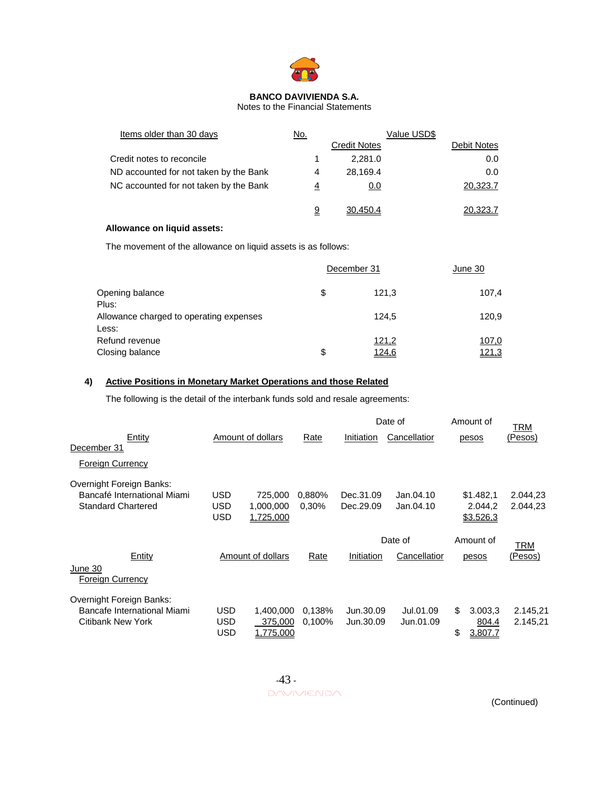

Notes to the Financial Statements

| Items older than 30 days               | <u>No.</u> |                     | Value USD\$ |             |
|----------------------------------------|------------|---------------------|-------------|-------------|
|                                        |            | <b>Credit Notes</b> |             | Debit Notes |
| Credit notes to reconcile              |            | 2.281.0             |             | 0.0         |
| ND accounted for not taken by the Bank | 4          | 28.169.4            |             | 0.0         |
| NC accounted for not taken by the Bank | 4          | 0.0                 |             | 20,323.7    |
|                                        | 9          | 30.450.4            |             | 20.323.7    |

# **Allowance on liquid assets:**

The movement of the allowance on liquid assets is as follows:

|                                         | December 31 | June 30 |              |
|-----------------------------------------|-------------|---------|--------------|
| Opening balance                         | \$          | 121.3   | 107,4        |
| Plus:                                   |             |         |              |
| Allowance charged to operating expenses |             | 124.5   | 120,9        |
| Less:                                   |             |         |              |
| Refund revenue                          |             | 121,2   | <u>107,0</u> |
| Closing balance                         | \$          | 124,6   | <u>121,3</u> |

# **4) Active Positions in Monetary Market Operations and those Related**

The following is the detail of the interbank funds sold and resale agreements:

|                                                                                      |                          |                                          |                  |                        | Date of                |          | Amount of                          | TRM                  |
|--------------------------------------------------------------------------------------|--------------------------|------------------------------------------|------------------|------------------------|------------------------|----------|------------------------------------|----------------------|
| Entity<br>December 31                                                                |                          | Amount of dollars                        | Rate             | Initiation             | Cancellatior           |          | pesos                              | (Pesos)              |
| <b>Foreign Currency</b>                                                              |                          |                                          |                  |                        |                        |          |                                    |                      |
| Overnight Foreign Banks:<br>Bancafé International Miami<br><b>Standard Chartered</b> | USD<br>USD<br><b>USD</b> | 725,000<br>1,000,000<br>1.725.000        | 0,880%<br>0.30%  | Dec.31.09<br>Dec.29.09 | Jan.04.10<br>Jan.04.10 |          | \$1.482,1<br>2.044.2<br>\$3.526,3  | 2.044,23<br>2.044,23 |
|                                                                                      |                          |                                          |                  |                        | Date of                |          | Amount of                          | TRM                  |
| Entity<br>June 30<br>Foreign Currency                                                |                          | Amount of dollars                        | Rate             | Initiation             | Cancellatior           |          | pesos                              | (Pesos)              |
| Overnight Foreign Banks:<br>Bancafe International Miami<br>Citibank New York         | <b>USD</b><br>USD<br>USD | 1.400.000<br>375,000<br><u>1,775,000</u> | 0.138%<br>0,100% | Jun.30.09<br>Jun.30.09 | Jul.01.09<br>Jun.01.09 | \$<br>\$ | 3.003,3<br>804.4<br><u>3,807.7</u> | 2.145,21<br>2.145,21 |

 -43 - DAVIVIENDA (Continued)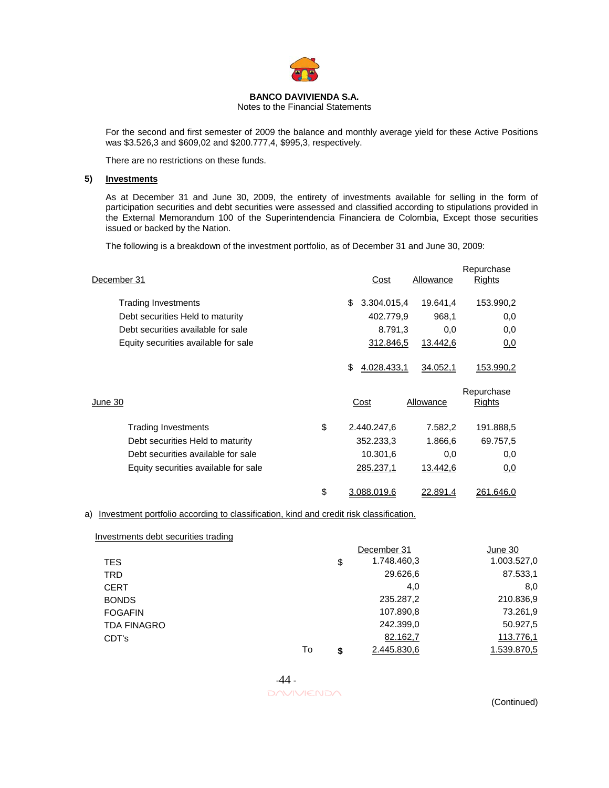

Notes to the Financial Statements

For the second and first semester of 2009 the balance and monthly average yield for these Active Positions was \$3.526,3 and \$609,02 and \$200.777,4, \$995,3, respectively.

There are no restrictions on these funds.

# **5) Investments**

As at December 31 and June 30, 2009, the entirety of investments available for selling in the form of participation securities and debt securities were assessed and classified according to stipulations provided in the External Memorandum 100 of the Superintendencia Financiera de Colombia, Except those securities issued or backed by the Nation.

The following is a breakdown of the investment portfolio, as of December 31 and June 30, 2009:

| December 31                          | Cost              | Allowance | Repurchase<br>Rights |
|--------------------------------------|-------------------|-----------|----------------------|
| <b>Trading Investments</b>           | 3.304.015,4<br>\$ | 19.641,4  | 153.990,2            |
| Debt securities Held to maturity     | 402.779.9         | 968,1     | 0,0                  |
| Debt securities available for sale   | 8.791,3           | 0,0       | 0,0                  |
| Equity securities available for sale | 312.846,5         | 13.442,6  | 0,0                  |
|                                      | \$<br>4.028.433,1 | 34.052,1  | <u>153.990,2</u>     |
| June 30                              | Cost              | Allowance | Repurchase<br>Rights |
| \$<br><b>Trading Investments</b>     | 2.440.247,6       | 7.582,2   | 191.888,5            |
|                                      |                   |           |                      |
| Debt securities Held to maturity     | 352.233,3         | 1.866,6   | 69.757,5             |
| Debt securities available for sale   | 10.301,6          | 0,0       | 0,0                  |
| Equity securities available for sale | 285.237,1         | 13.442,6  | 0,0                  |

# a) Investment portfolio according to classification, kind and credit risk classification.

| Investments debt securities trading |    |                   |             |
|-------------------------------------|----|-------------------|-------------|
|                                     |    | December 31       | June 30     |
| <b>TES</b>                          |    | \$<br>1.748.460,3 | 1.003.527,0 |
| <b>TRD</b>                          |    | 29.626,6          | 87.533,1    |
| <b>CERT</b>                         |    | 4,0               | 8,0         |
| <b>BONDS</b>                        |    | 235.287,2         | 210.836,9   |
| <b>FOGAFIN</b>                      |    | 107.890,8         | 73.261,9    |
| <b>TDA FINAGRO</b>                  |    | 242.399,0         | 50.927,5    |
| CDT's                               |    | 82.162,7          | 113.776,1   |
|                                     | To | \$<br>2.445.830,6 | 1.539.870,5 |

 -44 -  $\Box \land \lor \Box \land \land$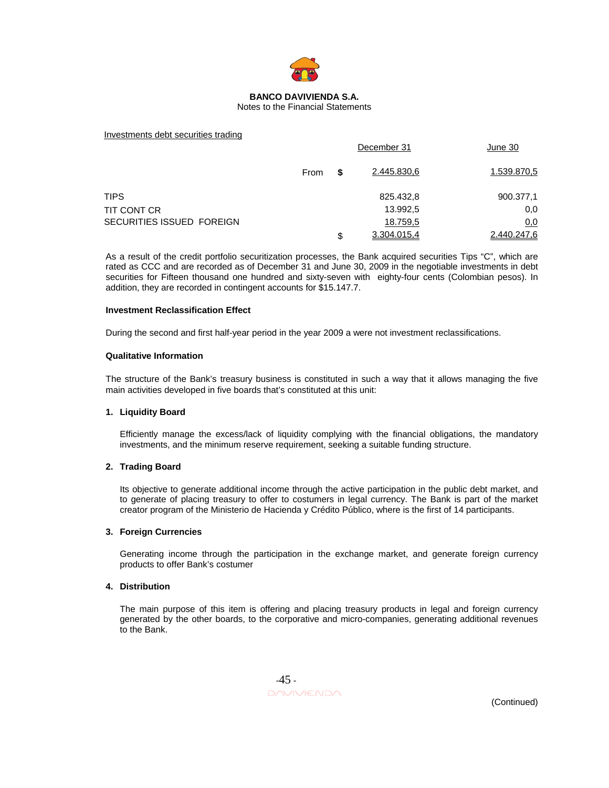

#### Notes to the Financial Statements

#### Investments debt securities trading

|                           |      |    | December 31 | June 30     |
|---------------------------|------|----|-------------|-------------|
|                           | From | S  | 2.445.830,6 | 1.539.870,5 |
| <b>TIPS</b>               |      |    | 825.432,8   | 900.377,1   |
| TIT CONT CR               |      |    | 13.992,5    | 0,0         |
| SECURITIES ISSUED FOREIGN |      |    | 18.759,5    | <u>0,0</u>  |
|                           |      | \$ | 3.304.015.4 | 2.440.247.6 |

As a result of the credit portfolio securitization processes, the Bank acquired securities Tips "C", which are rated as CCC and are recorded as of December 31 and June 30, 2009 in the negotiable investments in debt securities for Fifteen thousand one hundred and sixty-seven with eighty-four cents (Colombian pesos). In addition, they are recorded in contingent accounts for \$15.147.7.

#### **Investment Reclassification Effect**

During the second and first half-year period in the year 2009 a were not investment reclassifications.

#### **Qualitative Information**

The structure of the Bank's treasury business is constituted in such a way that it allows managing the five main activities developed in five boards that's constituted at this unit:

#### **1. Liquidity Board**

Efficiently manage the excess/lack of liquidity complying with the financial obligations, the mandatory investments, and the minimum reserve requirement, seeking a suitable funding structure.

#### **2. Trading Board**

Its objective to generate additional income through the active participation in the public debt market, and to generate of placing treasury to offer to costumers in legal currency. The Bank is part of the market creator program of the Ministerio de Hacienda y Crédito Público, where is the first of 14 participants.

#### **3. Foreign Currencies**

Generating income through the participation in the exchange market, and generate foreign currency products to offer Bank's costumer

#### **4. Distribution**

The main purpose of this item is offering and placing treasury products in legal and foreign currency generated by the other boards, to the corporative and micro-companies, generating additional revenues to the Bank.

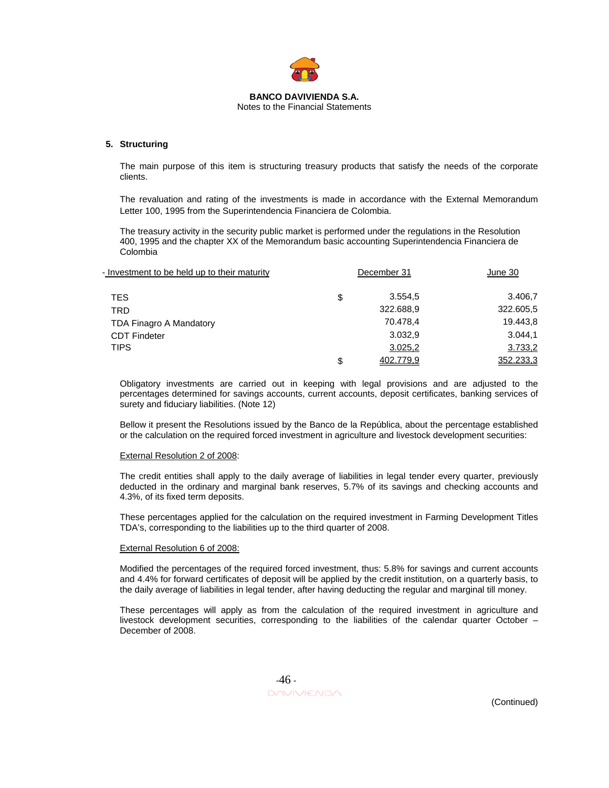

# Notes to the Financial Statements

#### **5. Structuring**

The main purpose of this item is structuring treasury products that satisfy the needs of the corporate clients.

The revaluation and rating of the investments is made in accordance with the External Memorandum Letter 100, 1995 from the Superintendencia Financiera de Colombia.

The treasury activity in the security public market is performed under the regulations in the Resolution 400, 1995 and the chapter XX of the Memorandum basic accounting Superintendencia Financiera de Colombia

| - Investment to be held up to their maturity | December 31     | June 30   |
|----------------------------------------------|-----------------|-----------|
| TES                                          | \$<br>3.554.5   | 3.406,7   |
| TRD                                          | 322.688,9       | 322.605,5 |
| TDA Finagro A Mandatory                      | 70.478,4        | 19.443,8  |
| <b>CDT Findeter</b>                          | 3.032.9         | 3.044,1   |
| <b>TIPS</b>                                  | 3.025,2         | 3.733,2   |
|                                              | \$<br>402.779.9 | 352.233.3 |

Obligatory investments are carried out in keeping with legal provisions and are adjusted to the percentages determined for savings accounts, current accounts, deposit certificates, banking services of surety and fiduciary liabilities. (Note 12)

Bellow it present the Resolutions issued by the Banco de la República, about the percentage established or the calculation on the required forced investment in agriculture and livestock development securities:

#### External Resolution 2 of 2008:

The credit entities shall apply to the daily average of liabilities in legal tender every quarter, previously deducted in the ordinary and marginal bank reserves, 5.7% of its savings and checking accounts and 4.3%, of its fixed term deposits.

These percentages applied for the calculation on the required investment in Farming Development Titles TDA's, corresponding to the liabilities up to the third quarter of 2008.

#### External Resolution 6 of 2008:

Modified the percentages of the required forced investment, thus: 5.8% for savings and current accounts and 4.4% for forward certificates of deposit will be applied by the credit institution, on a quarterly basis, to the daily average of liabilities in legal tender, after having deducting the regular and marginal till money.

These percentages will apply as from the calculation of the required investment in agriculture and livestock development securities, corresponding to the liabilities of the calendar quarter October – December of 2008.

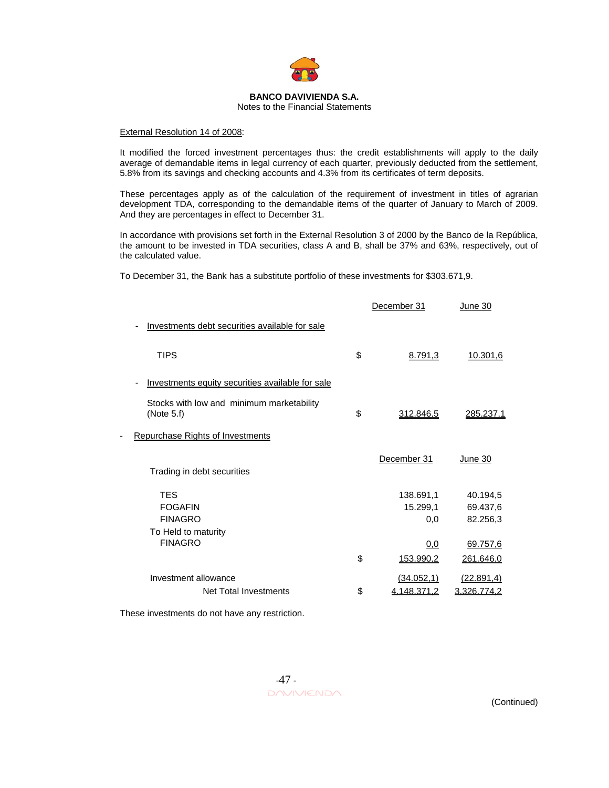

Notes to the Financial Statements

#### External Resolution 14 of 2008:

It modified the forced investment percentages thus: the credit establishments will apply to the daily average of demandable items in legal currency of each quarter, previously deducted from the settlement, 5.8% from its savings and checking accounts and 4.3% from its certificates of term deposits.

These percentages apply as of the calculation of the requirement of investment in titles of agrarian development TDA, corresponding to the demandable items of the quarter of January to March of 2009. And they are percentages in effect to December 31.

In accordance with provisions set forth in the External Resolution 3 of 2000 by the Banco de la República, the amount to be invested in TDA securities, class A and B, shall be 37% and 63%, respectively, out of the calculated value.

To December 31, the Bank has a substitute portfolio of these investments for \$303.671,9.

|                                                                       | December 31                      | June 30                          |
|-----------------------------------------------------------------------|----------------------------------|----------------------------------|
| Investments debt securities available for sale                        |                                  |                                  |
| <b>TIPS</b>                                                           | \$<br>8.791,3                    | 10.301,6                         |
| Investments equity securities available for sale                      |                                  |                                  |
| Stocks with low and minimum marketability<br>(Note $5.f$ )            | \$<br>312.846,5                  | 285.237,1                        |
| <b>Repurchase Rights of Investments</b>                               |                                  |                                  |
| Trading in debt securities                                            | December 31                      | June 30                          |
| <b>TES</b><br><b>FOGAFIN</b><br><b>FINAGRO</b><br>To Held to maturity | 138.691,1<br>15.299,1<br>0.0     | 40.194,5<br>69.437,6<br>82.256,3 |
| <b>FINAGRO</b>                                                        | \$<br>0,0<br>153.990,2           | 69.757,6<br>261.646,0            |
| Investment allowance<br>Net Total Investments                         | \$<br>(34.052, 1)<br>4.148.371,2 | (22.891,4)<br><u>3.326.774,2</u> |
|                                                                       |                                  |                                  |

These investments do not have any restriction.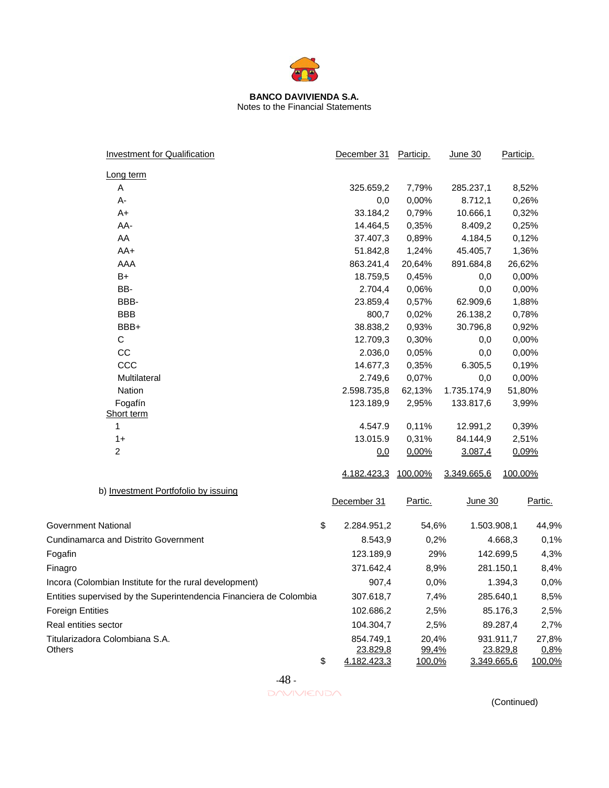

## **BANCO DAVIVIENDA S.A.**  Notes to the Financial Statements

| <b>Investment for Qualification</b>                                | December 31        | Particip.      | June 30            | Particip.      |         |
|--------------------------------------------------------------------|--------------------|----------------|--------------------|----------------|---------|
| Long term                                                          |                    |                |                    |                |         |
| Α                                                                  | 325.659,2          | 7,79%          | 285.237,1          |                | 8,52%   |
| А-                                                                 | 0,0                | 0,00%          | 8.712,1            |                | 0,26%   |
| A+                                                                 | 33.184,2           | 0,79%          | 10.666,1           |                | 0,32%   |
| AA-                                                                | 14.464,5           | 0,35%          | 8.409,2            |                | 0,25%   |
| AA                                                                 | 37.407,3           | 0,89%          | 4.184,5            |                | 0,12%   |
| AA+                                                                | 51.842,8           | 1,24%          | 45.405,7           |                | 1,36%   |
| AAA                                                                | 863.241,4          | 20,64%         | 891.684,8          |                | 26,62%  |
| $B+$                                                               | 18.759,5           | 0,45%          | 0,0                |                | 0,00%   |
| BB-                                                                | 2.704,4            | 0,06%          | 0,0                |                | 0,00%   |
| BBB-                                                               | 23.859,4           | 0,57%          | 62.909,6           |                | 1,88%   |
| <b>BBB</b>                                                         | 800,7              | 0,02%          | 26.138,2           |                | 0,78%   |
| BBB+                                                               | 38.838,2           | 0,93%          | 30.796,8           |                | 0,92%   |
| C                                                                  | 12.709,3           | 0,30%          | 0,0                |                | 0,00%   |
| CC                                                                 | 2.036,0            | 0,05%          | 0,0                |                | 0,00%   |
| CCC                                                                | 14.677,3           | 0,35%          | 6.305,5            |                | 0,19%   |
| Multilateral                                                       | 2.749,6            | 0,07%          | 0,0                |                | 0,00%   |
| Nation                                                             | 2.598.735,8        | 62,13%         | 1.735.174,9        |                | 51,80%  |
| Fogafín<br>Short term                                              | 123.189,9          | 2,95%          | 133.817,6          |                | 3,99%   |
| 1                                                                  | 4.547.9            | 0,11%          | 12.991,2           |                | 0,39%   |
| $1+$                                                               | 13.015.9           | 0,31%          | 84.144,9           |                | 2,51%   |
| 2                                                                  | 0,0                | 0,00%          | 3.087,4            |                | 0,09%   |
|                                                                    | <u>4.182.423,3</u> | <u>100,00%</u> | 3.349.665,6        | <u>100,00%</u> |         |
| b) Investment Portfofolio by issuing                               |                    |                |                    |                |         |
|                                                                    | December 31        | Partic.        | <u>June 30</u>     |                | Partic. |
| Government National                                                | \$<br>2.284.951,2  | 54,6%          | 1.503.908,1        |                | 44,9%   |
| <b>Cundinamarca and Distrito Government</b>                        | 8.543,9            | 0,2%           |                    | 4.668,3        | 0,1%    |
| Fogafin                                                            | 123.189,9          | 29%            |                    | 142.699.5      | 4,3%    |
| Finagro                                                            | 371.642,4          | 8,9%           |                    | 281.150,1      | 8,4%    |
| Incora (Colombian Institute for the rural development)             | 907,4              | 0,0%           |                    | 1.394,3        | 0,0%    |
| Entities supervised by the Superintendencia Financiera de Colombia | 307.618,7          | 7,4%           |                    | 285.640,1      | 8,5%    |
| <b>Foreign Entities</b>                                            | 102.686,2          | 2,5%           |                    | 85.176,3       | 2,5%    |
| Real entities sector                                               | 104.304,7          | 2,5%           |                    | 89.287,4       | 2,7%    |
| Titularizadora Colombiana S.A.                                     | 854.749,1          | 20,4%          |                    | 931.911,7      | 27,8%   |
| Others                                                             | 23.829,8           | 99,4%          |                    | 23.829,8       | 0,8%    |
|                                                                    | \$<br>4.182.423,3  | <u>100,0%</u>  | <u>3.349.665,6</u> |                | 100,0%  |

-48 -

DAVIVIENDA (Continued)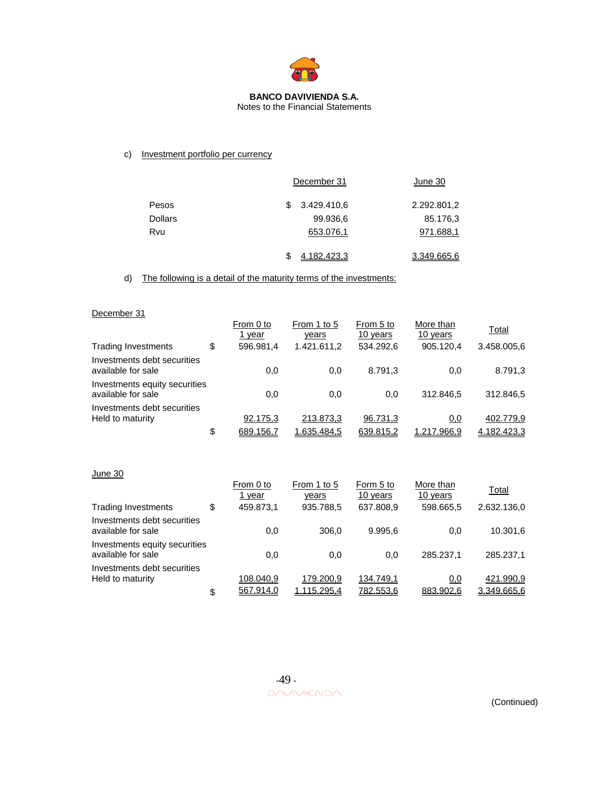

# Notes to the Financial Statements

# c) Investment portfolio per currency

|                |   | December 31 | June 30     |
|----------------|---|-------------|-------------|
| Pesos          | S | 3.429.410,6 | 2.292.801,2 |
| <b>Dollars</b> |   | 99.936,6    | 85.176,3    |
| Rvu            |   | 653.076,1   | 971.688,1   |
|                | S | 4.182.423,3 | 3.349.665,6 |

d) The following is a detail of the maturity terms of the investments:

# December 31

|                                                     | From 0 to<br>1 year | From 1 to 5<br>years | From 5 to<br>10 years | More than<br>10 years | Total       |
|-----------------------------------------------------|---------------------|----------------------|-----------------------|-----------------------|-------------|
| <b>Trading Investments</b>                          | \$<br>596.981.4     | 1.421.611.2          | 534.292.6             | 905.120.4             | 3.458.005,6 |
| Investments debt securities<br>available for sale   | 0,0                 | 0,0                  | 8.791,3               | 0,0                   | 8.791,3     |
| Investments equity securities<br>available for sale | 0,0                 | 0,0                  | 0,0                   | 312.846.5             | 312.846.5   |
| Investments debt securities<br>Held to maturity     | 92.175,3            | 213.873,3            | 96.731,3              | 0,0                   | 402.779,9   |
|                                                     | \$<br>689.156,7     | 1.635.484,5          | 639.815,2             | 1.217.966,9           | 4.182.423,3 |
| June 30                                             |                     |                      |                       |                       |             |

| From 0 to<br>1 year                       | From 1 to 5<br>years   | Form 5 to<br>10 years    | More than<br>10 years  | Total<br>2.632.136,0     |
|-------------------------------------------|------------------------|--------------------------|------------------------|--------------------------|
|                                           |                        |                          |                        |                          |
| 0.0                                       | 306.0                  | 9.995.6                  | 0.0                    | 10.301,6                 |
| 0.0                                       | 0.0                    | 0,0                      | 285.237.1              | 285.237.1                |
| 108.040,9                                 | 179.200.9              | 134.749,1                | 0,0                    | 421.990,9<br>3.349.665,6 |
| \$<br>Investments equity securities<br>\$ | 459.873,1<br>567.914,0 | 935.788.5<br>1.115.295,4 | 637.808,9<br>782.553,6 | 598.665,5<br>883.902,6   |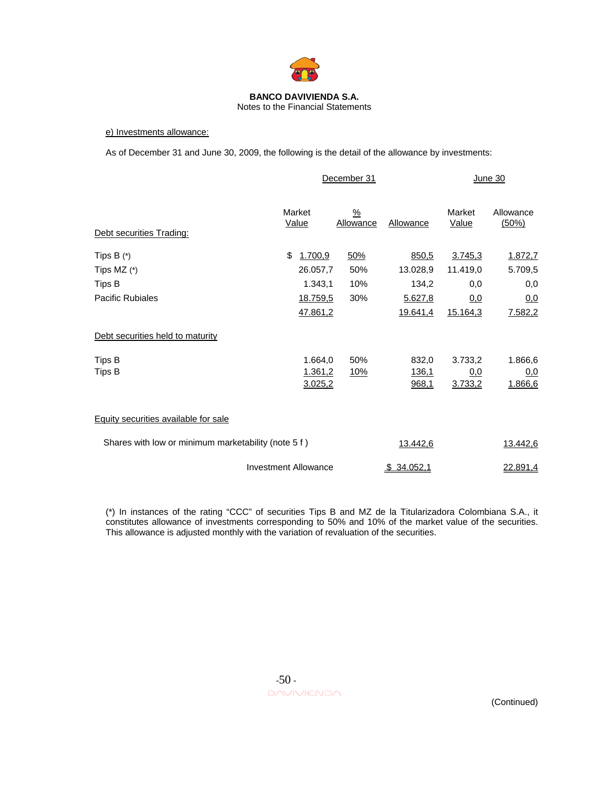

#### Notes to the Financial Statements

#### e) Investments allowance:

As of December 31 and June 30, 2009, the following is the detail of the allowance by investments:

|                                                     |                             | December 31                |                  | June 30                |                    |  |
|-----------------------------------------------------|-----------------------------|----------------------------|------------------|------------------------|--------------------|--|
| Debt securities Trading:                            | Market<br><u>Value</u>      | $\frac{9}{6}$<br>Allowance | <b>Allowance</b> | Market<br><u>Value</u> | Allowance<br>(50%) |  |
| Tips $B(*)$                                         | 1.700,9<br>\$               | 50%                        | 850,5            | 3.745,3                | 1.872,7            |  |
| Tips MZ $(*)$                                       | 26.057,7                    | 50%                        | 13.028,9         | 11.419,0               | 5.709,5            |  |
| Tips B                                              | 1.343,1                     | 10%                        | 134,2            | 0,0                    | 0,0                |  |
| <b>Pacific Rubiales</b>                             | 18.759,5                    | 30%                        | 5.627,8          | 0,0                    | 0,0                |  |
|                                                     | 47.861,2                    |                            | <u>19.641,4</u>  | 15.164,3               | 7.582,2            |  |
| Debt securities held to maturity                    |                             |                            |                  |                        |                    |  |
| Tips B                                              | 1.664,0                     | 50%                        | 832,0            | 3.733,2                | 1.866,6            |  |
| Tips B                                              | 1.361,2                     | 10%                        | 136,1            | <u>0,0</u>             | 0,0                |  |
|                                                     | 3.025,2                     |                            | 968,1            | 3.733,2                | 1.866,6            |  |
| Equity securities available for sale                |                             |                            |                  |                        |                    |  |
| Shares with low or minimum marketability (note 5 f) |                             |                            | 13.442,6         |                        | 13.442,6           |  |
|                                                     | <b>Investment Allowance</b> |                            | \$34.052,1       |                        | 22.891,4           |  |

(\*) In instances of the rating "CCC" of securities Tips B and MZ de la Titularizadora Colombiana S.A., it constitutes allowance of investments corresponding to 50% and 10% of the market value of the securities. This allowance is adjusted monthly with the variation of revaluation of the securities.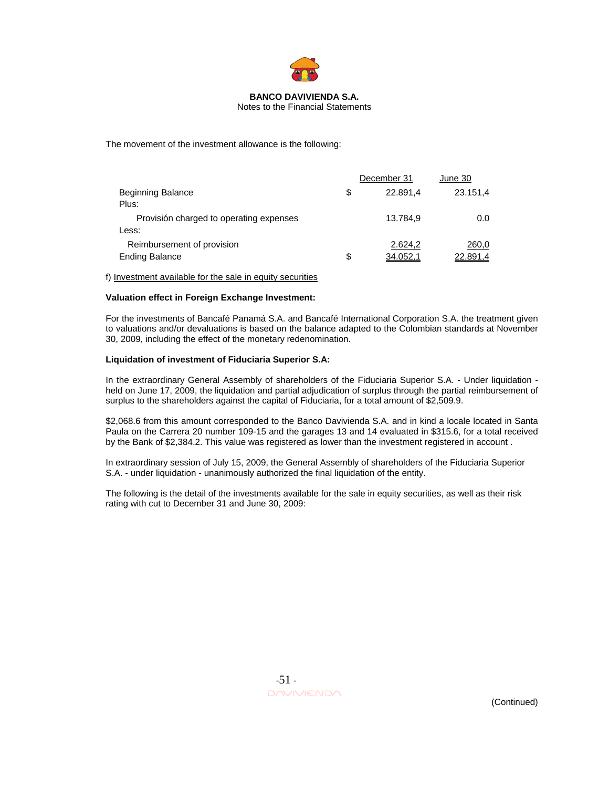

#### Notes to the Financial Statements

The movement of the investment allowance is the following:

|                                         |    | December 31 | June 30  |  |
|-----------------------------------------|----|-------------|----------|--|
| Beginning Balance                       | S  | 22.891.4    | 23.151,4 |  |
| Plus:                                   |    |             |          |  |
| Provisión charged to operating expenses |    | 13.784,9    | 0.0      |  |
| Less:                                   |    |             |          |  |
| Reimbursement of provision              |    | 2.624.2     | 260,0    |  |
| <b>Ending Balance</b>                   | \$ | 34.052,1    | 22.891,4 |  |

f) Investment available for the sale in equity securities

#### **Valuation effect in Foreign Exchange Investment:**

For the investments of Bancafé Panamá S.A. and Bancafé International Corporation S.A. the treatment given to valuations and/or devaluations is based on the balance adapted to the Colombian standards at November 30, 2009, including the effect of the monetary redenomination.

#### **Liquidation of investment of Fiduciaria Superior S.A:**

In the extraordinary General Assembly of shareholders of the Fiduciaria Superior S.A. - Under liquidation held on June 17, 2009, the liquidation and partial adjudication of surplus through the partial reimbursement of surplus to the shareholders against the capital of Fiduciaria, for a total amount of \$2,509.9.

\$2,068.6 from this amount corresponded to the Banco Davivienda S.A. and in kind a locale located in Santa Paula on the Carrera 20 number 109-15 and the garages 13 and 14 evaluated in \$315.6, for a total received by the Bank of \$2,384.2. This value was registered as lower than the investment registered in account .

In extraordinary session of July 15, 2009, the General Assembly of shareholders of the Fiduciaria Superior S.A. - under liquidation - unanimously authorized the final liquidation of the entity.

The following is the detail of the investments available for the sale in equity securities, as well as their risk rating with cut to December 31 and June 30, 2009: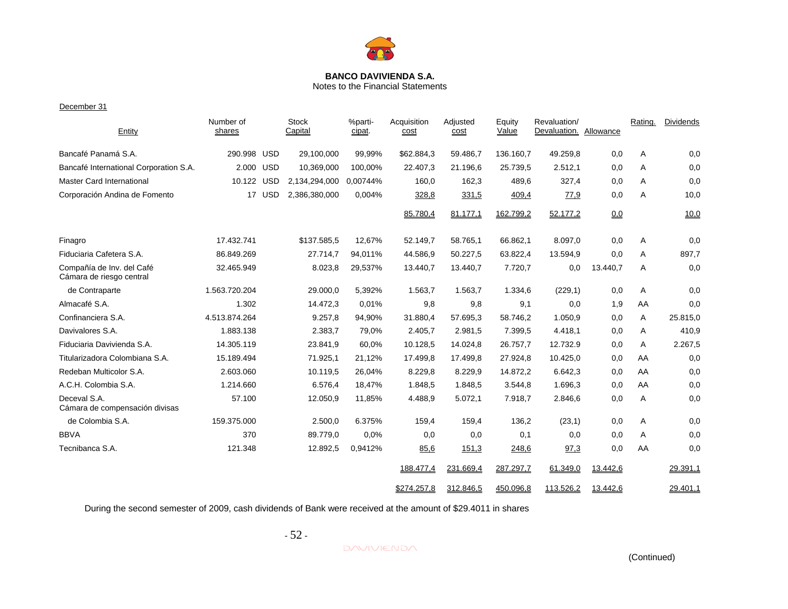

# Notes to the Financial Statements

#### December 31

| Entity                                                | Number of<br>shares |        | <b>Stock</b><br>Capital | %parti-<br>cipat. | Acquisition<br>cost | Adjusted<br>cost | Equity<br>Value | Revaluation/<br>Devaluation. Allowance |          | Rating. | <b>Dividends</b> |
|-------------------------------------------------------|---------------------|--------|-------------------------|-------------------|---------------------|------------------|-----------------|----------------------------------------|----------|---------|------------------|
| Bancafé Panamá S.A.                                   | 290.998 USD         |        | 29,100,000              | 99,99%            | \$62.884,3          | 59.486,7         | 136.160,7       | 49.259,8                               | 0,0      | Α       | 0,0              |
| Bancafé International Corporation S.A.                | 2.000 USD           |        | 10,369,000              | 100,00%           | 22.407,3            | 21.196,6         | 25.739,5        | 2.512,1                                | 0,0      | A       | 0,0              |
| <b>Master Card International</b>                      | 10.122 USD          |        | 2,134,294,000           | 0.00744%          | 160,0               | 162,3            | 489,6           | 327,4                                  | 0,0      | A       | 0,0              |
| Corporación Andina de Fomento                         |                     | 17 USD | 2,386,380,000           | 0,004%            | 328,8               | 331,5            | 409,4           | 77,9                                   | 0,0      | A       | 10,0             |
|                                                       |                     |        |                         |                   | 85.780.4            | 81.177.1         | 162.799,2       | 52.177.2                               | 0,0      |         | 10,0             |
| Finagro                                               | 17.432.741          |        | \$137.585,5             | 12,67%            | 52.149,7            | 58.765,1         | 66.862,1        | 8.097,0                                | 0,0      | Α       | 0,0              |
| Fiduciaria Cafetera S.A.                              | 86.849.269          |        | 27.714,7                | 94,011%           | 44.586,9            | 50.227,5         | 63.822,4        | 13.594,9                               | 0,0      | A       | 897,7            |
| Compañía de Inv. del Café<br>Cámara de riesgo central | 32.465.949          |        | 8.023,8                 | 29,537%           | 13.440,7            | 13.440,7         | 7.720,7         | 0,0                                    | 13.440,7 | Α       | 0,0              |
| de Contraparte                                        | 1.563.720.204       |        | 29.000,0                | 5,392%            | 1.563,7             | 1.563,7          | 1.334,6         | (229,1)                                | 0,0      | Α       | 0,0              |
| Almacafé S.A.                                         | 1.302               |        | 14.472,3                | 0,01%             | 9,8                 | 9,8              | 9,1             | 0,0                                    | 1,9      | AA      | 0,0              |
| Confinanciera S.A.                                    | 4.513.874.264       |        | 9.257,8                 | 94,90%            | 31.880,4            | 57.695,3         | 58.746,2        | 1.050,9                                | 0,0      | A       | 25.815,0         |
| Davivalores S.A.                                      | 1.883.138           |        | 2.383,7                 | 79,0%             | 2.405,7             | 2.981,5          | 7.399,5         | 4.418,1                                | 0,0      | A       | 410,9            |
| Fiduciaria Davivienda S.A.                            | 14.305.119          |        | 23.841,9                | 60,0%             | 10.128,5            | 14.024,8         | 26.757,7        | 12.732.9                               | 0,0      | A       | 2.267,5          |
| Titularizadora Colombiana S.A.                        | 15.189.494          |        | 71.925,1                | 21,12%            | 17.499,8            | 17.499,8         | 27.924,8        | 10.425,0                               | 0,0      | AA      | 0,0              |
| Redeban Multicolor S.A.                               | 2.603.060           |        | 10.119,5                | 26,04%            | 8.229,8             | 8.229,9          | 14.872,2        | 6.642,3                                | 0,0      | AA      | 0,0              |
| A.C.H. Colombia S.A.                                  | 1.214.660           |        | 6.576,4                 | 18,47%            | 1.848,5             | 1.848,5          | 3.544,8         | 1.696,3                                | 0,0      | AA      | 0,0              |
| Deceval S.A.<br>Cámara de compensación divisas        | 57.100              |        | 12.050,9                | 11,85%            | 4.488,9             | 5.072,1          | 7.918,7         | 2.846,6                                | 0,0      | Α       | 0,0              |
| de Colombia S.A.                                      | 159.375.000         |        | 2.500,0                 | 6.375%            | 159,4               | 159,4            | 136,2           | (23,1)                                 | 0,0      | Α       | 0,0              |
| <b>BBVA</b>                                           | 370                 |        | 89.779,0                | 0,0%              | 0,0                 | 0,0              | 0,1             | 0,0                                    | 0,0      | A       | 0,0              |
| Tecnibanca S.A.                                       | 121.348             |        | 12.892,5                | 0,9412%           | 85,6                | 151,3            | 248,6           | 97,3                                   | 0,0      | AA      | 0,0              |
|                                                       |                     |        |                         |                   | 188.477,4           | 231.669,4        | 287.297,7       | 61.349,0                               | 13.442,6 |         | 29.391,1         |
|                                                       |                     |        |                         |                   | \$274.257,8         | 312.846,5        | 450.096.8       | 113.526.2                              | 13.442,6 |         | 29.401.1         |

During the second semester of 2009, cash dividends of Bank were received at the amount of \$29.4011 in shares

 $-52$  -

**DAVIVIENDA**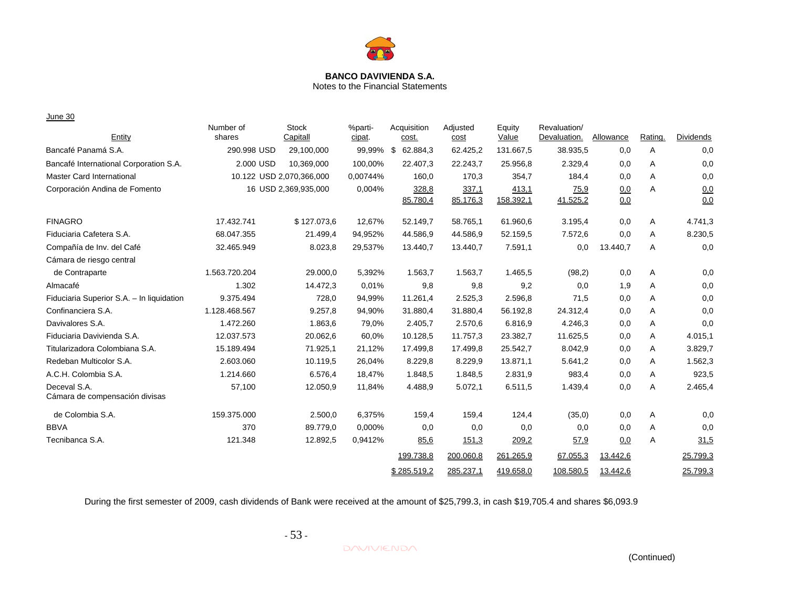

Notes to the Financial Statements

June 30

| Entity                                         | Number of<br>shares      | <b>Stock</b><br>Capitall | %parti-<br>cipat. | Acquisition<br>cost. | Adjusted<br>cost | Equity<br>Value | Revaluation/<br>Devaluation. | Allowance | Rating. | <b>Dividends</b> |
|------------------------------------------------|--------------------------|--------------------------|-------------------|----------------------|------------------|-----------------|------------------------------|-----------|---------|------------------|
| Bancafé Panamá S.A.                            | 290.998 USD              | 29,100,000               | 99,99%            | 62.884,3<br>- \$     | 62.425,2         | 131.667,5       | 38.935,5                     | 0,0       | Α       | 0,0              |
| Bancafé International Corporation S.A.         | 2.000 USD                | 10,369,000               | 100,00%           | 22.407,3             | 22.243,7         | 25.956,8        | 2.329,4                      | 0,0       | Α       | 0,0              |
| <b>Master Card International</b>               | 10.122 USD 2,070,366,000 |                          | 0,00744%          | 160,0                | 170,3            | 354,7           | 184,4                        | 0,0       | A       | 0,0              |
| Corporación Andina de Fomento                  |                          | 16 USD 2,369,935,000     | 0.004%            | 328,8                | 337,1            | 413,1           | 75,9                         | 0,0       | Α       | 0,0              |
|                                                |                          |                          |                   | 85.780,4             | 85.176,3         | 158.392,1       | 41.525,2                     | 0,0       |         | 0,0              |
| <b>FINAGRO</b>                                 | 17.432.741               | \$127.073,6              | 12,67%            | 52.149,7             | 58.765,1         | 61.960,6        | 3.195,4                      | 0,0       | Α       | 4.741,3          |
| Fiduciaria Cafetera S.A.                       | 68.047.355               | 21.499,4                 | 94,952%           | 44.586,9             | 44.586,9         | 52.159,5        | 7.572,6                      | 0,0       | Α       | 8.230,5          |
| Compañía de Inv. del Café                      | 32.465.949               | 8.023,8                  | 29,537%           | 13.440,7             | 13.440,7         | 7.591,1         | 0,0                          | 13.440,7  | A       | 0,0              |
| Cámara de riesgo central                       |                          |                          |                   |                      |                  |                 |                              |           |         |                  |
| de Contraparte                                 | 1.563.720.204            | 29.000,0                 | 5,392%            | 1.563,7              | 1.563,7          | 1.465,5         | (98,2)                       | 0,0       | Α       | 0,0              |
| Almacafé                                       | 1.302                    | 14.472,3                 | 0,01%             | 9,8                  | 9,8              | 9,2             | 0,0                          | 1,9       | A       | 0,0              |
| Fiduciaria Superior S.A. - In liquidation      | 9.375.494                | 728,0                    | 94,99%            | 11.261,4             | 2.525,3          | 2.596,8         | 71,5                         | 0,0       | Α       | 0,0              |
| Confinanciera S.A.                             | 1.128.468.567            | 9.257,8                  | 94,90%            | 31.880,4             | 31.880,4         | 56.192,8        | 24.312,4                     | 0,0       | A       | 0,0              |
| Davivalores S.A.                               | 1.472.260                | 1.863,6                  | 79,0%             | 2.405,7              | 2.570,6          | 6.816,9         | 4.246,3                      | 0,0       | Α       | 0,0              |
| Fiduciaria Davivienda S.A.                     | 12.037.573               | 20.062,6                 | 60,0%             | 10.128,5             | 11.757,3         | 23.382,7        | 11.625,5                     | 0,0       | Α       | 4.015,1          |
| Titularizadora Colombiana S.A.                 | 15.189.494               | 71.925,1                 | 21,12%            | 17.499,8             | 17.499,8         | 25.542,7        | 8.042,9                      | 0,0       | Α       | 3.829,7          |
| Redeban Multicolor S.A.                        | 2.603.060                | 10.119,5                 | 26,04%            | 8.229,8              | 8.229,9          | 13.871,1        | 5.641,2                      | 0,0       | A       | 1.562,3          |
| A.C.H. Colombia S.A.                           | 1.214.660                | 6.576,4                  | 18,47%            | 1.848,5              | 1.848,5          | 2.831,9         | 983,4                        | 0,0       | Α       | 923,5            |
| Deceval S.A.<br>Cámara de compensación divisas | 57,100                   | 12.050,9                 | 11,84%            | 4.488,9              | 5.072,1          | 6.511,5         | 1.439,4                      | 0,0       | Α       | 2.465,4          |
| de Colombia S.A.                               | 159.375.000              | 2.500,0                  | 6,375%            | 159,4                | 159,4            | 124,4           | (35,0)                       | 0,0       | Α       | 0,0              |
| <b>BBVA</b>                                    | 370                      | 89.779,0                 | 0,000%            | 0,0                  | 0,0              | 0,0             | 0,0                          | 0,0       | Α       | 0,0              |
| Tecnibanca S.A.                                | 121.348                  | 12.892,5                 | 0,9412%           | 85,6                 | 151,3            | 209,2           | 57,9                         | 0,0       | Α       | 31,5             |
|                                                |                          |                          |                   | 199.738,8            | 200.060,8        | 261.265,9       | 67.055,3                     | 13.442,6  |         | 25.799,3         |
|                                                |                          |                          |                   | \$285.519,2          | 285.237,1        | 419.658,0       | 108.580,5                    | 13.442,6  |         | 25.799,3         |

During the first semester of 2009, cash dividends of Bank were received at the amount of \$25,799.3, in cash \$19,705.4 and shares \$6,093.9

- 53 -

**DAVIVIENDA**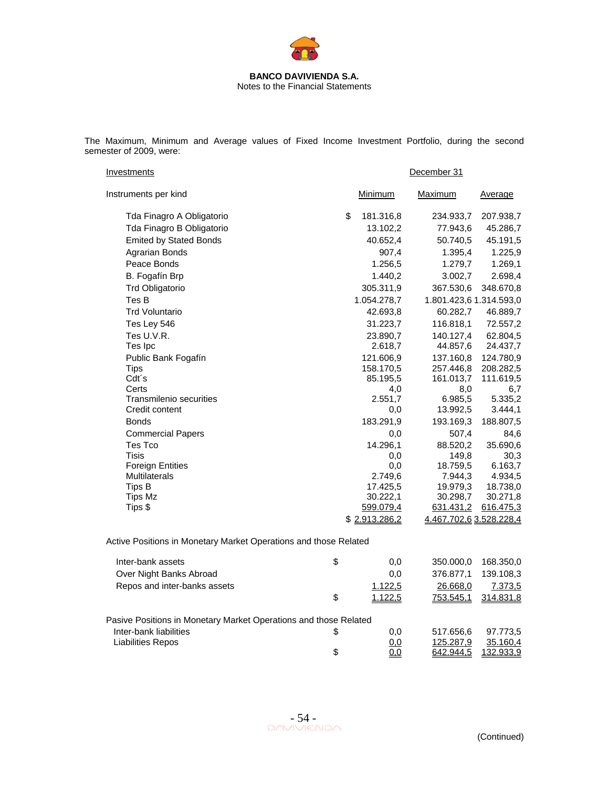

The Maximum, Minimum and Average values of Fixed Income Investment Portfolio, during the second semester of 2009, were:

| Investments                                                      | December 31     |                         |                    |  |  |  |
|------------------------------------------------------------------|-----------------|-------------------------|--------------------|--|--|--|
| Instruments per kind                                             | Minimum         | Maximum                 | <u>Average</u>     |  |  |  |
| Tda Finagro A Obligatorio                                        | \$<br>181.316,8 | 234.933,7               | 207.938,7          |  |  |  |
| Tda Finagro B Obligatorio                                        | 13.102,2        | 77.943,6                | 45.286,7           |  |  |  |
| <b>Emited by Stated Bonds</b>                                    | 40.652,4        | 50.740,5                | 45.191,5           |  |  |  |
| Agrarian Bonds                                                   | 907,4           | 1.395,4                 | 1.225,9            |  |  |  |
| Peace Bonds                                                      | 1.256,5         | 1.279,7                 | 1.269,1            |  |  |  |
| B. Fogafín Brp                                                   | 1.440,2         | 3.002,7                 | 2.698,4            |  |  |  |
| <b>Trd Obligatorio</b>                                           | 305.311,9       | 367.530,6               | 348.670,8          |  |  |  |
| Tes B                                                            | 1.054.278,7     | 1.801.423,6 1.314.593,0 |                    |  |  |  |
| <b>Trd Voluntario</b>                                            | 42.693,8        | 60.282,7                | 46.889,7           |  |  |  |
| Tes Ley 546                                                      | 31.223,7        | 116.818,1               | 72.557,2           |  |  |  |
| Tes U.V.R.                                                       | 23.890,7        | 140.127,4               | 62.804,5           |  |  |  |
| Tes Ipc                                                          | 2.618,7         | 44.857,6                | 24.437,7           |  |  |  |
| Public Bank Fogafín                                              | 121.606,9       | 137.160,8               | 124.780,9          |  |  |  |
| <b>Tips</b>                                                      | 158.170.5       | 257.446,8               | 208.282,5          |  |  |  |
| Cdt's                                                            | 85.195,5        | 161.013,7               | 111.619,5          |  |  |  |
| Certs                                                            | 4,0             | 8,0                     | 6,7                |  |  |  |
| <b>Transmilenio securities</b>                                   | 2.551,7         | 6.985,5                 | 5.335,2            |  |  |  |
| Credit content                                                   | 0,0             | 13.992,5                | 3.444,1            |  |  |  |
| <b>Bonds</b>                                                     | 183.291,9       | 193.169,3               | 188.807,5          |  |  |  |
| <b>Commercial Papers</b>                                         | 0,0             | 507,4                   | 84,6               |  |  |  |
| Tes Tco                                                          | 14.296,1        | 88.520,2                | 35.690,6           |  |  |  |
| Tisis                                                            | 0,0             | 149,8                   | 30,3               |  |  |  |
| <b>Foreign Entities</b><br><b>Multilaterals</b>                  | 0,0<br>2.749,6  | 18.759,5<br>7.944,3     | 6.163,7<br>4.934,5 |  |  |  |
| Tips B                                                           | 17.425,5        | 19.979,3                | 18.738,0           |  |  |  |
| <b>Tips Mz</b>                                                   | 30.222,1        | 30.298,7                | 30.271,8           |  |  |  |
| Tips \$                                                          | 599.079,4       | <u>631.431,2</u>        | 616.475,3          |  |  |  |
|                                                                  | \$2.913.286,2   | 4.467.702,6 3.528.228,4 |                    |  |  |  |
| Active Positions in Monetary Market Operations and those Related |                 |                         |                    |  |  |  |
| Inter-bank assets                                                | \$<br>0,0       | 350.000,0               | 168.350,0          |  |  |  |
| Over Night Banks Abroad                                          | 0,0             | 376.877,1               | 139.108,3          |  |  |  |
| Repos and inter-banks assets                                     | 1.122,5         | 26.668,0                | 7.373,5            |  |  |  |
|                                                                  | \$<br>1.122,5   | <u>753.545,1</u>        | 314.831,8          |  |  |  |
| Pasive Positions in Monetary Market Operations and those Related |                 |                         |                    |  |  |  |
| Inter-bank liabilities                                           | \$<br>0,0       | 517.656,6               | 97.773,5           |  |  |  |
| <b>Liabilities Repos</b>                                         | 0,0             | 125.287,9               | 35.160,4           |  |  |  |
|                                                                  | \$<br>0,0       | 642.944,5               | 132.933,9          |  |  |  |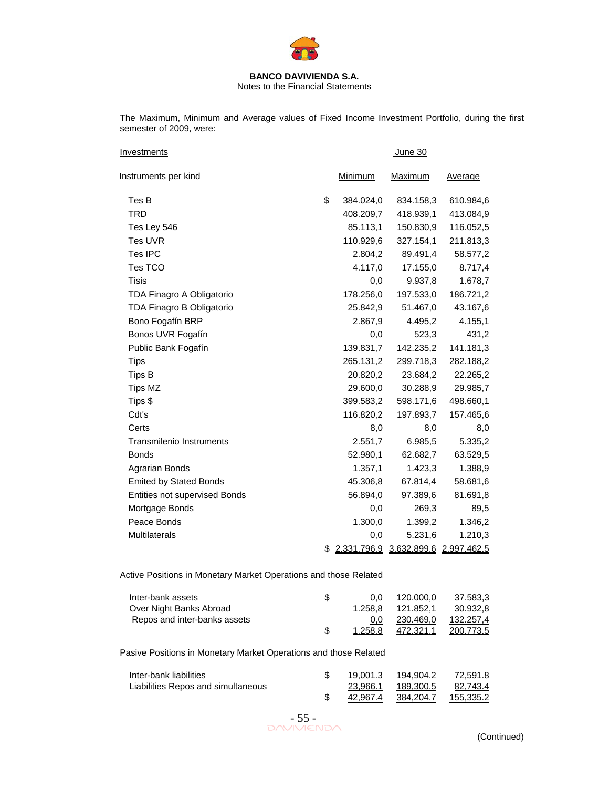

Notes to the Financial Statements

The Maximum, Minimum and Average values of Fixed Income Investment Portfolio, during the first semester of 2009, were:

| <b>Investments</b>              |                 | <b>June 30</b>                      |           |
|---------------------------------|-----------------|-------------------------------------|-----------|
| Instruments per kind            | Minimum         | Maximum                             | Average   |
| Tes B                           | \$<br>384.024,0 | 834.158,3                           | 610.984,6 |
| <b>TRD</b>                      | 408.209,7       | 418.939,1                           | 413.084,9 |
| Tes Ley 546                     | 85.113,1        | 150.830,9                           | 116.052,5 |
| Tes UVR                         | 110.929,6       | 327.154,1                           | 211.813,3 |
| Tes IPC                         | 2.804,2         | 89.491,4                            | 58.577,2  |
| Tes TCO                         | 4.117,0         | 17.155,0                            | 8.717,4   |
| Tisis                           | 0,0             | 9.937,8                             | 1.678,7   |
| TDA Finagro A Obligatorio       | 178.256,0       | 197.533,0                           | 186.721,2 |
| TDA Finagro B Obligatorio       | 25.842,9        | 51.467,0                            | 43.167,6  |
| Bono Fogafín BRP                | 2.867,9         | 4.495,2                             | 4.155,1   |
| Bonos UVR Fogafín               | 0,0             | 523,3                               | 431,2     |
| Public Bank Fogafín             | 139.831,7       | 142.235,2                           | 141.181,3 |
| <b>Tips</b>                     | 265.131,2       | 299.718,3                           | 282.188,2 |
| Tips B                          | 20.820,2        | 23.684,2                            | 22.265,2  |
| Tips MZ                         | 29.600,0        | 30.288,9                            | 29.985,7  |
| Tips \$                         | 399.583,2       | 598.171,6                           | 498.660,1 |
| Cdt's                           | 116.820,2       | 197.893,7                           | 157.465,6 |
| Certs                           | 8,0             | 8,0                                 | 8,0       |
| <b>Transmilenio Instruments</b> | 2.551,7         | 6.985,5                             | 5.335,2   |
| <b>Bonds</b>                    | 52.980,1        | 62.682,7                            | 63.529,5  |
| Agrarian Bonds                  | 1.357,1         | 1.423,3                             | 1.388,9   |
| <b>Emited by Stated Bonds</b>   | 45.306,8        | 67.814,4                            | 58.681,6  |
| Entities not supervised Bonds   | 56.894,0        | 97.389,6                            | 81.691,8  |
| Mortgage Bonds                  | 0,0             | 269,3                               | 89,5      |
| Peace Bonds                     | 1.300,0         | 1.399,2                             | 1.346,2   |
| <b>Multilaterals</b>            | 0,0             | 5.231,6                             | 1.210,3   |
|                                 | \$              | 2.331.796,9 3.632.899,6 2.997.462,5 |           |

Active Positions in Monetary Market Operations and those Related

| Inter-bank assets            | $0.0^{\circ}$ | 120.000.0 | 37.583.3  |
|------------------------------|---------------|-----------|-----------|
| Over Night Banks Abroad      | 1.258.8       | 121.852.1 | 30.932.8  |
| Repos and inter-banks assets | 0.0           | 230.469.0 | 132.257.4 |
|                              | 1.258.8       | 472.321,1 | 200.773.5 |

Pasive Positions in Monetary Market Operations and those Related

| Inter-bank liabilities             |          | 19.001.3  194.904.2  72.591.8 |          |
|------------------------------------|----------|-------------------------------|----------|
| Liabilities Repos and simultaneous | 23.966.1 | 189.300.5                     | 82.743.4 |
|                                    | 42.967.4 |                               |          |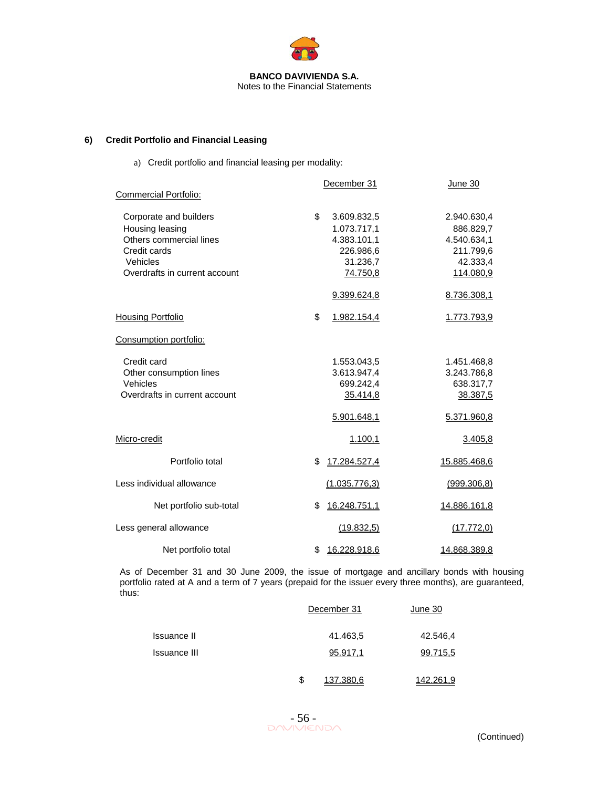

## **6) Credit Portfolio and Financial Leasing**

a) Credit portfolio and financial leasing per modality:

|                                                                                                                                   | December 31                                                                          | June 30                                                                       |
|-----------------------------------------------------------------------------------------------------------------------------------|--------------------------------------------------------------------------------------|-------------------------------------------------------------------------------|
| <b>Commercial Portfolio:</b>                                                                                                      |                                                                                      |                                                                               |
| Corporate and builders<br>Housing leasing<br>Others commercial lines<br>Credit cards<br>Vehicles<br>Overdrafts in current account | \$<br>3.609.832,5<br>1.073.717,1<br>4.383.101,1<br>226.986,6<br>31.236,7<br>74.750,8 | 2.940.630,4<br>886.829,7<br>4.540.634,1<br>211.799,6<br>42.333,4<br>114.080,9 |
|                                                                                                                                   | 9.399.624,8                                                                          | 8.736.308,1                                                                   |
| Housing Portfolio                                                                                                                 | \$<br>1.982.154,4                                                                    | 1.773.793,9                                                                   |
| Consumption portfolio:                                                                                                            |                                                                                      |                                                                               |
| Credit card<br>Other consumption lines<br>Vehicles<br>Overdrafts in current account                                               | 1.553.043,5<br>3.613.947,4<br>699.242,4<br>35.414,8                                  | 1.451.468,8<br>3.243.786,8<br>638.317,7<br>38.387,5                           |
|                                                                                                                                   | 5.901.648,1                                                                          | 5.371.960,8                                                                   |
| Micro-credit                                                                                                                      | 1.100,1                                                                              | 3.405,8                                                                       |
| Portfolio total                                                                                                                   | \$<br>17.284.527,4                                                                   | 15.885.468,6                                                                  |
| Less individual allowance                                                                                                         | (1.035.776,3)                                                                        | (999.306, 8)                                                                  |
| Net portfolio sub-total                                                                                                           | \$<br>16.248.751,1                                                                   | 14.886.161,8                                                                  |
| Less general allowance                                                                                                            | (19.832,5)                                                                           | (17.772,0)                                                                    |
| Net portfolio total                                                                                                               | \$<br>16.228.918,6                                                                   | <u>14.868.389,8</u>                                                           |

As of December 31 and 30 June 2009, the issue of mortgage and ancillary bonds with housing portfolio rated at A and a term of 7 years (prepaid for the issuer every three months), are guaranteed, thus:

|                     | December 31     | June 30   |  |
|---------------------|-----------------|-----------|--|
| <b>Issuance II</b>  | 41.463,5        | 42.546,4  |  |
| <b>Issuance III</b> | 95.917,1        | 99.715,5  |  |
|                     | \$<br>137.380.6 | 142.261.9 |  |

 $-56$ <br>DAVIVIENDA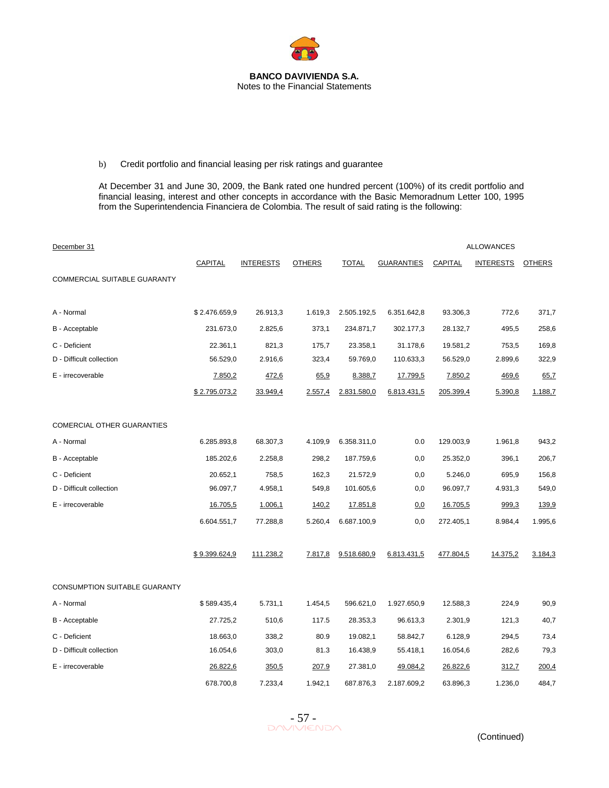

# b) Credit portfolio and financial leasing per risk ratings and guarantee

At December 31 and June 30, 2009, the Bank rated one hundred percent (100%) of its credit portfolio and financial leasing, interest and other concepts in accordance with the Basic Memoradnum Letter 100, 1995 from the Superintendencia Financiera de Colombia. The result of said rating is the following:

| December 31                   |                |                  |               |              |                   |                | <b>ALLOWANCES</b> |               |
|-------------------------------|----------------|------------------|---------------|--------------|-------------------|----------------|-------------------|---------------|
|                               | <b>CAPITAL</b> | <b>INTERESTS</b> | <b>OTHERS</b> | <b>TOTAL</b> | <b>GUARANTIES</b> | <b>CAPITAL</b> | <b>INTERESTS</b>  | <b>OTHERS</b> |
| COMMERCIAL SUITABLE GUARANTY  |                |                  |               |              |                   |                |                   |               |
| A - Normal                    | \$2.476.659,9  | 26.913,3         | 1.619,3       | 2.505.192,5  | 6.351.642,8       | 93.306,3       | 772,6             | 371,7         |
| B - Acceptable                | 231.673,0      | 2.825,6          | 373,1         | 234.871,7    | 302.177,3         | 28.132,7       | 495,5             | 258,6         |
| C - Deficient                 | 22.361,1       | 821,3            | 175,7         | 23.358,1     | 31.178,6          | 19.581,2       | 753,5             | 169,8         |
| D - Difficult collection      | 56.529,0       | 2.916,6          | 323,4         | 59.769,0     | 110.633,3         | 56.529,0       | 2.899,6           | 322,9         |
| E - irrecoverable             | 7.850,2        | 472,6            | 65,9          | 8.388,7      | 17.799,5          | 7.850,2        | 469,6             | 65,7          |
|                               | \$2.795.073,2  | 33.949,4         | 2.557,4       | 2.831.580,0  | 6.813.431,5       | 205.399,4      | 5.390,8           | 1.188,7       |
| COMERCIAL OTHER GUARANTIES    |                |                  |               |              |                   |                |                   |               |
| A - Normal                    | 6.285.893,8    | 68.307,3         | 4.109,9       | 6.358.311,0  | 0.0               | 129.003,9      | 1.961,8           | 943,2         |
| B - Acceptable                | 185.202,6      | 2.258,8          | 298,2         | 187.759,6    | 0,0               | 25.352,0       | 396,1             | 206,7         |
| C - Deficient                 | 20.652,1       | 758,5            | 162,3         | 21.572,9     | 0,0               | 5.246,0        | 695,9             | 156,8         |
| D - Difficult collection      | 96.097,7       | 4.958,1          | 549,8         | 101.605,6    | 0,0               | 96.097,7       | 4.931,3           | 549,0         |
| E - irrecoverable             | 16.705,5       | 1.006,1          | 140,2         | 17.851,8     | 0.0               | 16.705,5       | 999.3             | 139,9         |
|                               | 6.604.551,7    | 77.288,8         | 5.260,4       | 6.687.100,9  | 0,0               | 272.405,1      | 8.984,4           | 1.995,6       |
|                               | \$9.399.624,9  | 111.238,2        | 7.817,8       | 9.518.680,9  | 6.813.431,5       | 477.804,5      | 14.375,2          | 3.184,3       |
| CONSUMPTION SUITABLE GUARANTY |                |                  |               |              |                   |                |                   |               |
| A - Normal                    | \$589.435,4    | 5.731,1          | 1.454,5       | 596.621,0    | 1.927.650,9       | 12.588,3       | 224,9             | 90,9          |
| B - Acceptable                | 27.725,2       | 510,6            | 117.5         | 28.353,3     | 96.613,3          | 2.301,9        | 121,3             | 40,7          |
| C - Deficient                 | 18.663,0       | 338,2            | 80.9          | 19.082,1     | 58.842,7          | 6.128,9        | 294,5             | 73,4          |
| D - Difficult collection      | 16.054,6       | 303,0            | 81.3          | 16.438,9     | 55.418,1          | 16.054,6       | 282,6             | 79,3          |
| E - irrecoverable             | 26.822,6       | 350,5            | 207.9         | 27.381,0     | 49.084,2          | 26.822,6       | 312,7             | 200,4         |
|                               | 678.700,8      | 7.233,4          | 1.942,1       | 687.876,3    | 2.187.609,2       | 63.896,3       | 1.236,0           | 484,7         |

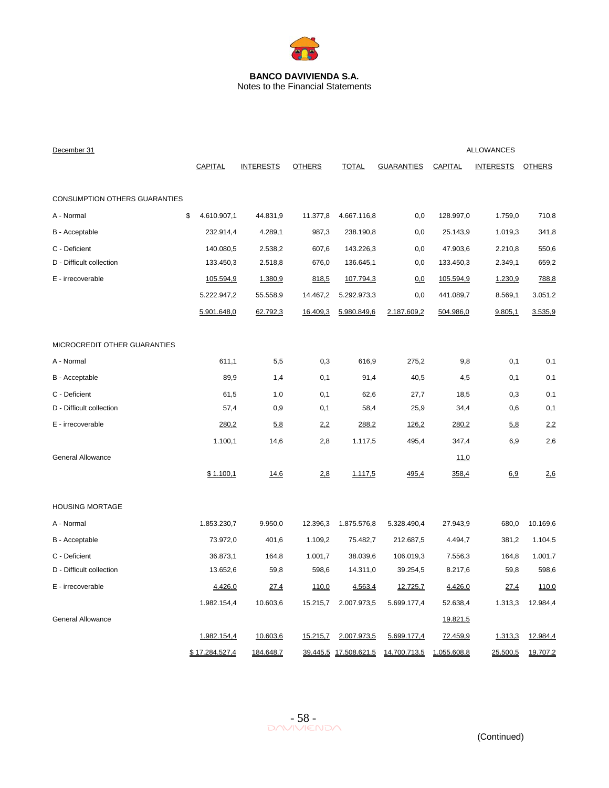

| December 31                          |                   |                  |               |                       |                   |                 | <b>ALLOWANCES</b> |               |
|--------------------------------------|-------------------|------------------|---------------|-----------------------|-------------------|-----------------|-------------------|---------------|
|                                      | CAPITAL           | <b>INTERESTS</b> | <b>OTHERS</b> | <b>TOTAL</b>          | <b>GUARANTIES</b> | <b>CAPITAL</b>  | <b>INTERESTS</b>  | <b>OTHERS</b> |
|                                      |                   |                  |               |                       |                   |                 |                   |               |
| <b>CONSUMPTION OTHERS GUARANTIES</b> |                   |                  |               |                       |                   |                 |                   |               |
| A - Normal                           | \$<br>4.610.907,1 | 44.831,9         | 11.377,8      | 4.667.116,8           | 0,0               | 128.997,0       | 1.759,0           | 710,8         |
| B - Acceptable                       | 232.914,4         | 4.289,1          | 987,3         | 238.190,8             | 0,0               | 25.143,9        | 1.019,3           | 341,8         |
| C - Deficient                        | 140.080,5         | 2.538,2          | 607,6         | 143.226,3             | 0,0               | 47.903,6        | 2.210,8           | 550,6         |
| D - Difficult collection             | 133.450,3         | 2.518,8          | 676,0         | 136.645,1             | 0,0               | 133.450,3       | 2.349,1           | 659,2         |
| E - irrecoverable                    | 105.594,9         | 1.380,9          | 818,5         | 107.794,3             | 0.0               | 105.594,9       | 1.230,9           | 788,8         |
|                                      | 5.222.947,2       | 55.558,9         | 14.467,2      | 5.292.973,3           | 0,0               | 441.089,7       | 8.569,1           | 3.051,2       |
|                                      | 5.901.648,0       | 62.792,3         | 16.409,3      | 5.980.849,6           | 2.187.609.2       | 504.986,0       | 9.805,1           | 3.535,9       |
| MICROCREDIT OTHER GUARANTIES         |                   |                  |               |                       |                   |                 |                   |               |
| A - Normal                           | 611,1             | 5,5              | 0,3           | 616,9                 | 275,2             | 9,8             | 0,1               | 0,1           |
| B - Acceptable                       | 89,9              | 1,4              | 0,1           | 91,4                  | 40,5              | 4,5             | 0,1               | 0,1           |
| C - Deficient                        | 61,5              | 1,0              | 0,1           | 62,6                  | 27,7              | 18,5            | 0,3               | 0,1           |
| D - Difficult collection             | 57,4              | 0,9              | 0,1           | 58,4                  | 25,9              | 34,4            | 0,6               | 0,1           |
| E - irrecoverable                    | 280,2             | 5,8              | 2,2           | 288,2                 | 126,2             | 280,2           | 5.8               | 2,2           |
|                                      | 1.100,1           | 14,6             | 2,8           | 1.117,5               | 495,4             | 347,4           | 6,9               | 2,6           |
| <b>General Allowance</b>             |                   |                  |               |                       |                   | 11,0            |                   |               |
|                                      | \$1.100,1         | 14,6             | 2.8           | 1.117,5               | 495,4             | 358,4           | 6.9               | 2.6           |
| <b>HOUSING MORTAGE</b>               |                   |                  |               |                       |                   |                 |                   |               |
| A - Normal                           | 1.853.230,7       | 9.950,0          | 12.396,3      | 1.875.576,8           | 5.328.490,4       | 27.943,9        | 680,0             | 10.169,6      |
| B - Acceptable                       | 73.972,0          | 401,6            | 1.109,2       | 75.482,7              | 212.687,5         | 4.494,7         | 381,2             | 1.104,5       |
| C - Deficient                        | 36.873,1          | 164,8            | 1.001,7       | 38.039,6              | 106.019,3         | 7.556,3         | 164,8             | 1.001,7       |
| D - Difficult collection             | 13.652,6          | 59,8             | 598,6         | 14.311,0              | 39.254,5          | 8.217,6         | 59,8              | 598,6         |
| E - irrecoverable                    | 4.426,0           | 27,4             | 110,0         | 4.563,4               | 12.725,7          | 4.426,0         | 27.4              | 110,0         |
|                                      | 1.982.154,4       | 10.603,6         | 15.215,7      | 2.007.973,5           | 5.699.177,4       | 52.638,4        | 1.313,3           | 12.984,4      |
| General Allowance                    |                   |                  |               |                       |                   | <u>19.821,5</u> |                   |               |
|                                      | 1.982.154,4       | 10.603,6         | 15.215,7      | 2.007.973,5           | 5.699.177,4       | 72.459,9        | 1.313,3           | 12.984,4      |
|                                      | \$17.284.527,4    | 184.648,7        |               | 39.445,5 17.508.621,5 | 14.700.713,5      | 1.055.608,8     | 25.500,5          | 19.707,2      |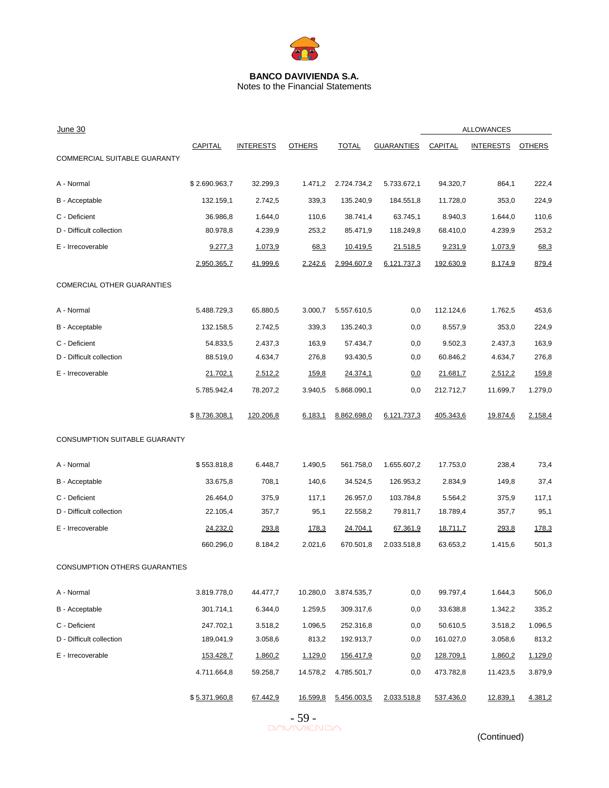

Notes to the Financial Statements

| June 30                           |                  |                  |               |                  |                   | <b>ALLOWANCES</b> |                  |               |
|-----------------------------------|------------------|------------------|---------------|------------------|-------------------|-------------------|------------------|---------------|
| COMMERCIAL SUITABLE GUARANTY      | CAPITAL          | <b>INTERESTS</b> | <b>OTHERS</b> | <b>TOTAL</b>     | <b>GUARANTIES</b> | CAPITAL           | <b>INTERESTS</b> | <b>OTHERS</b> |
|                                   |                  |                  |               |                  |                   |                   |                  |               |
| A - Normal                        | \$2.690.963,7    | 32.299,3         | 1.471,2       | 2.724.734,2      | 5.733.672,1       | 94.320,7          | 864,1            | 222,4         |
| B - Acceptable                    | 132.159,1        | 2.742,5          | 339,3         | 135.240,9        | 184.551,8         | 11.728,0          | 353,0            | 224,9         |
| C - Deficient                     | 36.986,8         | 1.644,0          | 110,6         | 38.741,4         | 63.745,1          | 8.940,3           | 1.644,0          | 110,6         |
| D - Difficult collection          | 80.978,8         | 4.239,9          | 253,2         | 85.471,9         | 118.249,8         | 68.410,0          | 4.239,9          | 253,2         |
| E - Irrecoverable                 | 9.277,3          | 1.073,9          | 68,3          | 10.419,5         | 21.518,5          | 9.231,9           | 1.073,9          | 68,3          |
|                                   | 2.950.365,7      | 41.999,6         | 2.242,6       | 2.994.607,9      | 6.121.737,3       | 192.630,9         | 8.174,9          | 879,4         |
| <b>COMERCIAL OTHER GUARANTIES</b> |                  |                  |               |                  |                   |                   |                  |               |
| A - Normal                        | 5.488.729,3      | 65.880,5         | 3.000,7       | 5.557.610,5      | 0,0               | 112.124,6         | 1.762,5          | 453,6         |
| B - Acceptable                    | 132.158,5        | 2.742,5          | 339,3         | 135.240,3        | 0,0               | 8.557,9           | 353,0            | 224,9         |
| C - Deficient                     | 54.833,5         | 2.437,3          | 163,9         | 57.434,7         | 0,0               | 9.502,3           | 2.437,3          | 163,9         |
| D - Difficult collection          | 88.519,0         | 4.634,7          | 276,8         | 93.430,5         | 0,0               | 60.846,2          | 4.634,7          | 276,8         |
| E - Irrecoverable                 | 21.702,1         | 2.512,2          | 159,8         | 24.374,1         | <u>0,0</u>        | 21.681,7          | 2.512,2          | 159,8         |
|                                   | 5.785.942,4      | 78.207,2         | 3.940,5       | 5.868.090,1      | 0,0               | 212.712,7         | 11.699,7         | 1.279,0       |
|                                   | \$8.736.308,1    | 120.206,8        | 6.183,1       | 8.862.698,0      | 6.121.737,3       | 405.343,6         | 19.874,6         | 2.158,4       |
| CONSUMPTION SUITABLE GUARANTY     |                  |                  |               |                  |                   |                   |                  |               |
| A - Normal                        | \$553.818,8      | 6.448,7          | 1.490,5       | 561.758,0        | 1.655.607,2       | 17.753,0          | 238,4            | 73,4          |
| B - Acceptable                    | 33.675,8         | 708,1            | 140,6         | 34.524,5         | 126.953,2         | 2.834,9           | 149,8            | 37,4          |
| C - Deficient                     | 26.464,0         | 375,9            | 117,1         | 26.957,0         | 103.784,8         | 5.564,2           | 375,9            | 117,1         |
| D - Difficult collection          | 22.105,4         | 357,7            | 95,1          | 22.558,2         | 79.811,7          | 18.789,4          | 357,7            | 95,1          |
| E - Irrecoverable                 | 24.232,0         | 293,8            | <u>178,3</u>  | 24.704,1         | 67.361,9          | 18.711,7          | 293,8            | <u>178,3</u>  |
|                                   | 660.296,0        | 8.184,2          | 2.021,6       | 670.501,8        | 2.033.518,8       | 63.653,2          | 1.415,6          | 501,3         |
| CONSUMPTION OTHERS GUARANTIES     |                  |                  |               |                  |                   |                   |                  |               |
| A - Normal                        | 3.819.778,0      | 44.477,7         | 10.280,0      | 3.874.535,7      | 0,0               | 99.797,4          | 1.644,3          | 506,0         |
| B - Acceptable                    | 301.714,1        | 6.344,0          | 1.259,5       | 309.317,6        | 0,0               | 33.638,8          | 1.342,2          | 335,2         |
| C - Deficient                     | 247.702,1        | 3.518,2          | 1.096,5       | 252.316,8        | 0,0               | 50.610,5          | 3.518,2          | 1.096,5       |
| D - Difficult collection          | 189,041,9        | 3.058,6          | 813,2         | 192.913,7        | 0,0               | 161.027,0         | 3.058,6          | 813,2         |
| E - Irrecoverable                 | <u>153.428,7</u> | 1.860,2          | 1.129,0       | <u>156.417,9</u> | <u>0.0</u>        | 128.709,1         | 1.860,2          | 1.129,0       |
|                                   | 4.711.664,8      | 59.258,7         | 14.578,2      | 4.785.501,7      | 0,0               | 473.782,8         | 11.423,5         | 3.879,9       |
|                                   | \$5.371.960,8    | 67.442,9         | 16.599,8      | 5.456.003,5      | 2.033.518,8       | 537.436,0         | 12.839,1         | 4.381,2       |



(Continued)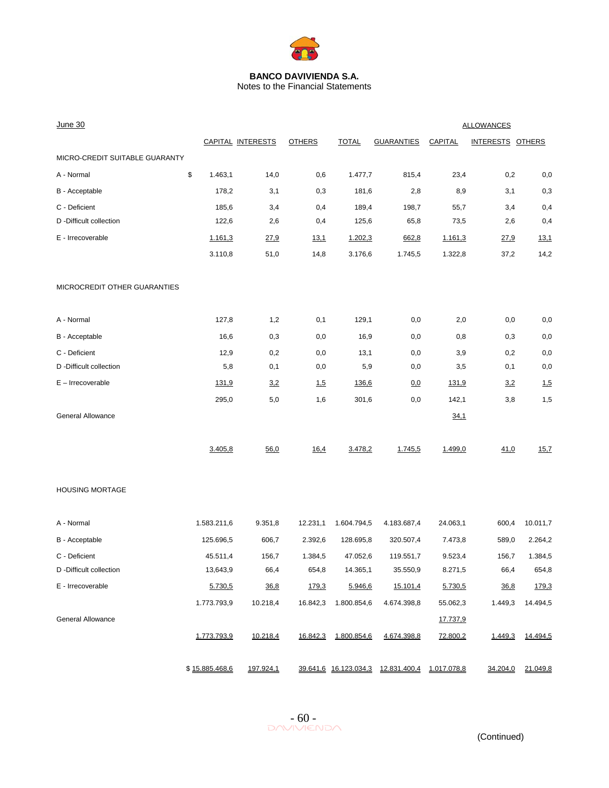

Notes to the Financial Statements

| <b>June 30</b>                 | <b>ALLOWANCES</b> |                |                   |               |              |                                    |              |                  |             |
|--------------------------------|-------------------|----------------|-------------------|---------------|--------------|------------------------------------|--------------|------------------|-------------|
|                                |                   |                | CAPITAL INTERESTS | <b>OTHERS</b> | <b>TOTAL</b> | <b>GUARANTIES</b>                  | CAPITAL      | INTERESTS OTHERS |             |
| MICRO-CREDIT SUITABLE GUARANTY |                   |                |                   |               |              |                                    |              |                  |             |
| A - Normal                     | \$                | 1.463,1        | 14,0              | 0,6           | 1.477,7      | 815,4                              | 23,4         | 0,2              | 0,0         |
| B - Acceptable                 |                   | 178,2          | 3,1               | 0,3           | 181,6        | 2,8                                | 8,9          | 3,1              | 0,3         |
| C - Deficient                  |                   | 185,6          | 3,4               | 0,4           | 189,4        | 198,7                              | 55,7         | 3,4              | 0,4         |
| D -Difficult collection        |                   | 122,6          | 2,6               | 0,4           | 125,6        | 65,8                               | 73,5         | 2,6              | 0,4         |
| E - Irrecoverable              |                   | 1.161,3        | 27,9              | <u>13,1</u>   | 1.202,3      | 662,8                              | 1.161,3      | 27,9             | <u>13,1</u> |
|                                |                   | 3.110,8        | 51,0              | 14,8          | 3.176,6      | 1.745,5                            | 1.322,8      | 37,2             | 14,2        |
| MICROCREDIT OTHER GUARANTIES   |                   |                |                   |               |              |                                    |              |                  |             |
| A - Normal                     |                   | 127,8          | 1,2               | 0,1           | 129,1        | 0,0                                | 2,0          | 0,0              | 0,0         |
| B - Acceptable                 |                   | 16,6           | 0,3               | 0,0           | 16,9         | 0,0                                | 0,8          | 0,3              | 0,0         |
| C - Deficient                  |                   | 12,9           | 0,2               | 0,0           | 13,1         | 0,0                                | 3,9          | 0,2              | 0,0         |
| D -Difficult collection        |                   | 5,8            | 0,1               | 0,0           | 5,9          | 0,0                                | 3,5          | 0,1              | 0,0         |
| E - Irrecoverable              |                   | <u>131,9</u>   | 3.2               | 1,5           | 136,6        | 0,0                                | <u>131,9</u> | 3,2              | 1,5         |
|                                |                   | 295,0          | 5,0               | 1,6           | 301,6        | 0,0                                | 142,1        | 3,8              | 1,5         |
| General Allowance              |                   |                |                   |               |              |                                    | 34.1         |                  |             |
|                                |                   | 3.405,8        | 56,0              | 16,4          | 3.478,2      | 1.745,5                            | 1.499,0      | 41,0             | 15,7        |
| <b>HOUSING MORTAGE</b>         |                   |                |                   |               |              |                                    |              |                  |             |
| A - Normal                     |                   | 1.583.211,6    | 9.351,8           | 12.231,1      | 1.604.794,5  | 4.183.687,4                        | 24.063,1     | 600,4            | 10.011,7    |
| B - Acceptable                 |                   | 125.696,5      | 606,7             | 2.392,6       | 128.695,8    | 320.507,4                          | 7.473,8      | 589,0            | 2.264,2     |
| C - Deficient                  |                   | 45.511,4       | 156,7             | 1.384,5       | 47.052,6     | 119.551,7                          | 9.523,4      | 156,7            | 1.384,5     |
| D -Difficult collection        |                   | 13,643,9       | 66,4              | 654,8         | 14.365,1     | 35.550,9                           | 8.271,5      | 66,4             | 654,8       |
| E - Irrecoverable              |                   | 5.730,5        | 36,8              | 179,3         | 5.946,6      | 15.101,4                           | 5.730,5      | 36,8             | 179,3       |
|                                |                   | 1.773.793,9    | 10.218,4          | 16.842,3      | 1.800.854,6  | 4.674.398,8                        | 55.062,3     | 1.449,3          | 14.494,5    |
| General Allowance              |                   |                |                   |               |              |                                    | 17.737,9     |                  |             |
|                                |                   | 1.773.793,9    | 10.218,4          | 16.842,3      | 1.800.854,6  | 4.674.398,8                        | 72.800,2     | 1.449,3          | 14.494,5    |
|                                |                   | \$15.885.468,6 | 197.924,1         |               |              | 39.641,6 16.123.034,3 12.831.400,4 | 1.017.078,8  | 34.204,0         | 21.049,8    |

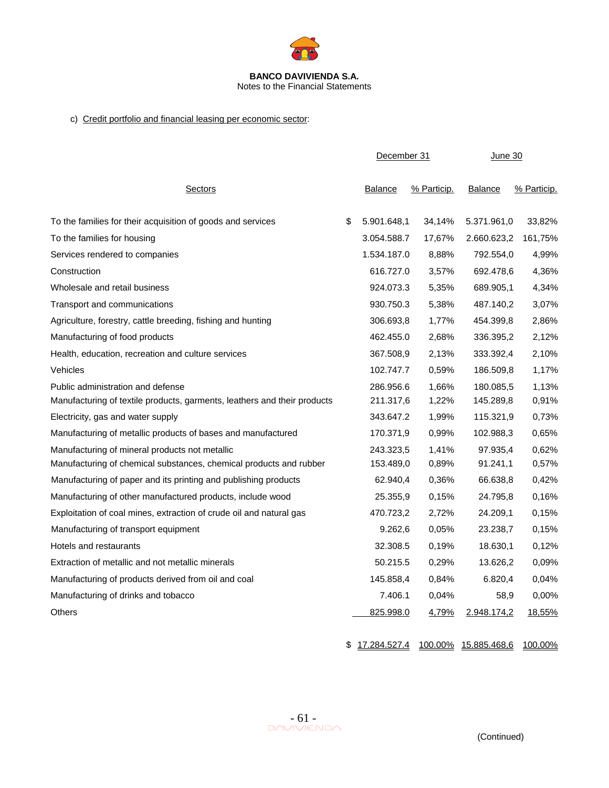

# c) Credit portfolio and financial leasing per economic sector:

|                                                                          | December 31       |             | <u>June 30</u> |             |  |
|--------------------------------------------------------------------------|-------------------|-------------|----------------|-------------|--|
| <b>Sectors</b>                                                           | <b>Balance</b>    | % Particip. | <b>Balance</b> | % Particip. |  |
| To the families for their acquisition of goods and services              | \$<br>5.901.648,1 | 34,14%      | 5.371.961,0    | 33,82%      |  |
| To the families for housing                                              | 3.054.588.7       | 17,67%      | 2.660.623,2    | 161,75%     |  |
| Services rendered to companies                                           | 1.534.187.0       | 8,88%       | 792.554,0      | 4,99%       |  |
| Construction                                                             | 616,727.0         | 3,57%       | 692.478.6      | 4,36%       |  |
| Wholesale and retail business                                            | 924.073.3         | 5,35%       | 689.905,1      | 4,34%       |  |
| Transport and communications                                             | 930.750.3         | 5,38%       | 487.140,2      | 3,07%       |  |
| Agriculture, forestry, cattle breeding, fishing and hunting              | 306.693,8         | 1,77%       | 454.399,8      | 2,86%       |  |
| Manufacturing of food products                                           | 462.455.0         | 2,68%       | 336.395,2      | 2,12%       |  |
| Health, education, recreation and culture services                       | 367.508,9         | 2,13%       | 333.392,4      | 2,10%       |  |
| Vehicles                                                                 | 102.747.7         | 0,59%       | 186.509,8      | 1,17%       |  |
| Public administration and defense                                        | 286.956.6         | 1,66%       | 180.085,5      | 1,13%       |  |
| Manufacturing of textile products, garments, leathers and their products | 211.317,6         | 1,22%       | 145.289,8      | 0,91%       |  |
| Electricity, gas and water supply                                        | 343.647.2         | 1,99%       | 115.321,9      | 0,73%       |  |
| Manufacturing of metallic products of bases and manufactured             | 170.371,9         | 0,99%       | 102.988,3      | 0,65%       |  |
| Manufacturing of mineral products not metallic                           | 243.323,5         | 1,41%       | 97.935,4       | 0,62%       |  |
| Manufacturing of chemical substances, chemical products and rubber       | 153.489,0         | 0,89%       | 91.241,1       | 0,57%       |  |
| Manufacturing of paper and its printing and publishing products          | 62.940,4          | 0,36%       | 66.638,8       | 0,42%       |  |
| Manufacturing of other manufactured products, include wood               | 25.355,9          | 0,15%       | 24.795,8       | 0,16%       |  |
| Exploitation of coal mines, extraction of crude oil and natural gas      | 470.723,2         | 2,72%       | 24.209,1       | 0,15%       |  |
| Manufacturing of transport equipment                                     | 9.262,6           | 0.05%       | 23.238,7       | 0,15%       |  |
| Hotels and restaurants                                                   | 32.308.5          | 0,19%       | 18.630,1       | 0,12%       |  |
| Extraction of metallic and not metallic minerals                         | 50.215.5          | 0,29%       | 13.626,2       | 0,09%       |  |
| Manufacturing of products derived from oil and coal                      | 145.858,4         | 0,84%       | 6.820,4        | 0,04%       |  |
| Manufacturing of drinks and tobacco                                      | 7.406.1           | 0.04%       | 58,9           | 0,00%       |  |
| Others                                                                   | 825.998.0         | 4,79%       | 2.948.174,2    | 18,55%      |  |

\$ 17.284.527.4 100.00% 15.885.468,6 100,00%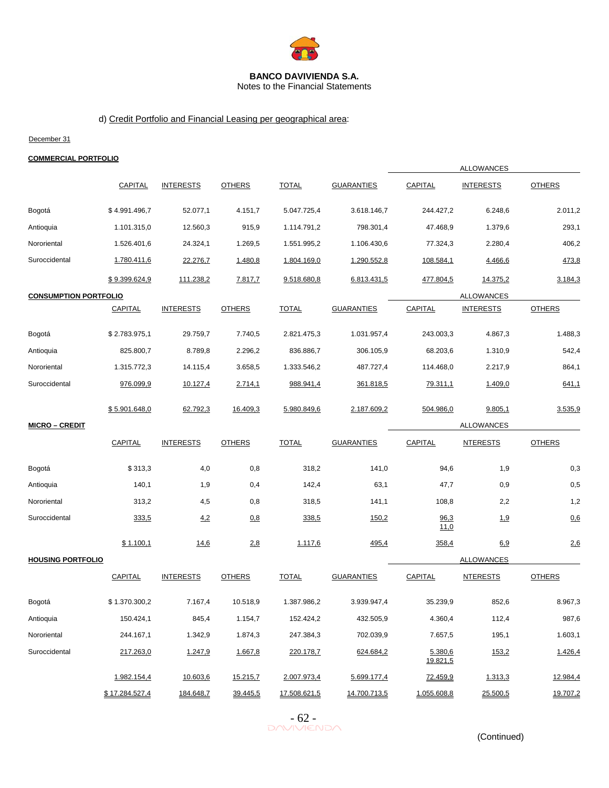

Notes to the Financial Statements

# d) Credit Portfolio and Financial Leasing per geographical area:

#### December 31

#### **COMMERCIAL PORTFOLIO**

|                              |                |                  |               |              |                   |                     | <b>ALLOWANCES</b> |               |
|------------------------------|----------------|------------------|---------------|--------------|-------------------|---------------------|-------------------|---------------|
|                              | CAPITAL        | <b>INTERESTS</b> | <b>OTHERS</b> | <b>TOTAL</b> | <b>GUARANTIES</b> | CAPITAL             | <b>INTERESTS</b>  | <b>OTHERS</b> |
| Bogotá                       | \$4.991.496,7  | 52.077,1         | 4.151,7       | 5.047.725,4  | 3.618.146,7       | 244.427,2           | 6.248,6           | 2.011,2       |
| Antioquia                    | 1.101.315,0    | 12.560,3         | 915,9         | 1.114.791,2  | 798.301,4         | 47.468,9            | 1.379,6           | 293,1         |
| Nororiental                  | 1.526.401,6    | 24.324,1         | 1.269,5       | 1.551.995,2  | 1.106.430,6       | 77.324,3            | 2.280,4           | 406,2         |
| Suroccidental                | 1.780.411,6    | 22.276,7         | 1.480,8       | 1.804.169,0  | 1.290.552,8       | 108.584,1           | 4.466,6           | 473,8         |
|                              | \$9.399.624,9  | 111.238,2        | 7.817,7       | 9.518.680,8  | 6.813.431,5       | 477.804,5           | 14.375,2          | 3.184,3       |
| <b>CONSUMPTION PORTFOLIO</b> |                |                  |               |              |                   |                     | <b>ALLOWANCES</b> |               |
|                              | CAPITAL        | <b>INTERESTS</b> | <b>OTHERS</b> | <b>TOTAL</b> | <b>GUARANTIES</b> | <b>CAPITAL</b>      | <b>INTERESTS</b>  | <b>OTHERS</b> |
| Bogotá                       | \$2.783.975,1  | 29.759,7         | 7.740,5       | 2.821.475,3  | 1.031.957,4       | 243.003,3           | 4.867,3           | 1.488,3       |
| Antioquia                    | 825.800,7      | 8.789,8          | 2.296,2       | 836.886,7    | 306.105,9         | 68.203,6            | 1.310,9           | 542,4         |
| Nororiental                  | 1.315.772,3    | 14.115,4         | 3.658,5       | 1.333.546,2  | 487.727,4         | 114.468,0           | 2.217,9           | 864,1         |
| Suroccidental                | 976.099,9      | 10.127,4         | 2.714,1       | 988.941,4    | 361.818,5         | 79.311,1            | 1.409,0           | 641,1         |
|                              | \$5.901.648,0  | 62.792,3         | 16.409,3      | 5.980.849,6  | 2.187.609,2       | 504.986,0           | 9.805,1           | 3.535,9       |
| <b>MICRO - CREDIT</b>        |                |                  |               |              |                   |                     | <b>ALLOWANCES</b> |               |
|                              | CAPITAL        | <b>INTERESTS</b> | <b>OTHERS</b> | <b>TOTAL</b> | <b>GUARANTIES</b> | CAPITAL             | <b>NTERESTS</b>   | <b>OTHERS</b> |
| Bogotá                       | \$313,3        | 4,0              | 0,8           | 318,2        | 141,0             | 94,6                | 1,9               | 0,3           |
| Antioquia                    | 140,1          | 1,9              | 0,4           | 142,4        | 63,1              | 47,7                | 0,9               | 0,5           |
| Nororiental                  | 313,2          | 4,5              | 0,8           | 318,5        | 141,1             | 108,8               | 2,2               | 1,2           |
| Suroccidental                | 333,5          | 4,2              | 0.8           | 338,5        | 150,2             | 96,3<br>11,0        | 1,9               | 0.6           |
|                              | \$1.100,1      | 14,6             | 2,8           | 1.117,6      | 495,4             | 358,4               | 6.9               | 2,6           |
| <b>HOUSING PORTFOLIO</b>     |                |                  |               |              |                   |                     | <b>ALLOWANCES</b> |               |
|                              | <b>CAPITAL</b> | <b>INTERESTS</b> | <b>OTHERS</b> | <b>TOTAL</b> | <b>GUARANTIES</b> | <b>CAPITAL</b>      | <b>NTERESTS</b>   | <b>OTHERS</b> |
| Bogotá                       | \$1.370.300,2  | 7.167,4          | 10.518,9      | 1.387.986,2  | 3.939.947,4       | 35.239,9            | 852,6             | 8.967,3       |
| Antioquia                    | 150.424,1      | 845,4            | 1.154,7       | 152.424,2    | 432.505,9         | 4.360,4             | 112,4             | 987,6         |
| Nororiental                  | 244.167,1      | 1.342,9          | 1.874,3       | 247.384,3    | 702.039,9         | 7.657,5             | 195,1             | 1.603,1       |
| Suroccidental                | 217.263,0      | 1.247,9          | 1.667,8       | 220.178,7    | 624.684,2         | 5.380,6<br>19.821,5 | 153,2             | 1.426,4       |
|                              | 1.982.154,4    | 10.603,6         | 15.215,7      | 2.007.973,4  | 5.699.177,4       | 72.459,9            | 1.313,3           | 12.984,4      |
|                              | \$17.284.527,4 | 184.648,7        | 39.445,5      | 17.508.621,5 | 14.700.713,5      | 1.055.608,8         | 25.500,5          | 19.707,2      |

 $-62$ <br>DAVIVIENDA

(Continued)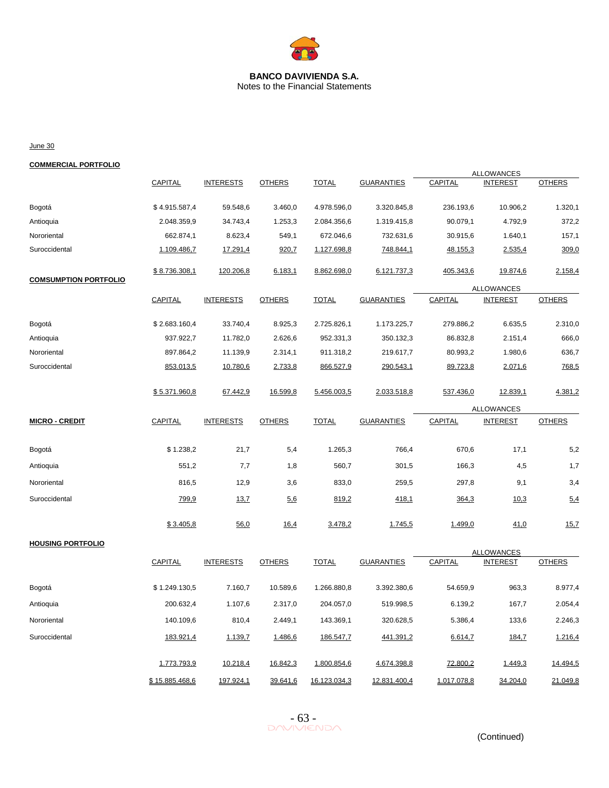

Notes to the Financial Statements

June 30

## **COMMERCIAL PORTFOLIO**

|                              |               |                  |               |              |                   |           | <b>ALLOWANCES</b>                    |               |
|------------------------------|---------------|------------------|---------------|--------------|-------------------|-----------|--------------------------------------|---------------|
|                              | CAPITAL       | <b>INTERESTS</b> | <b>OTHERS</b> | <b>TOTAL</b> | <b>GUARANTIES</b> | CAPITAL   | <b>INTEREST</b>                      | <b>OTHERS</b> |
| Bogotá                       | \$4.915.587,4 | 59.548,6         | 3.460,0       | 4.978.596,0  | 3.320.845,8       | 236.193,6 | 10.906,2                             | 1.320,1       |
| Antioquia                    | 2.048.359,9   | 34.743,4         | 1.253,3       | 2.084.356,6  | 1.319.415,8       | 90.079,1  | 4.792,9                              | 372,2         |
| Nororiental                  | 662.874,1     | 8.623,4          | 549,1         | 672.046,6    | 732.631,6         | 30.915,6  | 1.640,1                              | 157,1         |
| Suroccidental                | 1.109.486,7   | 17.291,4         | 920,7         | 1.127.698,8  | 748.844,1         | 48.155,3  | 2.535,4                              | 309,0         |
| <b>COMSUMPTION PORTFOLIO</b> | \$8.736.308.1 | 120.206,8        | 6.183.1       | 8.862.698.0  | 6.121.737,3       | 405.343,6 | 19.874,6                             | 2.158,4       |
|                              |               |                  |               |              |                   |           | <b>ALLOWANCES</b>                    |               |
|                              | CAPITAL       | <b>INTERESTS</b> | <b>OTHERS</b> | <b>TOTAL</b> | <b>GUARANTIES</b> | CAPITAL   | <b>INTEREST</b>                      | <b>OTHERS</b> |
| Bogotá                       | \$2.683.160,4 | 33.740,4         | 8.925,3       | 2.725.826,1  | 1.173.225,7       | 279.886,2 | 6.635,5                              | 2.310,0       |
| Antioquia                    | 937.922,7     | 11.782,0         | 2.626,6       | 952.331,3    | 350.132,3         | 86.832,8  | 2.151,4                              | 666,0         |
| Nororiental                  | 897.864,2     | 11.139,9         | 2.314,1       | 911.318,2    | 219.617,7         | 80.993,2  | 1.980,6                              | 636,7         |
| Suroccidental                | 853.013,5     | 10.780,6         | 2.733,8       | 866.527,9    | 290.543,1         | 89.723,8  | 2.071,6                              | 768,5         |
|                              | \$5.371.960,8 | 67.442,9         | 16.599,8      | 5.456.003,5  | 2.033.518,8       | 537.436,0 | 12.839,1                             | 4.381,2       |
|                              |               |                  |               |              |                   |           | <b>ALLOWANCES</b>                    |               |
| <b>MICRO - CREDIT</b>        | CAPITAL       | <b>INTERESTS</b> | <b>OTHERS</b> | <b>TOTAL</b> | <b>GUARANTIES</b> | CAPITAL   | <b>INTEREST</b>                      | <b>OTHERS</b> |
| Bogotá                       | \$1.238,2     | 21,7             | 5,4           | 1.265,3      | 766,4             | 670,6     | 17,1                                 | 5,2           |
| Antioquia                    | 551,2         | 7,7              | 1,8           | 560,7        | 301,5             | 166,3     | 4,5                                  | 1,7           |
| Nororiental                  | 816,5         | 12,9             | 3,6           | 833,0        | 259,5             | 297,8     | 9,1                                  | 3,4           |
| Suroccidental                | 799,9         | 13.7             | 5.6           | 819,2        | 418,1             | 364,3     | 10.3                                 | 5,4           |
|                              | \$3.405.8     | 56,0             | 16.4          | 3.478,2      | 1.745,5           | 1.499,0   | 41,0                                 | 15.7          |
| <b>HOUSING PORTFOLIO</b>     |               |                  |               |              |                   |           |                                      |               |
|                              | CAPITAL       | <b>INTERESTS</b> | <b>OTHERS</b> | <b>TOTAL</b> | <b>GUARANTIES</b> | CAPITAL   | <b>ALLOWANCES</b><br><b>INTEREST</b> | <b>OTHERS</b> |
| Bogotá                       | \$1.249.130,5 | 7.160,7          | 10.589,6      | 1.266.880,8  | 3.392.380,6       | 54.659,9  | 963,3                                | 8.977,4       |
| Antioquia                    | 200.632,4     | 1.107,6          | 2.317,0       | 204.057,0    | 519.998,5         | 6.139,2   | 167,7                                | 2.054,4       |
| Nororiental                  | 140.109,6     | 810,4            | 2.449,1       | 143.369,1    | 320.628,5         | 5.386,4   | 133,6                                | 2.246,3       |
|                              |               |                  |               |              |                   |           |                                      |               |
| Suroccidental                | 183.921,4     | 1.139,7          | 1.486,6       | 186.547,7    | 441.391,2         | 6.614,7   | 184,7                                | 1.216,4       |

 $-63 -$ <br>DAVIVIENDA

1.773.793,9 10.218,4 16.842,3 1.800.854,6 4.674.398,8 72.800,2 1.449,3 14.494,5

\$ 15.885.468,6 197.924,1 39.641,6 16.123.034,3 12.831.400,4 1.017.078,8 34.204,0 21.049,8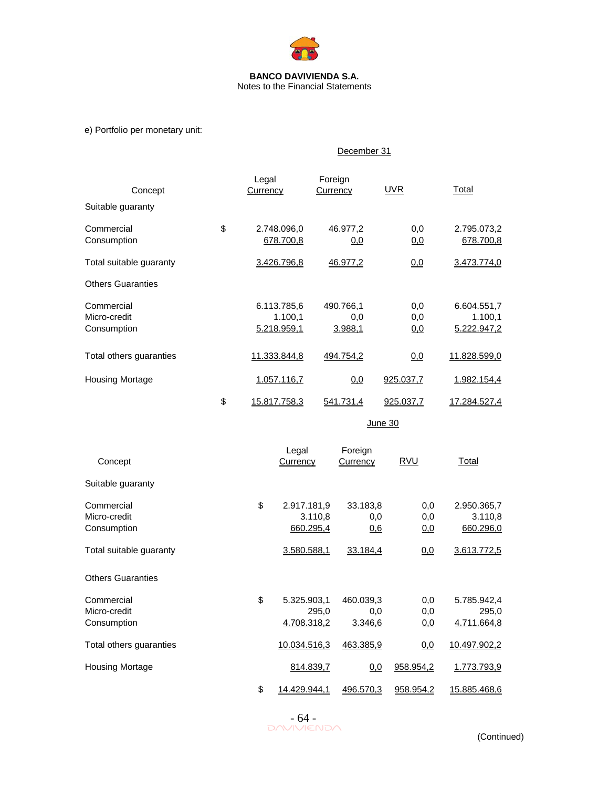

e) Portfolio per monetary unit:

|                                           | December 31 |                                       |                                                 |                                 |                                       |  |  |  |  |  |
|-------------------------------------------|-------------|---------------------------------------|-------------------------------------------------|---------------------------------|---------------------------------------|--|--|--|--|--|
| Concept                                   |             | Legal<br>Currency                     | Foreign<br>Currency                             | <b>UVR</b>                      | Total                                 |  |  |  |  |  |
| Suitable guaranty                         |             |                                       |                                                 |                                 |                                       |  |  |  |  |  |
| Commercial<br>Consumption                 | \$          | 2.748.096,0<br>678.700,8              | 46.977,2<br>0,0                                 | 0,0<br>0,0                      | 2.795.073,2<br>678.700,8              |  |  |  |  |  |
| Total suitable guaranty                   |             | 3.426.796,8                           | 46.977,2                                        | 0,0                             | 3.473.774,0                           |  |  |  |  |  |
| <b>Others Guaranties</b>                  |             |                                       |                                                 |                                 |                                       |  |  |  |  |  |
| Commercial<br>Micro-credit<br>Consumption |             | 6.113.785,6<br>1.100,1<br>5.218.959,1 | 490.766,1<br>0,0<br>3.988,1                     | 0,0<br>0,0<br>0,0               | 6.604.551,7<br>1.100,1<br>5.222.947,2 |  |  |  |  |  |
| Total others guaranties                   |             | 11.333.844,8                          | 494.754,2                                       | 0,0                             | 11.828.599,0                          |  |  |  |  |  |
| <b>Housing Mortage</b>                    |             | 1.057.116,7                           | 0,0                                             | 925.037,7                       | 1.982.154,4                           |  |  |  |  |  |
|                                           | \$          | 15.817.758,3                          | 541.731,4                                       | 925.037,7                       | 17.284.527,4                          |  |  |  |  |  |
|                                           |             |                                       |                                                 | June 30                         |                                       |  |  |  |  |  |
| Concept                                   |             | Legal<br>Currency                     | Foreign<br>Currency                             | <b>RVU</b>                      | Total                                 |  |  |  |  |  |
| Suitable guaranty                         |             |                                       |                                                 |                                 |                                       |  |  |  |  |  |
| Commercial<br>Micro-credit<br>Consumption |             | \$                                    | 2.917.181,9<br>33.183,8<br>3.110,8<br>660.295,4 | 0,0<br>0,0<br>0,0<br>0.6<br>0,0 | 2.950.365,7<br>3.110,8<br>660.296,0   |  |  |  |  |  |
| Total suitable guaranty                   |             |                                       | 3.580.588,1<br>33.184,4                         | 0,0                             | 3.613.772,5                           |  |  |  |  |  |
| <b>Others Guaranties</b>                  |             |                                       |                                                 |                                 |                                       |  |  |  |  |  |
| Commercial                                |             | \$                                    | 5.325.903,1<br>460.039,3                        | 0.0                             | 5.785.942.4                           |  |  |  |  |  |

Total others guaranties 10.034.516,3 463.385,9 0.0 10.497.902,2 Housing Mortage **814.839,7** 0,0 958.954,2 1.773.793,9 \$ 14.429.944,1 496.570,3 958.954,2 15.885.468,6



Micro-credit 295,0 0,0 0,0 295,0 Consumption **4.708.318,2** 3.346,6 0,0 4.711.664,8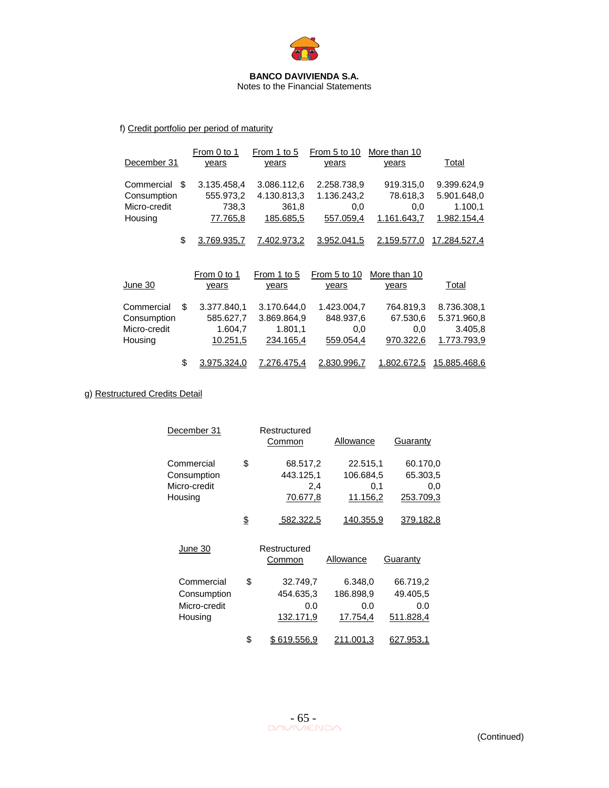

Notes to the Financial Statements

# f) Credit portfolio per period of maturity

| December 31                                                 | From 0 to 1<br>years                            | From 1 to 5<br>years                               | From 5 to 10<br>years                          | More than 10<br>years                       | Total                                                |
|-------------------------------------------------------------|-------------------------------------------------|----------------------------------------------------|------------------------------------------------|---------------------------------------------|------------------------------------------------------|
| Commercial<br>\$.<br>Consumption<br>Micro-credit<br>Housing | 3.135.458.4<br>555.973,2<br>738,3<br>77.765,8   | 3.086.112,6<br>4.130.813,3<br>361,8<br>185.685,5   | 2.258.738.9<br>1.136.243,2<br>0,0<br>557.059,4 | 919.315,0<br>78.618,3<br>0,0<br>1.161.643,7 | 9.399.624,9<br>5.901.648,0<br>1.100,1<br>1.982.154,4 |
| \$                                                          | 3.769.935.7                                     | 7.402.973,2                                        | 3.952.041,5                                    | 2.159.577.0                                 | 17.284.527.4                                         |
| June 30                                                     | From 0 to 1<br>years                            | From 1 to 5<br>years                               | From 5 to 10<br>years                          | More than 10<br>years                       | Total                                                |
| \$<br>Commercial<br>Consumption<br>Micro-credit<br>Housing  | 3.377.840.1<br>585.627,7<br>1.604,7<br>10.251,5 | 3.170.644,0<br>3.869.864,9<br>1.801,1<br>234.165,4 | 1.423.004.7<br>848.937,6<br>0,0<br>559.054,4   | 764.819,3<br>67.530,6<br>0,0<br>970.322,6   | 8.736.308,1<br>5.371.960,8<br>3.405,8<br>1.773.793.9 |

\$ 3.975.324,0 7.276.475,4 2.830.996,7 1.802.672,5 15.885.468,6

# g) Restructured Credits Detail

| December 31                                          | Restructured<br>Common                         | Allowance                                | Guaranty                                 |
|------------------------------------------------------|------------------------------------------------|------------------------------------------|------------------------------------------|
| Commercial<br>Consumption<br>Micro-credit<br>Housing | \$<br>68.517,2<br>443.125,1<br>2.4<br>70.677,8 | 22.515,1<br>106.684,5<br>0.1<br>11.156,2 | 60.170,0<br>65.303,5<br>0.0<br>253.709.3 |
|                                                      | \$<br>582.322,5                                | 140.355,9                                | 379.182,8                                |
| June 30                                              | Restructured<br>Common                         | Allowance                                | Guarantv                                 |

| Commercial   | \$<br>32.749,7    | 6.348,0   | 66.719,2  |
|--------------|-------------------|-----------|-----------|
| Consumption  | 454.635,3         | 186.898,9 | 49.405,5  |
| Micro-credit | 0.0               | 0.0       | 0.0       |
| Housing      | 132.171,9         | 17.754,4  | 511.828,4 |
|              | \$<br>\$619.556,9 | 211.001,3 | 627.953.1 |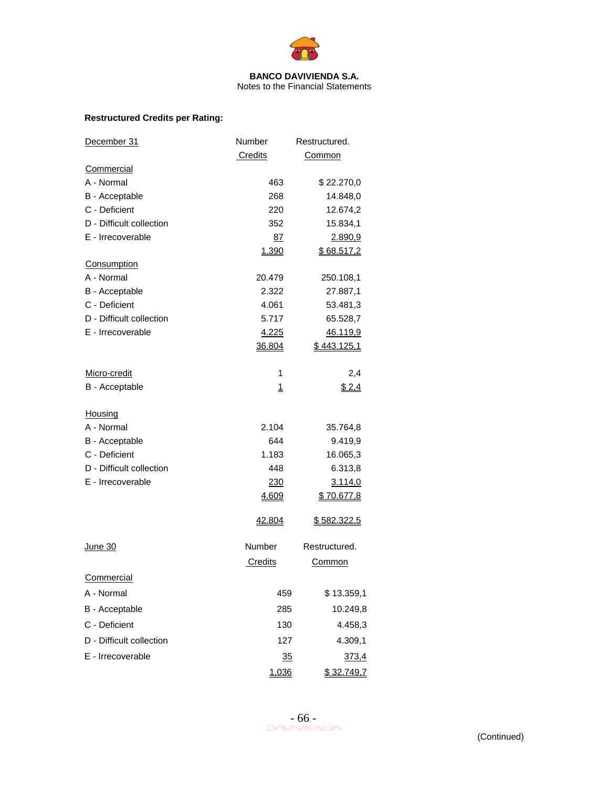

# **Restructured Credits per Rating:**

| December 31              | Number          | Restructured. |
|--------------------------|-----------------|---------------|
|                          | Credits         | Common        |
| Commercial               |                 |               |
| A - Normal               | 463             | \$22.270,0    |
| B - Acceptable           | 268             | 14.848,0      |
| C - Deficient            | 220             | 12.674,2      |
| D - Difficult collection | 352             | 15.834,1      |
| E - Irrecoverable        | 87              | 2.890,9       |
|                          | 1.390           | \$68.517,2    |
| Consumption              |                 |               |
| A - Normal               | 20.479          | 250.108,1     |
| B - Acceptable           | 2.322           | 27.887,1      |
| C - Deficient            | 4.061           | 53.481,3      |
| D - Difficult collection | 5.717           | 65.528,7      |
| E - Irrecoverable        | 4.225           | 46.119,9      |
|                          | 36.804          | \$443.125,1   |
| Micro-credit             | 1               | 2,4           |
| B - Acceptable           | 1               | \$2,4         |
| Housing                  |                 |               |
| A - Normal               | 2.104           | 35.764,8      |
| B - Acceptable           | 644             | 9.419,9       |
| C - Deficient            | 1.183           | 16.065,3      |
| D - Difficult collection | 448             | 6.313,8       |
| E - Irrecoverable        | <u>230</u>      | 3.114,0       |
|                          | 4.609           | \$70.677,8    |
|                          | 42.804          | \$582.322,5   |
| June 30                  | Number          | Restructured. |
|                          | Credits         | <u>Common</u> |
| Commercial               |                 |               |
| A - Normal               | 459             | \$13.359,1    |
| B - Acceptable           | 285             | 10.249,8      |
| C - Deficient            | 130             | 4.458,3       |
| D - Difficult collection | 127             | 4.309,1       |
| E - Irrecoverable        | $\overline{35}$ | 373,4         |
|                          | 1,036           | \$32.749,7    |

 $-66 -$ <br>DAVIVIENDA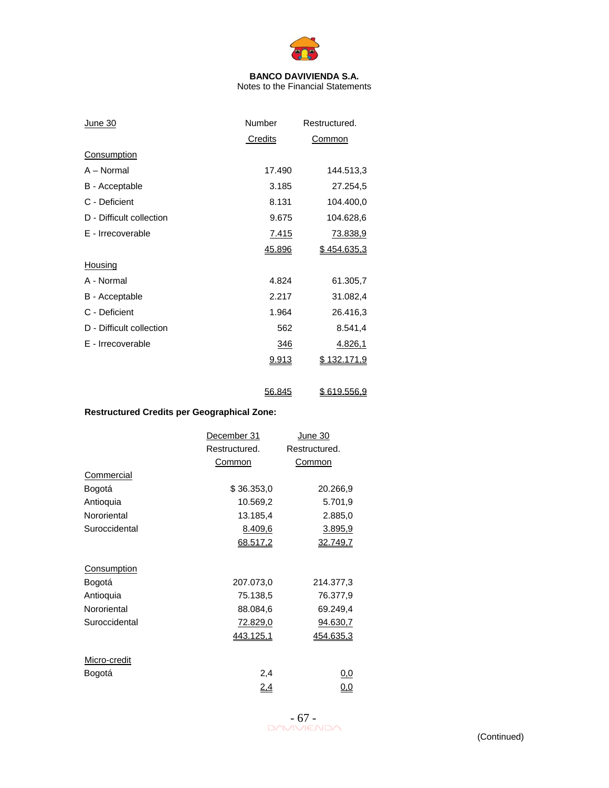

Notes to the Financial Statements

56.845 \$ 619.556,9

| <u>June 30</u>           | Number       | Restructured.      |
|--------------------------|--------------|--------------------|
|                          | Credits      | Common             |
| <b>Consumption</b>       |              |                    |
| A - Normal               | 17.490       | 144.513,3          |
| B - Acceptable           | 3.185        | 27.254,5           |
| C - Deficient            | 8.131        | 104.400,0          |
| D - Difficult collection | 9.675        | 104.628,6          |
| E - Irrecoverable        | <u>7.415</u> | <u>73.838,9</u>    |
|                          | 45.896       | <u>\$454.635,3</u> |
| <b>Housing</b>           |              |                    |
| A - Normal               | 4.824        | 61.305,7           |
| B - Acceptable           | 2.217        | 31.082,4           |
| C - Deficient            | 1.964        | 26.416,3           |
| D - Difficult collection | 562          | 8.541,4            |
| E - Irrecoverable        | <u>346</u>   | <u>4.826,1</u>     |
|                          | <u>9.913</u> | \$132.171,9        |
|                          |              |                    |
|                          |              |                    |

# **Restructured Credits per Geographical Zone:**

|                    | December 31      | June 30          |
|--------------------|------------------|------------------|
|                    | Restructured.    | Restructured.    |
|                    | Common           | Common           |
| Commercial         |                  |                  |
| Bogotá             | \$36.353,0       | 20.266,9         |
| Antioquia          | 10.569,2         | 5.701,9          |
| Nororiental        | 13.185,4         | 2.885,0          |
| Suroccidental      | 8.409,6          | 3.895,9          |
|                    | 68.517,2         | 32.749,7         |
| <b>Consumption</b> |                  |                  |
| Bogotá             | 207.073,0        | 214.377,3        |
| Antioquia          | 75.138,5         | 76.377,9         |
| Nororiental        | 88.084,6         | 69.249,4         |
| Suroccidental      | 72.829,0         | 94.630,7         |
|                    | <u>443.125,1</u> | <u>454.635,3</u> |
| Micro-credit       |                  |                  |
| Bogotá             | 2,4              | 0,0              |
|                    | <u>2,4</u>       | <u>0,0</u>       |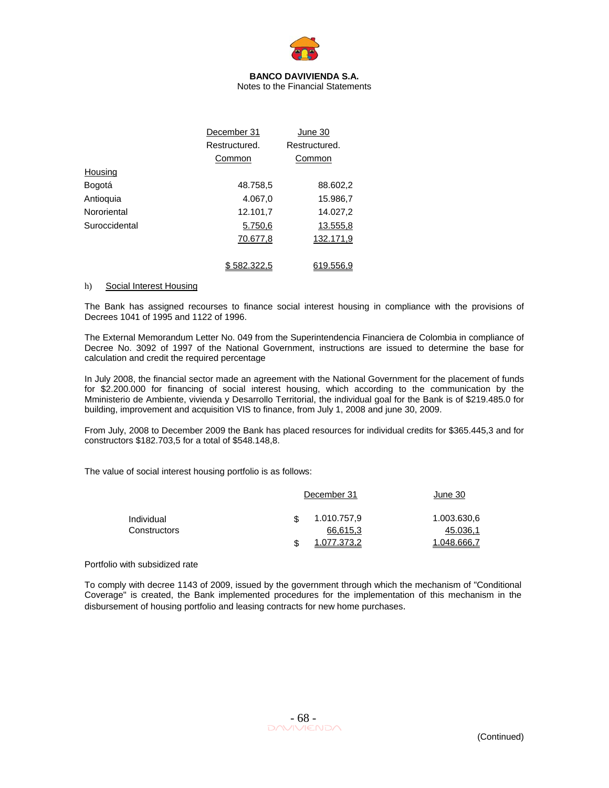

Notes to the Financial Statements

|               | December 31   | June 30       |
|---------------|---------------|---------------|
|               | Restructured. | Restructured. |
|               | Common        | Common        |
| Housing       |               |               |
| Bogotá        | 48.758,5      | 88.602,2      |
| Antioquia     | 4.067,0       | 15.986,7      |
| Nororiental   | 12.101,7      | 14.027,2      |
| Suroccidental | 5.750,6       | 13.555,8      |
|               | 70.677,8      | 132.171,9     |
|               |               |               |
|               | 582.322.5     | 619.556.9     |

#### h) Social Interest Housing

The Bank has assigned recourses to finance social interest housing in compliance with the provisions of Decrees 1041 of 1995 and 1122 of 1996.

The External Memorandum Letter No. 049 from the Superintendencia Financiera de Colombia in compliance of Decree No. 3092 of 1997 of the National Government, instructions are issued to determine the base for calculation and credit the required percentage

In July 2008, the financial sector made an agreement with the National Government for the placement of funds for \$2.200.000 for financing of social interest housing, which according to the communication by the Mministerio de Ambiente, vivienda y Desarrollo Territorial, the individual goal for the Bank is of \$219.485.0 for building, improvement and acquisition VIS to finance, from July 1, 2008 and june 30, 2009.

From July, 2008 to December 2009 the Bank has placed resources for individual credits for \$365.445,3 and for constructors \$182.703,5 for a total of \$548.148,8.

The value of social interest housing portfolio is as follows:

|              | December 31 |             | June 30     |  |
|--------------|-------------|-------------|-------------|--|
| Individual   |             | 1.010.757,9 | 1.003.630,6 |  |
| Constructors |             | 66,615,3    | 45.036,1    |  |
|              | S           | 1.077.373,2 | 1.048.666,7 |  |

Portfolio with subsidized rate

To comply with decree 1143 of 2009, issued by the government through which the mechanism of "Conditional Coverage" is created, the Bank implemented procedures for the implementation of this mechanism in the disbursement of housing portfolio and leasing contracts for new home purchases.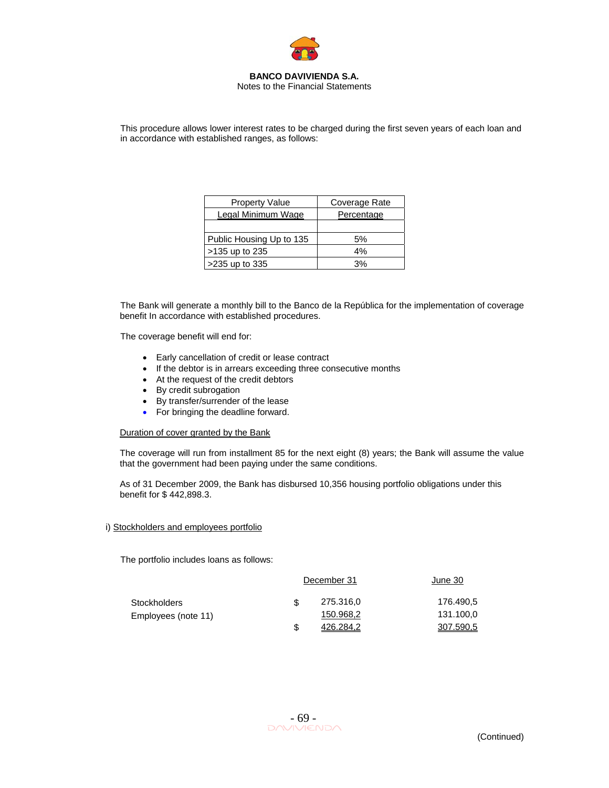

Notes to the Financial Statements

This procedure allows lower interest rates to be charged during the first seven years of each loan and in accordance with established ranges, as follows:

| <b>Property Value</b>     | Coverage Rate |
|---------------------------|---------------|
| <b>Legal Minimum Wage</b> | Percentage    |
|                           |               |
| Public Housing Up to 135  | 5%            |
| >135 up to 235            | 4%            |
| >235 up to 335            | 3%            |

The Bank will generate a monthly bill to the Banco de la República for the implementation of coverage benefit In accordance with established procedures.

The coverage benefit will end for:

- Early cancellation of credit or lease contract
- If the debtor is in arrears exceeding three consecutive months
- At the request of the credit debtors
- By credit subrogation
- By transfer/surrender of the lease
- For bringing the deadline forward.

#### Duration of cover granted by the Bank

The coverage will run from installment 85 for the next eight (8) years; the Bank will assume the value that the government had been paying under the same conditions.

As of 31 December 2009, the Bank has disbursed 10,356 housing portfolio obligations under this benefit for \$ 442,898.3.

#### i) Stockholders and employees portfolio

The portfolio includes loans as follows:

|                     | December 31 |           | June 30   |  |
|---------------------|-------------|-----------|-----------|--|
| Stockholders        |             | 275.316,0 | 176.490.5 |  |
| Employees (note 11) |             | 150.968,2 | 131.100,0 |  |
|                     |             | 426.284.2 | 307.590.5 |  |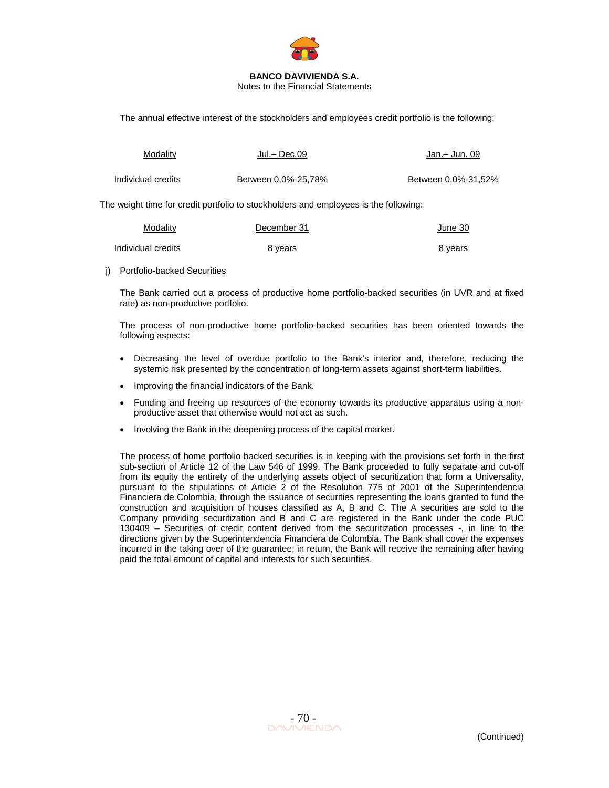

Notes to the Financial Statements

The annual effective interest of the stockholders and employees credit portfolio is the following:

| Modality           | Jul.– Dec.09        | Jan. – Jun. 09      |
|--------------------|---------------------|---------------------|
| Individual credits | Between 0.0%-25.78% | Between 0.0%-31.52% |

The weight time for credit portfolio to stockholders and employees is the following:

| Modality           | December 31 | June 30 |
|--------------------|-------------|---------|
| Individual credits | 8 years     | 8 years |

#### j) Portfolio-backed Securities

The Bank carried out a process of productive home portfolio-backed securities (in UVR and at fixed rate) as non-productive portfolio.

The process of non-productive home portfolio-backed securities has been oriented towards the following aspects:

- Decreasing the level of overdue portfolio to the Bank's interior and, therefore, reducing the systemic risk presented by the concentration of long-term assets against short-term liabilities.
- Improving the financial indicators of the Bank.
- Funding and freeing up resources of the economy towards its productive apparatus using a nonproductive asset that otherwise would not act as such.
- Involving the Bank in the deepening process of the capital market.

The process of home portfolio-backed securities is in keeping with the provisions set forth in the first sub-section of Article 12 of the Law 546 of 1999. The Bank proceeded to fully separate and cut-off from its equity the entirety of the underlying assets object of securitization that form a Universality, pursuant to the stipulations of Article 2 of the Resolution 775 of 2001 of the Superintendencia Financiera de Colombia, through the issuance of securities representing the loans granted to fund the construction and acquisition of houses classified as A, B and C. The A securities are sold to the Company providing securitization and B and C are registered in the Bank under the code PUC 130409 – Securities of credit content derived from the securitization processes -, in line to the directions given by the Superintendencia Financiera de Colombia. The Bank shall cover the expenses incurred in the taking over of the guarantee; in return, the Bank will receive the remaining after having paid the total amount of capital and interests for such securities.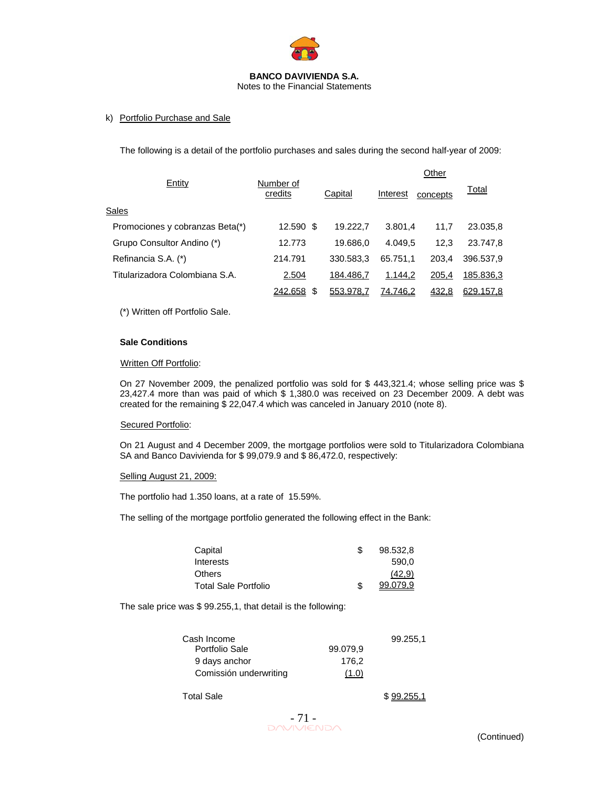

### k) Portfolio Purchase and Sale

The following is a detail of the portfolio purchases and sales during the second half-year of 2009:

|                                 |                      |           | Other           |          |              |
|---------------------------------|----------------------|-----------|-----------------|----------|--------------|
| Entity                          | Number of<br>credits | Capital   | Interest        | concepts | <u>Total</u> |
| Sales                           |                      |           |                 |          |              |
| Promociones y cobranzas Beta(*) | 12.590 \$            | 19.222.7  | 3.801.4         | 11,7     | 23.035,8     |
| Grupo Consultor Andino (*)      | 12.773               | 19.686,0  | 4.049.5         | 12,3     | 23.747,8     |
| Refinancia S.A. (*)             | 214.791              | 330.583.3 | 65.751.1        | 203.4    | 396.537,9    |
| Titularizadora Colombiana S.A.  | 2.504                | 184.486.7 | 1.144,2         | 205,4    | 185.836.3    |
|                                 | 242.658<br>S         | 553.978,7 | <u>74.746,2</u> | 432,8    | 629.157,8    |

(\*) Written off Portfolio Sale.

#### **Sale Conditions**

#### Written Off Portfolio:

On 27 November 2009, the penalized portfolio was sold for \$ 443,321.4; whose selling price was \$ 23,427.4 more than was paid of which \$ 1,380.0 was received on 23 December 2009. A debt was created for the remaining \$ 22,047.4 which was canceled in January 2010 (note 8).

#### Secured Portfolio:

On 21 August and 4 December 2009, the mortgage portfolios were sold to Titularizadora Colombiana SA and Banco Davivienda for \$ 99,079.9 and \$ 86,472.0, respectively:

#### Selling August 21, 2009:

The portfolio had 1.350 loans, at a rate of 15.59%.

The selling of the mortgage portfolio generated the following effect in the Bank:

| Capital              | 98.532.8 |
|----------------------|----------|
| Interests            | 590.0    |
| <b>Others</b>        | (42.9)   |
| Total Sale Portfolio | 99.079.9 |

The sale price was \$ 99.255,1, that detail is the following:

|          | 99.255,1 |
|----------|----------|
| 99.079.9 |          |
| 176.2    |          |
| (1.0)    |          |
|          |          |

Total Sale \$ 99.255.1

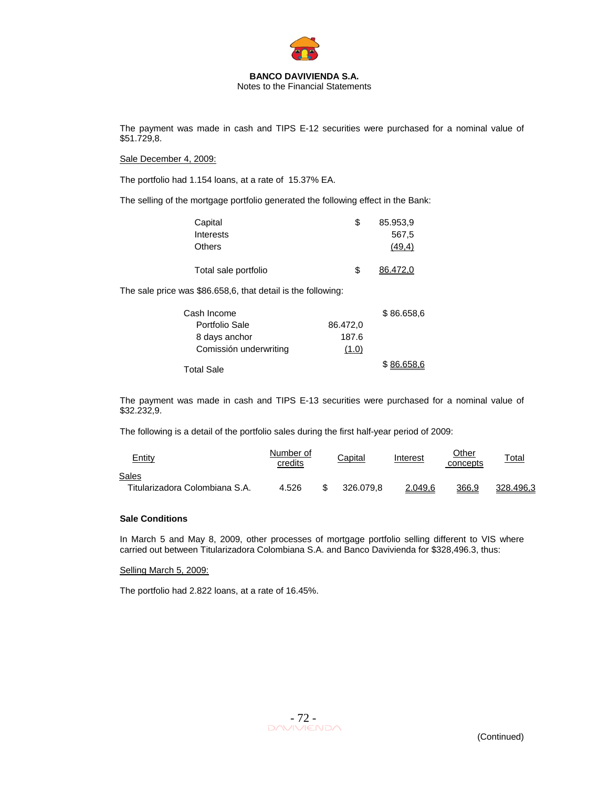

Notes to the Financial Statements

The payment was made in cash and TIPS E-12 securities were purchased for a nominal value of \$51.729,8.

Sale December 4, 2009:

The portfolio had 1.154 loans, at a rate of 15.37% EA.

The selling of the mortgage portfolio generated the following effect in the Bank:

| Capital              | S | 85.953.9 |
|----------------------|---|----------|
| <b>Interests</b>     |   | 567.5    |
| <b>Others</b>        |   | (49.4)   |
| Total sale portfolio | S | 86.472.0 |

The sale price was \$86.658,6, that detail is the following:

| Cash Income            |          | \$86.658,6 |
|------------------------|----------|------------|
| Portfolio Sale         | 86.472,0 |            |
| 8 days anchor          | 187.6    |            |
| Comissión underwriting | (1.0)    |            |
| <b>Total Sale</b>      |          | \$86.658,6 |

The payment was made in cash and TIPS E-13 securities were purchased for a nominal value of \$32.232,9.

The following is a detail of the portfolio sales during the first half-year period of 2009:

| <u>Entity</u>                  | Number of<br>credits | Capital   | Interest | Other<br>concepts | <u>Total</u> |
|--------------------------------|----------------------|-----------|----------|-------------------|--------------|
| Sales                          |                      |           |          |                   |              |
| Titularizadora Colombiana S.A. | 4.526                | 326,079.8 | 2.049.6  | 366,9             | 328,496.3    |

#### **Sale Conditions**

In March 5 and May 8, 2009, other processes of mortgage portfolio selling different to VIS where carried out between Titularizadora Colombiana S.A. and Banco Davivienda for \$328,496.3, thus:

#### Selling March 5, 2009:

The portfolio had 2.822 loans, at a rate of 16.45%.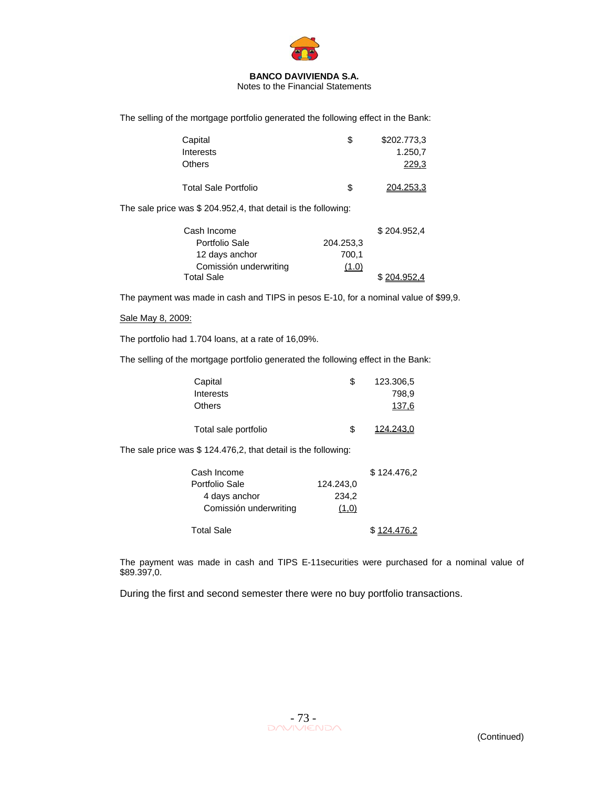

Notes to the Financial Statements

The selling of the mortgage portfolio generated the following effect in the Bank:

| Capital<br><b>Interests</b> | S | \$202.773,3<br>1.250.7 |
|-----------------------------|---|------------------------|
| Others                      |   | 229.3                  |
| <b>Total Sale Portfolio</b> | S | 204.253.3              |

The sale price was \$ 204.952,4, that detail is the following:

| Cash Income            |           | \$204.952,4 |
|------------------------|-----------|-------------|
| Portfolio Sale         | 204.253.3 |             |
| 12 days anchor         | 700.1     |             |
| Comissión underwriting | (1.0)     |             |
| <b>Total Sale</b>      |           | \$2049524   |

The payment was made in cash and TIPS in pesos E-10, for a nominal value of \$99,9.

#### Sale May 8, 2009:

The portfolio had 1.704 loans, at a rate of 16,09%.

The selling of the mortgage portfolio generated the following effect in the Bank:

| Capital              |     | 123.306,5 |
|----------------------|-----|-----------|
| Interests            |     | 798.9     |
| <b>Others</b>        |     | 137.6     |
| Total sale portfolio | \$. | 124.243.0 |

The sale price was \$ 124.476,2, that detail is the following:

| Cash Income            |           | \$124,476.2 |
|------------------------|-----------|-------------|
| Portfolio Sale         | 124.243.0 |             |
| 4 days anchor          | 234.2     |             |
| Comissión underwriting | (1,0)     |             |
| <b>Total Sale</b>      |           | \$124,476.2 |

The payment was made in cash and TIPS E-11securities were purchased for a nominal value of \$89.397,0.

During the first and second semester there were no buy portfolio transactions.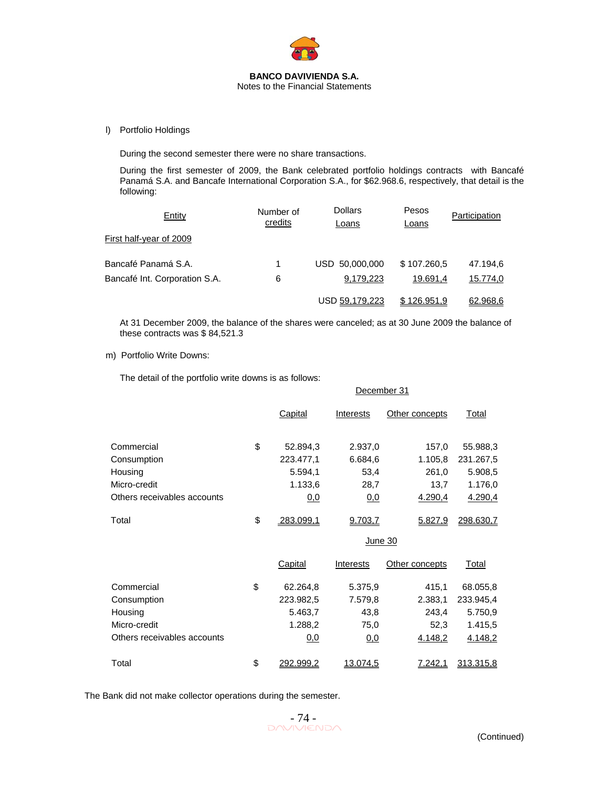

l) Portfolio Holdings

During the second semester there were no share transactions.

During the first semester of 2009, the Bank celebrated portfolio holdings contracts with Bancafé Panamá S.A. and Bancafe International Corporation S.A., for \$62.968.6, respectively, that detail is the following:

| <b>Entity</b>                 | Number of<br>credits | Dollars<br>Loans | Pesos<br>Loans | Participation |
|-------------------------------|----------------------|------------------|----------------|---------------|
| First half-year of 2009       |                      |                  |                |               |
| Bancafé Panamá S.A.           | 1                    | USD 50,000,000   | \$107.260,5    | 47.194,6      |
| Bancafé Int. Corporation S.A. | 6                    | 9,179,223        | 19.691.4       | 15.774,0      |
|                               |                      | USD 59.179.223   | \$126,951.9    | 62.968.6      |

At 31 December 2009, the balance of the shares were canceled; as at 30 June 2009 the balance of these contracts was \$ 84,521.3

#### m) Portfolio Write Downs:

The detail of the portfolio write downs is as follows:

|                             |                        | December 31 |                |           |
|-----------------------------|------------------------|-------------|----------------|-----------|
|                             | <b>Capital</b>         | Interests   | Other concepts | Total     |
| Commercial                  | \$<br>52.894,3         | 2.937,0     | 157,0          | 55.988,3  |
| Consumption                 | 223.477,1              | 6.684,6     | 1.105,8        | 231.267,5 |
| Housing                     | 5.594,1                | 53,4        | 261,0          | 5.908,5   |
| Micro-credit                | 1.133,6                | 28,7        | 13,7           | 1.176,0   |
| Others receivables accounts | 0.0                    | <u>0,0</u>  | 4.290,4        | 4.290,4   |
| Total                       | \$<br><u>283.099,1</u> | 9.703,7     | 5.827,9        | 298.630,7 |
|                             |                        | June 30     |                |           |
|                             | Capital                | Interests   | Other concepts | Total     |
| Commercial                  | \$<br>62.264,8         | 5.375,9     | 415,1          | 68.055,8  |
| Consumption                 | 223.982,5              | 7.579,8     | 2.383,1        | 233.945,4 |
| Housing                     | 5.463,7                | 43,8        | 243,4          | 5.750,9   |
| Micro-credit                | 1.288,2                | 75,0        | 52,3           | 1.415,5   |
| Others receivables accounts | 0,0                    | 0,0         | 4.148,2        | 4.148,2   |
| Total                       | \$<br>292.999,2        | 13.074,5    | 7.242,1        | 313.315,8 |

The Bank did not make collector operations during the semester.

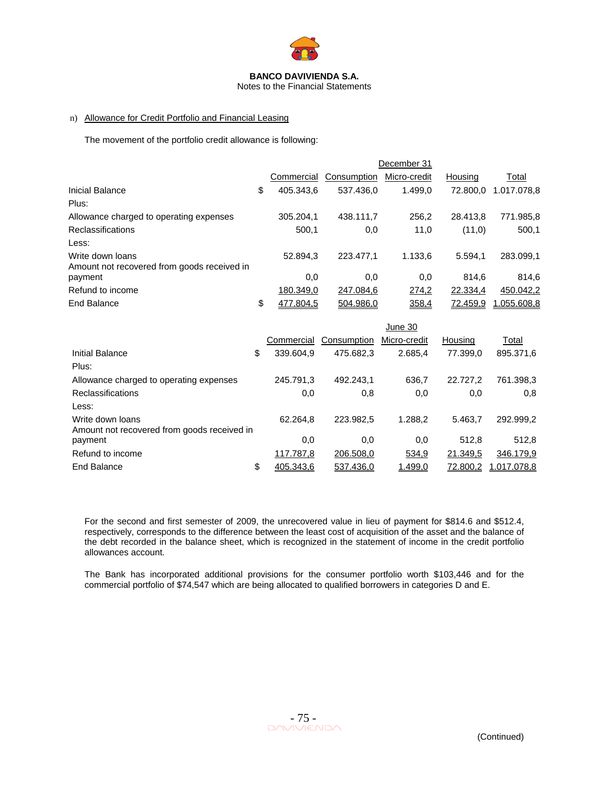

Notes to the Financial Statements

#### n) Allowance for Credit Portfolio and Financial Leasing

The movement of the portfolio credit allowance is following:

| December 31     |             |              |          |             |
|-----------------|-------------|--------------|----------|-------------|
| Commercial      | Consumption | Micro-credit | Housing  | Total       |
| \$<br>405.343.6 | 537.436.0   | 1.499,0      | 72,800.0 | 1.017.078.8 |
|                 |             |              |          |             |
| 305.204.1       | 438.111.7   | 256.2        | 28.413.8 | 771.985,8   |
| 500.1           | 0,0         | 11,0         | (11,0)   | 500.1       |
|                 |             |              |          |             |
| 52.894.3        | 223,477.1   | 1.133.6      | 5.594.1  | 283.099.1   |
| 0,0             | 0,0         | 0,0          | 814.6    | 814.6       |
| 180.349.0       | 247.084,6   | 274,2        | 22.334,4 | 450.042,2   |
| \$<br>477.804.5 | 504.986.0   | 358,4        | 72.459.9 | 1.055.608.8 |
|                 |             |              |          |             |

|                                             |                 |             | June 30      |          |             |
|---------------------------------------------|-----------------|-------------|--------------|----------|-------------|
|                                             | Commercial      | Consumption | Micro-credit | Housing  | Total       |
| Initial Balance                             | \$<br>339.604,9 | 475.682.3   | 2.685,4      | 77.399.0 | 895.371,6   |
| Plus:                                       |                 |             |              |          |             |
| Allowance charged to operating expenses     | 245.791,3       | 492.243.1   | 636,7        | 22.727.2 | 761.398.3   |
| <b>Reclassifications</b>                    | 0,0             | 0,8         | 0,0          | 0,0      | 0,8         |
| Less:                                       |                 |             |              |          |             |
| Write down loans                            | 62.264.8        | 223.982.5   | 1.288.2      | 5.463.7  | 292.999,2   |
| Amount not recovered from goods received in |                 |             |              |          |             |
| payment                                     | 0,0             | 0,0         | 0,0          | 512.8    | 512,8       |
| Refund to income                            | 117.787,8       | 206.508,0   | 534,9        | 21.349,5 | 346.179,9   |
| End Balance                                 | \$<br>405.343.6 | 537.436.0   | 1.499,0      | 72.800.2 | 1.017.078,8 |

For the second and first semester of 2009, the unrecovered value in lieu of payment for \$814.6 and \$512.4, respectively, corresponds to the difference between the least cost of acquisition of the asset and the balance of the debt recorded in the balance sheet, which is recognized in the statement of income in the credit portfolio allowances account.

The Bank has incorporated additional provisions for the consumer portfolio worth \$103,446 and for the commercial portfolio of \$74,547 which are being allocated to qualified borrowers in categories D and E.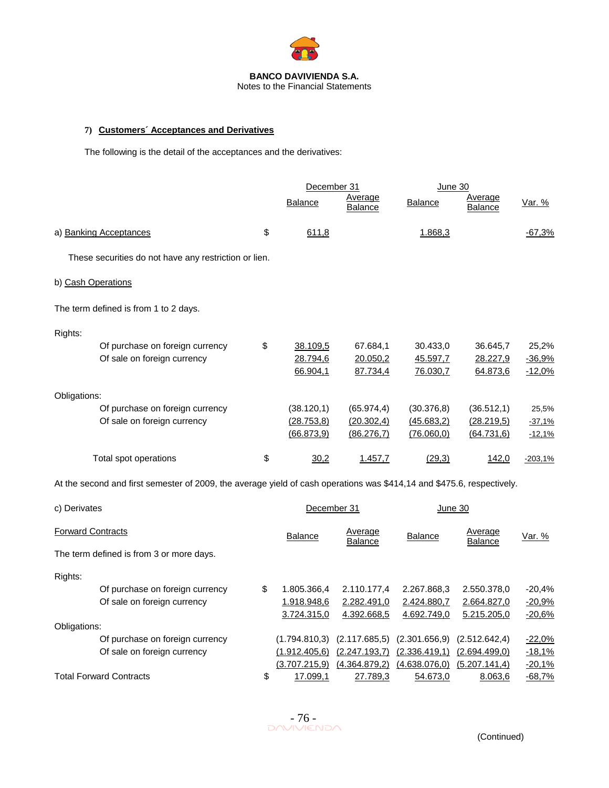

Notes to the Financial Statements

### **7) Customers´ Acceptances and Derivatives**

The following is the detail of the acceptances and the derivatives:

| Average<br><b>Balance</b><br><b>Balance</b><br>Var. %<br><b>Balance</b><br>Balance<br>\$<br>a) Banking Acceptances<br>611,8<br>1.868,3<br>$-67,3%$<br>These securities do not have any restriction or lien.<br>b) Cash Operations<br>The term defined is from 1 to 2 days.<br>Rights:<br>\$<br>Of purchase on foreign currency<br>38.109,5<br>67.684,1<br>30.433,0<br>36.645,7<br>Of sale on foreign currency<br>28.794,6<br>20.050,2<br>28.227,9<br>45.597,7<br>66.904,1<br>87.734,4<br>76.030,7<br>$-12,0%$<br>64.873,6<br>Obligations:<br>Of purchase on foreign currency<br>(38.120, 1)<br>(65.974, 4)<br>(30.376, 8)<br>(36.512, 1)<br>25,5%<br>Of sale on foreign currency<br>(28.753, 8)<br>(20.302,4)<br>(45.683,2)<br>(28.219,5)<br>$-37,1%$<br>(66.873,9)<br>(86.276,7)<br>(76.060, 0)<br>(64.731, 6)<br>$-12,1%$<br>\$<br>Total spot operations<br>1.457,7<br>(29,3)<br>142,0<br>30,2<br>$-203,1%$<br>At the second and first semester of 2009, the average yield of cash operations was \$414,14 and \$475.6, respectively.<br>c) Derivates<br>December 31<br>June 30<br><b>Forward Contracts</b><br>Average<br>Average<br><b>Balance</b><br><b>Balance</b><br>Var. %<br><b>Balance</b><br>Balance<br>The term defined is from 3 or more days.<br>Rights:<br>Of purchase on foreign currency<br>\$<br>1.805.366,4<br>2.110.177,4<br>2.267.868,3<br>2.550.378,0<br>Of sale on foreign currency<br>1.918.948,6<br>2.282.491,0<br>2.424.880,7<br>2.664.827,0<br>3.724.315,0<br>4.392.668,5<br>4.692.749,0<br>5.215.205,0<br>Obligations:<br>Of purchase on foreign currency<br>(1.794.810,3)<br>(2.117.685, 5)<br>(2.301.656, 9)<br>(2.512.642, 4)<br>$-22,0%$<br>Of sale on foreign currency<br>$(1.912.405, 6)$ $(2.247.193, 7)$ $(2.336.419, 1)$<br>(2.694.499,0)<br>$-18,1%$<br>$(3.707.215,9)$ $(4.364.879,2)$<br>(4.638.076, 0)<br>(5.207.141,4)<br>$-20,1%$<br><b>Total Forward Contracts</b> |  | December 31    |          | <u>June 30</u> |         |          |
|---------------------------------------------------------------------------------------------------------------------------------------------------------------------------------------------------------------------------------------------------------------------------------------------------------------------------------------------------------------------------------------------------------------------------------------------------------------------------------------------------------------------------------------------------------------------------------------------------------------------------------------------------------------------------------------------------------------------------------------------------------------------------------------------------------------------------------------------------------------------------------------------------------------------------------------------------------------------------------------------------------------------------------------------------------------------------------------------------------------------------------------------------------------------------------------------------------------------------------------------------------------------------------------------------------------------------------------------------------------------------------------------------------------------------------------------------------------------------------------------------------------------------------------------------------------------------------------------------------------------------------------------------------------------------------------------------------------------------------------------------------------------------------------------------------------------------------------------------------------------------------------------------------------|--|----------------|----------|----------------|---------|----------|
|                                                                                                                                                                                                                                                                                                                                                                                                                                                                                                                                                                                                                                                                                                                                                                                                                                                                                                                                                                                                                                                                                                                                                                                                                                                                                                                                                                                                                                                                                                                                                                                                                                                                                                                                                                                                                                                                                                               |  |                | Average  |                |         |          |
|                                                                                                                                                                                                                                                                                                                                                                                                                                                                                                                                                                                                                                                                                                                                                                                                                                                                                                                                                                                                                                                                                                                                                                                                                                                                                                                                                                                                                                                                                                                                                                                                                                                                                                                                                                                                                                                                                                               |  |                |          |                |         |          |
|                                                                                                                                                                                                                                                                                                                                                                                                                                                                                                                                                                                                                                                                                                                                                                                                                                                                                                                                                                                                                                                                                                                                                                                                                                                                                                                                                                                                                                                                                                                                                                                                                                                                                                                                                                                                                                                                                                               |  |                |          |                |         |          |
|                                                                                                                                                                                                                                                                                                                                                                                                                                                                                                                                                                                                                                                                                                                                                                                                                                                                                                                                                                                                                                                                                                                                                                                                                                                                                                                                                                                                                                                                                                                                                                                                                                                                                                                                                                                                                                                                                                               |  |                |          |                |         |          |
|                                                                                                                                                                                                                                                                                                                                                                                                                                                                                                                                                                                                                                                                                                                                                                                                                                                                                                                                                                                                                                                                                                                                                                                                                                                                                                                                                                                                                                                                                                                                                                                                                                                                                                                                                                                                                                                                                                               |  |                |          |                |         |          |
|                                                                                                                                                                                                                                                                                                                                                                                                                                                                                                                                                                                                                                                                                                                                                                                                                                                                                                                                                                                                                                                                                                                                                                                                                                                                                                                                                                                                                                                                                                                                                                                                                                                                                                                                                                                                                                                                                                               |  |                |          |                |         |          |
|                                                                                                                                                                                                                                                                                                                                                                                                                                                                                                                                                                                                                                                                                                                                                                                                                                                                                                                                                                                                                                                                                                                                                                                                                                                                                                                                                                                                                                                                                                                                                                                                                                                                                                                                                                                                                                                                                                               |  |                |          |                |         | 25,2%    |
|                                                                                                                                                                                                                                                                                                                                                                                                                                                                                                                                                                                                                                                                                                                                                                                                                                                                                                                                                                                                                                                                                                                                                                                                                                                                                                                                                                                                                                                                                                                                                                                                                                                                                                                                                                                                                                                                                                               |  |                |          |                |         | $-36,9%$ |
|                                                                                                                                                                                                                                                                                                                                                                                                                                                                                                                                                                                                                                                                                                                                                                                                                                                                                                                                                                                                                                                                                                                                                                                                                                                                                                                                                                                                                                                                                                                                                                                                                                                                                                                                                                                                                                                                                                               |  |                |          |                |         |          |
|                                                                                                                                                                                                                                                                                                                                                                                                                                                                                                                                                                                                                                                                                                                                                                                                                                                                                                                                                                                                                                                                                                                                                                                                                                                                                                                                                                                                                                                                                                                                                                                                                                                                                                                                                                                                                                                                                                               |  |                |          |                |         |          |
|                                                                                                                                                                                                                                                                                                                                                                                                                                                                                                                                                                                                                                                                                                                                                                                                                                                                                                                                                                                                                                                                                                                                                                                                                                                                                                                                                                                                                                                                                                                                                                                                                                                                                                                                                                                                                                                                                                               |  |                |          |                |         |          |
|                                                                                                                                                                                                                                                                                                                                                                                                                                                                                                                                                                                                                                                                                                                                                                                                                                                                                                                                                                                                                                                                                                                                                                                                                                                                                                                                                                                                                                                                                                                                                                                                                                                                                                                                                                                                                                                                                                               |  |                |          |                |         |          |
|                                                                                                                                                                                                                                                                                                                                                                                                                                                                                                                                                                                                                                                                                                                                                                                                                                                                                                                                                                                                                                                                                                                                                                                                                                                                                                                                                                                                                                                                                                                                                                                                                                                                                                                                                                                                                                                                                                               |  |                |          |                |         |          |
|                                                                                                                                                                                                                                                                                                                                                                                                                                                                                                                                                                                                                                                                                                                                                                                                                                                                                                                                                                                                                                                                                                                                                                                                                                                                                                                                                                                                                                                                                                                                                                                                                                                                                                                                                                                                                                                                                                               |  |                |          |                |         |          |
|                                                                                                                                                                                                                                                                                                                                                                                                                                                                                                                                                                                                                                                                                                                                                                                                                                                                                                                                                                                                                                                                                                                                                                                                                                                                                                                                                                                                                                                                                                                                                                                                                                                                                                                                                                                                                                                                                                               |  |                |          |                |         |          |
|                                                                                                                                                                                                                                                                                                                                                                                                                                                                                                                                                                                                                                                                                                                                                                                                                                                                                                                                                                                                                                                                                                                                                                                                                                                                                                                                                                                                                                                                                                                                                                                                                                                                                                                                                                                                                                                                                                               |  |                |          |                |         |          |
|                                                                                                                                                                                                                                                                                                                                                                                                                                                                                                                                                                                                                                                                                                                                                                                                                                                                                                                                                                                                                                                                                                                                                                                                                                                                                                                                                                                                                                                                                                                                                                                                                                                                                                                                                                                                                                                                                                               |  |                |          |                |         |          |
|                                                                                                                                                                                                                                                                                                                                                                                                                                                                                                                                                                                                                                                                                                                                                                                                                                                                                                                                                                                                                                                                                                                                                                                                                                                                                                                                                                                                                                                                                                                                                                                                                                                                                                                                                                                                                                                                                                               |  |                |          |                |         |          |
|                                                                                                                                                                                                                                                                                                                                                                                                                                                                                                                                                                                                                                                                                                                                                                                                                                                                                                                                                                                                                                                                                                                                                                                                                                                                                                                                                                                                                                                                                                                                                                                                                                                                                                                                                                                                                                                                                                               |  |                |          |                |         |          |
|                                                                                                                                                                                                                                                                                                                                                                                                                                                                                                                                                                                                                                                                                                                                                                                                                                                                                                                                                                                                                                                                                                                                                                                                                                                                                                                                                                                                                                                                                                                                                                                                                                                                                                                                                                                                                                                                                                               |  |                |          |                |         | $-20,4%$ |
|                                                                                                                                                                                                                                                                                                                                                                                                                                                                                                                                                                                                                                                                                                                                                                                                                                                                                                                                                                                                                                                                                                                                                                                                                                                                                                                                                                                                                                                                                                                                                                                                                                                                                                                                                                                                                                                                                                               |  |                |          |                |         | $-20,9%$ |
|                                                                                                                                                                                                                                                                                                                                                                                                                                                                                                                                                                                                                                                                                                                                                                                                                                                                                                                                                                                                                                                                                                                                                                                                                                                                                                                                                                                                                                                                                                                                                                                                                                                                                                                                                                                                                                                                                                               |  |                |          |                |         | $-20,6%$ |
|                                                                                                                                                                                                                                                                                                                                                                                                                                                                                                                                                                                                                                                                                                                                                                                                                                                                                                                                                                                                                                                                                                                                                                                                                                                                                                                                                                                                                                                                                                                                                                                                                                                                                                                                                                                                                                                                                                               |  |                |          |                |         |          |
|                                                                                                                                                                                                                                                                                                                                                                                                                                                                                                                                                                                                                                                                                                                                                                                                                                                                                                                                                                                                                                                                                                                                                                                                                                                                                                                                                                                                                                                                                                                                                                                                                                                                                                                                                                                                                                                                                                               |  |                |          |                |         |          |
|                                                                                                                                                                                                                                                                                                                                                                                                                                                                                                                                                                                                                                                                                                                                                                                                                                                                                                                                                                                                                                                                                                                                                                                                                                                                                                                                                                                                                                                                                                                                                                                                                                                                                                                                                                                                                                                                                                               |  |                |          |                |         |          |
|                                                                                                                                                                                                                                                                                                                                                                                                                                                                                                                                                                                                                                                                                                                                                                                                                                                                                                                                                                                                                                                                                                                                                                                                                                                                                                                                                                                                                                                                                                                                                                                                                                                                                                                                                                                                                                                                                                               |  | \$<br>17.099,1 | 27.789,3 | 54.673,0       | 8.063,6 | $-68,7%$ |

 $-76$ <br>DAVIVIENDA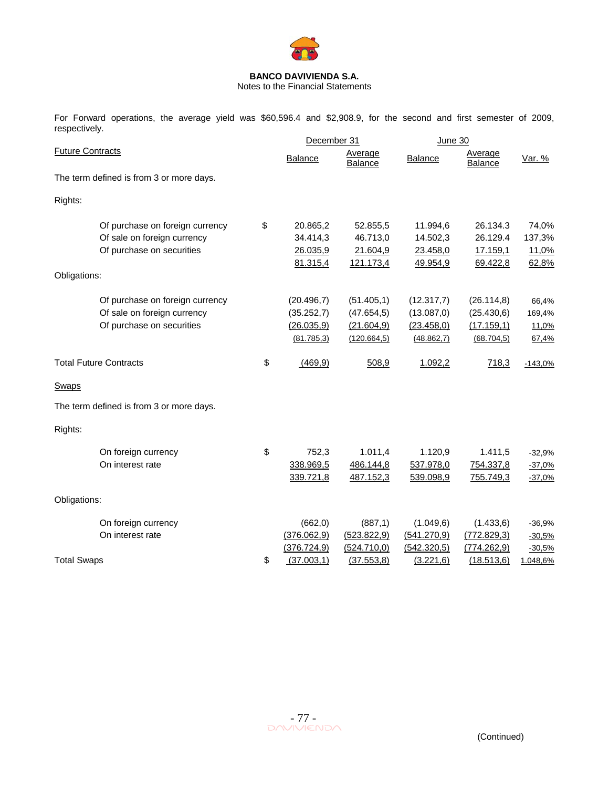

Notes to the Financial Statements

For Forward operations, the average yield was \$60,596.4 and \$2,908.9, for the second and first semester of 2009, respectively.

|                         |                                                                                             | December 31                                          |                                                           | <b>June 30</b>                                        |                                                         |                                   |
|-------------------------|---------------------------------------------------------------------------------------------|------------------------------------------------------|-----------------------------------------------------------|-------------------------------------------------------|---------------------------------------------------------|-----------------------------------|
| <b>Future Contracts</b> |                                                                                             | <b>Balance</b>                                       | Average<br><b>Balance</b>                                 | Balance                                               | Average<br><b>Balance</b>                               | <u>Var. %</u>                     |
|                         | The term defined is from 3 or more days.                                                    |                                                      |                                                           |                                                       |                                                         |                                   |
| Rights:                 |                                                                                             |                                                      |                                                           |                                                       |                                                         |                                   |
| Obligations:            | Of purchase on foreign currency<br>Of sale on foreign currency<br>Of purchase on securities | \$<br>20.865,2<br>34.414,3<br>26.035,9<br>81.315,4   | 52.855,5<br>46.713,0<br>21.604,9<br>121.173,4             | 11.994,6<br>14.502,3<br>23.458,0<br>49.954,9          | 26.134.3<br>26.129.4<br>17.159,1<br>69.422,8            | 74,0%<br>137,3%<br>11,0%<br>62,8% |
|                         | Of purchase on foreign currency<br>Of sale on foreign currency<br>Of purchase on securities | (20.496,7)<br>(35.252,7)<br>(26.035,9)<br>(81.785,3) | (51.405, 1)<br>(47.654, 5)<br>(21.604, 9)<br>(120.664, 5) | (12.317,7)<br>(13.087, 0)<br>(23.458,0)<br>(48.862,7) | (26.114, 8)<br>(25.430, 6)<br>(17.159,1)<br>(68.704, 5) | 66,4%<br>169,4%<br>11,0%<br>67,4% |
|                         | <b>Total Future Contracts</b>                                                               | \$<br>(469, 9)                                       | 508,9                                                     | 1.092,2                                               | 718,3                                                   | $-143,0%$                         |
| Swaps                   |                                                                                             |                                                      |                                                           |                                                       |                                                         |                                   |
|                         | The term defined is from 3 or more days.                                                    |                                                      |                                                           |                                                       |                                                         |                                   |
| Rights:                 |                                                                                             |                                                      |                                                           |                                                       |                                                         |                                   |
|                         | On foreign currency<br>On interest rate                                                     | \$<br>752,3<br>338.969,5<br>339.721,8                | 1.011,4<br>486.144,8<br>487.152,3                         | 1.120,9<br>537.978,0<br>539.098,9                     | 1.411,5<br>754.337,8<br>755.749,3                       | $-32,9%$<br>$-37,0%$<br>$-37,0%$  |
| Obligations:            |                                                                                             |                                                      |                                                           |                                                       |                                                         |                                   |
|                         | On foreign currency<br>On interest rate                                                     | (662, 0)<br>(376.062, 9)<br>(376.724, 9)             | (887,1)<br>(523.822, 9)<br>(524.710,0)                    | (1.049, 6)<br>(541.270,9)<br>(542.320,5)              | (1.433, 6)<br>(772.829,3)<br>(774.262, 9)               | $-36,9%$<br>$-30,5%$<br>$-30,5%$  |
| <b>Total Swaps</b>      |                                                                                             | \$<br>(37.003,1)                                     | (37.553, 8)                                               | (3.221, 6)                                            | (18.513, 6)                                             | 1.048,6%                          |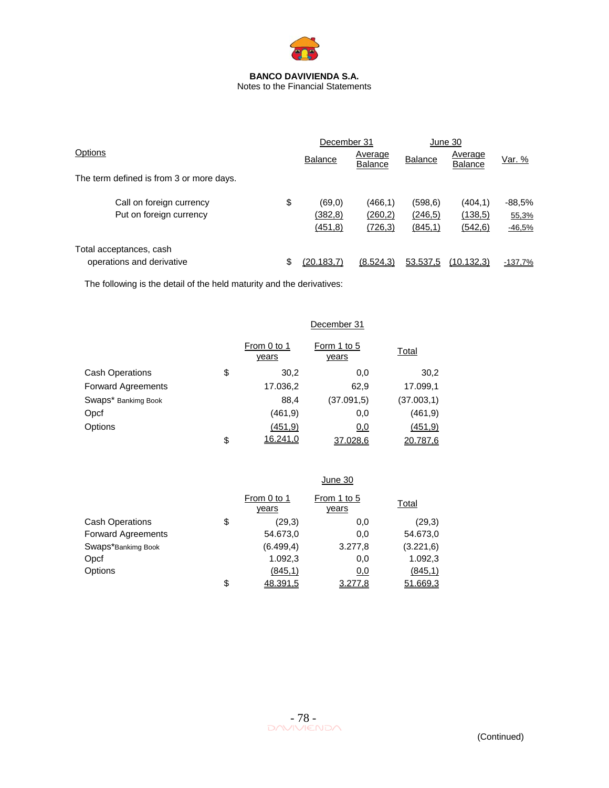

|                                                      |    | December 31                     |                                 | June 30                         |                                 |                               |
|------------------------------------------------------|----|---------------------------------|---------------------------------|---------------------------------|---------------------------------|-------------------------------|
| Options                                              |    | <b>Balance</b>                  | Average<br><b>Balance</b>       | <b>Balance</b>                  | Average<br><b>Balance</b>       | Var. %                        |
| The term defined is from 3 or more days.             |    |                                 |                                 |                                 |                                 |                               |
| Call on foreign currency<br>Put on foreign currency  | \$ | (69, 0)<br>(382, 8)<br>(451, 8) | (466, 1)<br>(260, 2)<br>(726,3) | (598, 6)<br>(246, 5)<br>(845,1) | (404, 1)<br>(138,5)<br>(542, 6) | $-88.5%$<br>55,3%<br>$-46,5%$ |
| Total acceptances, cash<br>operations and derivative |    | (20.183.7)                      | (8.524.3)                       | 53.537.5                        | (10.132.3)                      | $-137,7%$                     |

The following is the detail of the held maturity and the derivatives:

|                           | December 31          |                      |             |  |  |
|---------------------------|----------------------|----------------------|-------------|--|--|
|                           | From 0 to 1<br>years | Form 1 to 5<br>years | Total       |  |  |
| <b>Cash Operations</b>    | \$<br>30,2           | 0,0                  | 30,2        |  |  |
| <b>Forward Agreements</b> | 17.036,2             | 62,9                 | 17.099,1    |  |  |
| Swaps* Bankimg Book       | 88,4                 | (37.091.5)           | (37.003, 1) |  |  |
| Opcf                      | (461, 9)             | 0,0                  | (461, 9)    |  |  |
| Options                   | (451.9)              | 0,0                  | (451, 9)    |  |  |
|                           | \$<br>16.241,0       | 37.028,6             | 20.787,6    |  |  |

|                           |                      | June 30              |            |
|---------------------------|----------------------|----------------------|------------|
|                           | From 0 to 1<br>years | From 1 to 5<br>years | Total      |
| <b>Cash Operations</b>    | \$<br>(29,3)         | 0,0                  | (29,3)     |
| <b>Forward Agreements</b> | 54.673,0             | 0,0                  | 54.673,0   |
| Swaps*Bankimg Book        | (6.499, 4)           | 3.277,8              | (3.221, 6) |
| Opcf                      | 1.092,3              | 0,0                  | 1.092,3    |
| Options                   | (845,1)              | 0,0                  | (845, 1)   |
|                           | \$<br>48.391.5       | 3.277.8              | 51.669.3   |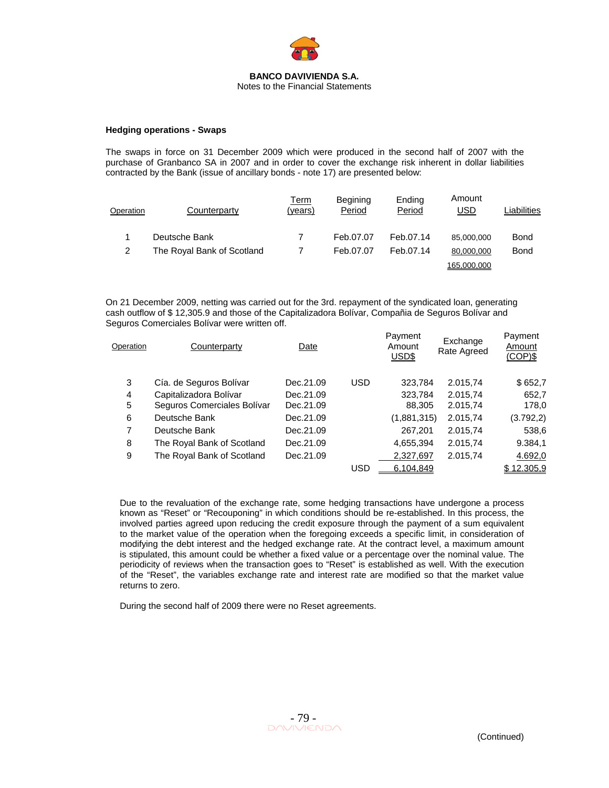

#### **Hedging operations - Swaps**

The swaps in force on 31 December 2009 which were produced in the second half of 2007 with the purchase of Granbanco SA in 2007 and in order to cover the exchange risk inherent in dollar liabilities contracted by the Bank (issue of ancillary bonds - note 17) are presented below:

| Operation | Counterparty               | Term<br>(vears) | Begining<br>Period | Ending<br>Period | Amount<br>USD | Liabilities |
|-----------|----------------------------|-----------------|--------------------|------------------|---------------|-------------|
|           | Deutsche Bank              |                 | Feb.07.07          | Feb.07.14        | 85,000,000    | <b>Bond</b> |
| 2         | The Royal Bank of Scotland |                 | Feb.07.07          | Feb.07.14        | 80,000,000    | <b>Bond</b> |
|           |                            |                 |                    |                  | 165.000.000   |             |

On 21 December 2009, netting was carried out for the 3rd. repayment of the syndicated loan, generating cash outflow of \$ 12,305.9 and those of the Capitalizadora Bolívar, Compañia de Seguros Bolívar and Seguros Comerciales Bolívar were written off.

| Operation      | Counterparty                | Date      |            | Payment<br>Amount<br>USD\$ | Exchange<br>Rate Agreed | Payment<br>Amount<br>$(COP)$ \$ |
|----------------|-----------------------------|-----------|------------|----------------------------|-------------------------|---------------------------------|
| 3              | Cía. de Seguros Bolívar     | Dec.21.09 | <b>USD</b> | 323,784                    | 2.015,74                | \$652,7                         |
| 4              | Capitalizadora Bolívar      | Dec.21.09 |            | 323,784                    | 2.015,74                | 652,7                           |
| 5              | Seguros Comerciales Bolívar | Dec.21.09 |            | 88,305                     | 2.015,74                | 178,0                           |
| 6              | Deutsche Bank               | Dec.21.09 |            | (1,881,315)                | 2.015,74                | (3.792, 2)                      |
| $\overline{7}$ | Deutsche Bank               | Dec.21.09 |            | 267,201                    | 2.015,74                | 538,6                           |
| 8              | The Royal Bank of Scotland  | Dec.21.09 |            | 4,655,394                  | 2.015,74                | 9.384,1                         |
| 9              | The Royal Bank of Scotland  | Dec.21.09 |            | 2,327,697                  | 2.015,74                | 4.692,0                         |
|                |                             |           | <b>USD</b> | 6,104,849                  |                         | \$12.305,9                      |

Payment

Due to the revaluation of the exchange rate, some hedging transactions have undergone a process known as "Reset" or "Recouponing" in which conditions should be re-established. In this process, the involved parties agreed upon reducing the credit exposure through the payment of a sum equivalent to the market value of the operation when the foregoing exceeds a specific limit, in consideration of modifying the debt interest and the hedged exchange rate. At the contract level, a maximum amount is stipulated, this amount could be whether a fixed value or a percentage over the nominal value. The periodicity of reviews when the transaction goes to "Reset" is established as well. With the execution of the "Reset", the variables exchange rate and interest rate are modified so that the market value returns to zero.

During the second half of 2009 there were no Reset agreements.

Payment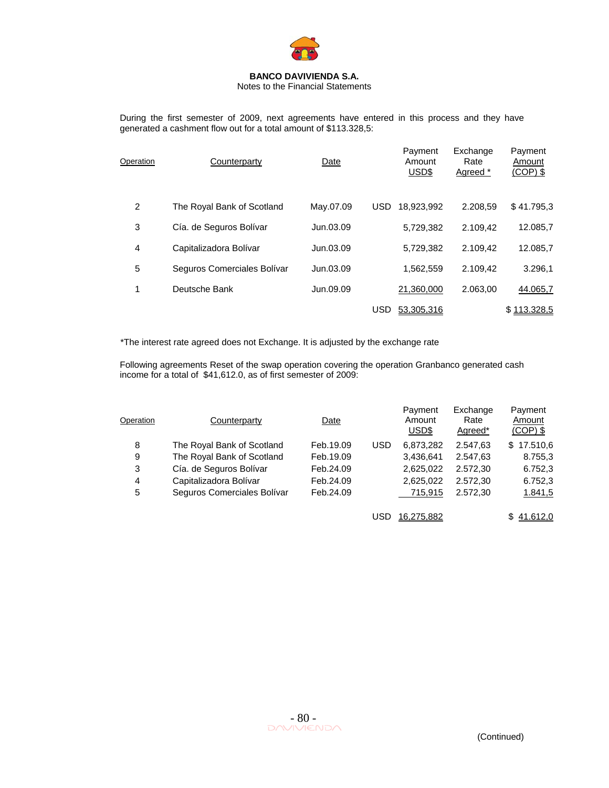

#### Notes to the Financial Statements

During the first semester of 2009, next agreements have entered in this process and they have generated a cashment flow out for a total amount of \$113.328,5:

| Operation | Counterparty                | Date      | Payment<br>Amount<br>USD\$ | Exchange<br>Rate<br>Agreed * | Payment<br>Amount<br>$(COP)$ \$ |
|-----------|-----------------------------|-----------|----------------------------|------------------------------|---------------------------------|
| 2         | The Royal Bank of Scotland  | May.07.09 | <b>USD</b><br>18.923.992   | 2.208.59                     | \$41.795,3                      |
| 3         | Cía. de Seguros Bolívar     | Jun.03.09 | 5,729,382                  | 2.109.42                     | 12.085,7                        |
| 4         | Capitalizadora Bolívar      | Jun.03.09 | 5,729,382                  | 2.109.42                     | 12.085,7                        |
| 5         | Seguros Comerciales Bolívar | Jun.03.09 | 1,562,559                  | 2.109.42                     | 3.296,1                         |
| 1         | Deutsche Bank               | Jun.09.09 | 21,360,000                 | 2.063,00                     | 44.065,7                        |
|           |                             |           | <b>USD</b><br>53,305,316   |                              | \$113,328.5                     |

\*The interest rate agreed does not Exchange. It is adjusted by the exchange rate

Following agreements Reset of the swap operation covering the operation Granbanco generated cash income for a total of \$41,612.0, as of first semester of 2009:

| Operation | Counterparty                | Date      |            | Payment<br>Amount<br>USD\$ | Exchange<br>Rate<br>Agreed* | Payment<br>Amount<br>$(COP)$ \$ |
|-----------|-----------------------------|-----------|------------|----------------------------|-----------------------------|---------------------------------|
| 8         | The Royal Bank of Scotland  | Feb.19.09 | <b>USD</b> | 6,873,282                  | 2.547,63                    | 17.510,6<br>\$.                 |
| 9         | The Royal Bank of Scotland  | Feb.19.09 |            | 3,436,641                  | 2.547,63                    | 8.755,3                         |
| 3         | Cía. de Seguros Bolívar     | Feb.24.09 |            | 2,625,022                  | 2.572,30                    | 6.752,3                         |
| 4         | Capitalizadora Bolívar      | Feb.24.09 |            | 2,625,022                  | 2.572,30                    | 6.752,3                         |
| 5         | Seguros Comerciales Bolívar | Feb.24.09 |            | 715,915                    | 2.572,30                    | 1.841,5                         |
|           |                             |           | USD        | 16.275.882                 |                             | 41.612,0                        |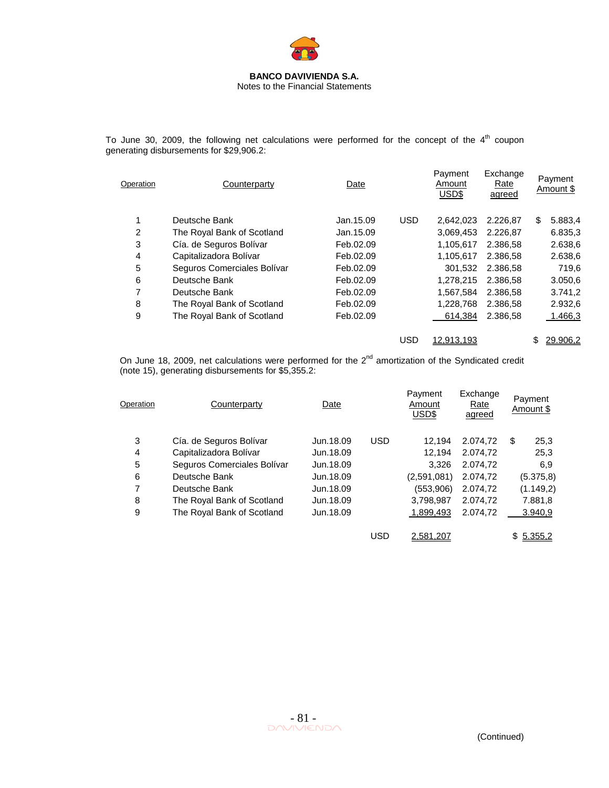

To June 30, 2009, the following net calculations were performed for the concept of the  $4<sup>th</sup>$  coupon generating disbursements for \$29,906.2:

| Operation | Counterparty                | Date       |            | Payment<br>Amount<br>USD\$ | Exchange<br>Rate<br>agreed | Payment<br>Amount \$ |
|-----------|-----------------------------|------------|------------|----------------------------|----------------------------|----------------------|
| 1         | Deutsche Bank               | Jan. 15.09 | <b>USD</b> | 2.642.023                  | 2.226.87                   | \$<br>5.883,4        |
| 2         | The Royal Bank of Scotland  | Jan.15.09  |            | 3.069.453                  | 2.226.87                   | 6.835,3              |
| 3         | Cía. de Seguros Bolívar     | Feb.02.09  |            | 1,105,617                  | 2.386.58                   | 2.638,6              |
| 4         | Capitalizadora Bolívar      | Feb.02.09  |            | 1,105,617                  | 2.386.58                   | 2.638,6              |
| 5         | Seguros Comerciales Bolívar | Feb.02.09  |            | 301.532                    | 2.386.58                   | 719,6                |
| 6         | Deutsche Bank               | Feb.02.09  |            | 1,278,215                  | 2.386.58                   | 3.050,6              |
| 7         | Deutsche Bank               | Feb.02.09  |            | 1.567.584                  | 2.386.58                   | 3.741,2              |
| 8         | The Royal Bank of Scotland  | Feb.02.09  |            | 1,228,768                  | 2.386.58                   | 2.932,6              |
| 9         | The Royal Bank of Scotland  | Feb.02.09  |            | 614,384                    | 2.386,58                   | 1.466,3              |
|           |                             |            | <b>USD</b> | 12.913.193                 |                            | \$<br>29.906.2       |

On June 18, 2009, net calculations were performed for the  $2<sup>nd</sup>$  amortization of the Syndicated credit (note 15), generating disbursements for \$5,355.2:

| Operation | Counterparty                | Date      |            | Payment<br>Amount<br>USD\$ | Exchange<br>Rate<br>agreed | Payment<br>Amount \$ |
|-----------|-----------------------------|-----------|------------|----------------------------|----------------------------|----------------------|
| 3         | Cía. de Seguros Bolívar     | Jun.18.09 | <b>USD</b> | 12.194                     | 2.074.72                   | \$<br>25,3           |
| 4         | Capitalizadora Bolívar      | Jun.18.09 |            | 12.194                     | 2.074.72                   | 25,3                 |
| 5         | Seguros Comerciales Bolívar | Jun.18.09 |            | 3.326                      | 2.074.72                   | 6.9                  |
| 6         | Deutsche Bank               | Jun.18.09 |            | (2,591,081)                | 2.074.72                   | (5.375, 8)           |
| 7         | Deutsche Bank               | Jun.18.09 |            | (553.906)                  | 2.074.72                   | (1.149,2)            |
| 8         | The Royal Bank of Scotland  | Jun.18.09 |            | 3,798,987                  | 2.074.72                   | 7.881,8              |
| 9         | The Royal Bank of Scotland  | Jun.18.09 |            | 1,899,493                  | 2.074.72                   | 3.940,9              |
|           |                             |           | USD        | 2.581.207                  |                            | \$5.355,2            |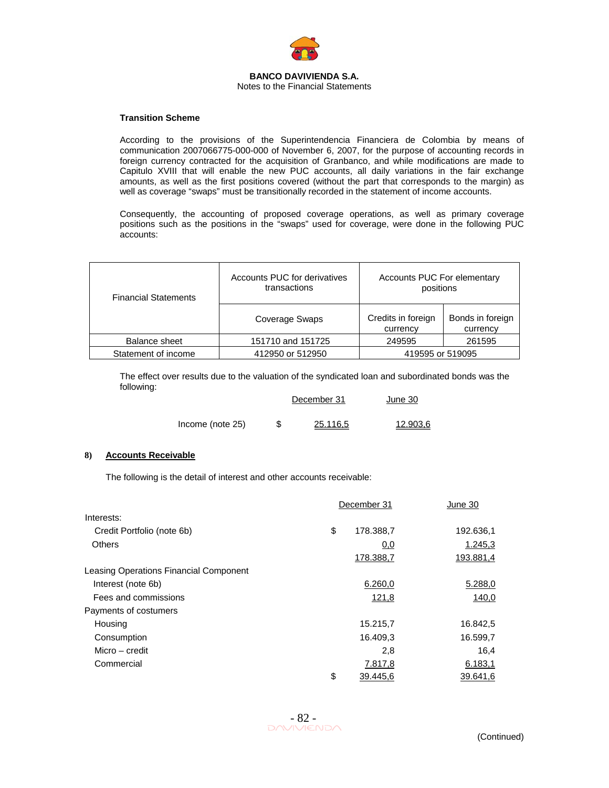

#### **Transition Scheme**

According to the provisions of the Superintendencia Financiera de Colombia by means of communication 2007066775-000-000 of November 6, 2007, for the purpose of accounting records in foreign currency contracted for the acquisition of Granbanco, and while modifications are made to Capitulo XVIII that will enable the new PUC accounts, all daily variations in the fair exchange amounts, as well as the first positions covered (without the part that corresponds to the margin) as well as coverage "swaps" must be transitionally recorded in the statement of income accounts.

Consequently, the accounting of proposed coverage operations, as well as primary coverage positions such as the positions in the "swaps" used for coverage, were done in the following PUC accounts:

| <b>Financial Statements</b> | Accounts PUC for derivatives<br>transactions | Accounts PUC For elementary<br>positions |                              |  |  |
|-----------------------------|----------------------------------------------|------------------------------------------|------------------------------|--|--|
|                             | Coverage Swaps                               | Credits in foreign<br>currency           | Bonds in foreign<br>currency |  |  |
| Balance sheet               | 151710 and 151725                            | 249595                                   | 261595                       |  |  |
| Statement of income         | 412950 or 512950                             | 419595 or 519095                         |                              |  |  |

The effect over results due to the valuation of the syndicated loan and subordinated bonds was the following:

|                  |  | December 31 | June 30  |
|------------------|--|-------------|----------|
| Income (note 25) |  | 25.116.5    | 12.903.6 |

### **8) Accounts Receivable**

The following is the detail of interest and other accounts receivable:

|                                        | December 31 |           | June 30   |
|----------------------------------------|-------------|-----------|-----------|
| Interests:                             |             |           |           |
| Credit Portfolio (note 6b)             | \$          | 178.388,7 | 192.636,1 |
| <b>Others</b>                          |             | 0,0       | 1.245,3   |
|                                        |             | 178.388,7 | 193.881,4 |
| Leasing Operations Financial Component |             |           |           |
| Interest (note 6b)                     |             | 6.260,0   | 5.288,0   |
| Fees and commissions                   |             | 121,8     | 140,0     |
| Payments of costumers                  |             |           |           |
| Housing                                |             | 15.215,7  | 16.842,5  |
| Consumption                            |             | 16.409,3  | 16.599,7  |
| Micro – credit                         |             | 2,8       | 16,4      |
| Commercial                             |             | 7.817,8   | 6.183,1   |
|                                        | \$          | 39.445,6  | 39.641,6  |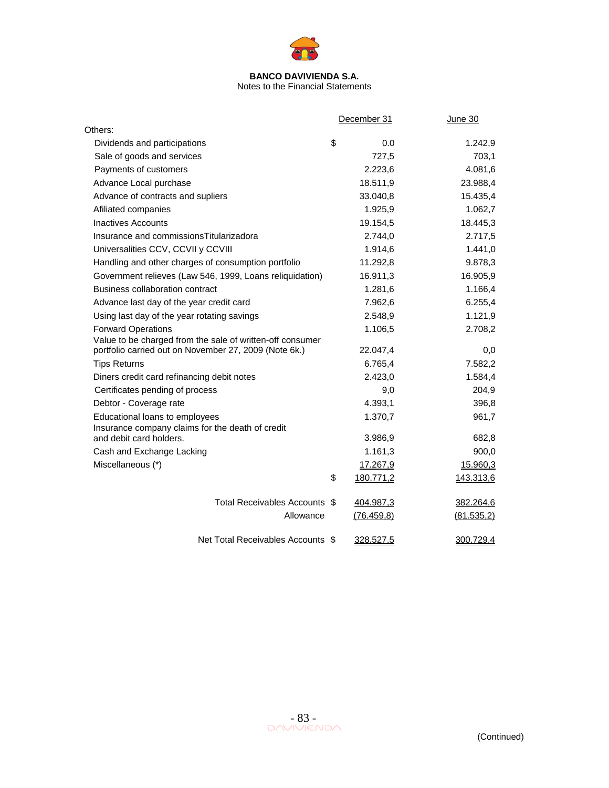

Notes to the Financial Statements

|                                                                             | December 31     | <b>June 30</b> |
|-----------------------------------------------------------------------------|-----------------|----------------|
| Others:                                                                     |                 |                |
| Dividends and participations                                                | \$<br>0.0       | 1.242,9        |
| Sale of goods and services                                                  | 727,5           | 703,1          |
| Payments of customers                                                       | 2.223,6         | 4.081,6        |
| Advance Local purchase                                                      | 18.511,9        | 23.988,4       |
| Advance of contracts and supliers                                           | 33.040,8        | 15.435,4       |
| Afiliated companies                                                         | 1.925,9         | 1.062,7        |
| <b>Inactives Accounts</b>                                                   | 19.154,5        | 18.445,3       |
| Insurance and commissions Titularizadora                                    | 2.744,0         | 2.717,5        |
| Universalities CCV, CCVII y CCVIII                                          | 1.914,6         | 1.441,0        |
| Handling and other charges of consumption portfolio                         | 11.292,8        | 9.878,3        |
| Government relieves (Law 546, 1999, Loans reliquidation)                    | 16.911,3        | 16.905,9       |
| Business collaboration contract                                             | 1.281,6         | 1.166,4        |
| Advance last day of the year credit card                                    | 7.962,6         | 6.255,4        |
| Using last day of the year rotating savings                                 | 2.548,9         | 1.121,9        |
| <b>Forward Operations</b>                                                   | 1.106,5         | 2.708,2        |
| Value to be charged from the sale of written-off consumer                   |                 |                |
| portfolio carried out on November 27, 2009 (Note 6k.)                       | 22.047,4        | 0,0            |
| <b>Tips Returns</b>                                                         | 6.765,4         | 7.582,2        |
| Diners credit card refinancing debit notes                                  | 2.423,0         | 1.584,4        |
| Certificates pending of process                                             | 9,0             | 204,9          |
| Debtor - Coverage rate                                                      | 4.393,1         | 396,8          |
| Educational loans to employees                                              | 1.370,7         | 961,7          |
| Insurance company claims for the death of credit<br>and debit card holders. | 3.986,9         | 682,8          |
| Cash and Exchange Lacking                                                   | 1.161,3         | 900,0          |
| Miscellaneous (*)                                                           | 17.267,9        | 15.960,3       |
|                                                                             | \$<br>180.771,2 | 143.313,6      |
|                                                                             |                 |                |
| Total Receivables Accounts \$                                               | 404.987,3       | 382.264,6      |
| Allowance                                                                   | (76.459, 8)     | (81.535,2)     |
|                                                                             |                 |                |
| Net Total Receivables Accounts \$                                           | 328.527,5       | 300.729,4      |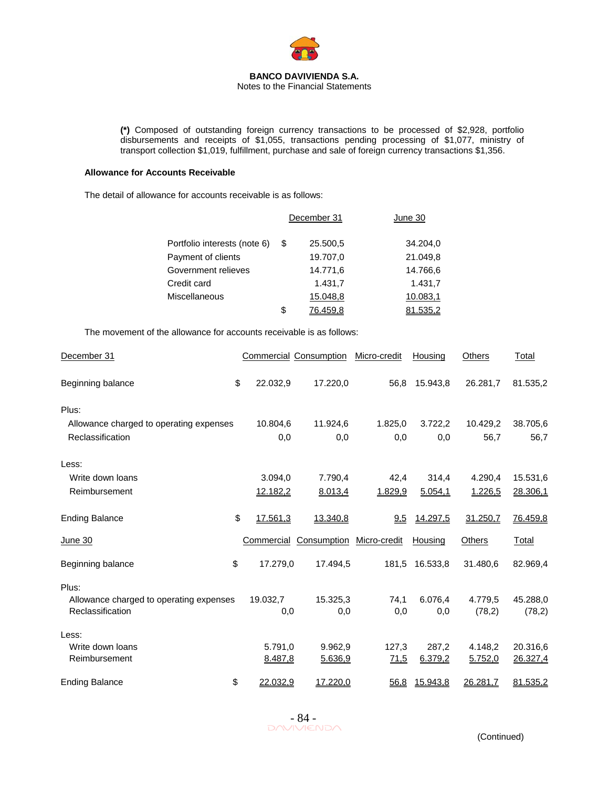

**(\*)** Composed of outstanding foreign currency transactions to be processed of \$2,928, portfolio disbursements and receipts of \$1,055, transactions pending processing of \$1,077, ministry of transport collection \$1,019, fulfillment, purchase and sale of foreign currency transactions \$1,356.

#### **Allowance for Accounts Receivable**

The detail of allowance for accounts receivable is as follows:

|                              | December 31 |          | June 30  |
|------------------------------|-------------|----------|----------|
| Portfolio interests (note 6) | S           | 25.500,5 | 34.204,0 |
| Payment of clients           |             | 19.707,0 | 21.049,8 |
| Government relieves          |             | 14.771,6 | 14.766,6 |
| Credit card                  |             | 1.431,7  | 1.431,7  |
| Miscellaneous                |             | 15.048,8 | 10.083,1 |
|                              | \$          | 76.459.8 | 1.535,2  |

The movement of the allowance for accounts receivable is as follows:

| December 31                             |                | <b>Commercial Consumption</b> | Micro-credit | Housing       | <b>Others</b> | <b>Total</b> |
|-----------------------------------------|----------------|-------------------------------|--------------|---------------|---------------|--------------|
| Beginning balance                       | \$<br>22.032.9 | 17.220,0                      | 56,8         | 15.943.8      | 26.281,7      | 81.535,2     |
| Plus:                                   |                |                               |              |               |               |              |
| Allowance charged to operating expenses | 10.804,6       | 11.924,6                      | 1.825,0      | 3.722,2       | 10.429,2      | 38.705,6     |
| Reclassification                        | 0,0            | 0,0                           | 0,0          | 0,0           | 56,7          | 56,7         |
| Less:                                   |                |                               |              |               |               |              |
| Write down loans                        | 3.094,0        | 7.790,4                       | 42,4         | 314,4         | 4.290,4       | 15.531,6     |
| Reimbursement                           | 12.182,2       | 8.013,4                       | 1.829,9      | 5.054,1       | 1.226,5       | 28.306,1     |
| <b>Ending Balance</b>                   | \$<br>17.561,3 | 13.340,8                      | 9,5          | 14.297,5      | 31.250,7      | 76.459,8     |
| <u>June 30</u>                          | Commercial     | Consumption                   | Micro-credit | Housing       | Others        | Total        |
| Beginning balance                       | \$<br>17.279,0 | 17.494,5                      | 181,5        | 16.533,8      | 31.480,6      | 82.969,4     |
| Plus:                                   |                |                               |              |               |               |              |
| Allowance charged to operating expenses | 19.032,7       | 15.325,3                      | 74,1         | 6.076.4       | 4.779.5       | 45.288,0     |
| Reclassification                        | 0,0            | 0,0                           | 0,0          | 0,0           | (78,2)        | (78,2)       |
| Less:                                   |                |                               |              |               |               |              |
| Write down loans                        | 5.791,0        | 9.962,9                       | 127,3        | 287,2         | 4.148,2       | 20.316,6     |
| Reimbursement                           | 8.487,8        | 5.636,9                       | 71,5         | 6.379,2       | 5.752,0       | 26.327,4     |
| <b>Ending Balance</b>                   | \$<br>22.032,9 | 17.220,0                      |              | 56,8 15.943,8 | 26.281,7      | 81.535,2     |

 $-84$ <br>DAVIVIENDA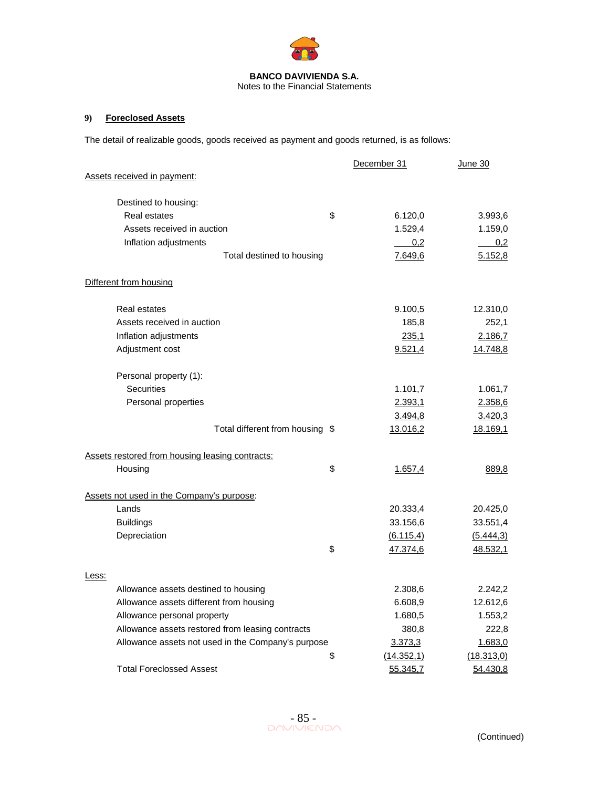

# **9) Foreclosed Assets**

The detail of realizable goods, goods received as payment and goods returned, is as follows:

|                                                    | December 31      | June 30         |
|----------------------------------------------------|------------------|-----------------|
| Assets received in payment:                        |                  |                 |
| Destined to housing:                               |                  |                 |
| <b>Real estates</b>                                | \$<br>6.120,0    | 3.993,6         |
| Assets received in auction                         | 1.529,4          | 1.159,0         |
| Inflation adjustments                              | 0,2              | 0,2             |
| Total destined to housing                          | 7.649,6          | 5.152,8         |
| Different from housing                             |                  |                 |
| <b>Real estates</b>                                | 9.100,5          | 12.310,0        |
| Assets received in auction                         | 185,8            | 252,1           |
| Inflation adjustments                              | <u>235,1</u>     | 2.186,7         |
| Adjustment cost                                    | <u>9.521,4</u>   | <u>14.748,8</u> |
| Personal property (1):                             |                  |                 |
| <b>Securities</b>                                  | 1.101,7          | 1.061,7         |
| Personal properties                                | 2.393,1          | 2.358,6         |
|                                                    | 3.494,8          | 3.420,3         |
| Total different from housing \$                    | 13.016,2         | 18.169,1        |
| Assets restored from housing leasing contracts:    |                  |                 |
| Housing                                            | \$<br>1.657,4    | 889,8           |
| Assets not used in the Company's purpose:          |                  |                 |
| Lands                                              | 20.333,4         | 20.425,0        |
| <b>Buildings</b>                                   | 33.156,6         | 33.551,4        |
| Depreciation                                       | (6.115,4)        | (5.444,3)       |
|                                                    | \$<br>47.374,6   | 48.532,1        |
| Less:                                              |                  |                 |
| Allowance assets destined to housing               | 2.308,6          | 2.242,2         |
| Allowance assets different from housing            | 6.608,9          | 12.612,6        |
| Allowance personal property                        | 1.680,5          | 1.553,2         |
| Allowance assets restored from leasing contracts   | 380,8            | 222,8           |
| Allowance assets not used in the Company's purpose | 3.373,3          | 1.683,0         |
|                                                    | \$<br>(14.352,1) | (18.313,0)      |
| <b>Total Foreclossed Assest</b>                    | 55.345,7         | 54.430,8        |

 $-85 -$ <br>DAVIVIENDA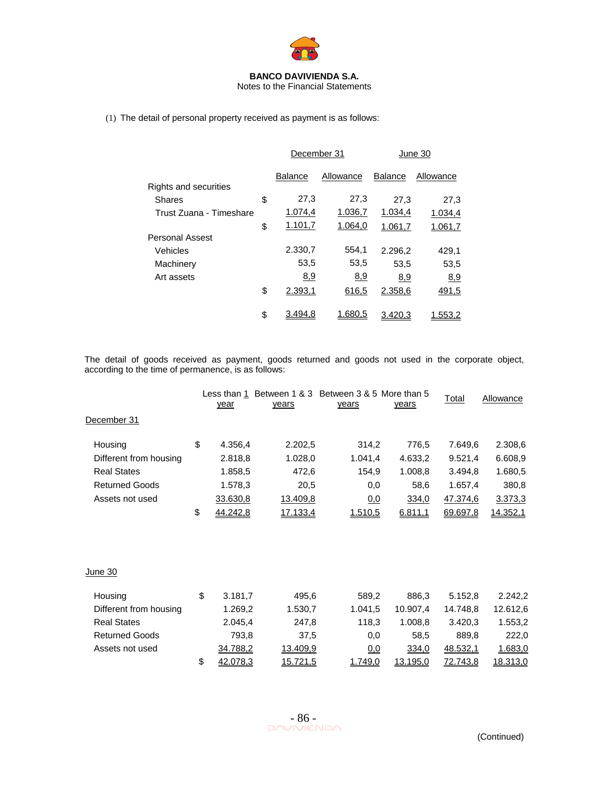

Notes to the Financial Statements

(1) The detail of personal property received as payment is as follows:

|                         | December 31    |           | June 30        |           |  |
|-------------------------|----------------|-----------|----------------|-----------|--|
|                         | <b>Balance</b> | Allowance | <b>Balance</b> | Allowance |  |
| Rights and securities   |                |           |                |           |  |
| <b>Shares</b>           | \$<br>27,3     | 27,3      | 27,3           | 27,3      |  |
| Trust Zuana - Timeshare | 1.074,4        | 1.036,7   | 1.034,4        | 1.034,4   |  |
|                         | \$<br>1.101,7  | 1.064,0   | 1.061,7        | 1.061,7   |  |
| <b>Personal Assest</b>  |                |           |                |           |  |
| Vehicles                | 2.330,7        | 554.1     | 2.296.2        | 429,1     |  |
| Machinery               | 53,5           | 53,5      | 53,5           | 53,5      |  |
| Art assets              | 8,9            | 8,9       | 8,9            | 8,9       |  |
|                         | \$<br>2.393,1  | 616,5     | 2.358,6        | 491,5     |  |
|                         | \$<br>3.494.8  | 1.680.5   | 3.420.3        | 1.553.2   |  |

The detail of goods received as payment, goods returned and goods not used in the corporate object, according to the time of permanence, is as follows:

|                        | year                  | years    | Less than 1 Between 1 & 3 Between 3 & 5 More than 5<br>years | years    | Total    | Allowance |
|------------------------|-----------------------|----------|--------------------------------------------------------------|----------|----------|-----------|
| December 31            |                       |          |                                                              |          |          |           |
| Housing                | \$<br>4.356,4         | 2.202,5  | 314,2                                                        | 776,5    | 7.649,6  | 2.308,6   |
| Different from housing | 2.818,8               | 1.028,0  | 1.041,4                                                      | 4.633,2  | 9.521,4  | 6.608,9   |
| <b>Real States</b>     | 1.858,5               | 472,6    | 154,9                                                        | 1.008,8  | 3.494,8  | 1.680,5   |
| <b>Returned Goods</b>  | 1.578,3               | 20,5     | 0,0                                                          | 58,6     | 1.657,4  | 380,8     |
| Assets not used        | 33.630,8              | 13.409,8 | 0,0                                                          | 334,0    | 47.374,6 | 3.373,3   |
|                        | \$<br><u>44.242,8</u> | 17.133,4 | 1.510,5                                                      | 6.811,1  | 69.697,8 | 14.352,1  |
| <u>June 30</u>         |                       |          |                                                              |          |          |           |
|                        |                       |          |                                                              |          |          |           |
| Housing                | \$<br>3.181,7         | 495,6    | 589,2                                                        | 886,3    | 5.152,8  | 2.242,2   |
| Different from housing | 1.269,2               | 1.530,7  | 1.041,5                                                      | 10.907,4 | 14.748,8 | 12.612,6  |
| <b>Real States</b>     | 2.045,4               | 247,8    | 118,3                                                        | 1.008,8  | 3.420,3  | 1.553,2   |
| <b>Returned Goods</b>  | 793,8                 | 37,5     | 0,0                                                          | 58,5     | 889,8    | 222,0     |
| Assets not used        | 34.788,2              | 13.409,9 | 0,0                                                          | 334,0    | 48.532,1 | 1.683,0   |
|                        | \$<br>42.078,3        | 15.721,5 | 1.749,0                                                      | 13.195,0 | 72.743,8 | 18.313,0  |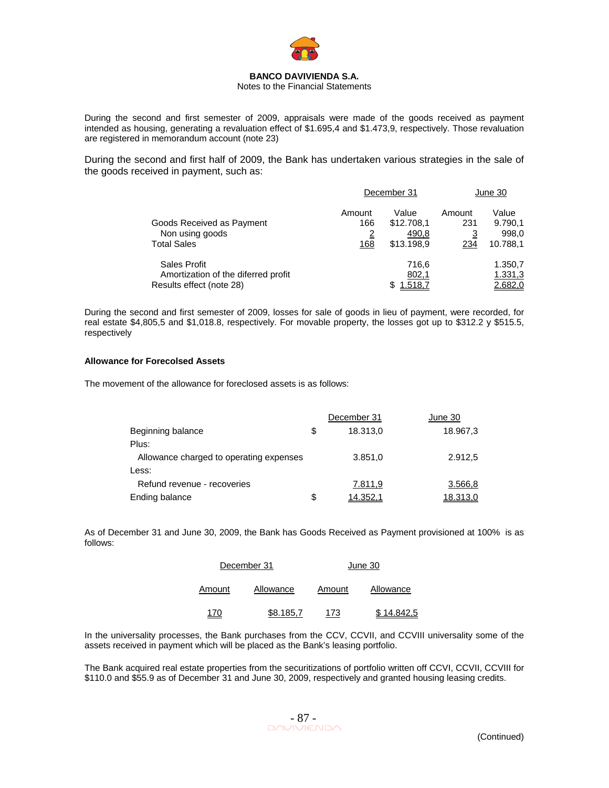

#### Notes to the Financial Statements

During the second and first semester of 2009, appraisals were made of the goods received as payment intended as housing, generating a revaluation effect of \$1.695,4 and \$1.473,9, respectively. Those revaluation are registered in memorandum account (note 23)

During the second and first half of 2009, the Bank has undertaken various strategies in the sale of the goods received in payment, such as:

|                                                                                 | December 31                            |                                            | June 30                                |                                       |
|---------------------------------------------------------------------------------|----------------------------------------|--------------------------------------------|----------------------------------------|---------------------------------------|
| Goods Received as Payment<br>Non using goods<br><b>Total Sales</b>              | Amount<br>166<br>$\overline{2}$<br>168 | Value<br>\$12.708,1<br>490,8<br>\$13.198.9 | Amount<br>231<br>$\overline{3}$<br>234 | Value<br>9.790.1<br>998,0<br>10.788.1 |
| Sales Profit<br>Amortization of the diferred profit<br>Results effect (note 28) |                                        | 716.6<br>802,1<br>1.518,7<br>\$            |                                        | 1.350,7<br>1.331,3<br>2.682,0         |

During the second and first semester of 2009, losses for sale of goods in lieu of payment, were recorded, for real estate \$4,805,5 and \$1,018.8, respectively. For movable property, the losses got up to \$312.2 y \$515.5, respectively

### **Allowance for Forecolsed Assets**

The movement of the allowance for foreclosed assets is as follows:

|                                         |   | December 31 | June 30  |
|-----------------------------------------|---|-------------|----------|
| Beginning balance                       | S | 18.313.0    | 18.967,3 |
| Plus:                                   |   |             |          |
| Allowance charged to operating expenses |   | 3.851,0     | 2.912.5  |
| Less:                                   |   |             |          |
| Refund revenue - recoveries             |   | 7.811,9     | 3.566,8  |
| Ending balance                          | S | 14.352,1    | 18.313,0 |

As of December 31 and June 30, 2009, the Bank has Goods Received as Payment provisioned at 100% is as follows:

|        | December 31 |        | June 30    |
|--------|-------------|--------|------------|
| Amount | Allowance   | Amount | Allowance  |
| 170    | \$8.185,7   | 173    | \$14.842.5 |

In the universality processes, the Bank purchases from the CCV, CCVII, and CCVIII universality some of the assets received in payment which will be placed as the Bank's leasing portfolio.

The Bank acquired real estate properties from the securitizations of portfolio written off CCVI, CCVII, CCVIII for \$110.0 and \$55.9 as of December 31 and June 30, 2009, respectively and granted housing leasing credits.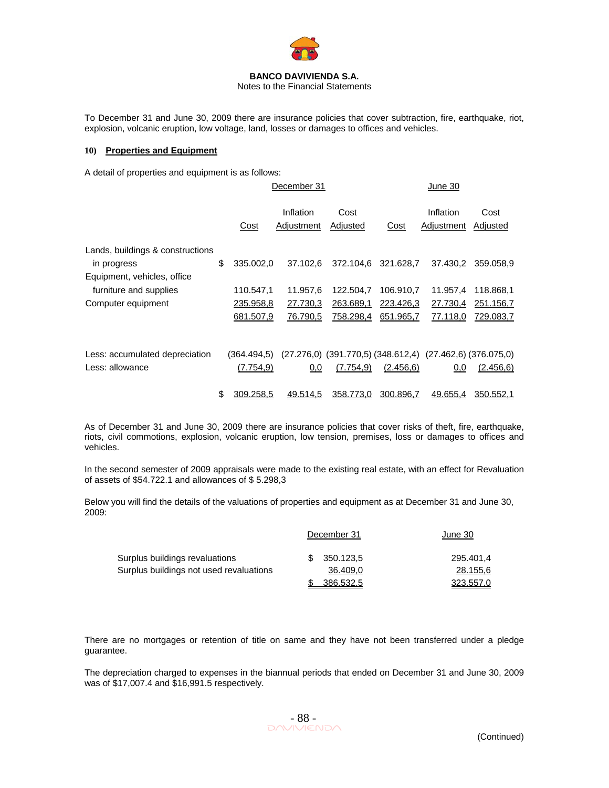

Notes to the Financial Statements

To December 31 and June 30, 2009 there are insurance policies that cover subtraction, fire, earthquake, riot, explosion, volcanic eruption, low voltage, land, losses or damages to offices and vehicles.

### **10) Properties and Equipment**

A detail of properties and equipment is as follows:

|                                  |                 | December 31             |                                                                     | June 30             |                         |                  |  |
|----------------------------------|-----------------|-------------------------|---------------------------------------------------------------------|---------------------|-------------------------|------------------|--|
|                                  | Cost            | Inflation<br>Adjustment | Cost<br>Adjusted                                                    | Cost                | Inflation<br>Adjustment | Cost<br>Adjusted |  |
| Lands, buildings & constructions |                 |                         |                                                                     |                     |                         |                  |  |
| in progress                      | \$<br>335.002,0 | 37.102.6                |                                                                     | 372.104.6 321.628.7 | 37.430,2                | 359.058,9        |  |
| Equipment, vehicles, office      |                 |                         |                                                                     |                     |                         |                  |  |
| furniture and supplies           | 110.547,1       | 11.957,6                | 122.504,7                                                           | 106.910,7           | 11.957,4                | 118.868,1        |  |
| Computer equipment               | 235.958,8       | 27.730,3                | 263.689,1                                                           | 223.426,3           | 27.730,4                | 251.156,7        |  |
|                                  | 681.507,9       | 76.790,5                | 758.298,4                                                           | 651.965,7           | 77.118,0                | 729.083,7        |  |
|                                  |                 |                         |                                                                     |                     |                         |                  |  |
| Less: accumulated depreciation   | (364.494,5)     |                         | $(27.276,0)$ $(391.770,5)$ $(348.612,4)$ $(27.462,6)$ $(376.075,0)$ |                     |                         |                  |  |
| Less: allowance                  | (7.754, 9)      | 0,0                     | (7.754, 9)                                                          | (2.456, 6)          | 0,0                     | (2.456, 6)       |  |
|                                  | \$<br>309.258.5 | <u>49.514.5</u>         | 358.773.0                                                           | 300.896.7           | 49.655.4                | 350.552.1        |  |

As of December 31 and June 30, 2009 there are insurance policies that cover risks of theft, fire, earthquake, riots, civil commotions, explosion, volcanic eruption, low tension, premises, loss or damages to offices and vehicles.

In the second semester of 2009 appraisals were made to the existing real estate, with an effect for Revaluation of assets of \$54.722.1 and allowances of \$ 5.298,3

Below you will find the details of the valuations of properties and equipment as at December 31 and June 30, 2009:

|                                         |  | December 31 | June 30   |  |
|-----------------------------------------|--|-------------|-----------|--|
| Surplus buildings revaluations          |  | 350.123.5   | 295.401.4 |  |
| Surplus buildings not used revaluations |  | 36.409,0    | 28.155,6  |  |
|                                         |  | 386.532.5   | 323.557,0 |  |

There are no mortgages or retention of title on same and they have not been transferred under a pledge guarantee.

The depreciation charged to expenses in the biannual periods that ended on December 31 and June 30, 2009 was of \$17,007.4 and \$16,991.5 respectively.

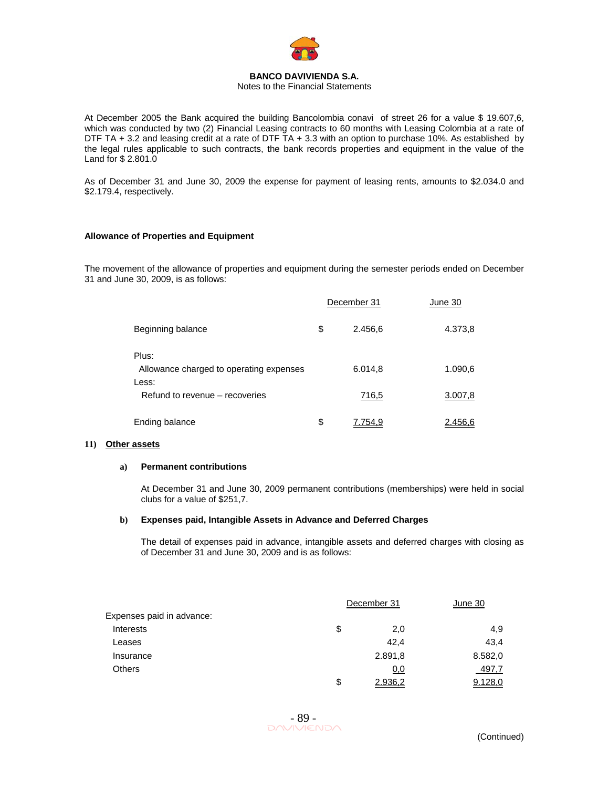

Notes to the Financial Statements

At December 2005 the Bank acquired the building Bancolombia conavi of street 26 for a value \$ 19.607,6, which was conducted by two (2) Financial Leasing contracts to 60 months with Leasing Colombia at a rate of DTF TA + 3.2 and leasing credit at a rate of DTF TA + 3.3 with an option to purchase 10%. As established by the legal rules applicable to such contracts, the bank records properties and equipment in the value of the Land for \$ 2.801.0

As of December 31 and June 30, 2009 the expense for payment of leasing rents, amounts to \$2.034.0 and \$2.179.4, respectively.

#### **Allowance of Properties and Equipment**

The movement of the allowance of properties and equipment during the semester periods ended on December 31 and June 30, 2009, is as follows:

|                                                           | December 31   | June 30 |
|-----------------------------------------------------------|---------------|---------|
| Beginning balance                                         | \$<br>2.456,6 | 4.373,8 |
| Plus:<br>Allowance charged to operating expenses<br>Less: | 6.014,8       | 1.090,6 |
| Refund to revenue – recoveries                            | 716,5         | 3.007,8 |
| Ending balance                                            | \$<br>754.9   | 2.456.6 |

#### **11) Other assets**

#### **a) Permanent contributions**

At December 31 and June 30, 2009 permanent contributions (memberships) were held in social clubs for a value of \$251,7.

#### **b) Expenses paid, Intangible Assets in Advance and Deferred Charges**

The detail of expenses paid in advance, intangible assets and deferred charges with closing as of December 31 and June 30, 2009 and is as follows:

|                           | December 31   | June 30 |
|---------------------------|---------------|---------|
| Expenses paid in advance: |               |         |
| Interests                 | \$<br>2,0     | 4,9     |
| Leases                    | 42.4          | 43.4    |
| Insurance                 | 2.891,8       | 8.582,0 |
| <b>Others</b>             | <u>0,0</u>    | 497,7   |
|                           | \$<br>2.936,2 | 9.128,0 |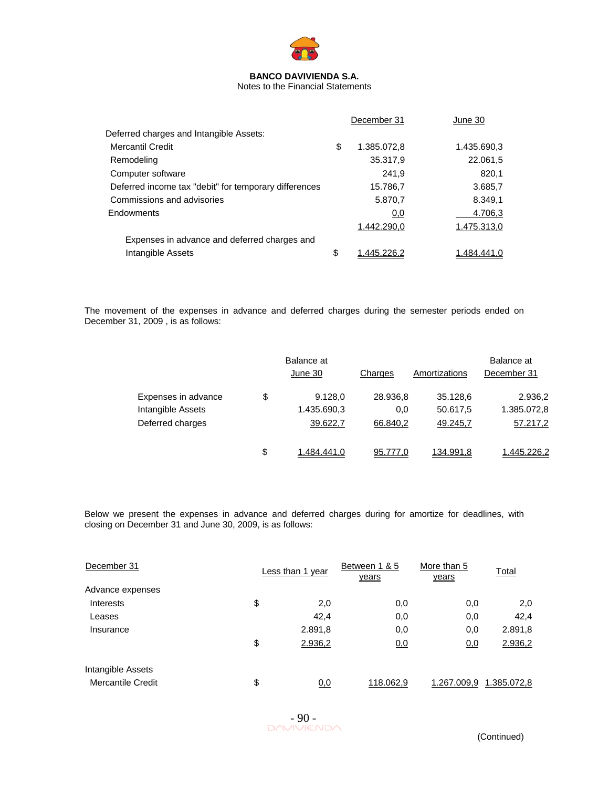

Notes to the Financial Statements

|                                                       | December 31       | June 30     |
|-------------------------------------------------------|-------------------|-------------|
| Deferred charges and Intangible Assets:               |                   |             |
| Mercantil Credit                                      | \$<br>1.385.072,8 | 1.435.690.3 |
| Remodeling                                            | 35.317,9          | 22.061,5    |
| Computer software                                     | 241.9             | 820,1       |
| Deferred income tax "debit" for temporary differences | 15.786,7          | 3.685,7     |
| Commissions and advisories                            | 5.870,7           | 8.349,1     |
| Endowments                                            | 0,0               | 4.706,3     |
|                                                       | 1.442.290.0       | 1.475.313,0 |
| Expenses in advance and deferred charges and          |                   |             |
| Intangible Assets                                     | \$<br>445 226 2   | 1.484,441   |

The movement of the expenses in advance and deferred charges during the semester periods ended on December 31, 2009 , is as follows:

|                     | Balance at<br>June 30 | Charges  | Amortizations | Balance at<br>December 31 |
|---------------------|-----------------------|----------|---------------|---------------------------|
| Expenses in advance | \$<br>9.128,0         | 28.936,8 | 35.128,6      | 2.936,2                   |
| Intangible Assets   | 1.435.690,3           | 0.0      | 50.617,5      | 1.385.072,8               |
| Deferred charges    | 39.622,7              | 66.840,2 | 49.245,7      | 57.217,2                  |
|                     | \$<br>1.484.441.0     | 95.777.0 | 134.991.8     | 1.445.226.2               |

Below we present the expenses in advance and deferred charges during for amortize for deadlines, with closing on December 31 and June 30, 2009, is as follows:

| December 31       | Less than 1 year | Between 1 & 5<br>years | More than 5<br><u>years</u> | <b>Total</b>            |
|-------------------|------------------|------------------------|-----------------------------|-------------------------|
| Advance expenses  |                  |                        |                             |                         |
| <b>Interests</b>  | \$<br>2,0        | 0,0                    | 0,0                         | 2,0                     |
| Leases            | 42.4             | 0,0                    | 0,0                         | 42,4                    |
| Insurance         | 2.891,8          | 0,0                    | 0,0                         | 2.891,8                 |
|                   | \$<br>2.936,2    | <u>0.0</u>             | 0,0                         | 2.936,2                 |
| Intangible Assets |                  |                        |                             |                         |
| Mercantile Credit | \$<br>0,0        | 118.062,9              |                             | 1.267.009,9 1.385.072,8 |

 $-90 -$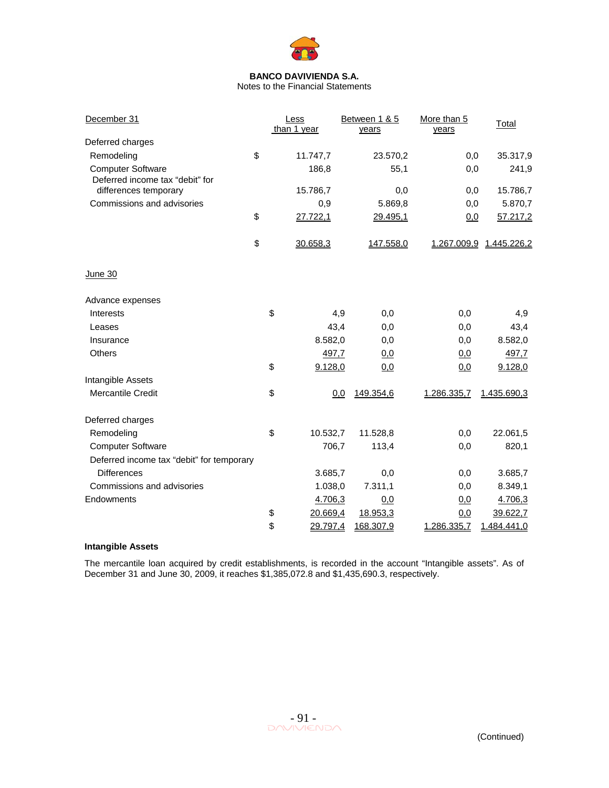

Notes to the Financial Statements

| December 31                               |    | Less<br>than 1 year | Between 1 & 5<br>years | More than 5<br>years | Total                   |
|-------------------------------------------|----|---------------------|------------------------|----------------------|-------------------------|
| Deferred charges                          |    |                     |                        |                      |                         |
| Remodeling                                | \$ | 11.747,7            | 23.570,2               | 0,0                  | 35.317,9                |
| <b>Computer Software</b>                  |    | 186,8               | 55,1                   | 0,0                  | 241,9                   |
| Deferred income tax "debit" for           |    |                     |                        |                      |                         |
| differences temporary                     |    | 15.786,7            | 0,0                    | 0,0                  | 15.786,7                |
| Commissions and advisories                |    | 0,9                 | 5.869,8                | 0,0                  | 5.870,7                 |
|                                           | \$ | 27.722,1            | 29.495,1               | 0,0                  | 57.217,2                |
|                                           | \$ | 30.658,3            | 147.558,0              |                      | 1.267.009,9 1.445.226,2 |
| <u>June 30</u>                            |    |                     |                        |                      |                         |
| Advance expenses                          |    |                     |                        |                      |                         |
| Interests                                 | \$ | 4,9                 | 0,0                    | 0,0                  | 4,9                     |
| Leases                                    |    | 43,4                | 0,0                    | 0,0                  | 43,4                    |
| Insurance                                 |    | 8.582,0             | 0,0                    | 0,0                  | 8.582,0                 |
| <b>Others</b>                             |    | 497,7               | 0.0                    | <u>0,0</u>           | 497,7                   |
|                                           | \$ | 9.128,0             | 0,0                    | 0,0                  | 9.128,0                 |
| Intangible Assets                         |    |                     |                        |                      |                         |
| <b>Mercantile Credit</b>                  | \$ | 0,0                 | 149.354,6              | 1.286.335,7          | 1.435.690,3             |
| Deferred charges                          |    |                     |                        |                      |                         |
| Remodeling                                | \$ | 10.532,7            | 11.528,8               | 0,0                  | 22.061,5                |
| <b>Computer Software</b>                  |    | 706,7               | 113,4                  | 0,0                  | 820,1                   |
| Deferred income tax "debit" for temporary |    |                     |                        |                      |                         |
| <b>Differences</b>                        |    | 3.685,7             | 0,0                    | 0,0                  | 3.685,7                 |
| Commissions and advisories                |    | 1.038,0             | 7.311,1                | 0,0                  | 8.349,1                 |
| Endowments                                |    | 4.706,3             | 0,0                    | 0,0                  | 4.706,3                 |
|                                           | \$ | 20.669,4            | 18.953,3               | 0,0                  | 39.622,7                |
|                                           | \$ | 29.797,4            | 168.307,9              | 1.286.335,7          | 1.484.441,0             |

### **Intangible Assets**

The mercantile loan acquired by credit establishments, is recorded in the account "Intangible assets". As of December 31 and June 30, 2009, it reaches \$1,385,072.8 and \$1,435,690.3, respectively.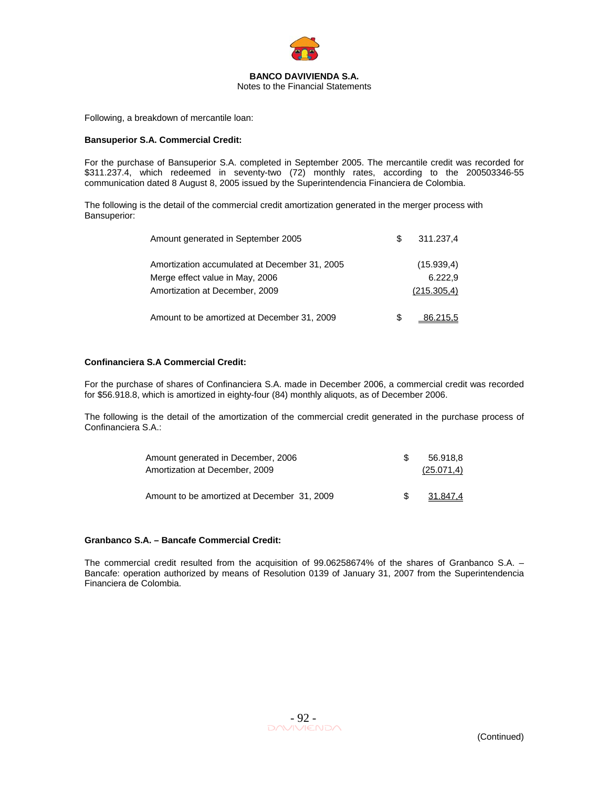

Following, a breakdown of mercantile loan:

#### **Bansuperior S.A. Commercial Credit:**

For the purchase of Bansuperior S.A. completed in September 2005. The mercantile credit was recorded for \$311.237.4, which redeemed in seventy-two (72) monthly rates, according to the 200503346-55 communication dated 8 August 8, 2005 issued by the Superintendencia Financiera de Colombia.

The following is the detail of the commercial credit amortization generated in the merger process with Bansuperior:

| Amount generated in September 2005                                               | S | 311.237,4             |
|----------------------------------------------------------------------------------|---|-----------------------|
| Amortization accumulated at December 31, 2005<br>Merge effect value in May, 2006 |   | (15.939,4)<br>6.222.9 |
| Amortization at December, 2009                                                   |   | (215.305,4)           |
| Amount to be amortized at December 31, 2009                                      | S | 86.215.5              |

### **Confinanciera S.A Commercial Credit:**

For the purchase of shares of Confinanciera S.A. made in December 2006, a commercial credit was recorded for \$56.918.8, which is amortized in eighty-four (84) monthly aliquots, as of December 2006.

The following is the detail of the amortization of the commercial credit generated in the purchase process of Confinanciera S.A.:

| Amount generated in December, 2006          | 56.918.8   |
|---------------------------------------------|------------|
| Amortization at December, 2009              | (25.071,4) |
|                                             |            |
| Amount to be amortized at December 31, 2009 | 31.847.4   |

#### **Granbanco S.A. – Bancafe Commercial Credit:**

The commercial credit resulted from the acquisition of 99.06258674% of the shares of Granbanco S.A. – Bancafe: operation authorized by means of Resolution 0139 of January 31, 2007 from the Superintendencia Financiera de Colombia.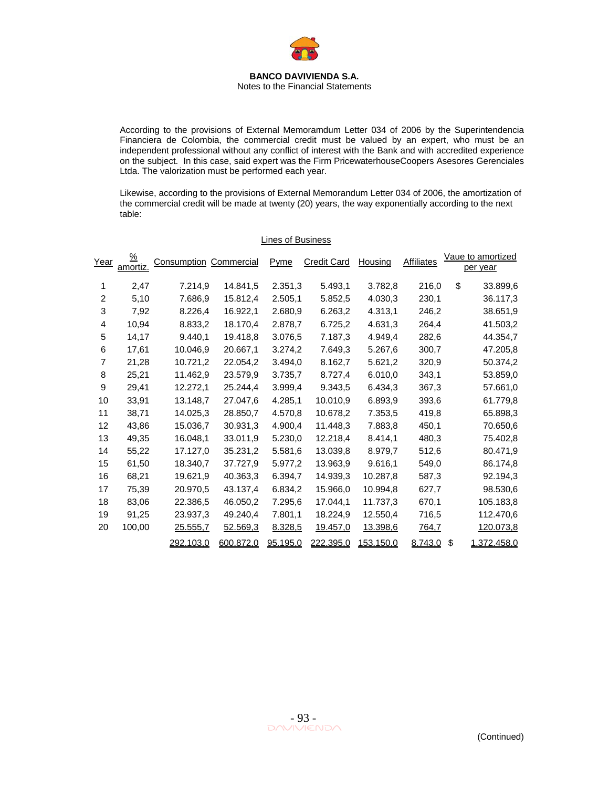Notes to the Financial Statements

According to the provisions of External Memoramdum Letter 034 of 2006 by the Superintendencia Financiera de Colombia, the commercial credit must be valued by an expert, who must be an independent professional without any conflict of interest with the Bank and with accredited experience on the subject. In this case, said expert was the Firm PricewaterhouseCoopers Asesores Gerenciales Ltda. The valorization must be performed each year.

Likewise, according to the provisions of External Memorandum Letter 034 of 2006, the amortization of the commercial credit will be made at twenty (20) years, the way exponentially according to the next table:

| Year           | <u>%</u><br>amortiz. | <b>Consumption Commercial</b> |           | Pyme     | <b>Credit Card</b> | Housing   | <b>Affiliates</b> | Vaue to amortized<br>per year |
|----------------|----------------------|-------------------------------|-----------|----------|--------------------|-----------|-------------------|-------------------------------|
| 1              | 2,47                 | 7.214,9                       | 14.841,5  | 2.351,3  | 5.493,1            | 3.782,8   | 216,0             | \$<br>33.899,6                |
| $\overline{2}$ | 5,10                 | 7.686.9                       | 15.812,4  | 2.505,1  | 5.852,5            | 4.030,3   | 230,1             | 36.117,3                      |
| 3              | 7,92                 | 8.226,4                       | 16.922,1  | 2.680,9  | 6.263,2            | 4.313,1   | 246,2             | 38.651,9                      |
| 4              | 10,94                | 8.833,2                       | 18.170,4  | 2.878,7  | 6.725,2            | 4.631,3   | 264,4             | 41.503,2                      |
| 5              | 14,17                | 9.440,1                       | 19.418,8  | 3.076,5  | 7.187,3            | 4.949,4   | 282,6             | 44.354,7                      |
| 6              | 17,61                | 10.046,9                      | 20.667,1  | 3.274,2  | 7.649,3            | 5.267,6   | 300,7             | 47.205,8                      |
| 7              | 21,28                | 10.721,2                      | 22.054.2  | 3.494,0  | 8.162,7            | 5.621,2   | 320,9             | 50.374,2                      |
| 8              | 25,21                | 11.462,9                      | 23.579,9  | 3.735,7  | 8.727,4            | 6.010,0   | 343,1             | 53.859,0                      |
| 9              | 29,41                | 12.272,1                      | 25.244,4  | 3.999,4  | 9.343,5            | 6.434,3   | 367,3             | 57.661,0                      |
| 10             | 33,91                | 13.148,7                      | 27.047,6  | 4.285,1  | 10.010,9           | 6.893,9   | 393,6             | 61.779.8                      |
| 11             | 38,71                | 14.025,3                      | 28.850,7  | 4.570,8  | 10.678,2           | 7.353,5   | 419,8             | 65.898,3                      |
| 12             | 43,86                | 15.036,7                      | 30.931,3  | 4.900,4  | 11.448.3           | 7.883,8   | 450,1             | 70.650,6                      |
| 13             | 49,35                | 16.048,1                      | 33.011,9  | 5.230,0  | 12.218,4           | 8.414,1   | 480,3             | 75.402,8                      |
| 14             | 55,22                | 17.127,0                      | 35.231,2  | 5.581,6  | 13.039,8           | 8.979,7   | 512,6             | 80.471,9                      |
| 15             | 61,50                | 18.340,7                      | 37.727,9  | 5.977,2  | 13.963,9           | 9.616,1   | 549,0             | 86.174,8                      |
| 16             | 68,21                | 19.621,9                      | 40.363,3  | 6.394,7  | 14.939,3           | 10.287,8  | 587,3             | 92.194,3                      |
| 17             | 75,39                | 20.970,5                      | 43.137,4  | 6.834,2  | 15.966,0           | 10.994,8  | 627,7             | 98.530,6                      |
| 18             | 83,06                | 22.386,5                      | 46.050,2  | 7.295,6  | 17.044,1           | 11.737,3  | 670,1             | 105.183,8                     |
| 19             | 91,25                | 23.937,3                      | 49.240,4  | 7.801,1  | 18.224,9           | 12.550,4  | 716,5             | 112.470,6                     |
| 20             | 100,00               | 25.555,7                      | 52.569,3  | 8.328,5  | 19.457,0           | 13.398,6  | 764,7             | 120.073,8                     |
|                |                      | 292.103,0                     | 600.872,0 | 95.195,0 | 222.395,0          | 153.150,0 | 8.743,0           | \$<br>1.372.458,0             |

#### Lines of Business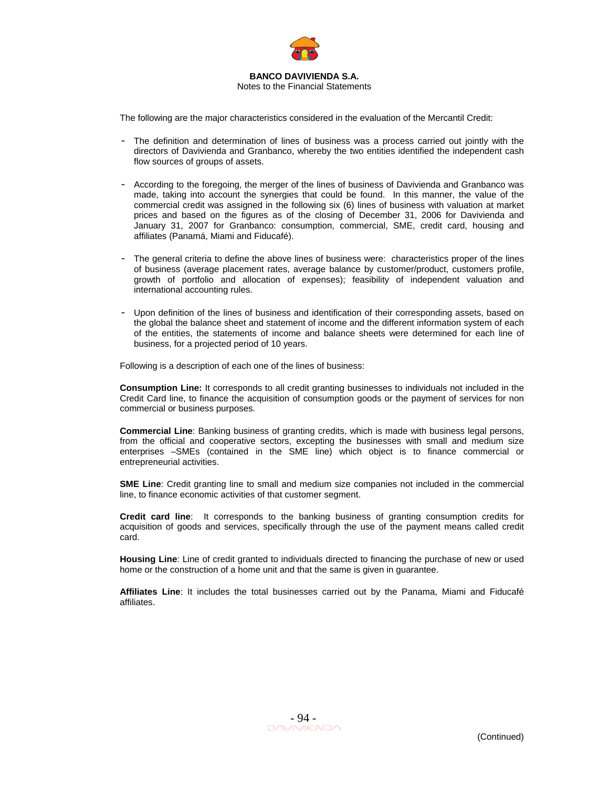

The following are the major characteristics considered in the evaluation of the Mercantil Credit:

- The definition and determination of lines of business was a process carried out jointly with the directors of Davivienda and Granbanco, whereby the two entities identified the independent cash flow sources of groups of assets.
- According to the foregoing, the merger of the lines of business of Davivienda and Granbanco was made, taking into account the synergies that could be found. In this manner, the value of the commercial credit was assigned in the following six (6) lines of business with valuation at market prices and based on the figures as of the closing of December 31, 2006 for Davivienda and January 31, 2007 for Granbanco: consumption, commercial, SME, credit card, housing and affiliates (Panamá, Miami and Fiducafé).
- The general criteria to define the above lines of business were: characteristics proper of the lines of business (average placement rates, average balance by customer/product, customers profile, growth of portfolio and allocation of expenses); feasibility of independent valuation and international accounting rules.
- Upon definition of the lines of business and identification of their corresponding assets, based on the global the balance sheet and statement of income and the different information system of each of the entities, the statements of income and balance sheets were determined for each line of business, for a projected period of 10 years.

Following is a description of each one of the lines of business:

**Consumption Line:** It corresponds to all credit granting businesses to individuals not included in the Credit Card line, to finance the acquisition of consumption goods or the payment of services for non commercial or business purposes.

**Commercial Line**: Banking business of granting credits, which is made with business legal persons, from the official and cooperative sectors, excepting the businesses with small and medium size enterprises –SMEs (contained in the SME line) which object is to finance commercial or entrepreneurial activities.

**SME Line**: Credit granting line to small and medium size companies not included in the commercial line, to finance economic activities of that customer segment.

**Credit card line**: It corresponds to the banking business of granting consumption credits for acquisition of goods and services, specifically through the use of the payment means called credit card.

**Housing Line**: Line of credit granted to individuals directed to financing the purchase of new or used home or the construction of a home unit and that the same is given in guarantee.

**Affiliates Line**: It includes the total businesses carried out by the Panama, Miami and Fiducafé affiliates.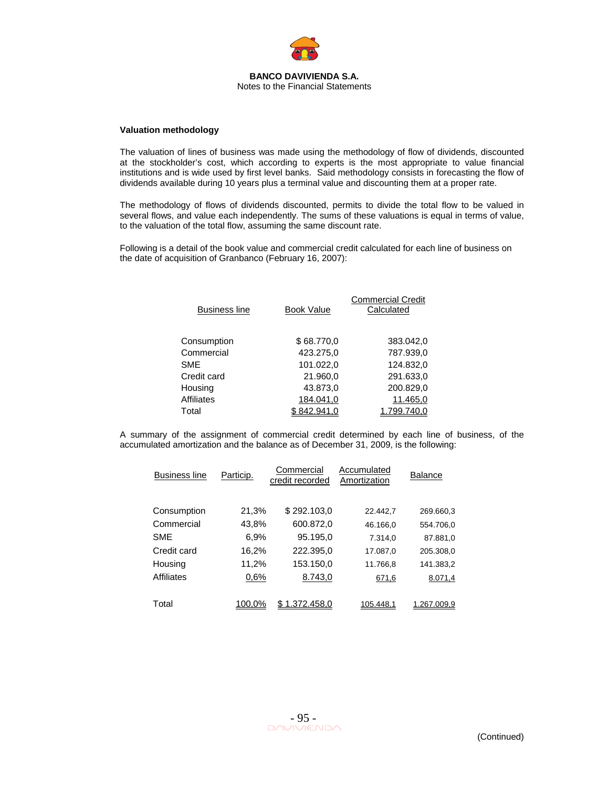

#### **Valuation methodology**

The valuation of lines of business was made using the methodology of flow of dividends, discounted at the stockholder's cost, which according to experts is the most appropriate to value financial institutions and is wide used by first level banks. Said methodology consists in forecasting the flow of dividends available during 10 years plus a terminal value and discounting them at a proper rate.

The methodology of flows of dividends discounted, permits to divide the total flow to be valued in several flows, and value each independently. The sums of these valuations is equal in terms of value, to the valuation of the total flow, assuming the same discount rate.

Following is a detail of the book value and commercial credit calculated for each line of business on the date of acquisition of Granbanco (February 16, 2007):

| <b>Business line</b> | <b>Book Value</b> | <b>Commercial Credit</b><br>Calculated |
|----------------------|-------------------|----------------------------------------|
| Consumption          | \$68.770,0        | 383.042,0                              |
| Commercial           | 423.275,0         | 787.939,0                              |
| <b>SME</b>           | 101.022,0         | 124.832,0                              |
| Credit card          | 21.960,0          | 291.633,0                              |
| Housing              | 43.873,0          | 200.829,0                              |
| <b>Affiliates</b>    | 184.041,0         | 11.465,0                               |
| Total                |                   |                                        |

A summary of the assignment of commercial credit determined by each line of business, of the accumulated amortization and the balance as of December 31, 2009, is the following:

| <b>Business line</b> | Particip. | Commercial<br>credit recorded | Accumulated<br>Amortization | <b>Balance</b> |
|----------------------|-----------|-------------------------------|-----------------------------|----------------|
| Consumption          | 21,3%     | \$292.103,0                   | 22.442.7                    | 269.660,3      |
| Commercial           | 43,8%     | 600.872,0                     | 46.166.0                    | 554.706.0      |
| <b>SME</b>           | 6,9%      | 95.195,0                      | 7.314,0                     | 87.881,0       |
| Credit card          | 16,2%     | 222.395,0                     | 17.087,0                    | 205.308,0      |
| Housing              | 11,2%     | 153.150,0                     | 11.766.8                    | 141.383,2      |
| <b>Affiliates</b>    | 0,6%      | 8.743,0                       | 671,6                       | 8.071,4        |
| Total                | 100.0%    | 1.372.458.0                   | 105.448,1                   | 1.267.009.9    |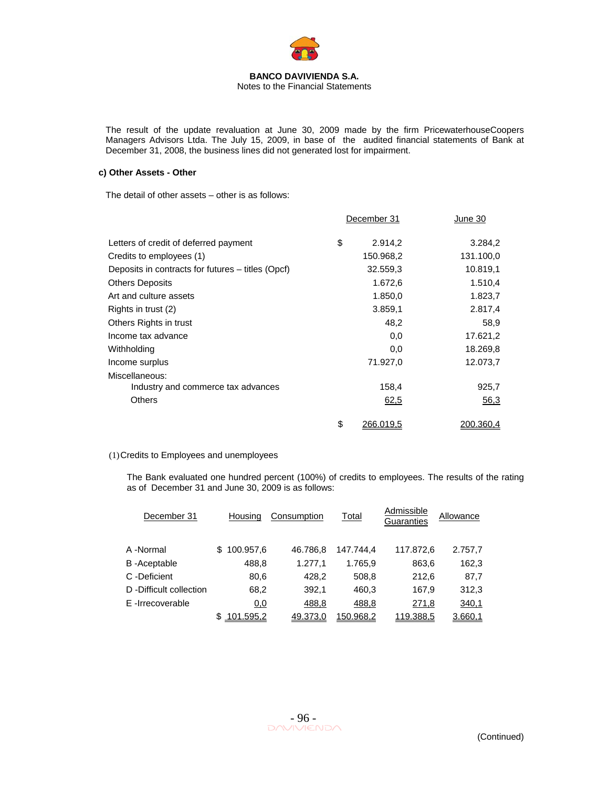

The result of the update revaluation at June 30, 2009 made by the firm PricewaterhouseCoopers Managers Advisors Ltda. The July 15, 2009, in base of the audited financial statements of Bank at December 31, 2008, the business lines did not generated lost for impairment.

#### **c) Other Assets - Other**

The detail of other assets – other is as follows:

|                                                   | December 31     | June 30   |
|---------------------------------------------------|-----------------|-----------|
| Letters of credit of deferred payment             | \$<br>2.914,2   | 3.284,2   |
| Credits to employees (1)                          | 150.968,2       | 131.100,0 |
| Deposits in contracts for futures – titles (Opcf) | 32.559,3        | 10.819,1  |
| <b>Others Deposits</b>                            | 1.672,6         | 1.510,4   |
| Art and culture assets                            | 1.850,0         | 1.823,7   |
| Rights in trust (2)                               | 3.859,1         | 2.817,4   |
| Others Rights in trust                            | 48,2            | 58,9      |
| Income tax advance                                | 0,0             | 17.621,2  |
| Withholding                                       | 0,0             | 18.269,8  |
| Income surplus                                    | 71.927,0        | 12.073,7  |
| Miscellaneous:                                    |                 |           |
| Industry and commerce tax advances                | 158,4           | 925,7     |
| <b>Others</b>                                     | 62,5            | 56,3      |
|                                                   | \$<br>266.019.5 | 200.360,4 |

#### (1) Credits to Employees and unemployees

The Bank evaluated one hundred percent (100%) of credits to employees. The results of the rating as of December 31 and June 30, 2009 is as follows:

| December 31            | Housing         | Consumption | Total     | Admissible<br>Guaranties | Allowance |
|------------------------|-----------------|-------------|-----------|--------------------------|-----------|
| A -Normal              | 100.957,6<br>S. | 46.786.8    | 147.744.4 | 117.872,6                | 2.757,7   |
| <b>B-Aceptable</b>     | 488,8           | 1.277,1     | 1.765,9   | 863,6                    | 162,3     |
| C -Deficient           | 80,6            | 428,2       | 508,8     | 212,6                    | 87,7      |
| D-Difficult collection | 68,2            | 392,1       | 460,3     | 167,9                    | 312,3     |
| E-Irrecoverable        | 0,0             | 488,8       | 488,8     | 271,8                    | 340,1     |
|                        | 101.595.2       | 49.373.0    | 150.968.2 | 119.388.5                | 3.660.1   |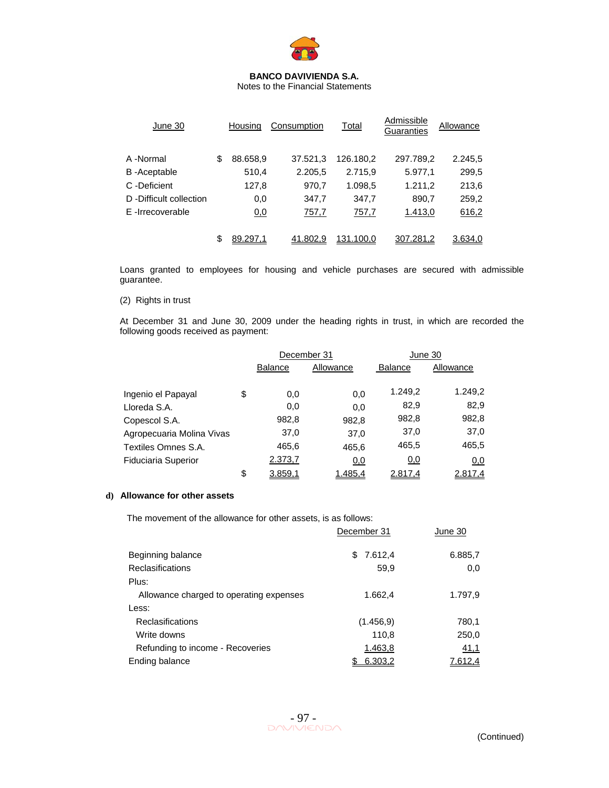

Notes to the Financial Statements

| June 30                | Housina        | Consumption | Total     | Admissible<br>Guaranties | Allowance |
|------------------------|----------------|-------------|-----------|--------------------------|-----------|
| A -Normal              | \$<br>88.658,9 | 37.521,3    | 126.180.2 | 297.789,2                | 2.245,5   |
| B-Aceptable            | 510,4          | 2.205,5     | 2.715,9   | 5.977,1                  | 299,5     |
| C -Deficient           | 127,8          | 970,7       | 1.098,5   | 1.211,2                  | 213,6     |
| D-Difficult collection | 0,0            | 347,7       | 347,7     | 890,7                    | 259,2     |
| E-Irrecoverable        | 0,0            | 757,7       | 757,7     | 1.413,0                  | 616,2     |
|                        | 89.297,1       | 41.802,9    | 131.100,0 | 307.281,2                | 3.634,0   |

Loans granted to employees for housing and vehicle purchases are secured with admissible guarantee.

### (2) Rights in trust

At December 31 and June 30, 2009 under the heading rights in trust, in which are recorded the following goods received as payment:

|                            |                             | December 31 | June 30        |           |  |
|----------------------------|-----------------------------|-------------|----------------|-----------|--|
|                            | Allowance<br><b>Balance</b> |             | <b>Balance</b> | Allowance |  |
|                            |                             |             |                |           |  |
| Ingenio el Papayal         | \$<br>0,0                   | 0,0         | 1.249,2        | 1.249,2   |  |
| Lloreda S.A.               | 0,0                         | 0,0         | 82,9           | 82,9      |  |
| Copescol S.A.              | 982,8                       | 982,8       | 982,8          | 982,8     |  |
| Agropecuaria Molina Vivas  | 37,0                        | 37,0        | 37,0           | 37,0      |  |
| Textiles Omnes S.A.        | 465,6                       | 465,6       | 465,5          | 465,5     |  |
| <b>Fiduciaria Superior</b> | 2.373,7                     | 0,0         | 0,0            | 0,0       |  |
|                            | \$<br>3.859,1               | 1.485,4     | 2.817,4        | 2.817,4   |  |

#### **d) Allowance for other assets**

The movement of the allowance for other assets, is as follows:

|                                         | December 31 | June 30 |
|-----------------------------------------|-------------|---------|
| Beginning balance                       | \$7.612,4   | 6.885,7 |
| <b>Reclasifications</b>                 | 59.9        | 0,0     |
| Plus:                                   |             |         |
| Allowance charged to operating expenses | 1.662,4     | 1.797,9 |
| Less:                                   |             |         |
| Reclasifications                        | (1.456.9)   | 780,1   |
| Write downs                             | 110,8       | 250,0   |
| Refunding to income - Recoveries        | 1.463,8     | 41,1    |
| Ending balance                          | 6.303,2     | 7.612.4 |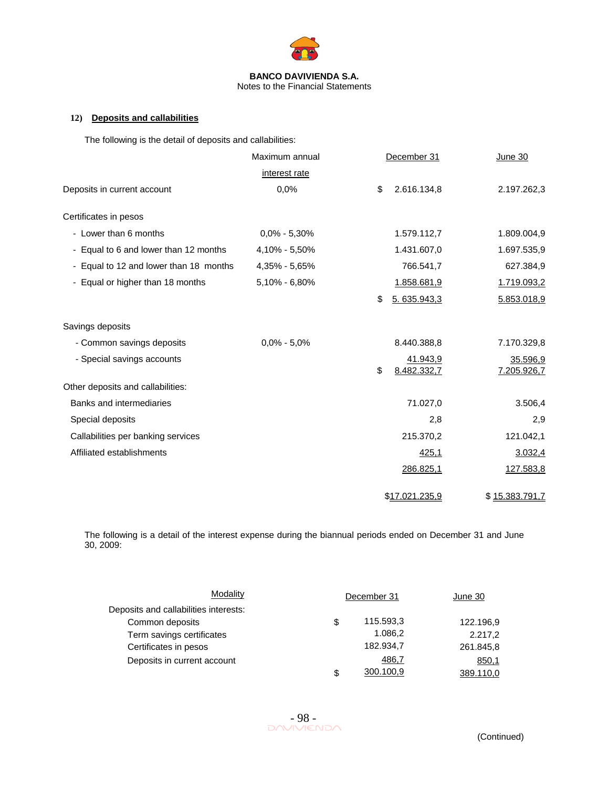

# **12) Deposits and callabilities**

The following is the detail of deposits and callabilities:

|                                        | Maximum annual    | December 31                   | <b>June 30</b>          |
|----------------------------------------|-------------------|-------------------------------|-------------------------|
|                                        | interest rate     |                               |                         |
| Deposits in current account            | 0,0%              | 2.616.134,8<br>\$             | 2.197.262,3             |
| Certificates in pesos                  |                   |                               |                         |
| - Lower than 6 months                  | $0.0\% - 5.30\%$  | 1.579.112,7                   | 1.809.004,9             |
| - Equal to 6 and lower than 12 months  | 4,10% - 5,50%     | 1.431.607,0                   | 1.697.535,9             |
| - Equal to 12 and lower than 18 months | 4,35% - 5,65%     | 766.541,7                     | 627.384,9               |
| - Equal or higher than 18 months       | $5,10\% - 6,80\%$ | 1.858.681,9                   | 1.719.093,2             |
|                                        |                   | 5.635.943,3<br>\$             | 5.853.018,9             |
| Savings deposits                       |                   |                               |                         |
| - Common savings deposits              | $0,0\% - 5,0\%$   | 8.440.388,8                   | 7.170.329,8             |
| - Special savings accounts             |                   | 41.943,9<br>\$<br>8.482.332,7 | 35.596,9<br>7.205.926,7 |
| Other deposits and callabilities:      |                   |                               |                         |
| Banks and intermediaries               |                   | 71.027,0                      | 3.506,4                 |
| Special deposits                       |                   | 2,8                           | 2,9                     |
| Callabilities per banking services     |                   | 215.370,2                     | 121.042,1               |
| Affiliated establishments              |                   | 425,1                         | 3.032,4                 |
|                                        |                   | 286.825,1                     | 127.583,8               |
|                                        |                   | \$17.021.235,9                | \$15.383.791.7          |

The following is a detail of the interest expense during the biannual periods ended on December 31 and June 30, 2009:

| Modality                              | December 31 |           | June 30   |
|---------------------------------------|-------------|-----------|-----------|
| Deposits and callabilities interests: |             |           |           |
| Common deposits                       | \$          | 115.593,3 | 122.196,9 |
| Term savings certificates             |             | 1.086,2   | 2.217,2   |
| Certificates in pesos                 |             | 182.934,7 | 261.845,8 |
| Deposits in current account           |             | 486,7     | 850,1     |
|                                       | \$          | 300.100,9 | 389.110,0 |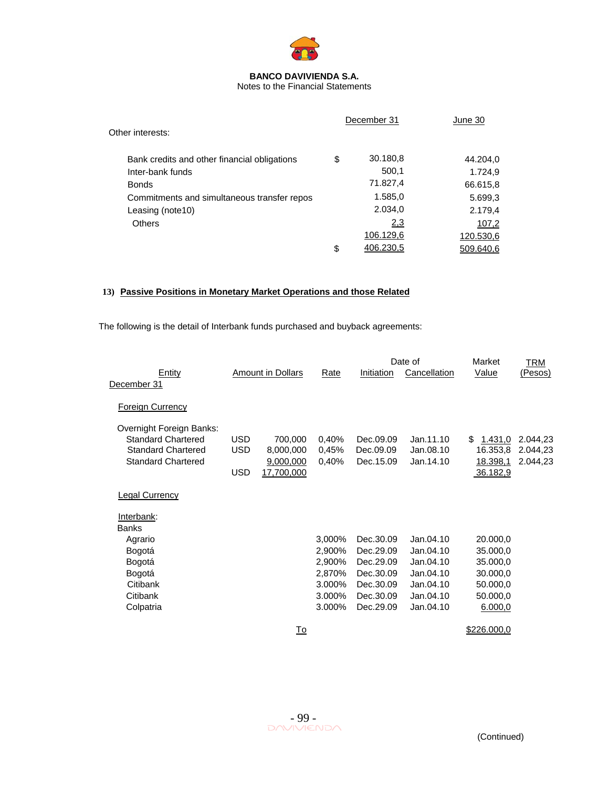

Notes to the Financial Statements

| Other interests:                             | December 31     | June 30   |
|----------------------------------------------|-----------------|-----------|
| Bank credits and other financial obligations | \$<br>30.180,8  | 44.204,0  |
| Inter-bank funds                             | 500,1           | 1.724,9   |
| <b>Bonds</b>                                 | 71.827,4        | 66.615,8  |
| Commitments and simultaneous transfer repos  | 1.585,0         | 5.699,3   |
| Leasing (note10)                             | 2.034,0         | 2.179,4   |
| <b>Others</b>                                | 2,3             | 107,2     |
|                                              | 106.129,6       | 120.530,6 |
|                                              | \$<br>406.230.5 | 509.640.6 |

# **13) Passive Positions in Monetary Market Operations and those Related**

The following is the detail of Interbank funds purchased and buyback agreements:

|                                                                                                                 |                                  |                                                 |                         |                                     | Date of                             | Market                                             | TRM                              |
|-----------------------------------------------------------------------------------------------------------------|----------------------------------|-------------------------------------------------|-------------------------|-------------------------------------|-------------------------------------|----------------------------------------------------|----------------------------------|
| Entity                                                                                                          |                                  | <b>Amount in Dollars</b>                        | Rate                    | Initiation                          | Cancellation                        | Value                                              | (Pesos)                          |
| December 31                                                                                                     |                                  |                                                 |                         |                                     |                                     |                                                    |                                  |
| <b>Foreign Currency</b>                                                                                         |                                  |                                                 |                         |                                     |                                     |                                                    |                                  |
| Overnight Foreign Banks:<br><b>Standard Chartered</b><br><b>Standard Chartered</b><br><b>Standard Chartered</b> | USD.<br><b>USD</b><br><b>USD</b> | 700,000<br>8,000,000<br>9,000,000<br>17,700,000 | 0,40%<br>0,45%<br>0,40% | Dec.09.09<br>Dec.09.09<br>Dec.15.09 | Jan.11.10<br>Jan.08.10<br>Jan.14.10 | 1.431,0<br>\$.<br>16.353,8<br>18.398,1<br>36.182,9 | 2.044,23<br>2.044,23<br>2.044,23 |
| <b>Legal Currency</b>                                                                                           |                                  |                                                 |                         |                                     |                                     |                                                    |                                  |
| Interbank:<br><b>Banks</b>                                                                                      |                                  |                                                 |                         |                                     |                                     |                                                    |                                  |
| Agrario                                                                                                         |                                  |                                                 | 3,000%                  | Dec.30.09                           | Jan.04.10                           | 20.000,0                                           |                                  |
| Bogotá                                                                                                          |                                  |                                                 | 2,900%                  | Dec.29.09                           | Jan.04.10                           | 35.000,0                                           |                                  |
| Bogotá                                                                                                          |                                  |                                                 | 2,900%                  | Dec.29.09                           | Jan.04.10                           | 35.000,0                                           |                                  |
| Bogotá                                                                                                          |                                  |                                                 | 2,870%                  | Dec.30.09                           | Jan.04.10                           | 30.000,0                                           |                                  |
| Citibank                                                                                                        |                                  |                                                 | 3.000%                  | Dec.30.09                           | Jan.04.10                           | 50.000,0                                           |                                  |
| Citibank                                                                                                        |                                  |                                                 | 3.000%                  | Dec.30.09                           | Jan.04.10                           | 50.000,0                                           |                                  |
| Colpatria                                                                                                       |                                  |                                                 | 3.000%                  | Dec.29.09                           | Jan.04.10                           | 6.000,0                                            |                                  |
|                                                                                                                 |                                  | To                                              |                         |                                     |                                     | \$226.000,0                                        |                                  |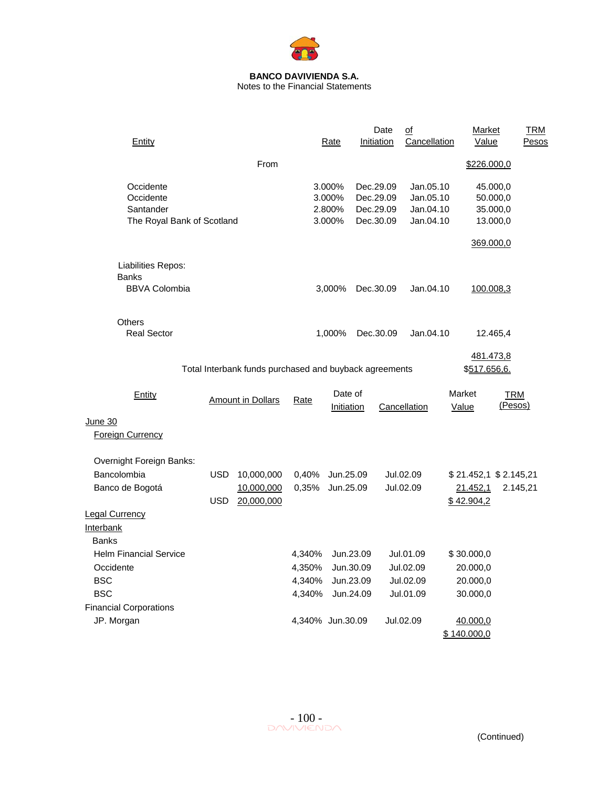

Notes to the Financial Statements

| Entity                             |            |                                                        |                  | Rate                  |           | Date<br>Initiation | $\overline{of}$<br>Cancellation | Market<br>Value       |                       | <b>TRM</b><br>Pesos |
|------------------------------------|------------|--------------------------------------------------------|------------------|-----------------------|-----------|--------------------|---------------------------------|-----------------------|-----------------------|---------------------|
|                                    |            | From                                                   |                  |                       |           |                    |                                 | \$226.000,0           |                       |                     |
| Occidente                          |            |                                                        |                  | 3.000%                |           | Dec.29.09          | Jan.05.10                       |                       | 45.000,0              |                     |
| Occidente                          |            |                                                        |                  | 3.000%                |           | Dec.29.09          | Jan.05.10                       |                       | 50.000,0              |                     |
| Santander                          |            |                                                        |                  | 2.800%                |           | Dec.29.09          | Jan.04.10                       |                       | 35.000,0              |                     |
| The Royal Bank of Scotland         |            |                                                        |                  | 3.000%                |           | Dec.30.09          | Jan.04.10                       |                       | 13.000,0              |                     |
|                                    |            |                                                        |                  |                       |           |                    |                                 |                       | 369.000,0             |                     |
| Liabilities Repos:<br><b>Banks</b> |            |                                                        |                  |                       |           |                    |                                 |                       |                       |                     |
| <b>BBVA Colombia</b>               |            |                                                        |                  | 3,000%                |           | Dec.30.09          | Jan.04.10                       |                       | 100.008,3             |                     |
| <b>Others</b>                      |            |                                                        |                  |                       |           |                    |                                 |                       |                       |                     |
| <b>Real Sector</b>                 |            |                                                        |                  | 1,000%                |           | Dec.30.09          | Jan.04.10                       |                       | 12.465,4              |                     |
|                                    |            |                                                        |                  |                       |           |                    |                                 |                       |                       |                     |
|                                    |            | Total Interbank funds purchased and buyback agreements |                  |                       |           |                    |                                 | \$517.656,6.          | 481.473,8             |                     |
|                                    |            |                                                        |                  |                       |           |                    |                                 |                       |                       |                     |
| Entity                             |            | <b>Amount in Dollars</b>                               | Rate             | Date of<br>Initiation |           |                    | Cancellation                    | Market<br>Value       | <b>TRM</b><br>(Pesos) |                     |
| June 30                            |            |                                                        |                  |                       |           |                    |                                 |                       |                       |                     |
| <b>Foreign Currency</b>            |            |                                                        |                  |                       |           |                    |                                 |                       |                       |                     |
| Overnight Foreign Banks:           |            |                                                        |                  |                       |           |                    |                                 |                       |                       |                     |
| Bancolombia                        | <b>USD</b> | 10,000,000                                             | 0,40%            | Jun.25.09             |           |                    | Jul.02.09                       | \$21.452,1 \$2.145,21 |                       |                     |
| Banco de Bogotá                    |            | 10,000,000                                             | 0,35%            | Jun.25.09             |           |                    | Jul.02.09                       | 21.452,1              |                       | 2.145,21            |
|                                    | <b>USD</b> | 20,000,000                                             |                  |                       |           |                    |                                 | \$42.904,2            |                       |                     |
| <b>Legal Currency</b>              |            |                                                        |                  |                       |           |                    |                                 |                       |                       |                     |
| Interbank                          |            |                                                        |                  |                       |           |                    |                                 |                       |                       |                     |
| <b>Banks</b>                       |            |                                                        |                  |                       |           |                    |                                 |                       |                       |                     |
| <b>Helm Financial Service</b>      |            |                                                        | 4,340%           |                       | Jun.23.09 |                    | Jul.01.09                       | \$30.000,0            |                       |                     |
| Occidente                          |            |                                                        | 4,350%           |                       | Jun.30.09 |                    | Jul.02.09                       | 20.000,0              |                       |                     |
| <b>BSC</b>                         |            |                                                        | 4,340%           |                       | Jun.23.09 |                    | Jul.02.09                       | 20.000,0              |                       |                     |
| <b>BSC</b>                         |            |                                                        | 4,340%           |                       | Jun.24.09 |                    | Jul.01.09                       | 30.000,0              |                       |                     |
| <b>Financial Corporations</b>      |            |                                                        |                  |                       |           |                    |                                 |                       |                       |                     |
| JP. Morgan                         |            |                                                        | 4,340% Jun.30.09 |                       |           |                    | Jul.02.09                       | 40.000,0              |                       |                     |
|                                    |            |                                                        |                  |                       |           |                    |                                 | \$140.000,0           |                       |                     |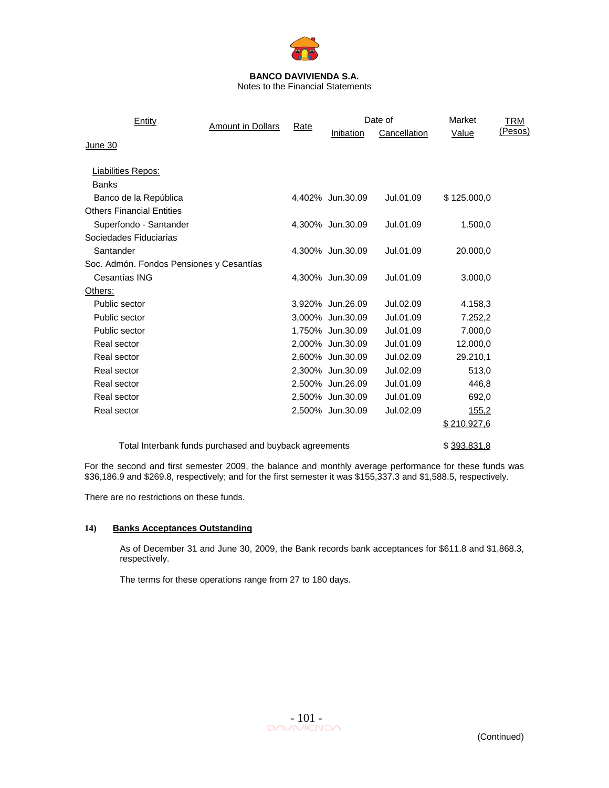

Notes to the Financial Statements

| Entity                                   | <b>Amount in Dollars</b>                               | Rate |                  | Date of      | Market      | TRM     |
|------------------------------------------|--------------------------------------------------------|------|------------------|--------------|-------------|---------|
|                                          |                                                        |      | Initiation       | Cancellation | Value       | (Pesos) |
| June 30                                  |                                                        |      |                  |              |             |         |
|                                          |                                                        |      |                  |              |             |         |
| <b>Liabilities Repos:</b>                |                                                        |      |                  |              |             |         |
| <b>Banks</b>                             |                                                        |      |                  |              |             |         |
| Banco de la República                    |                                                        |      | 4,402% Jun.30.09 | Jul.01.09    | \$125.000,0 |         |
| <b>Others Financial Entities</b>         |                                                        |      |                  |              |             |         |
| Superfondo - Santander                   |                                                        |      | 4,300% Jun.30.09 | Jul.01.09    | 1.500,0     |         |
| Sociedades Fiduciarias                   |                                                        |      |                  |              |             |         |
| Santander                                |                                                        |      | 4,300% Jun.30.09 | Jul.01.09    | 20.000,0    |         |
| Soc. Admón. Fondos Pensiones y Cesantías |                                                        |      |                  |              |             |         |
| Cesantías ING                            |                                                        |      | 4,300% Jun.30.09 | Jul.01.09    | 3.000,0     |         |
| Others:                                  |                                                        |      |                  |              |             |         |
| Public sector                            |                                                        |      | 3,920% Jun.26.09 | Jul.02.09    | 4.158,3     |         |
| Public sector                            |                                                        |      | 3,000% Jun.30.09 | Jul.01.09    | 7.252,2     |         |
| Public sector                            |                                                        |      | 1,750% Jun.30.09 | Jul.01.09    | 7.000,0     |         |
| Real sector                              |                                                        |      | 2,000% Jun.30.09 | Jul.01.09    | 12.000,0    |         |
| Real sector                              |                                                        |      | 2,600% Jun.30.09 | Jul.02.09    | 29.210,1    |         |
| Real sector                              |                                                        |      | 2,300% Jun.30.09 | Jul.02.09    | 513,0       |         |
| Real sector                              |                                                        |      | 2,500% Jun.26.09 | Jul.01.09    | 446,8       |         |
| Real sector                              |                                                        |      | 2,500% Jun.30.09 | Jul.01.09    | 692,0       |         |
| Real sector                              |                                                        |      | 2,500% Jun.30.09 | Jul.02.09    | 155,2       |         |
|                                          |                                                        |      |                  |              | \$210.927,6 |         |
|                                          |                                                        |      |                  |              |             |         |
|                                          | Total Interbank funds purchased and buyback agreements |      |                  |              | \$393.831,8 |         |

For the second and first semester 2009, the balance and monthly average performance for these funds was \$36,186.9 and \$269.8, respectively; and for the first semester it was \$155,337.3 and \$1,588.5, respectively.

There are no restrictions on these funds.

### **14) Banks Acceptances Outstanding**

As of December 31 and June 30, 2009, the Bank records bank acceptances for \$611.8 and \$1,868.3, respectively.

The terms for these operations range from 27 to 180 days.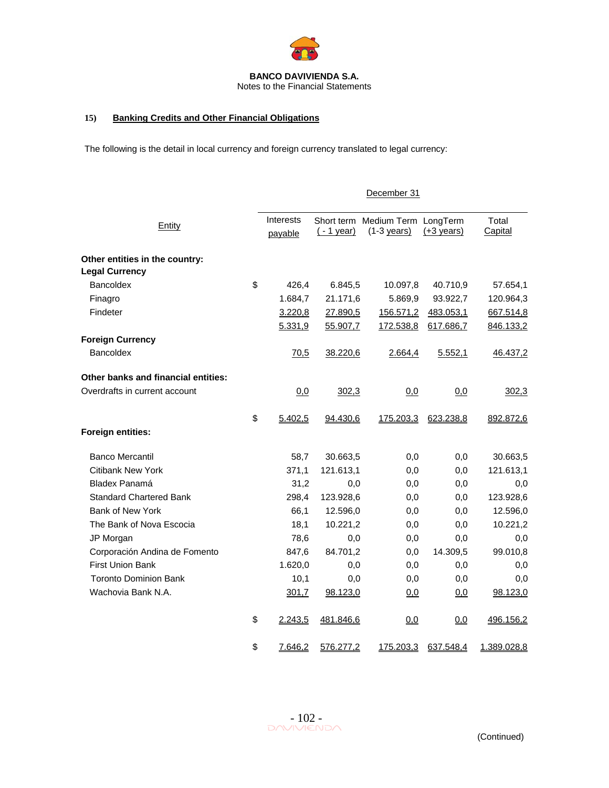

# **15) Banking Credits and Other Financial Obligations**

The following is the detail in local currency and foreign currency translated to legal currency:

|                                     |                      |             | December 31                                      |                      |                  |
|-------------------------------------|----------------------|-------------|--------------------------------------------------|----------------------|------------------|
| Entity                              | Interests<br>payable | $(-1$ year) | Short term Medium Term LongTerm<br>$(1-3$ years) | $(+3 \text{ years})$ | Total<br>Capital |
| Other entities in the country:      |                      |             |                                                  |                      |                  |
| <b>Legal Currency</b>               |                      |             |                                                  |                      |                  |
| Bancoldex                           | \$<br>426,4          | 6.845,5     | 10.097,8                                         | 40.710,9             | 57.654,1         |
| Finagro                             | 1.684,7              | 21.171,6    | 5.869,9                                          | 93.922,7             | 120.964,3        |
| Findeter                            | 3.220,8              | 27.890,5    | 156.571,2                                        | 483.053,1            | 667.514,8        |
|                                     | 5.331,9              | 55.907,7    | 172.538,8                                        | 617.686,7            | 846.133,2        |
| <b>Foreign Currency</b>             |                      |             |                                                  |                      |                  |
| <b>Bancoldex</b>                    | 70,5                 | 38.220,6    | 2.664,4                                          | 5.552,1              | 46.437,2         |
| Other banks and financial entities: |                      |             |                                                  |                      |                  |
| Overdrafts in current account       | 0,0                  | 302,3       | 0,0                                              | 0,0                  | 302,3            |
|                                     | \$<br>5.402,5        | 94.430,6    | 175.203,3                                        | 623.238,8            | 892.872,6        |
| Foreign entities:                   |                      |             |                                                  |                      |                  |
| <b>Banco Mercantil</b>              | 58,7                 | 30.663,5    | 0,0                                              | 0,0                  | 30.663,5         |
| Citibank New York                   | 371,1                | 121.613,1   | 0,0                                              | 0,0                  | 121.613,1        |
| Bladex Panamá                       | 31,2                 | 0,0         | 0,0                                              | 0,0                  | 0,0              |
| <b>Standard Chartered Bank</b>      | 298,4                | 123.928,6   | 0,0                                              | 0,0                  | 123.928,6        |
| Bank of New York                    | 66,1                 | 12.596,0    | 0,0                                              | 0,0                  | 12.596,0         |
| The Bank of Nova Escocia            | 18,1                 | 10.221,2    | 0,0                                              | 0,0                  | 10.221,2         |
| JP Morgan                           | 78,6                 | 0,0         | 0,0                                              | 0,0                  | 0,0              |
| Corporación Andina de Fomento       | 847,6                | 84.701,2    | 0,0                                              | 14.309,5             | 99.010,8         |
| <b>First Union Bank</b>             | 1.620,0              | 0,0         | 0,0                                              | 0,0                  | 0,0              |
| <b>Toronto Dominion Bank</b>        | 10,1                 | 0,0         | 0,0                                              | 0,0                  | 0,0              |
| Wachovia Bank N.A.                  | 301,7                | 98.123,0    | 0,0                                              | 0,0                  | 98.123,0         |
|                                     | \$<br>2.243,5        | 481.846,6   | 0,0                                              | 0,0                  | 496.156,2        |
|                                     | \$<br>7.646,2        | 576.277,2   | 175.203,3                                        | 637.548,4            | 1.389.028,8      |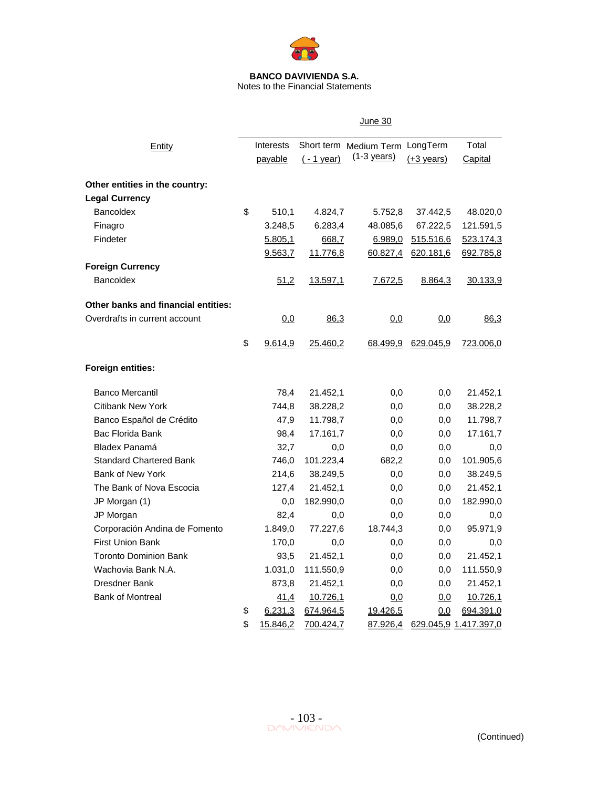

Notes to the Financial Statements

|                                            |                  |             | <b>June 30</b>                  |                      |                       |
|--------------------------------------------|------------------|-------------|---------------------------------|----------------------|-----------------------|
| Entity                                     | <b>Interests</b> |             | Short term Medium Term LongTerm |                      | Total                 |
|                                            | payable          | $(-1$ year) | $(1-3$ years)                   | $(+3 \text{ years})$ | Capital               |
| Other entities in the country:             |                  |             |                                 |                      |                       |
| <b>Legal Currency</b>                      |                  |             |                                 |                      |                       |
| Bancoldex                                  | \$<br>510,1      | 4.824,7     | 5.752,8                         | 37.442,5             | 48.020,0              |
| Finagro                                    | 3.248,5          | 6.283,4     | 48.085,6                        | 67.222,5             | 121.591,5             |
| Findeter                                   | 5.805,1          | 668,7       | 6.989,0                         | 515.516,6            | <u>523.174,3</u>      |
|                                            | 9.563,7          | 11.776,8    | 60.827,4                        | 620.181,6            | 692.785,8             |
| <b>Foreign Currency</b>                    |                  |             |                                 |                      |                       |
| Bancoldex                                  | 51,2             | 13.597,1    | 7.672,5                         | 8.864,3              | 30.133,9              |
| <b>Other banks and financial entities:</b> |                  |             |                                 |                      |                       |
| Overdrafts in current account              | 0,0              | 86,3        | 0,0                             | 0,0                  | 86,3                  |
|                                            | \$<br>9.614,9    | 25.460,2    | 68.499,9                        | 629.045,9            | 723.006,0             |
| <b>Foreign entities:</b>                   |                  |             |                                 |                      |                       |
| <b>Banco Mercantil</b>                     | 78,4             | 21.452,1    | 0,0                             | 0,0                  | 21.452,1              |
| <b>Citibank New York</b>                   | 744,8            | 38.228,2    | 0,0                             | 0,0                  | 38.228,2              |
| Banco Español de Crédito                   | 47,9             | 11.798,7    | 0,0                             | 0,0                  | 11.798,7              |
| Bac Florida Bank                           | 98,4             | 17.161,7    | 0,0                             | 0,0                  | 17.161,7              |
| Bladex Panamá                              | 32,7             | 0,0         | 0,0                             | $_{0,0}$             | 0,0                   |
| <b>Standard Chartered Bank</b>             | 746,0            | 101.223,4   | 682,2                           | 0,0                  | 101.905,6             |
| <b>Bank of New York</b>                    | 214,6            | 38.249,5    | 0,0                             | 0,0                  | 38.249,5              |
| The Bank of Nova Escocia                   | 127,4            | 21.452,1    | 0,0                             | 0,0                  | 21.452,1              |
| JP Morgan (1)                              | 0,0              | 182.990,0   | 0,0                             | 0,0                  | 182.990,0             |
| JP Morgan                                  | 82,4             | 0,0         | 0,0                             | 0,0                  | 0,0                   |
| Corporación Andina de Fomento              | 1.849,0          | 77.227,6    | 18.744,3                        | 0,0                  | 95.971,9              |
| <b>First Union Bank</b>                    | 170,0            | 0,0         | 0,0                             | 0,0                  | 0,0                   |
| <b>Toronto Dominion Bank</b>               | 93,5             | 21.452,1    | 0,0                             | 0,0                  | 21.452,1              |
| Wachovia Bank N.A.                         | 1.031,0          | 111.550,9   | 0,0                             | 0,0                  | 111.550,9             |
| Dresdner Bank                              | 873,8            | 21.452,1    | 0,0                             | 0,0                  | 21.452,1              |
| <b>Bank of Montreal</b>                    | 41,4             | 10.726,1    | 0,0                             | 0,0                  | 10.726,1              |
|                                            | \$<br>6.231,3    | 674.964,5   | 19.426,5                        | 0,0                  | 694.391,0             |
|                                            | \$<br>15.846,2   | 700.424,7   | 87.926,4                        |                      | 629.045,9 1.417.397,0 |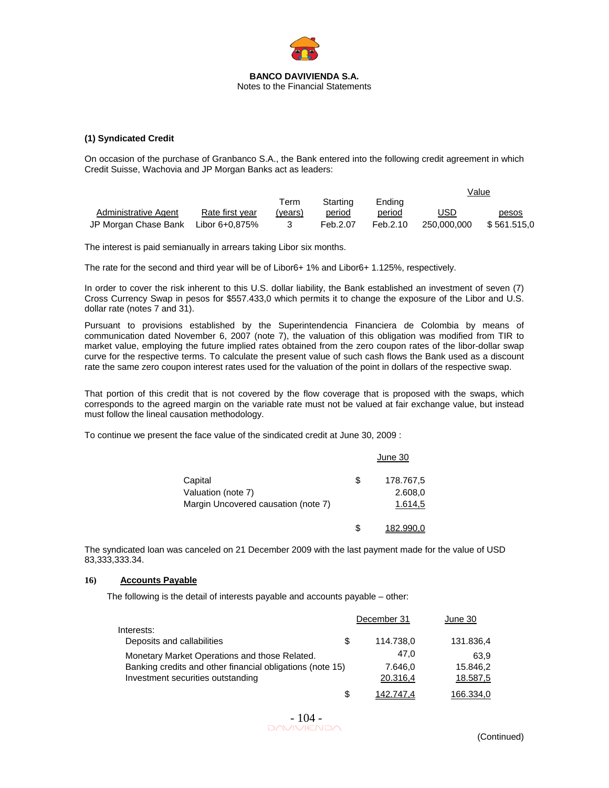

#### **(1) Syndicated Credit**

On occasion of the purchase of Granbanco S.A., the Bank entered into the following credit agreement in which Credit Suisse, Wachovia and JP Morgan Banks act as leaders:

|                                     |                 |         |          |          |             | <u>Value</u> |
|-------------------------------------|-----------------|---------|----------|----------|-------------|--------------|
|                                     |                 | ⊺erm    | Starting | Endina   |             |              |
| Administrative Agent                | Rate first vear | (vears) | period   | period   | USD         | pesos        |
| JP Morgan Chase Bank Libor 6+0,875% |                 |         | Feb.2.07 | Feb.2.10 | 250,000,000 | \$561.515,0  |

The interest is paid semianually in arrears taking Libor six months.

The rate for the second and third year will be of Libor6+ 1% and Libor6+ 1.125%, respectively.

In order to cover the risk inherent to this U.S. dollar liability, the Bank established an investment of seven (7) Cross Currency Swap in pesos for \$557.433,0 which permits it to change the exposure of the Libor and U.S. dollar rate (notes 7 and 31).

Pursuant to provisions established by the Superintendencia Financiera de Colombia by means of communication dated November 6, 2007 (note 7), the valuation of this obligation was modified from TIR to market value, employing the future implied rates obtained from the zero coupon rates of the libor-dollar swap curve for the respective terms. To calculate the present value of such cash flows the Bank used as a discount rate the same zero coupon interest rates used for the valuation of the point in dollars of the respective swap.

That portion of this credit that is not covered by the flow coverage that is proposed with the swaps, which corresponds to the agreed margin on the variable rate must not be valued at fair exchange value, but instead must follow the lineal causation methodology.

To continue we present the face value of the sindicated credit at June 30, 2009 :

|                                                                      | June 30                               |
|----------------------------------------------------------------------|---------------------------------------|
| Capital<br>Valuation (note 7)<br>Margin Uncovered causation (note 7) | \$<br>178.767,5<br>2.608,0<br>1.614,5 |
|                                                                      |                                       |

The syndicated loan was canceled on 21 December 2009 with the last payment made for the value of USD 83,333,333.34.

#### **16) Accounts Payable**

The following is the detail of interests payable and accounts payable – other:

|                                                           |     | December 31 | June 30   |
|-----------------------------------------------------------|-----|-------------|-----------|
| Interests:                                                |     |             |           |
| Deposits and callabilities                                | \$. | 114.738.0   | 131.836,4 |
| Monetary Market Operations and those Related.             |     | 47.0        | 63.9      |
| Banking credits and other financial obligations (note 15) |     | 7.646.0     | 15.846,2  |
| Investment securities outstanding                         |     | 20.316,4    | 18.587,5  |
|                                                           | S   | 142.747.4   | 166.334.0 |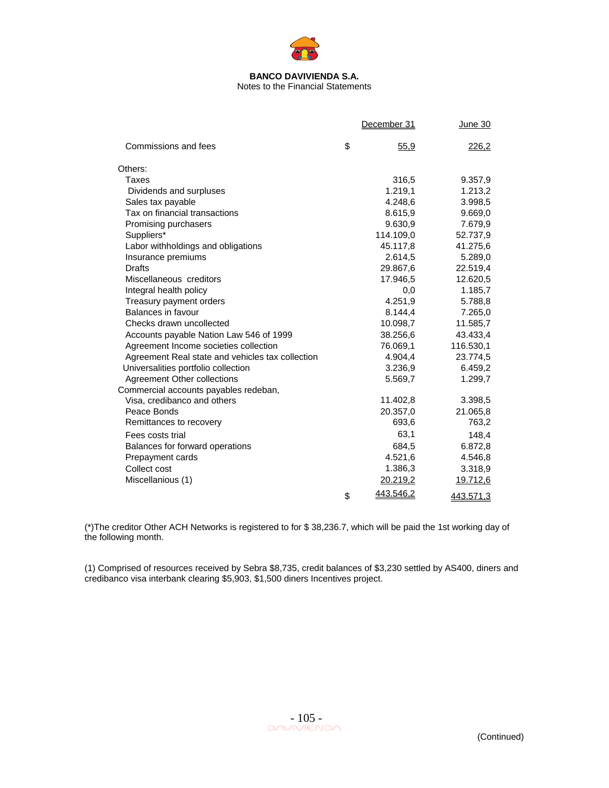

# Notes to the Financial Statements

|                                                  | December 31     | <u>June 30</u>   |
|--------------------------------------------------|-----------------|------------------|
| Commissions and fees                             | \$<br>55,9      | 226,2            |
| Others:                                          |                 |                  |
| Taxes                                            | 316,5           | 9.357,9          |
| Dividends and surpluses                          | 1.219,1         | 1.213,2          |
| Sales tax payable                                | 4.248,6         | 3.998,5          |
| Tax on financial transactions                    | 8.615,9         | 9.669,0          |
| Promising purchasers                             | 9.630,9         | 7.679,9          |
| Suppliers*                                       | 114.109,0       | 52.737,9         |
| Labor withholdings and obligations               | 45.117,8        | 41.275,6         |
| Insurance premiums                               | 2.614,5         | 5.289,0          |
| <b>Drafts</b>                                    | 29.867,6        | 22.519,4         |
| Miscellaneous creditors                          | 17.946,5        | 12.620,5         |
| Integral health policy                           | 0,0             | 1.185,7          |
| Treasury payment orders                          | 4.251,9         | 5.788,8          |
| Balances in favour                               | 8.144,4         | 7.265,0          |
| Checks drawn uncollected                         | 10.098,7        | 11.585,7         |
| Accounts payable Nation Law 546 of 1999          | 38.256,6        | 43.433,4         |
| Agreement Income societies collection            | 76.069,1        | 116.530,1        |
| Agreement Real state and vehicles tax collection | 4.904,4         | 23.774,5         |
| Universalities portfolio collection              | 3.236,9         | 6.459,2          |
| Agreement Other collections                      | 5.569,7         | 1.299,7          |
| Commercial accounts payables redeban,            |                 |                  |
| Visa, credibanco and others                      | 11.402,8        | 3.398,5          |
| Peace Bonds                                      | 20.357,0        | 21.065,8         |
| Remittances to recovery                          | 693,6           | 763,2            |
| Fees costs trial                                 | 63,1            | 148,4            |
| Balances for forward operations                  | 684,5           | 6.872,8          |
| Prepayment cards                                 | 4.521,6         | 4.546,8          |
| Collect cost                                     | 1.386,3         | 3.318,9          |
| Miscellanious (1)                                | 20.219,2        | <u>19.712,6</u>  |
|                                                  | \$<br>443.546,2 | <u>443.571,3</u> |

(\*)The creditor Other ACH Networks is registered to for \$ 38,236.7, which will be paid the 1st working day of the following month.

(1) Comprised of resources received by Sebra \$8,735, credit balances of \$3,230 settled by AS400, diners and credibanco visa interbank clearing \$5,903, \$1,500 diners Incentives project.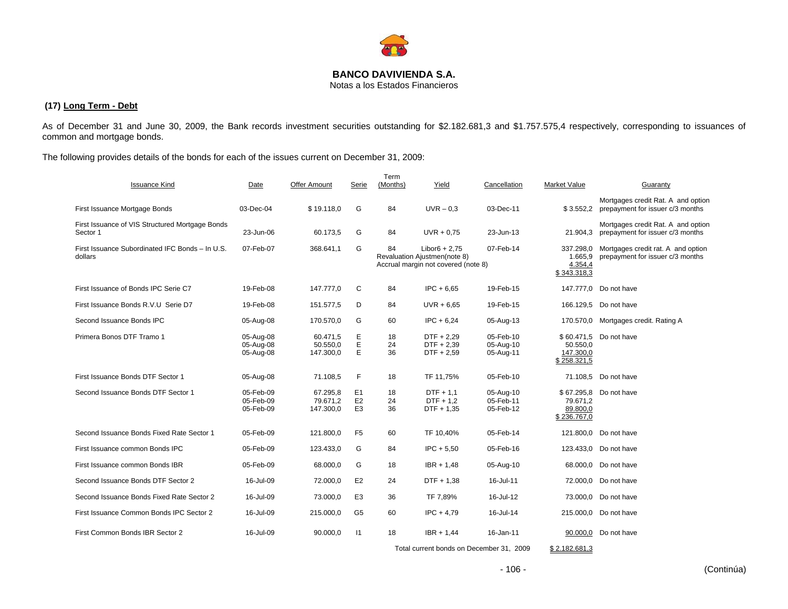

Notas a los Estados Financieros

## **(17) Long Term - Debt**

As of December 31 and June 30, 2009, the Bank records investment securities outstanding for \$2.182.681,3 and \$1.757.575,4 respectively, corresponding to issuances of common and mortgage bonds.

The following provides details of the bonds for each of the issues current on December 31, 2009:

| <b>Issuance Kind</b>                                        | Date                                | Offer Amount                      | Serie                                              | Term<br>(Months) | Yield                                                                                  | Cancellation                        | Market Value                                      | Guaranty                                                               |
|-------------------------------------------------------------|-------------------------------------|-----------------------------------|----------------------------------------------------|------------------|----------------------------------------------------------------------------------------|-------------------------------------|---------------------------------------------------|------------------------------------------------------------------------|
| First Issuance Mortgage Bonds                               | 03-Dec-04                           | \$19.118,0                        | G                                                  | 84               | $UVR - 0.3$                                                                            | 03-Dec-11                           | \$3.552,2                                         | Mortgages credit Rat. A and option<br>prepayment for issuer c/3 months |
| First Issuance of VIS Structured Mortgage Bonds<br>Sector 1 | 23-Jun-06                           | 60.173,5                          | G                                                  | 84               | $UVR + 0.75$                                                                           | 23-Jun-13                           | 21.904,3                                          | Mortgages credit Rat. A and option<br>prepayment for issuer c/3 months |
| First Issuance Subordinated IFC Bonds - In U.S.<br>dollars  | 07-Feb-07                           | 368.641,1                         | G                                                  | 84               | $Libor6 + 2.75$<br>Revaluation Ajustmen(note 8)<br>Accrual margin not covered (note 8) | 07-Feb-14                           | 337.298,0<br>1.665.9<br>4.354,4<br>\$343.318,3    | Mortgages credit rat. A and option<br>prepayment for issuer c/3 months |
| First Issuance of Bonds IPC Serie C7                        | 19-Feb-08                           | 147.777,0                         | C                                                  | 84               | $IPC + 6.65$                                                                           | 19-Feb-15                           |                                                   | 147.777,0 Do not have                                                  |
| First Issuance Bonds R.V.U Serie D7                         | 19-Feb-08                           | 151.577,5                         | D                                                  | 84               | $UVR + 6.65$                                                                           | 19-Feb-15                           |                                                   | 166.129,5 Do not have                                                  |
| Second Issuance Bonds IPC                                   | 05-Aug-08                           | 170.570.0                         | G                                                  | 60               | $IPC + 6.24$                                                                           | 05-Aug-13                           | 170.570.0                                         | Mortgages credit. Rating A                                             |
| Primera Bonos DTF Tramo 1                                   | 05-Aug-08<br>05-Aug-08<br>05-Aug-08 | 60.471,5<br>50.550,0<br>147.300,0 | Ε<br>E<br>E                                        | 18<br>24<br>36   | $DTF + 2.29$<br>$DTF + 2,39$<br>DTF + 2,59                                             | 05-Feb-10<br>05-Aug-10<br>05-Aug-11 | 50.550,0<br>147.300,0<br>\$258.321,5              | \$60,471.5 Do not have                                                 |
| First Issuance Bonds DTF Sector 1                           | 05-Aug-08                           | 71.108,5                          | F                                                  | 18               | TF 11,75%                                                                              | 05-Feb-10                           |                                                   | 71.108,5 Do not have                                                   |
| Second Issuance Bonds DTF Sector 1                          | 05-Feb-09<br>05-Feb-09<br>05-Feb-09 | 67.295,8<br>79.671,2<br>147.300,0 | E <sub>1</sub><br>E <sub>2</sub><br>E <sub>3</sub> | 18<br>24<br>36   | $DTF + 1.1$<br>$DTF + 1,2$<br>DTF + 1,35                                               | 05-Aug-10<br>05-Feb-11<br>05-Feb-12 | \$67.295,8<br>79.671,2<br>89.800,0<br>\$236.767,0 | Do not have                                                            |
| Second Issuance Bonds Fixed Rate Sector 1                   | 05-Feb-09                           | 121.800,0                         | F <sub>5</sub>                                     | 60               | TF 10,40%                                                                              | 05-Feb-14                           |                                                   | 121,800.0 Do not have                                                  |
| First Issuance common Bonds IPC                             | 05-Feb-09                           | 123.433,0                         | G                                                  | 84               | $IPC + 5,50$                                                                           | 05-Feb-16                           | 123.433,0                                         | Do not have                                                            |
| First Issuance common Bonds IBR                             | 05-Feb-09                           | 68.000,0                          | G                                                  | 18               | $IBR + 1,48$                                                                           | 05-Aug-10                           |                                                   | 68.000,0 Do not have                                                   |
| Second Issuance Bonds DTF Sector 2                          | 16-Jul-09                           | 72.000,0                          | E <sub>2</sub>                                     | 24               | DTF + 1,38                                                                             | 16-Jul-11                           |                                                   | 72,000.0 Do not have                                                   |
| Second Issuance Bonds Fixed Rate Sector 2                   | 16-Jul-09                           | 73.000,0                          | E <sub>3</sub>                                     | 36               | TF 7,89%                                                                               | 16-Jul-12                           |                                                   | 73.000,0 Do not have                                                   |
| First Issuance Common Bonds IPC Sector 2                    | 16-Jul-09                           | 215.000,0                         | G <sub>5</sub>                                     | 60               | $IPC + 4.79$                                                                           | 16-Jul-14                           |                                                   | 215.000,0 Do not have                                                  |
| First Common Bonds IBR Sector 2                             | 16-Jul-09                           | 90.000,0                          | $\vert$ 1                                          | 18               | $IBR + 1.44$                                                                           | 16-Jan-11                           |                                                   | 90.000,0 Do not have                                                   |

Total current bonds on December 31, 2009 \$ 2.182.681,3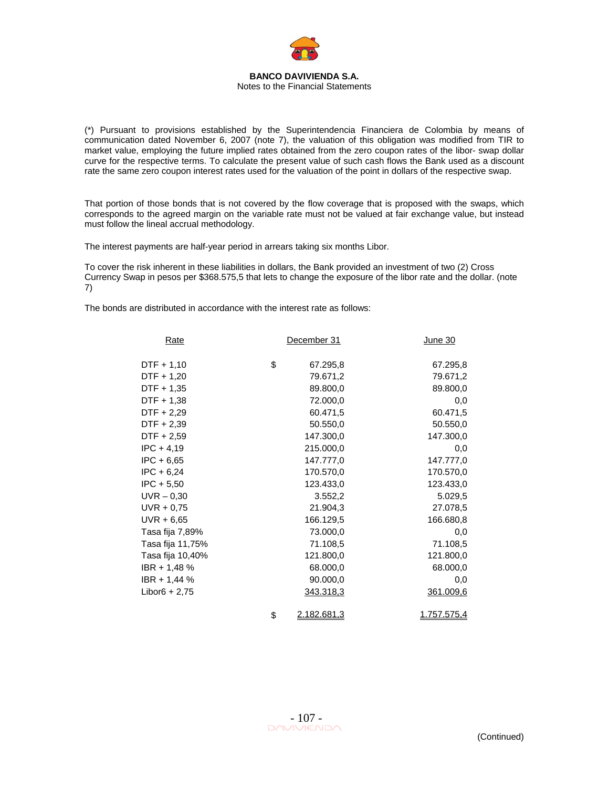

(\*) Pursuant to provisions established by the Superintendencia Financiera de Colombia by means of communication dated November 6, 2007 (note 7), the valuation of this obligation was modified from TIR to market value, employing the future implied rates obtained from the zero coupon rates of the libor- swap dollar curve for the respective terms. To calculate the present value of such cash flows the Bank used as a discount rate the same zero coupon interest rates used for the valuation of the point in dollars of the respective swap.

That portion of those bonds that is not covered by the flow coverage that is proposed with the swaps, which corresponds to the agreed margin on the variable rate must not be valued at fair exchange value, but instead must follow the lineal accrual methodology.

The interest payments are half-year period in arrears taking six months Libor.

To cover the risk inherent in these liabilities in dollars, the Bank provided an investment of two (2) Cross Currency Swap in pesos per \$368.575,5 that lets to change the exposure of the libor rate and the dollar. (note 7)

The bonds are distributed in accordance with the interest rate as follows:

| <u>Rate</u>      | December 31       | <u>June 30</u> |
|------------------|-------------------|----------------|
| DTF + 1,10       | \$<br>67.295,8    | 67.295,8       |
| DTF + 1,20       | 79.671,2          | 79.671,2       |
| DTF + 1,35       | 89.800,0          | 89.800,0       |
| DTF + 1,38       | 72.000,0          | 0,0            |
| DTF + 2,29       | 60.471,5          | 60.471,5       |
| DTF + 2,39       | 50.550,0          | 50.550,0       |
| DTF + 2,59       | 147.300,0         | 147.300,0      |
| $IPC + 4.19$     | 215.000,0         | 0,0            |
| $IPC + 6.65$     | 147.777,0         | 147.777,0      |
| $IPC + 6,24$     | 170.570,0         | 170.570,0      |
| $IPC + 5,50$     | 123.433,0         | 123.433,0      |
| $UVR - 0,30$     | 3.552,2           | 5.029,5        |
| $UVR + 0,75$     | 21.904,3          | 27.078,5       |
| UVR + 6,65       | 166.129,5         | 166.680,8      |
| Tasa fija 7,89%  | 73.000,0          | 0,0            |
| Tasa fija 11,75% | 71.108,5          | 71.108,5       |
| Tasa fija 10,40% | 121.800,0         | 121.800,0      |
| IBR + 1,48 %     | 68.000,0          | 68.000,0       |
| IBR + 1,44 %     | 90.000,0          | 0,0            |
| Libor $6 + 2,75$ | <u>343.318,3</u>  | 361.009,6      |
|                  | \$<br>2.182.681,3 | 1.757.575,4    |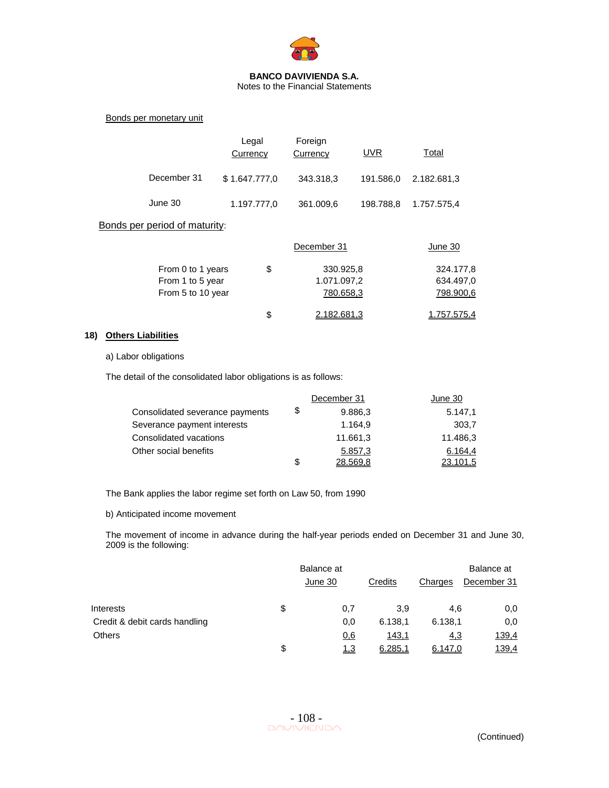

Notes to the Financial Statements

Bonds per monetary unit

|             | Legal<br>Currency | Foreign<br>Currency | <b>UVR</b> | Total       |
|-------------|-------------------|---------------------|------------|-------------|
| December 31 | \$1.647.777,0     | 343.318,3           | 191.586.0  | 2.182.681,3 |
| June 30     | 1.197.777,0       | 361.009,6           | 198.788.8  | 1.757.575,4 |

## Bonds per period of maturity:

|                   |    | December 31 | June 30     |
|-------------------|----|-------------|-------------|
| From 0 to 1 years | \$ | 330.925,8   | 324.177.8   |
| From 1 to 5 year  |    | 1.071.097,2 | 634.497,0   |
| From 5 to 10 year |    | 780.658,3   | 798.900,6   |
|                   | S  | 2.182.681.3 | 1.757.575.4 |

### **18) Others Liabilities**

### a) Labor obligations

The detail of the consolidated labor obligations is as follows:

|                                 | December 31    | June 30  |
|---------------------------------|----------------|----------|
| Consolidated severance payments | \$<br>9.886,3  | 5.147,1  |
| Severance payment interests     | 1.164.9        | 303.7    |
| Consolidated vacations          | 11.661,3       | 11.486,3 |
| Other social benefits           | 5.857,3        | 6.164.4  |
|                                 | \$<br>28.569.8 | 23.101.5 |

The Bank applies the labor regime set forth on Law 50, from 1990

b) Anticipated income movement

The movement of income in advance during the half-year periods ended on December 31 and June 30, 2009 is the following:

|                               | Balance at<br>June 30 | Credits | Charges    | Balance at<br>December 31 |
|-------------------------------|-----------------------|---------|------------|---------------------------|
| Interests                     | \$<br>0,7             | 3.9     | 4.6        | 0,0                       |
| Credit & debit cards handling | 0,0                   | 6.138.1 | 6.138.1    | 0,0                       |
| <b>Others</b>                 | 0,6                   | 143,1   | <u>4,3</u> | <u>139,4</u>              |
|                               | \$<br><u>1,3</u>      | 6.285,1 | 6.147,0    | 139,4                     |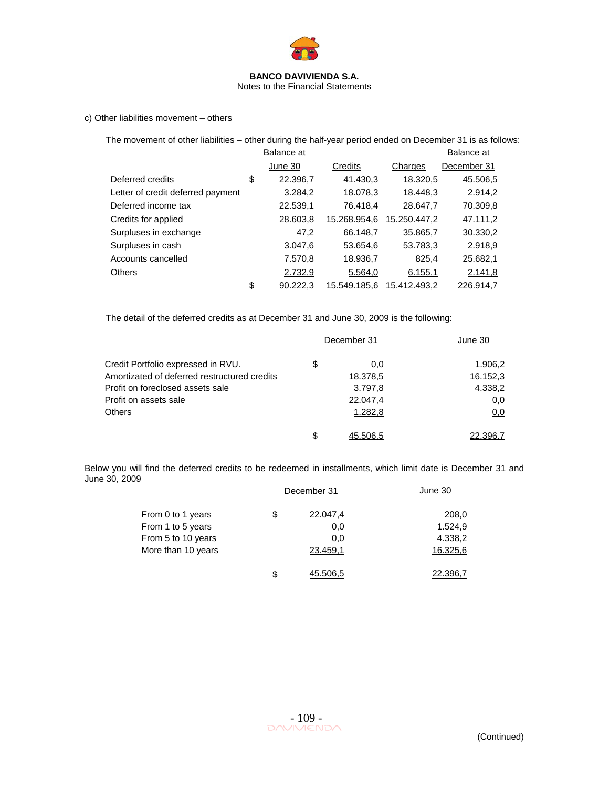

Notes to the Financial Statements

c) Other liabilities movement – others

The movement of other liabilities – other during the half-year period ended on December 31 is as follows:

|                                   | Balance at     |              |              | Balance at  |
|-----------------------------------|----------------|--------------|--------------|-------------|
|                                   | June 30        | Credits      | Charges      | December 31 |
| Deferred credits                  | \$<br>22.396,7 | 41.430,3     | 18.320,5     | 45.506,5    |
| Letter of credit deferred payment | 3.284,2        | 18.078,3     | 18.448,3     | 2.914,2     |
| Deferred income tax               | 22.539,1       | 76.418,4     | 28.647,7     | 70.309,8    |
| Credits for applied               | 28.603,8       | 15.268.954,6 | 15.250.447,2 | 47.111,2    |
| Surpluses in exchange             | 47,2           | 66.148,7     | 35.865,7     | 30.330,2    |
| Surpluses in cash                 | 3.047,6        | 53.654,6     | 53.783,3     | 2.918,9     |
| Accounts cancelled                | 7.570,8        | 18.936,7     | 825.4        | 25.682,1    |
| <b>Others</b>                     | 2.732,9        | 5.564,0      | 6.155,1      | 2.141,8     |
|                                   | \$<br>90.222.3 | 15.549.185.6 | 15.412.493.2 | 226.914,7   |

The detail of the deferred credits as at December 31 and June 30, 2009 is the following:

|                                              | December 31 | June 30  |
|----------------------------------------------|-------------|----------|
| Credit Portfolio expressed in RVU.           | \$<br>0.0   | 1.906,2  |
| Amortizated of deferred restructured credits | 18.378,5    | 16.152,3 |
| Profit on foreclosed assets sale             | 3.797,8     | 4.338,2  |
| Profit on assets sale                        | 22.047,4    | 0,0      |
| <b>Others</b>                                | 1.282,8     | 0,0      |
|                                              | \$          |          |

Below you will find the deferred credits to be redeemed in installments, which limit date is December 31 and June 30, 2009

|                    | December 31    | June 30  |
|--------------------|----------------|----------|
| From 0 to 1 years  | \$<br>22.047,4 | 208,0    |
| From 1 to 5 years  | 0,0            | 1.524,9  |
| From 5 to 10 years | 0.0            | 4.338,2  |
| More than 10 years | 23.459,1       | 16.325,6 |
|                    | \$<br>45.506.5 | 22,396.7 |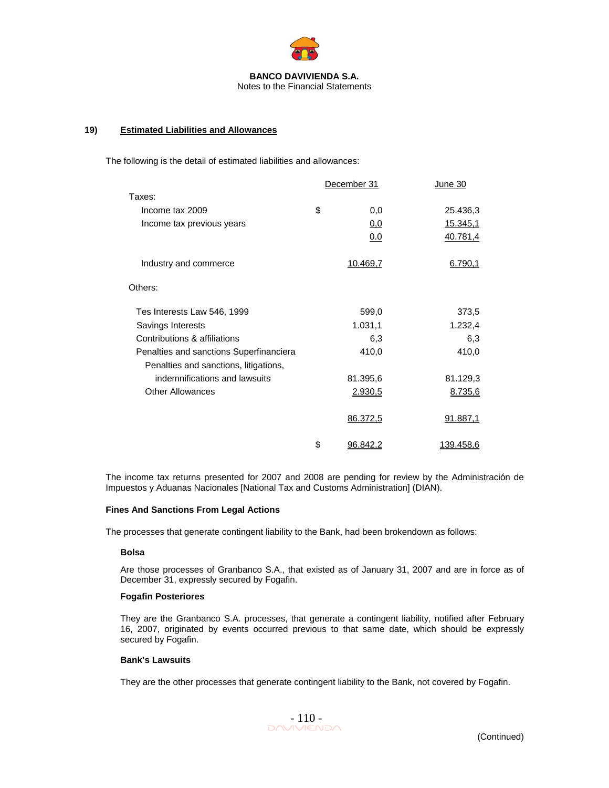

### **19) Estimated Liabilities and Allowances**

The following is the detail of estimated liabilities and allowances:

|                                         | December 31    | June 30   |
|-----------------------------------------|----------------|-----------|
| Taxes:                                  |                |           |
| Income tax 2009                         | \$<br>0,0      | 25.436,3  |
| Income tax previous years               | 0,0            | 15.345,1  |
|                                         | 0.0            | 40.781,4  |
| Industry and commerce                   | 10.469,7       | 6.790,1   |
| Others:                                 |                |           |
| Tes Interests Law 546, 1999             | 599,0          | 373,5     |
| Savings Interests                       | 1.031,1        | 1.232,4   |
| Contributions & affiliations            | 6,3            | 6,3       |
| Penalties and sanctions Superfinanciera | 410,0          | 410,0     |
| Penalties and sanctions, litigations,   |                |           |
| indemnifications and lawsuits           | 81.395,6       | 81.129,3  |
| <b>Other Allowances</b>                 | 2.930,5        | 8.735,6   |
|                                         | 86.372,5       | 91.887,1  |
|                                         | \$<br>96.842.2 | 139.458,6 |

The income tax returns presented for 2007 and 2008 are pending for review by the Administración de Impuestos y Aduanas Nacionales [National Tax and Customs Administration] (DIAN).

### **Fines And Sanctions From Legal Actions**

The processes that generate contingent liability to the Bank, had been brokendown as follows:

### **Bolsa**

Are those processes of Granbanco S.A., that existed as of January 31, 2007 and are in force as of December 31, expressly secured by Fogafin.

### **Fogafin Posteriores**

They are the Granbanco S.A. processes, that generate a contingent liability, notified after February 16, 2007, originated by events occurred previous to that same date, which should be expressly secured by Fogafin.

#### **Bank's Lawsuits**

They are the other processes that generate contingent liability to the Bank, not covered by Fogafin.

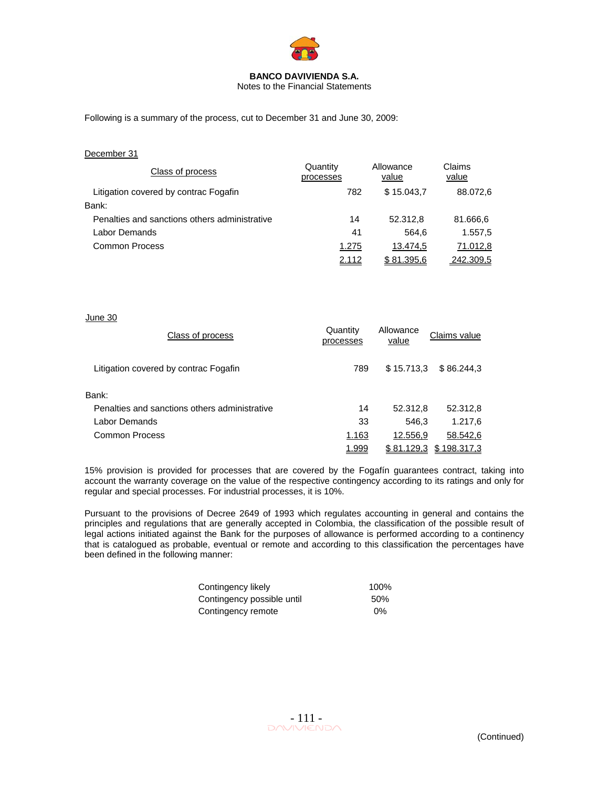

Notes to the Financial Statements

Following is a summary of the process, cut to December 31 and June 30, 2009:

| December 31 |  |
|-------------|--|
|             |  |

| Class of process                              | Quantity<br>processes | Allowance<br>value | Claims<br>value |
|-----------------------------------------------|-----------------------|--------------------|-----------------|
| Litigation covered by contrac Fogafin         | 782                   | \$15.043.7         | 88.072,6        |
| Bank:                                         |                       |                    |                 |
| Penalties and sanctions others administrative | 14                    | 52.312.8           | 81.666,6        |
| Labor Demands                                 | 41                    | 564.6              | 1.557,5         |
| Common Process                                | 1.275                 | 13.474.5           | 71.012,8        |
|                                               | 2.112                 | \$81.395.6         | 242.309.5       |

### June 30

| Class of process                              | Quantity<br>processes | Allowance<br>value | Claims value |
|-----------------------------------------------|-----------------------|--------------------|--------------|
| Litigation covered by contrac Fogafin         | 789                   | \$15,713.3         | \$86,244.3   |
| Bank:                                         |                       |                    |              |
| Penalties and sanctions others administrative | 14                    | 52.312,8           | 52.312,8     |
| Labor Demands                                 | 33                    | 546.3              | 1.217,6      |
| Common Process                                | 1.163                 | 12.556.9           | 58.542,6     |
|                                               | 1.999                 | \$81.129,3         | \$198.317.3  |

15% provision is provided for processes that are covered by the Fogafín guarantees contract, taking into account the warranty coverage on the value of the respective contingency according to its ratings and only for regular and special processes. For industrial processes, it is 10%.

Pursuant to the provisions of Decree 2649 of 1993 which regulates accounting in general and contains the principles and regulations that are generally accepted in Colombia, the classification of the possible result of legal actions initiated against the Bank for the purposes of allowance is performed according to a continency that is catalogued as probable, eventual or remote and according to this classification the percentages have been defined in the following manner:

| Contingency likely         | 100%  |
|----------------------------|-------|
| Contingency possible until | 50%   |
| Contingency remote         | $0\%$ |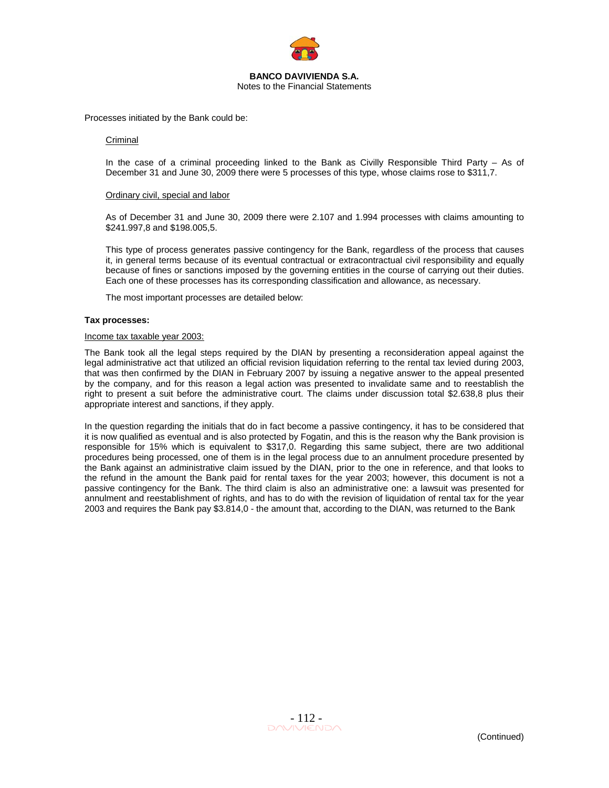

Processes initiated by the Bank could be:

### Criminal

In the case of a criminal proceeding linked to the Bank as Civilly Responsible Third Party – As of December 31 and June 30, 2009 there were 5 processes of this type, whose claims rose to \$311,7.

#### Ordinary civil, special and labor

As of December 31 and June 30, 2009 there were 2.107 and 1.994 processes with claims amounting to \$241.997,8 and \$198.005,5.

This type of process generates passive contingency for the Bank, regardless of the process that causes it, in general terms because of its eventual contractual or extracontractual civil responsibility and equally because of fines or sanctions imposed by the governing entities in the course of carrying out their duties. Each one of these processes has its corresponding classification and allowance, as necessary.

The most important processes are detailed below:

### **Tax processes:**

### Income tax taxable year 2003:

The Bank took all the legal steps required by the DIAN by presenting a reconsideration appeal against the legal administrative act that utilized an official revision liquidation referring to the rental tax levied during 2003, that was then confirmed by the DIAN in February 2007 by issuing a negative answer to the appeal presented by the company, and for this reason a legal action was presented to invalidate same and to reestablish the right to present a suit before the administrative court. The claims under discussion total \$2.638,8 plus their appropriate interest and sanctions, if they apply.

In the question regarding the initials that do in fact become a passive contingency, it has to be considered that it is now qualified as eventual and is also protected by Fogatin, and this is the reason why the Bank provision is responsible for 15% which is equivalent to \$317,0. Regarding this same subject, there are two additional procedures being processed, one of them is in the legal process due to an annulment procedure presented by the Bank against an administrative claim issued by the DIAN, prior to the one in reference, and that looks to the refund in the amount the Bank paid for rental taxes for the year 2003; however, this document is not a passive contingency for the Bank. The third claim is also an administrative one: a lawsuit was presented for annulment and reestablishment of rights, and has to do with the revision of liquidation of rental tax for the year 2003 and requires the Bank pay \$3.814,0 - the amount that, according to the DIAN, was returned to the Bank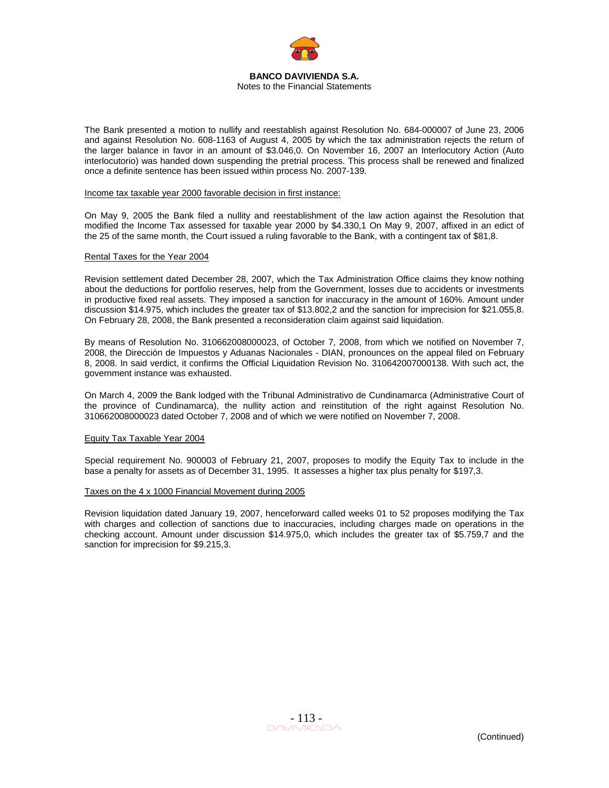

The Bank presented a motion to nullify and reestablish against Resolution No. 684-000007 of June 23, 2006 and against Resolution No. 608-1163 of August 4, 2005 by which the tax administration rejects the return of the larger balance in favor in an amount of \$3.046,0. On November 16, 2007 an Interlocutory Action (Auto interlocutorio) was handed down suspending the pretrial process. This process shall be renewed and finalized once a definite sentence has been issued within process No. 2007-139.

#### Income tax taxable year 2000 favorable decision in first instance:

On May 9, 2005 the Bank filed a nullity and reestablishment of the law action against the Resolution that modified the Income Tax assessed for taxable year 2000 by \$4.330,1 On May 9, 2007, affixed in an edict of the 25 of the same month, the Court issued a ruling favorable to the Bank, with a contingent tax of \$81,8.

#### Rental Taxes for the Year 2004

Revision settlement dated December 28, 2007, which the Tax Administration Office claims they know nothing about the deductions for portfolio reserves, help from the Government, losses due to accidents or investments in productive fixed real assets. They imposed a sanction for inaccuracy in the amount of 160%. Amount under discussion \$14.975, which includes the greater tax of \$13.802,2 and the sanction for imprecision for \$21.055,8. On February 28, 2008, the Bank presented a reconsideration claim against said liquidation.

By means of Resolution No. 310662008000023, of October 7, 2008, from which we notified on November 7, 2008, the Dirección de Impuestos y Aduanas Nacionales - DIAN, pronounces on the appeal filed on February 8, 2008. In said verdict, it confirms the Official Liquidation Revision No. 310642007000138. With such act, the government instance was exhausted.

On March 4, 2009 the Bank lodged with the Tribunal Administrativo de Cundinamarca (Administrative Court of the province of Cundinamarca), the nullity action and reinstitution of the right against Resolution No. 310662008000023 dated October 7, 2008 and of which we were notified on November 7, 2008.

#### Equity Tax Taxable Year 2004

Special requirement No. 900003 of February 21, 2007, proposes to modify the Equity Tax to include in the base a penalty for assets as of December 31, 1995. It assesses a higher tax plus penalty for \$197,3.

#### Taxes on the 4 x 1000 Financial Movement during 2005

Revision liquidation dated January 19, 2007, henceforward called weeks 01 to 52 proposes modifying the Tax with charges and collection of sanctions due to inaccuracies, including charges made on operations in the checking account. Amount under discussion \$14.975,0, which includes the greater tax of \$5.759,7 and the sanction for imprecision for \$9.215,3.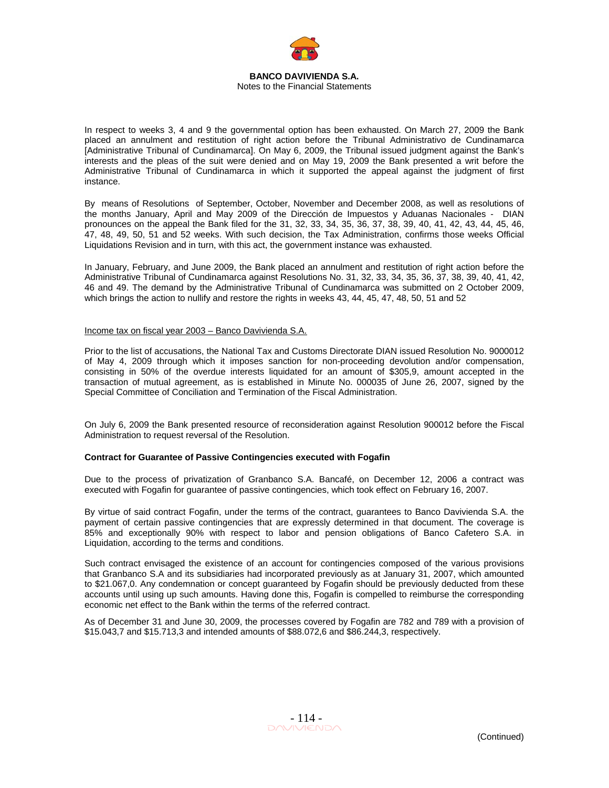

In respect to weeks 3, 4 and 9 the governmental option has been exhausted. On March 27, 2009 the Bank placed an annulment and restitution of right action before the Tribunal Administrativo de Cundinamarca [Administrative Tribunal of Cundinamarca]. On May 6, 2009, the Tribunal issued judgment against the Bank's interests and the pleas of the suit were denied and on May 19, 2009 the Bank presented a writ before the Administrative Tribunal of Cundinamarca in which it supported the appeal against the judgment of first instance.

By means of Resolutions of September, October, November and December 2008, as well as resolutions of the months January, April and May 2009 of the Dirección de Impuestos y Aduanas Nacionales - DIAN pronounces on the appeal the Bank filed for the 31, 32, 33, 34, 35, 36, 37, 38, 39, 40, 41, 42, 43, 44, 45, 46, 47, 48, 49, 50, 51 and 52 weeks. With such decision, the Tax Administration, confirms those weeks Official Liquidations Revision and in turn, with this act, the government instance was exhausted.

In January, February, and June 2009, the Bank placed an annulment and restitution of right action before the Administrative Tribunal of Cundinamarca against Resolutions No. 31, 32, 33, 34, 35, 36, 37, 38, 39, 40, 41, 42, 46 and 49. The demand by the Administrative Tribunal of Cundinamarca was submitted on 2 October 2009, which brings the action to nullify and restore the rights in weeks 43, 44, 45, 47, 48, 50, 51 and 52

### Income tax on fiscal year 2003 – Banco Davivienda S.A.

Prior to the list of accusations, the National Tax and Customs Directorate DIAN issued Resolution No. 9000012 of May 4, 2009 through which it imposes sanction for non-proceeding devolution and/or compensation, consisting in 50% of the overdue interests liquidated for an amount of \$305,9, amount accepted in the transaction of mutual agreement, as is established in Minute No. 000035 of June 26, 2007, signed by the Special Committee of Conciliation and Termination of the Fiscal Administration.

On July 6, 2009 the Bank presented resource of reconsideration against Resolution 900012 before the Fiscal Administration to request reversal of the Resolution.

#### **Contract for Guarantee of Passive Contingencies executed with Fogafin**

Due to the process of privatization of Granbanco S.A. Bancafé, on December 12, 2006 a contract was executed with Fogafin for guarantee of passive contingencies, which took effect on February 16, 2007.

By virtue of said contract Fogafin, under the terms of the contract, guarantees to Banco Davivienda S.A. the payment of certain passive contingencies that are expressly determined in that document. The coverage is 85% and exceptionally 90% with respect to labor and pension obligations of Banco Cafetero S.A. in Liquidation, according to the terms and conditions.

Such contract envisaged the existence of an account for contingencies composed of the various provisions that Granbanco S.A and its subsidiaries had incorporated previously as at January 31, 2007, which amounted to \$21.067,0. Any condemnation or concept guaranteed by Fogafin should be previously deducted from these accounts until using up such amounts. Having done this, Fogafin is compelled to reimburse the corresponding economic net effect to the Bank within the terms of the referred contract.

As of December 31 and June 30, 2009, the processes covered by Fogafin are 782 and 789 with a provision of \$15.043,7 and \$15.713,3 and intended amounts of \$88.072,6 and \$86.244,3, respectively.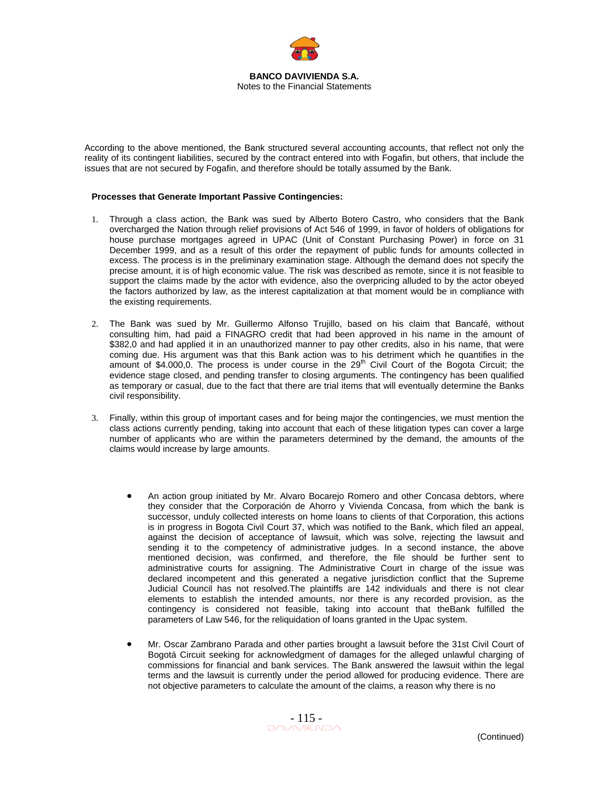

According to the above mentioned, the Bank structured several accounting accounts, that reflect not only the reality of its contingent liabilities, secured by the contract entered into with Fogafin, but others, that include the issues that are not secured by Fogafin, and therefore should be totally assumed by the Bank.

### **Processes that Generate Important Passive Contingencies:**

- 1. Through a class action, the Bank was sued by Alberto Botero Castro, who considers that the Bank overcharged the Nation through relief provisions of Act 546 of 1999, in favor of holders of obligations for house purchase mortgages agreed in UPAC (Unit of Constant Purchasing Power) in force on 31 December 1999, and as a result of this order the repayment of public funds for amounts collected in excess. The process is in the preliminary examination stage. Although the demand does not specify the precise amount, it is of high economic value. The risk was described as remote, since it is not feasible to support the claims made by the actor with evidence, also the overpricing alluded to by the actor obeyed the factors authorized by law, as the interest capitalization at that moment would be in compliance with the existing requirements.
- 2. The Bank was sued by Mr. Guillermo Alfonso Trujillo, based on his claim that Bancafé, without consulting him, had paid a FINAGRO credit that had been approved in his name in the amount of \$382,0 and had applied it in an unauthorized manner to pay other credits, also in his name, that were coming due. His argument was that this Bank action was to his detriment which he quantifies in the amount of \$4.000,0. The process is under course in the 29<sup>th</sup> Civil Court of the Bogota Circuit; the evidence stage closed, and pending transfer to closing arguments. The contingency has been qualified as temporary or casual, due to the fact that there are trial items that will eventually determine the Banks civil responsibility.
- 3. Finally, within this group of important cases and for being major the contingencies, we must mention the class actions currently pending, taking into account that each of these litigation types can cover a large number of applicants who are within the parameters determined by the demand, the amounts of the claims would increase by large amounts.
	- An action group initiated by Mr. Alvaro Bocarejo Romero and other Concasa debtors, where they consider that the Corporación de Ahorro y Vivienda Concasa, from which the bank is successor, unduly collected interests on home loans to clients of that Corporation, this actions is in progress in Bogota Civil Court 37, which was notified to the Bank, which filed an appeal, against the decision of acceptance of lawsuit, which was solve, rejecting the lawsuit and sending it to the competency of administrative judges. In a second instance, the above mentioned decision, was confirmed, and therefore, the file should be further sent to administrative courts for assigning. The Administrative Court in charge of the issue was declared incompetent and this generated a negative jurisdiction conflict that the Supreme Judicial Council has not resolved.The plaintiffs are 142 individuals and there is not clear elements to establish the intended amounts, nor there is any recorded provision, as the contingency is considered not feasible, taking into account that theBank fulfilled the parameters of Law 546, for the reliquidation of loans granted in the Upac system.
	- Mr. Oscar Zambrano Parada and other parties brought a lawsuit before the 31st Civil Court of Bogotá Circuit seeking for acknowledgment of damages for the alleged unlawful charging of commissions for financial and bank services. The Bank answered the lawsuit within the legal terms and the lawsuit is currently under the period allowed for producing evidence. There are not objective parameters to calculate the amount of the claims, a reason why there is no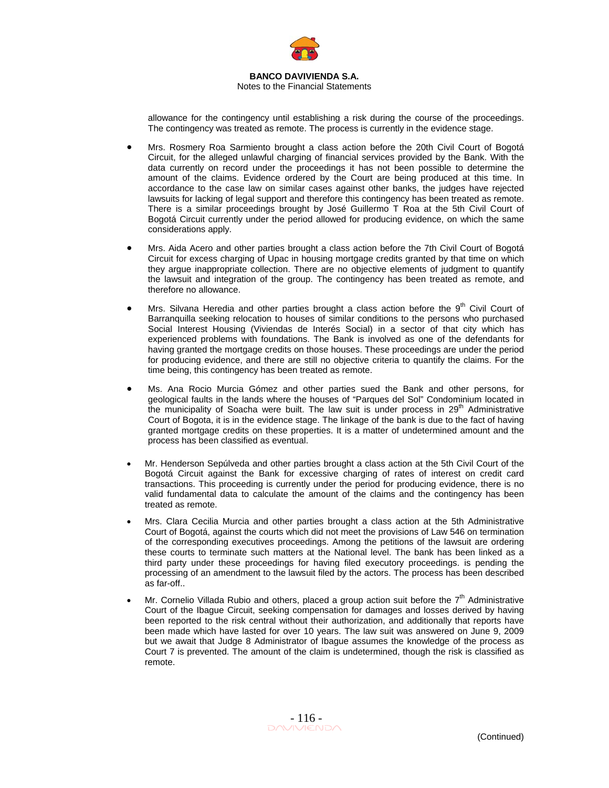

Notes to the Financial Statements

allowance for the contingency until establishing a risk during the course of the proceedings. The contingency was treated as remote. The process is currently in the evidence stage.

- Mrs. Rosmery Roa Sarmiento brought a class action before the 20th Civil Court of Bogotá Circuit, for the alleged unlawful charging of financial services provided by the Bank. With the data currently on record under the proceedings it has not been possible to determine the amount of the claims. Evidence ordered by the Court are being produced at this time. In accordance to the case law on similar cases against other banks, the judges have rejected lawsuits for lacking of legal support and therefore this contingency has been treated as remote. There is a similar proceedings brought by José Guillermo T Roa at the 5th Civil Court of Bogotá Circuit currently under the period allowed for producing evidence, on which the same considerations apply.
- Mrs. Aida Acero and other parties brought a class action before the 7th Civil Court of Bogotá Circuit for excess charging of Upac in housing mortgage credits granted by that time on which they argue inappropriate collection. There are no objective elements of judgment to quantify the lawsuit and integration of the group. The contingency has been treated as remote, and therefore no allowance.
- Mrs. Silvana Heredia and other parties brought a class action before the  $9<sup>th</sup>$  Civil Court of Barranquilla seeking relocation to houses of similar conditions to the persons who purchased Social Interest Housing (Viviendas de Interés Social) in a sector of that city which has experienced problems with foundations. The Bank is involved as one of the defendants for having granted the mortgage credits on those houses. These proceedings are under the period for producing evidence, and there are still no objective criteria to quantify the claims. For the time being, this contingency has been treated as remote.
- Ms. Ana Rocio Murcia Gómez and other parties sued the Bank and other persons, for geological faults in the lands where the houses of "Parques del Sol" Condominium located in the municipality of Soacha were built. The law suit is under process in  $29<sup>th</sup>$  Administrative Court of Bogota, it is in the evidence stage. The linkage of the bank is due to the fact of having granted mortgage credits on these properties. It is a matter of undetermined amount and the process has been classified as eventual.
- Mr. Henderson Sepúlveda and other parties brought a class action at the 5th Civil Court of the Bogotá Circuit against the Bank for excessive charging of rates of interest on credit card transactions. This proceeding is currently under the period for producing evidence, there is no valid fundamental data to calculate the amount of the claims and the contingency has been treated as remote.
- Mrs. Clara Cecilia Murcia and other parties brought a class action at the 5th Administrative Court of Bogotá, against the courts which did not meet the provisions of Law 546 on termination of the corresponding executives proceedings. Among the petitions of the lawsuit are ordering these courts to terminate such matters at the National level. The bank has been linked as a third party under these proceedings for having filed executory proceedings. is pending the processing of an amendment to the lawsuit filed by the actors. The process has been described as far-off..
- Mr. Cornelio Villada Rubio and others, placed a group action suit before the  $7<sup>th</sup>$  Administrative Court of the Ibague Circuit, seeking compensation for damages and losses derived by having been reported to the risk central without their authorization, and additionally that reports have been made which have lasted for over 10 years. The law suit was answered on June 9, 2009 but we await that Judge 8 Administrator of Ibague assumes the knowledge of the process as Court 7 is prevented. The amount of the claim is undetermined, though the risk is classified as remote.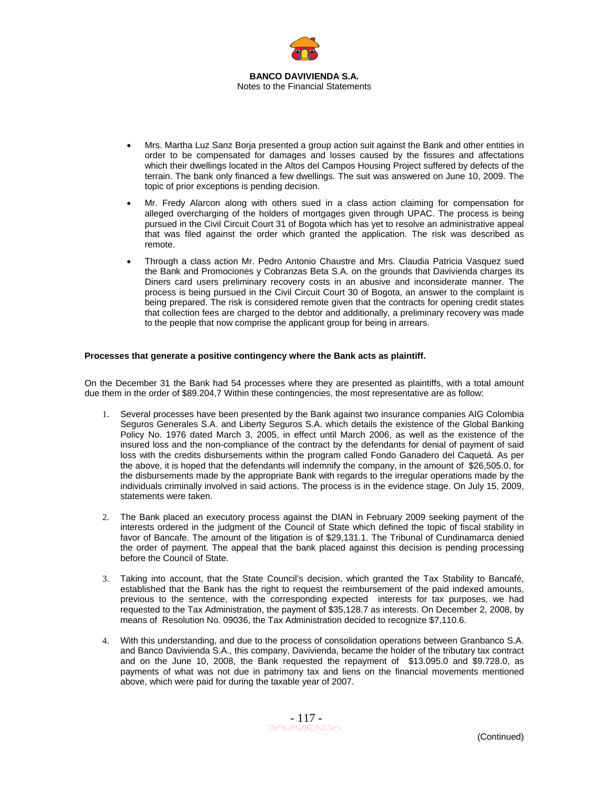

- Mrs. Martha Luz Sanz Borja presented a group action suit against the Bank and other entities in order to be compensated for damages and losses caused by the fissures and affectations which their dwellings located in the Altos del Campos Housing Project suffered by defects of the terrain. The bank only financed a few dwellings. The suit was answered on June 10, 2009. The topic of prior exceptions is pending decision.
- Mr. Fredy Alarcon along with others sued in a class action claiming for compensation for alleged overcharging of the holders of mortgages given through UPAC. The process is being pursued in the Civil Circuit Court 31 of Bogota which has yet to resolve an administrative appeal that was filed against the order which granted the application. The risk was described as remote.
- Through a class action Mr. Pedro Antonio Chaustre and Mrs. Claudia Patricia Vasquez sued the Bank and Promociones y Cobranzas Beta S.A. on the grounds that Davivienda charges its Diners card users preliminary recovery costs in an abusive and inconsiderate manner. The process is being pursued in the Civil Circuit Court 30 of Bogota, an answer to the complaint is being prepared. The risk is considered remote given that the contracts for opening credit states that collection fees are charged to the debtor and additionally, a preliminary recovery was made to the people that now comprise the applicant group for being in arrears.

### **Processes that generate a positive contingency where the Bank acts as plaintiff.**

On the December 31 the Bank had 54 processes where they are presented as plaintiffs, with a total amount due them in the order of \$89.204,7 Within these contingencies, the most representative are as follow:

- 1. Several processes have been presented by the Bank against two insurance companies AIG Colombia Seguros Generales S.A. and Liberty Seguros S.A. which details the existence of the Global Banking Policy No. 1976 dated March 3, 2005, in effect until March 2006, as well as the existence of the insured loss and the non-compliance of the contract by the defendants for denial of payment of said loss with the credits disbursements within the program called Fondo Ganadero del Caquetá. As per the above, it is hoped that the defendants will indemnify the company, in the amount of \$26,505.0, for the disbursements made by the appropriate Bank with regards to the irregular operations made by the individuals criminally involved in said actions. The process is in the evidence stage. On July 15, 2009, statements were taken.
- 2. The Bank placed an executory process against the DIAN in February 2009 seeking payment of the interests ordered in the judgment of the Council of State which defined the topic of fiscal stability in favor of Bancafe. The amount of the litigation is of \$29,131.1. The Tribunal of Cundinamarca denied the order of payment. The appeal that the bank placed against this decision is pending processing before the Council of State.
- 3. Taking into account, that the State Council's decision, which granted the Tax Stability to Bancafé, established that the Bank has the right to request the reimbursement of the paid indexed amounts, previous to the sentence, with the corresponding expected interests for tax purposes, we had requested to the Tax Administration, the payment of \$35,128.7 as interests. On December 2, 2008, by means of Resolution No. 09036, the Tax Administration decided to recognize \$7,110.6.
- 4. With this understanding, and due to the process of consolidation operations between Granbanco S.A. and Banco Davivienda S.A., this company, Davivienda, became the holder of the tributary tax contract and on the June 10, 2008, the Bank requested the repayment of \$13.095.0 and \$9.728.0, as payments of what was not due in patrimony tax and liens on the financial movements mentioned above, which were paid for during the taxable year of 2007.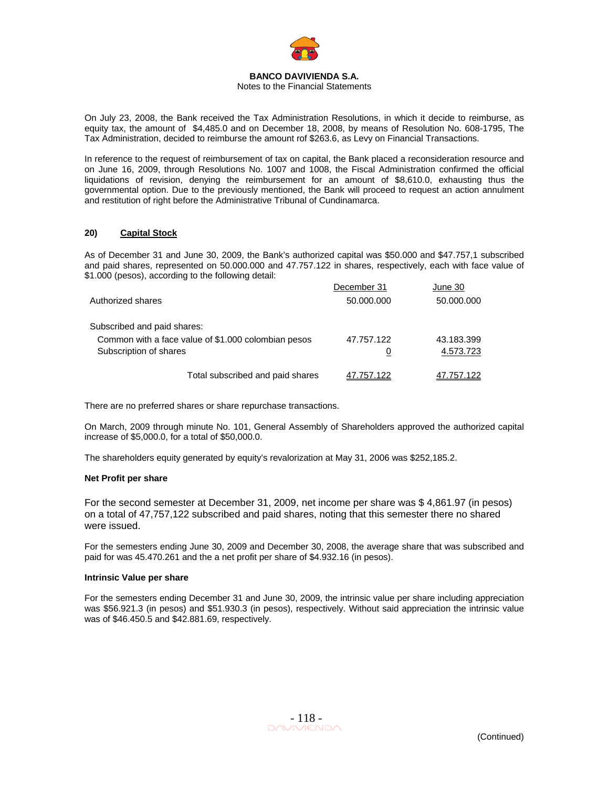

Notes to the Financial Statements

On July 23, 2008, the Bank received the Tax Administration Resolutions, in which it decide to reimburse, as equity tax, the amount of \$4,485.0 and on December 18, 2008, by means of Resolution No. 608-1795, The Tax Administration, decided to reimburse the amount rof \$263.6, as Levy on Financial Transactions.

In reference to the request of reimbursement of tax on capital, the Bank placed a reconsideration resource and on June 16, 2009, through Resolutions No. 1007 and 1008, the Fiscal Administration confirmed the official liquidations of revision, denying the reimbursement for an amount of \$8,610.0, exhausting thus the governmental option. Due to the previously mentioned, the Bank will proceed to request an action annulment and restitution of right before the Administrative Tribunal of Cundinamarca.

## **20) Capital Stock**

As of December 31 and June 30, 2009, the Bank's authorized capital was \$50.000 and \$47.757,1 subscribed and paid shares, represented on 50.000.000 and 47.757.122 in shares, respectively, each with face value of \$1.000 (pesos), according to the following detail:

|                                                     | December 31 | June 30    |
|-----------------------------------------------------|-------------|------------|
| Authorized shares                                   | 50.000.000  | 50.000.000 |
| Subscribed and paid shares:                         |             |            |
| Common with a face value of \$1,000 colombian pesos | 47.757.122  | 43.183.399 |
| Subscription of shares                              | 0           | 4.573.723  |
| Total subscribed and paid shares                    | 7.757.122   | 47.757.122 |

There are no preferred shares or share repurchase transactions.

On March, 2009 through minute No. 101, General Assembly of Shareholders approved the authorized capital increase of \$5,000.0, for a total of \$50,000.0.

The shareholders equity generated by equity's revalorization at May 31, 2006 was \$252,185.2.

#### **Net Profit per share**

For the second semester at December 31, 2009, net income per share was \$ 4,861.97 (in pesos) on a total of 47,757,122 subscribed and paid shares, noting that this semester there no shared were issued.

For the semesters ending June 30, 2009 and December 30, 2008, the average share that was subscribed and paid for was 45.470.261 and the a net profit per share of \$4.932.16 (in pesos).

#### **Intrinsic Value per share**

For the semesters ending December 31 and June 30, 2009, the intrinsic value per share including appreciation was \$56.921.3 (in pesos) and \$51.930.3 (in pesos), respectively. Without said appreciation the intrinsic value was of \$46.450.5 and \$42.881.69, respectively.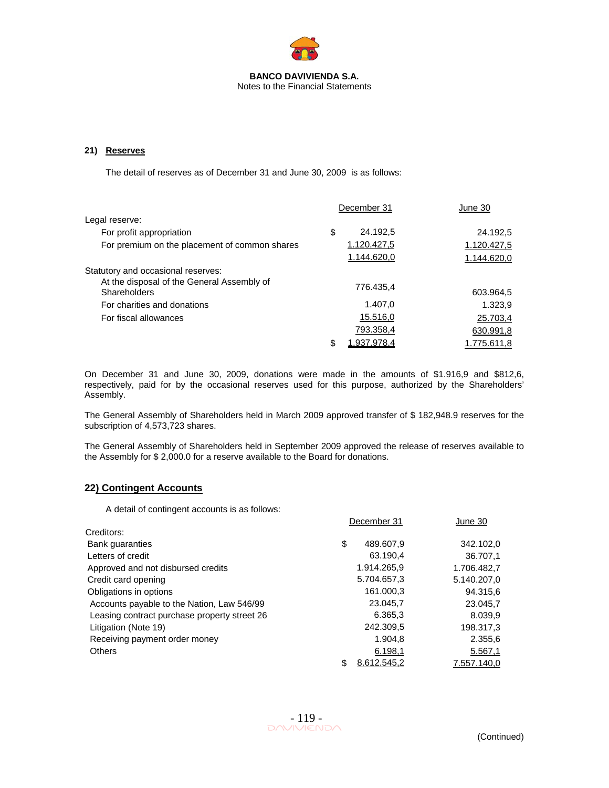

## **21) Reserves**

The detail of reserves as of December 31 and June 30, 2009 is as follows:

|                                                            | December 31    | June 30     |
|------------------------------------------------------------|----------------|-------------|
| Legal reserve:                                             |                |             |
| For profit appropriation                                   | \$<br>24.192,5 | 24.192,5    |
| For premium on the placement of common shares              | 1.120.427,5    | 1.120.427,5 |
|                                                            | 1.144.620,0    | 1.144.620,0 |
| Statutory and occasional reserves:                         |                |             |
| At the disposal of the General Assembly of<br>Shareholders | 776.435.4      | 603.964,5   |
| For charities and donations                                | 1.407.0        | 1.323,9     |
| For fiscal allowances                                      | 15.516,0       | 25.703,4    |
|                                                            | 793.358,4      | 630.991,8   |
|                                                            | 1.937.978.4    | 1.775.611,8 |

On December 31 and June 30, 2009, donations were made in the amounts of \$1.916,9 and \$812,6, respectively, paid for by the occasional reserves used for this purpose, authorized by the Shareholders' Assembly.

The General Assembly of Shareholders held in March 2009 approved transfer of \$ 182,948.9 reserves for the subscription of 4,573,723 shares.

The General Assembly of Shareholders held in September 2009 approved the release of reserves available to the Assembly for \$ 2,000.0 for a reserve available to the Board for donations.

## **22) Contingent Accounts**

A detail of contingent accounts is as follows:

|                                              | December 31       | June 30     |
|----------------------------------------------|-------------------|-------------|
| Creditors:                                   |                   |             |
| <b>Bank guaranties</b>                       | \$<br>489.607,9   | 342.102,0   |
| Letters of credit                            | 63.190.4          | 36.707.1    |
| Approved and not disbursed credits           | 1.914.265,9       | 1.706.482,7 |
| Credit card opening                          | 5.704.657,3       | 5.140.207,0 |
| Obligations in options                       | 161.000,3         | 94.315,6    |
| Accounts payable to the Nation, Law 546/99   | 23.045,7          | 23.045,7    |
| Leasing contract purchase property street 26 | 6.365,3           | 8.039,9     |
| Litigation (Note 19)                         | 242.309,5         | 198.317,3   |
| Receiving payment order money                | 1.904.8           | 2.355,6     |
| <b>Others</b>                                | 6.198,1           | 5.567,1     |
|                                              | \$<br>8.612.545.2 | 7.557.140.0 |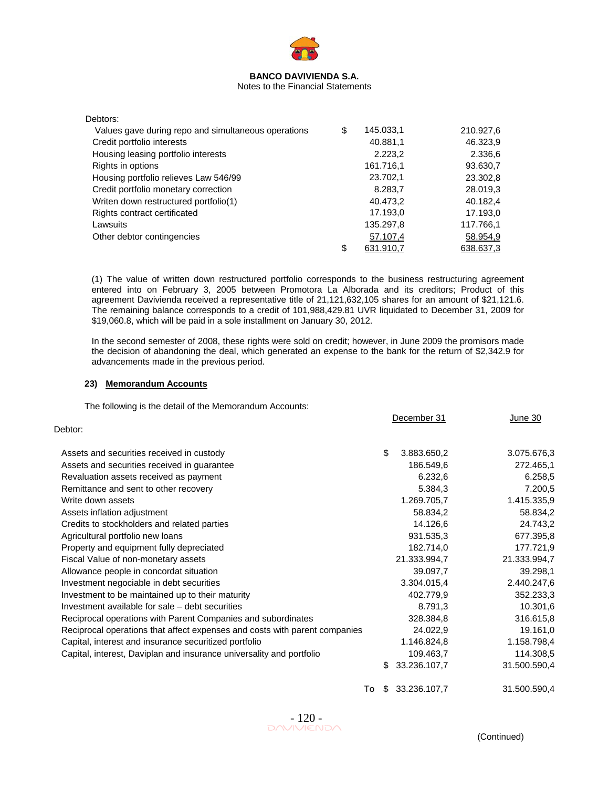

Notes to the Financial Statements

| Debtors:                                            |                 |           |
|-----------------------------------------------------|-----------------|-----------|
| Values gave during repo and simultaneous operations | \$<br>145.033,1 | 210.927,6 |
| Credit portfolio interests                          | 40.881,1        | 46.323,9  |
| Housing leasing portfolio interests                 | 2.223,2         | 2.336,6   |
| Rights in options                                   | 161.716,1       | 93.630,7  |
| Housing portfolio relieves Law 546/99               | 23.702,1        | 23.302,8  |
| Credit portfolio monetary correction                | 8.283,7         | 28.019,3  |
| Writen down restructured portfolio(1)               | 40.473.2        | 40.182,4  |
| Rights contract certificated                        | 17.193,0        | 17.193,0  |
| Lawsuits                                            | 135.297,8       | 117.766,1 |
| Other debtor contingencies                          | 57.107,4        | 58.954,9  |
|                                                     | \$<br>631.910,7 | 638.637,3 |

(1) The value of written down restructured portfolio corresponds to the business restructuring agreement entered into on February 3, 2005 between Promotora La Alborada and its creditors; Product of this agreement Davivienda received a representative title of 21,121,632,105 shares for an amount of \$21,121.6. The remaining balance corresponds to a credit of 101,988,429.81 UVR liquidated to December 31, 2009 for \$19,060.8, which will be paid in a sole installment on January 30, 2012.

In the second semester of 2008, these rights were sold on credit; however, in June 2009 the promisors made the decision of abandoning the deal, which generated an expense to the bank for the return of \$2,342.9 for advancements made in the previous period.

## **23) Memorandum Accounts**

The following is the detail of the Memorandum Accounts:

|                                                                            |    | December 31  | June 30      |
|----------------------------------------------------------------------------|----|--------------|--------------|
| Debtor:                                                                    |    |              |              |
| Assets and securities received in custody                                  | \$ | 3.883.650,2  | 3.075.676,3  |
| Assets and securities received in guarantee                                |    | 186.549,6    | 272.465,1    |
| Revaluation assets received as payment                                     |    | 6.232,6      | 6.258,5      |
| Remittance and sent to other recovery                                      |    | 5.384,3      | 7.200,5      |
| Write down assets                                                          |    | 1.269.705,7  | 1.415.335,9  |
| Assets inflation adjustment                                                |    | 58.834,2     | 58.834,2     |
| Credits to stockholders and related parties                                |    | 14.126,6     | 24.743,2     |
| Agricultural portfolio new loans                                           |    | 931.535,3    | 677.395,8    |
| Property and equipment fully depreciated                                   |    | 182.714,0    | 177.721,9    |
| Fiscal Value of non-monetary assets                                        |    | 21.333.994,7 | 21.333.994,7 |
| Allowance people in concordat situation                                    |    | 39.097,7     | 39.298,1     |
| Investment negociable in debt securities                                   |    | 3.304.015,4  | 2.440.247,6  |
| Investment to be maintained up to their maturity                           |    | 402.779,9    | 352.233,3    |
| Investment available for sale – debt securities                            |    | 8.791,3      | 10.301,6     |
| Reciprocal operations with Parent Companies and subordinates               |    | 328.384,8    | 316.615,8    |
| Reciprocal operations that affect expenses and costs with parent companies |    | 24.022,9     | 19.161,0     |
| Capital, interest and insurance securitized portfolio                      |    | 1.146.824,8  | 1.158.798,4  |
| Capital, interest, Daviplan and insurance universality and portfolio       |    | 109.463,7    | 114.308,5    |
|                                                                            | \$ | 33.236.107,7 | 31.500.590,4 |
| To                                                                         | -S | 33.236.107,7 | 31.500.590,4 |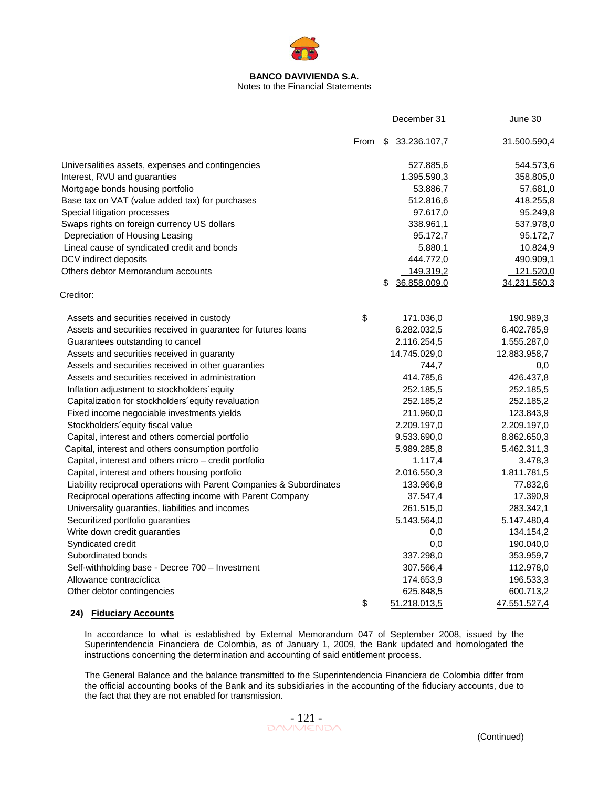

## Notes to the Financial Statements

|                                                                      |      | December 31        | <b>June 30</b> |
|----------------------------------------------------------------------|------|--------------------|----------------|
|                                                                      | From | \$33.236.107,7     | 31.500.590,4   |
| Universalities assets, expenses and contingencies                    |      | 527.885,6          | 544.573,6      |
| Interest, RVU and guaranties                                         |      | 1.395.590,3        | 358.805,0      |
| Mortgage bonds housing portfolio                                     |      | 53.886,7           | 57.681,0       |
| Base tax on VAT (value added tax) for purchases                      |      | 512.816,6          | 418.255,8      |
| Special litigation processes                                         |      | 97.617,0           | 95.249,8       |
| Swaps rights on foreign currency US dollars                          |      | 338.961,1          | 537.978,0      |
| Depreciation of Housing Leasing                                      |      | 95.172,7           | 95.172,7       |
| Lineal cause of syndicated credit and bonds                          |      | 5.880,1            | 10.824,9       |
| DCV indirect deposits                                                |      | 444.772,0          | 490.909,1      |
| Others debtor Memorandum accounts                                    |      | 149.319,2          | 121.520,0      |
|                                                                      |      | \$<br>36.858.009,0 | 34.231.560,3   |
| Creditor:                                                            |      |                    |                |
| Assets and securities received in custody                            | \$   | 171.036,0          | 190.989,3      |
| Assets and securities received in guarantee for futures loans        |      | 6.282.032,5        | 6.402.785,9    |
| Guarantees outstanding to cancel                                     |      | 2.116.254,5        | 1.555.287,0    |
| Assets and securities received in guaranty                           |      | 14.745.029,0       | 12.883.958,7   |
| Assets and securities received in other guaranties                   |      | 744,7              | 0,0            |
| Assets and securities received in administration                     |      | 414.785,6          | 426.437,8      |
| Inflation adjustment to stockholders equity                          |      | 252.185,5          | 252.185,5      |
| Capitalization for stockholders' equity revaluation                  |      | 252.185,2          | 252.185,2      |
| Fixed income negociable investments yields                           |      | 211.960,0          | 123.843,9      |
| Stockholders'equity fiscal value                                     |      | 2.209.197,0        | 2.209.197,0    |
| Capital, interest and others comercial portfolio                     |      | 9.533.690,0        | 8.862.650,3    |
| Capital, interest and others consumption portfolio                   |      | 5.989.285,8        | 5.462.311,3    |
| Capital, interest and others micro - credit portfolio                |      | 1.117,4            | 3.478,3        |
| Capital, interest and others housing portfolio                       |      | 2.016.550,3        | 1.811.781,5    |
| Liability reciprocal operations with Parent Companies & Subordinates |      | 133.966,8          | 77.832,6       |
| Reciprocal operations affecting income with Parent Company           |      | 37.547,4           | 17.390,9       |
| Universality guaranties, liabilities and incomes                     |      | 261.515,0          | 283.342,1      |
| Securitized portfolio guaranties                                     |      | 5.143.564,0        | 5.147.480,4    |
| Write down credit guaranties                                         |      | 0,0                | 134.154,2      |
| Syndicated credit                                                    |      | 0,0                | 190.040,0      |
| Subordinated bonds                                                   |      | 337.298,0          | 353.959,7      |
| Self-withholding base - Decree 700 - Investment                      |      | 307.566,4          | 112.978,0      |
| Allowance contracíclica                                              |      | 174.653,9          | 196.533,3      |
| Other debtor contingencies                                           |      | 625.848,5          | 600.713,2      |
|                                                                      | \$   | 51.218.013,5       | 47.551.527,4   |

### **24) Fiduciary Accounts**

In accordance to what is established by External Memorandum 047 of September 2008, issued by the Superintendencia Financiera de Colombia, as of January 1, 2009, the Bank updated and homologated the instructions concerning the determination and accounting of said entitlement process.

The General Balance and the balance transmitted to the Superintendencia Financiera de Colombia differ from the official accounting books of the Bank and its subsidiaries in the accounting of the fiduciary accounts, due to the fact that they are not enabled for transmission.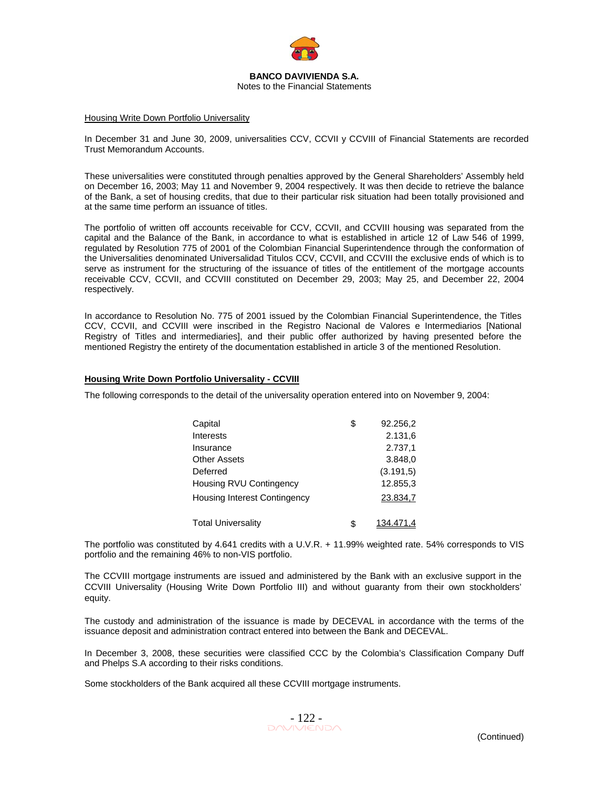

### Housing Write Down Portfolio Universality

In December 31 and June 30, 2009, universalities CCV, CCVII y CCVIII of Financial Statements are recorded Trust Memorandum Accounts.

These universalities were constituted through penalties approved by the General Shareholders' Assembly held on December 16, 2003; May 11 and November 9, 2004 respectively. It was then decide to retrieve the balance of the Bank, a set of housing credits, that due to their particular risk situation had been totally provisioned and at the same time perform an issuance of titles.

The portfolio of written off accounts receivable for CCV, CCVII, and CCVIII housing was separated from the capital and the Balance of the Bank, in accordance to what is established in article 12 of Law 546 of 1999, regulated by Resolution 775 of 2001 of the Colombian Financial Superintendence through the conformation of the Universalities denominated Universalidad Titulos CCV, CCVII, and CCVIII the exclusive ends of which is to serve as instrument for the structuring of the issuance of titles of the entitlement of the mortgage accounts receivable CCV, CCVII, and CCVIII constituted on December 29, 2003; May 25, and December 22, 2004 respectively.

In accordance to Resolution No. 775 of 2001 issued by the Colombian Financial Superintendence, the Titles CCV, CCVII, and CCVIII were inscribed in the Registro Nacional de Valores e Intermediarios [National Registry of Titles and intermediaries], and their public offer authorized by having presented before the mentioned Registry the entirety of the documentation established in article 3 of the mentioned Resolution.

#### **Housing Write Down Portfolio Universality - CCVIII**

The following corresponds to the detail of the universality operation entered into on November 9, 2004:

| Capital                             | \$<br>92.256,2 |
|-------------------------------------|----------------|
| Interests                           | 2.131,6        |
| Insurance                           | 2.737,1        |
| <b>Other Assets</b>                 | 3.848,0        |
| Deferred                            | (3.191, 5)     |
| Housing RVU Contingency             | 12.855,3       |
| <b>Housing Interest Contingency</b> | 23.834,7       |
| <b>Total Universality</b>           | 134.471.4      |

The portfolio was constituted by 4.641 credits with a U.V.R. + 11.99% weighted rate. 54% corresponds to VIS portfolio and the remaining 46% to non-VIS portfolio.

The CCVIII mortgage instruments are issued and administered by the Bank with an exclusive support in the CCVIII Universality (Housing Write Down Portfolio III) and without guaranty from their own stockholders' equity.

The custody and administration of the issuance is made by DECEVAL in accordance with the terms of the issuance deposit and administration contract entered into between the Bank and DECEVAL.

In December 3, 2008, these securities were classified CCC by the Colombia's Classification Company Duff and Phelps S.A according to their risks conditions.

Some stockholders of the Bank acquired all these CCVIII mortgage instruments.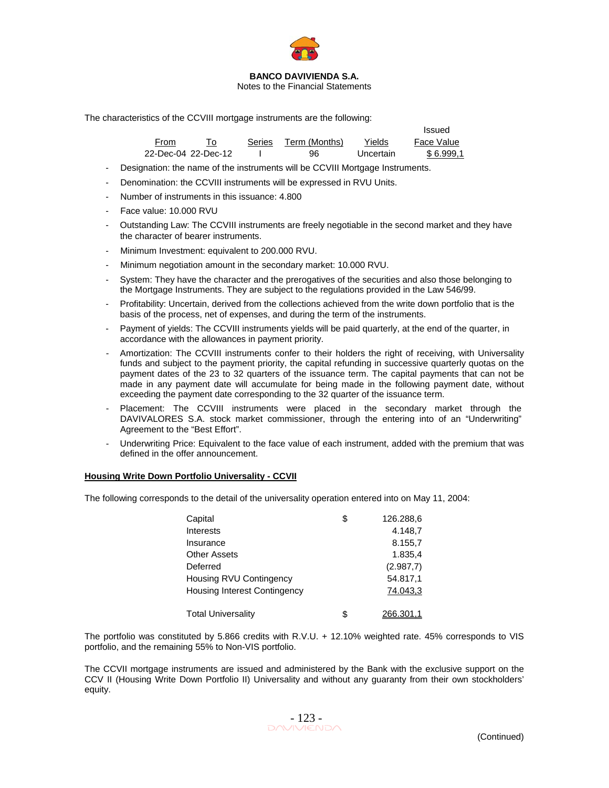

Notes to the Financial Statements

The characteristics of the CCVIII mortgage instruments are the following:

|                     |        |               |           | Issued     |
|---------------------|--------|---------------|-----------|------------|
| From                | Series | Term (Months) | Yields    | Face Value |
| 22-Dec-04 22-Dec-12 |        | 96            | Uncertain | \$6.999.1  |

- Designation: the name of the instruments will be CCVIII Mortgage Instruments.
- Denomination: the CCVIII instruments will be expressed in RVU Units.
- Number of instruments in this issuance: 4.800
- Face value: 10.000 RVU
- Outstanding Law: The CCVIII instruments are freely negotiable in the second market and they have the character of bearer instruments.
- Minimum Investment: equivalent to 200.000 RVU.
- Minimum negotiation amount in the secondary market: 10.000 RVU.
- System: They have the character and the prerogatives of the securities and also those belonging to the Mortgage Instruments. They are subject to the regulations provided in the Law 546/99.
- Profitability: Uncertain, derived from the collections achieved from the write down portfolio that is the basis of the process, net of expenses, and during the term of the instruments.
- Payment of yields: The CCVIII instruments yields will be paid quarterly, at the end of the quarter, in accordance with the allowances in payment priority.
- Amortization: The CCVIII instruments confer to their holders the right of receiving, with Universality funds and subject to the payment priority, the capital refunding in successive quarterly quotas on the payment dates of the 23 to 32 quarters of the issuance term. The capital payments that can not be made in any payment date will accumulate for being made in the following payment date, without exceeding the payment date corresponding to the 32 quarter of the issuance term.
- Placement: The CCVIII instruments were placed in the secondary market through the DAVIVALORES S.A. stock market commissioner, through the entering into of an "Underwriting" Agreement to the "Best Effort".
- Underwriting Price: Equivalent to the face value of each instrument, added with the premium that was defined in the offer announcement.

### **Housing Write Down Portfolio Universality - CCVII**

The following corresponds to the detail of the universality operation entered into on May 11, 2004:

| Capital                             | \$<br>126.288,6 |
|-------------------------------------|-----------------|
| Interests                           | 4.148,7         |
| Insurance                           | 8.155,7         |
| <b>Other Assets</b>                 | 1.835.4         |
| Deferred                            | (2.987,7)       |
| Housing RVU Contingency             | 54.817,1        |
| <b>Housing Interest Contingency</b> | 74.043,3        |
|                                     |                 |
| <b>Total Universality</b>           | \$<br>266.301.1 |

The portfolio was constituted by 5.866 credits with R.V.U. + 12.10% weighted rate. 45% corresponds to VIS portfolio, and the remaining 55% to Non-VIS portfolio.

The CCVII mortgage instruments are issued and administered by the Bank with the exclusive support on the CCV II (Housing Write Down Portfolio II) Universality and without any guaranty from their own stockholders' equity.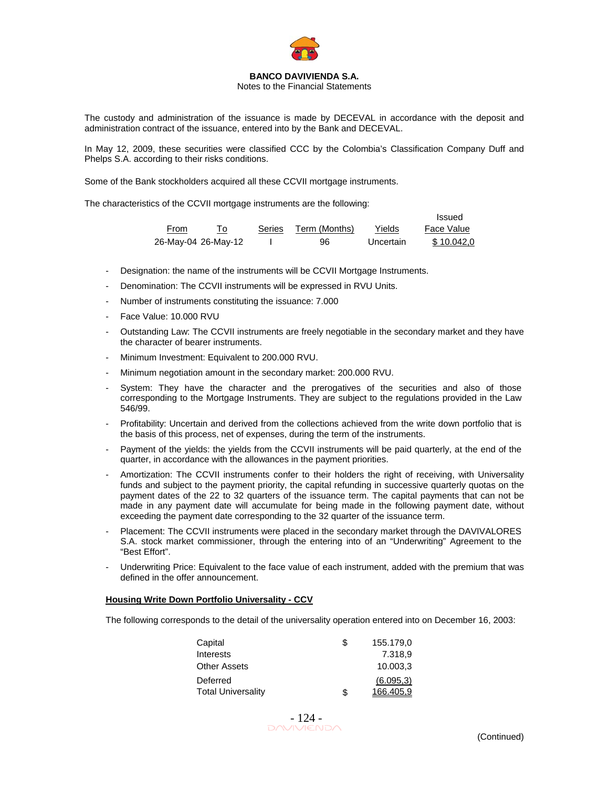

### Notes to the Financial Statements

The custody and administration of the issuance is made by DECEVAL in accordance with the deposit and administration contract of the issuance, entered into by the Bank and DECEVAL.

In May 12, 2009, these securities were classified CCC by the Colombia's Classification Company Duff and Phelps S.A. according to their risks conditions.

Some of the Bank stockholders acquired all these CCVII mortgage instruments.

The characteristics of the CCVII mortgage instruments are the following:

|                     |               |               |           | Issued     |
|---------------------|---------------|---------------|-----------|------------|
| From                | <b>Series</b> | Term (Months) | Yields    | Face Value |
| 26-May-04 26-May-12 |               | 96            | Uncertain | \$10.042.0 |

- Designation: the name of the instruments will be CCVII Mortgage Instruments.
- Denomination: The CCVII instruments will be expressed in RVU Units.
- Number of instruments constituting the issuance: 7.000
- Face Value: 10.000 RVU
- Outstanding Law: The CCVII instruments are freely negotiable in the secondary market and they have the character of bearer instruments.
- Minimum Investment: Equivalent to 200.000 RVU.
- Minimum negotiation amount in the secondary market: 200.000 RVU.
- System: They have the character and the prerogatives of the securities and also of those corresponding to the Mortgage Instruments. They are subject to the regulations provided in the Law 546/99.
- Profitability: Uncertain and derived from the collections achieved from the write down portfolio that is the basis of this process, net of expenses, during the term of the instruments.
- Payment of the yields: the yields from the CCVII instruments will be paid quarterly, at the end of the quarter, in accordance with the allowances in the payment priorities.
- Amortization: The CCVII instruments confer to their holders the right of receiving, with Universality funds and subject to the payment priority, the capital refunding in successive quarterly quotas on the payment dates of the 22 to 32 quarters of the issuance term. The capital payments that can not be made in any payment date will accumulate for being made in the following payment date, without exceeding the payment date corresponding to the 32 quarter of the issuance term.
- Placement: The CCVII instruments were placed in the secondary market through the DAVIVALORES S.A. stock market commissioner, through the entering into of an "Underwriting" Agreement to the "Best Effort".
- Underwriting Price: Equivalent to the face value of each instrument, added with the premium that was defined in the offer announcement.

#### **Housing Write Down Portfolio Universality - CCV**

The following corresponds to the detail of the universality operation entered into on December 16, 2003:

| Capital                   | S  | 155.179,0 |
|---------------------------|----|-----------|
| Interests                 |    | 7.318.9   |
| <b>Other Assets</b>       |    | 10.003.3  |
| Deferred                  |    | (6.095,3) |
| <b>Total Universality</b> | \$ | 166.405.9 |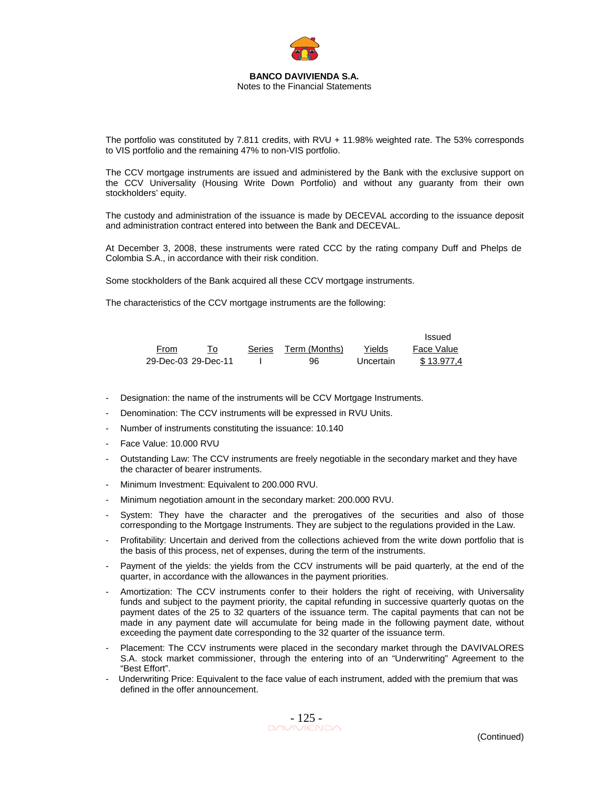

The portfolio was constituted by 7.811 credits, with RVU + 11.98% weighted rate. The 53% corresponds to VIS portfolio and the remaining 47% to non-VIS portfolio.

The CCV mortgage instruments are issued and administered by the Bank with the exclusive support on the CCV Universality (Housing Write Down Portfolio) and without any guaranty from their own stockholders' equity.

The custody and administration of the issuance is made by DECEVAL according to the issuance deposit and administration contract entered into between the Bank and DECEVAL.

At December 3, 2008, these instruments were rated CCC by the rating company Duff and Phelps de Colombia S.A., in accordance with their risk condition.

Some stockholders of the Bank acquired all these CCV mortgage instruments.

The characteristics of the CCV mortgage instruments are the following:

|                     |        |               |           | Issued     |
|---------------------|--------|---------------|-----------|------------|
| From                | Series | Term (Months) | Yields    | Face Value |
| 29-Dec-03 29-Dec-11 |        | 96            | Uncertain | \$13.977.4 |

- Designation: the name of the instruments will be CCV Mortgage Instruments.
- Denomination: The CCV instruments will be expressed in RVU Units.
- Number of instruments constituting the issuance: 10.140
- Face Value: 10.000 RVU
- Outstanding Law: The CCV instruments are freely negotiable in the secondary market and they have the character of bearer instruments.
- Minimum Investment: Equivalent to 200.000 RVU.
- Minimum negotiation amount in the secondary market: 200.000 RVU.
- System: They have the character and the prerogatives of the securities and also of those corresponding to the Mortgage Instruments. They are subject to the regulations provided in the Law.
- Profitability: Uncertain and derived from the collections achieved from the write down portfolio that is the basis of this process, net of expenses, during the term of the instruments.
- Payment of the yields: the yields from the CCV instruments will be paid quarterly, at the end of the quarter, in accordance with the allowances in the payment priorities.
- Amortization: The CCV instruments confer to their holders the right of receiving, with Universality funds and subject to the payment priority, the capital refunding in successive quarterly quotas on the payment dates of the 25 to 32 quarters of the issuance term. The capital payments that can not be made in any payment date will accumulate for being made in the following payment date, without exceeding the payment date corresponding to the 32 quarter of the issuance term.
- Placement: The CCV instruments were placed in the secondary market through the DAVIVALORES S.A. stock market commissioner, through the entering into of an "Underwriting" Agreement to the "Best Effort".
- Underwriting Price: Equivalent to the face value of each instrument, added with the premium that was defined in the offer announcement.

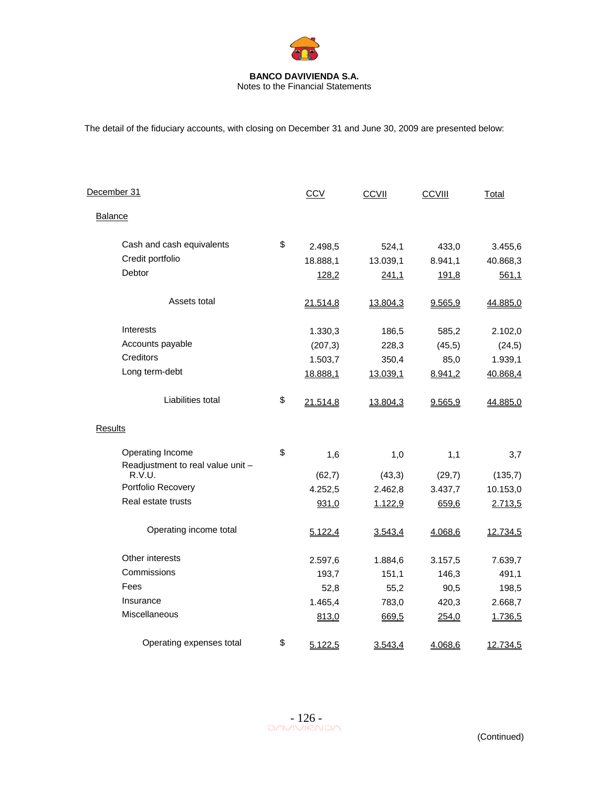

Notes to the Financial Statements

The detail of the fiduciary accounts, with closing on December 31 and June 30, 2009 are presented below:

| December 31                                 | <b>CCV</b>     | CCVII    | CCVIII  | Total    |
|---------------------------------------------|----------------|----------|---------|----------|
| <b>Balance</b>                              |                |          |         |          |
| Cash and cash equivalents                   | \$<br>2.498,5  | 524,1    | 433,0   | 3.455,6  |
| Credit portfolio                            | 18.888,1       | 13.039,1 | 8.941,1 | 40.868,3 |
| Debtor                                      | 128,2          | 241,1    | 191,8   | 561,1    |
| Assets total                                | 21.514,8       | 13.804,3 | 9.565,9 | 44.885,0 |
| Interests                                   | 1.330,3        | 186,5    | 585,2   | 2.102,0  |
| Accounts payable                            | (207, 3)       | 228,3    | (45, 5) | (24,5)   |
| Creditors                                   | 1.503,7        | 350,4    | 85,0    | 1.939,1  |
| Long term-debt                              | 18.888,1       | 13.039,1 | 8.941,2 | 40.868,4 |
| Liabilities total                           | \$<br>21.514,8 | 13.804,3 | 9.565,9 | 44.885,0 |
| Results                                     |                |          |         |          |
| Operating Income                            | \$<br>1,6      | 1,0      | 1,1     | 3,7      |
| Readjustment to real value unit -<br>R.V.U. | (62,7)         | (43,3)   | (29,7)  | (135,7)  |
| Portfolio Recovery                          | 4.252,5        | 2.462,8  | 3.437,7 | 10.153,0 |
| Real estate trusts                          | 931,0          | 1.122,9  | 659,6   | 2.713,5  |
| Operating income total                      | 5.122,4        | 3.543,4  | 4.068,6 | 12.734,5 |
| Other interests                             | 2.597,6        | 1.884,6  | 3.157,5 | 7.639,7  |
| Commissions                                 | 193,7          | 151,1    | 146,3   | 491,1    |
| Fees                                        | 52,8           | 55,2     | 90,5    | 198,5    |
| Insurance                                   | 1.465,4        | 783,0    | 420,3   | 2.668,7  |
| Miscellaneous                               | 813,0          | 669,5    | 254,0   | 1.736,5  |
| Operating expenses total                    | \$<br>5.122,5  | 3.543,4  | 4.068,6 | 12.734,5 |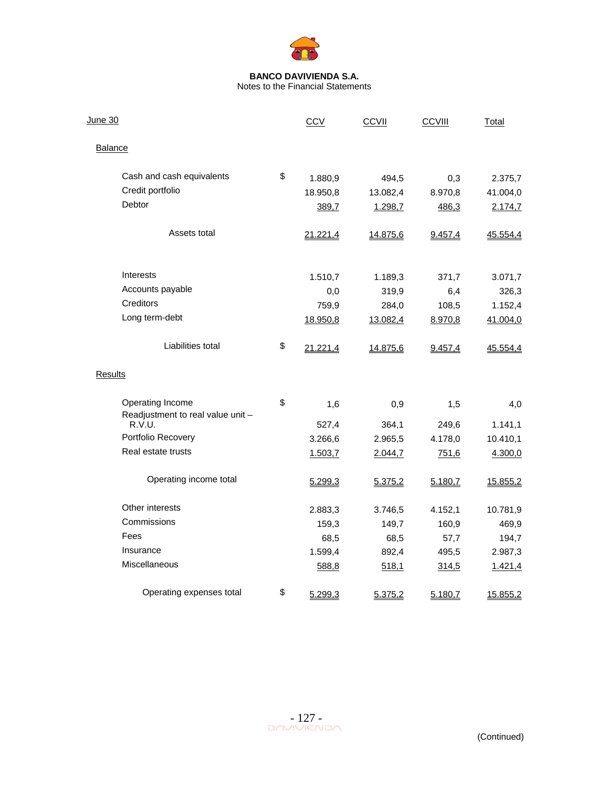

| <u>June 30</u>                                        | CCV            | <b>CCVII</b> | CCVIII  | Total    |
|-------------------------------------------------------|----------------|--------------|---------|----------|
| <b>Balance</b>                                        |                |              |         |          |
| Cash and cash equivalents                             | \$<br>1.880,9  | 494,5        | 0,3     | 2.375,7  |
| Credit portfolio                                      | 18.950,8       | 13.082,4     | 8.970,8 | 41.004,0 |
| Debtor                                                | 389,7          | 1.298,7      | 486,3   | 2.174,7  |
| Assets total                                          | 21.221,4       | 14.875,6     | 9.457,4 | 45.554,4 |
| Interests                                             | 1.510,7        | 1.189,3      | 371,7   | 3.071,7  |
| Accounts payable                                      | 0,0            | 319,9        | 6,4     | 326,3    |
| Creditors                                             | 759,9          | 284,0        | 108,5   | 1.152,4  |
| Long term-debt                                        | 18.950,8       | 13.082,4     | 8.970,8 | 41.004,0 |
| Liabilities total                                     | \$<br>21.221,4 | 14.875,6     | 9.457,4 | 45.554,4 |
| Results                                               |                |              |         |          |
| Operating Income<br>Readjustment to real value unit - | \$<br>1,6      | 0,9          | 1,5     | 4,0      |
| R.V.U.                                                | 527,4          | 364,1        | 249,6   | 1.141,1  |
| Portfolio Recovery                                    | 3.266,6        | 2.965,5      | 4.178,0 | 10.410,1 |
| Real estate trusts                                    | 1.503,7        | 2.044,7      | 751,6   | 4.300,0  |
| Operating income total                                | 5.299,3        | 5.375,2      | 5.180,7 | 15.855,2 |
| Other interests                                       | 2.883,3        | 3.746,5      | 4.152,1 | 10.781,9 |
| Commissions                                           | 159,3          | 149,7        | 160,9   | 469,9    |
| Fees                                                  | 68,5           | 68,5         | 57,7    | 194,7    |
| Insurance                                             | 1.599,4        | 892,4        | 495,5   | 2.987,3  |
| Miscellaneous                                         | 588,8          | 518,1        | 314,5   | 1.421,4  |
| Operating expenses total                              | \$<br>5.299,3  | 5.375,2      | 5.180,7 | 15.855,2 |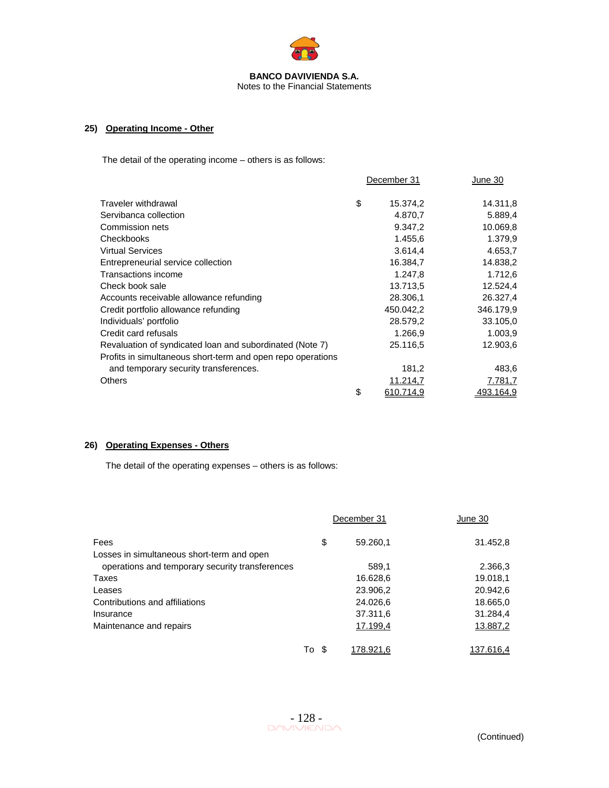

## **25) Operating Income - Other**

The detail of the operating income – others is as follows:

|                                                             | December 31     | June 30   |
|-------------------------------------------------------------|-----------------|-----------|
| Traveler withdrawal                                         | \$<br>15.374,2  | 14.311,8  |
| Servibanca collection                                       | 4.870,7         | 5.889,4   |
| Commission nets                                             | 9.347,2         | 10.069,8  |
| Checkbooks                                                  | 1.455,6         | 1.379,9   |
| <b>Virtual Services</b>                                     | 3.614,4         | 4.653,7   |
| Entrepreneurial service collection                          | 16.384,7        | 14.838,2  |
| Transactions income                                         | 1.247.8         | 1.712,6   |
| Check book sale                                             | 13.713,5        | 12.524,4  |
| Accounts receivable allowance refunding                     | 28.306,1        | 26.327,4  |
| Credit portfolio allowance refunding                        | 450.042,2       | 346.179,9 |
| Individuals' portfolio                                      | 28.579,2        | 33.105,0  |
| Credit card refusals                                        | 1.266,9         | 1.003,9   |
| Revaluation of syndicated loan and subordinated (Note 7)    | 25.116,5        | 12.903,6  |
| Profits in simultaneous short-term and open repo operations |                 |           |
| and temporary security transferences.                       | 181,2           | 483,6     |
| Others                                                      | 11.214,7        | 7.781,7   |
|                                                             | \$<br>610.714.9 | 493.164,9 |

## **26) Operating Expenses - Others**

The detail of the operating expenses – others is as follows:

| Fees<br>Losses in simultaneous short-term and open |    | December 31 | June 30   |  |
|----------------------------------------------------|----|-------------|-----------|--|
|                                                    |    | 59.260,1    | 31.452,8  |  |
| operations and temporary security transferences    |    | 589,1       | 2.366,3   |  |
| Taxes                                              |    | 16.628,6    | 19.018,1  |  |
| Leases                                             |    | 23.906,2    | 20.942,6  |  |
| Contributions and affiliations                     |    | 24.026,6    | 18.665,0  |  |
| Insurance                                          |    | 37.311,6    | 31.284,4  |  |
| Maintenance and repairs                            |    | 17.199,4    | 13.887,2  |  |
|                                                    | To | 178.921.6   | 137.616.4 |  |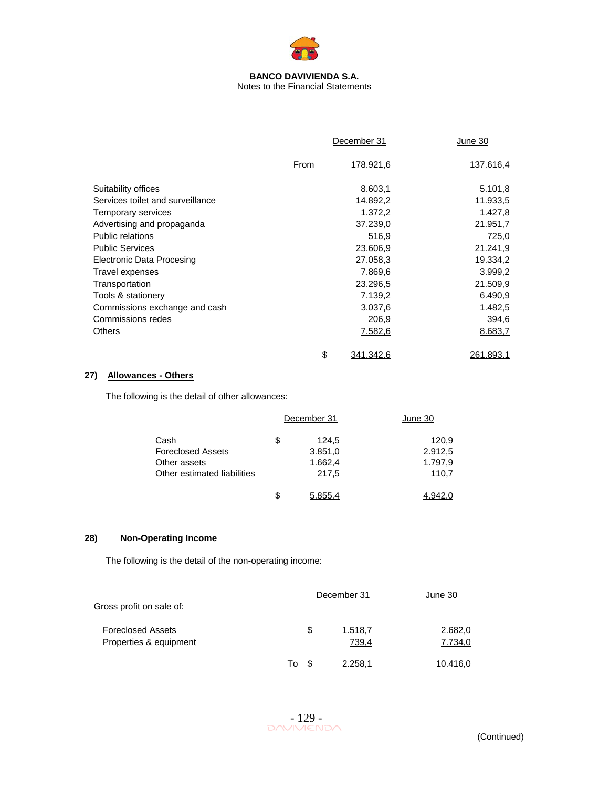

## Notes to the Financial Statements

|                                  |      | December 31 | June 30   |
|----------------------------------|------|-------------|-----------|
|                                  | From | 178.921,6   | 137.616,4 |
| Suitability offices              |      | 8.603,1     | 5.101,8   |
| Services toilet and surveillance |      | 14.892,2    | 11.933,5  |
| Temporary services               |      | 1.372,2     | 1.427,8   |
| Advertising and propaganda       |      | 37.239,0    | 21.951,7  |
| Public relations                 |      | 516,9       | 725.0     |
| <b>Public Services</b>           |      | 23.606,9    | 21.241,9  |
| Electronic Data Procesing        |      | 27.058,3    | 19.334,2  |
| Travel expenses                  |      | 7.869,6     | 3.999,2   |
| Transportation                   |      | 23.296,5    | 21.509,9  |
| Tools & stationery               |      | 7.139,2     | 6.490,9   |
| Commissions exchange and cash    |      | 3.037,6     | 1.482,5   |
| Commissions redes                |      | 206,9       | 394,6     |
| <b>Others</b>                    |      | 7.582,6     | 8.683,7   |
|                                  | \$   | 341.342,6   | 261.893,1 |

## **27) Allowances - Others**

The following is the detail of other allowances:

|                             | December 31   | June 30 |
|-----------------------------|---------------|---------|
| Cash                        | \$<br>124,5   | 120,9   |
| <b>Foreclosed Assets</b>    | 3.851,0       | 2.912,5 |
| Other assets                | 1.662,4       | 1.797,9 |
| Other estimated liabilities | 217,5         | 110,7   |
|                             | \$<br>5.855.4 |         |

## **28) Non-Operating Income**

The following is the detail of the non-operating income:

| Gross profit on sale of:                           |    | December 31 |                  | June 30            |  |
|----------------------------------------------------|----|-------------|------------------|--------------------|--|
| <b>Foreclosed Assets</b><br>Properties & equipment |    | S           | 1.518,7<br>739,4 | 2.682,0<br>7.734,0 |  |
|                                                    | To |             | 2.258.1          | 10.416.0           |  |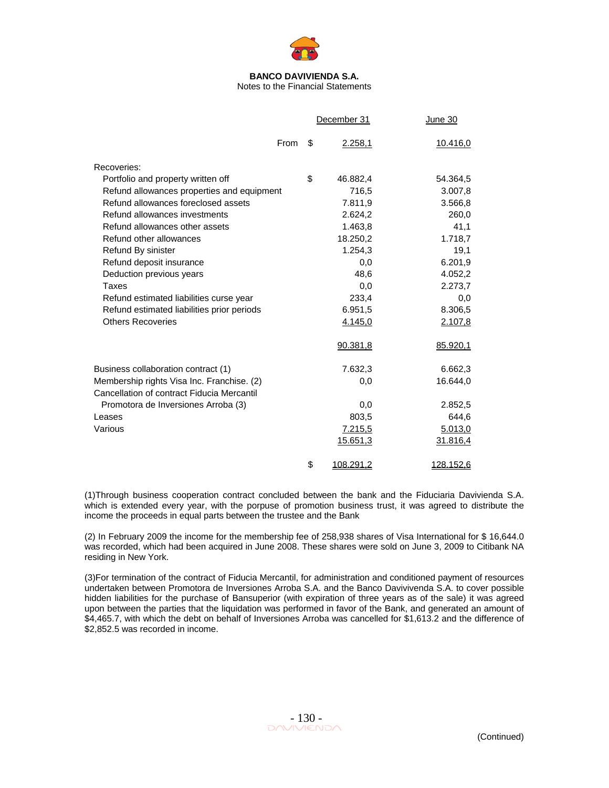

Notes to the Financial Statements

|                                                                                          | December 31     | June 30          |
|------------------------------------------------------------------------------------------|-----------------|------------------|
| From                                                                                     | \$<br>2.258,1   | 10.416,0         |
| Recoveries:                                                                              |                 |                  |
| Portfolio and property written off                                                       | \$<br>46.882,4  | 54.364,5         |
| Refund allowances properties and equipment                                               | 716,5           | 3.007,8          |
| Refund allowances foreclosed assets                                                      | 7.811,9         | 3.566,8          |
| Refund allowances investments                                                            | 2.624,2         | 260,0            |
| Refund allowances other assets                                                           | 1.463,8         | 41,1             |
| Refund other allowances                                                                  | 18.250,2        | 1.718,7          |
| Refund By sinister                                                                       | 1.254,3         | 19,1             |
| Refund deposit insurance                                                                 | 0,0             | 6.201,9          |
| Deduction previous years                                                                 | 48,6            | 4.052,2          |
| Taxes                                                                                    | 0.0             | 2.273,7          |
| Refund estimated liabilities curse year                                                  | 233,4           | 0,0              |
| Refund estimated liabilities prior periods                                               | 6.951,5         | 8.306,5          |
| <b>Others Recoveries</b>                                                                 | 4.145,0         | 2.107,8          |
|                                                                                          | 90.381,8        | 85.920,1         |
| Business collaboration contract (1)                                                      | 7.632,3         | 6.662,3          |
| Membership rights Visa Inc. Franchise. (2)<br>Cancellation of contract Fiducia Mercantil | 0,0             | 16.644,0         |
| Promotora de Inversiones Arroba (3)                                                      | 0,0             | 2.852,5          |
| Leases                                                                                   | 803,5           | 644,6            |
| Various                                                                                  | 7.215,5         | 5.013,0          |
|                                                                                          | 15.651,3        | 31.816,4         |
|                                                                                          | \$<br>108.291,2 | <u>128.152,6</u> |

(1)Through business cooperation contract concluded between the bank and the Fiduciaria Davivienda S.A. which is extended every year, with the porpuse of promotion business trust, it was agreed to distribute the income the proceeds in equal parts between the trustee and the Bank

(2) In February 2009 the income for the membership fee of 258,938 shares of Visa International for \$ 16,644.0 was recorded, which had been acquired in June 2008. These shares were sold on June 3, 2009 to Citibank NA residing in New York.

(3)For termination of the contract of Fiducia Mercantil, for administration and conditioned payment of resources undertaken between Promotora de Inversiones Arroba S.A. and the Banco Davivivenda S.A. to cover possible hidden liabilities for the purchase of Bansuperior (with expiration of three years as of the sale) it was agreed upon between the parties that the liquidation was performed in favor of the Bank, and generated an amount of \$4,465.7, with which the debt on behalf of Inversiones Arroba was cancelled for \$1,613.2 and the difference of \$2,852.5 was recorded in income.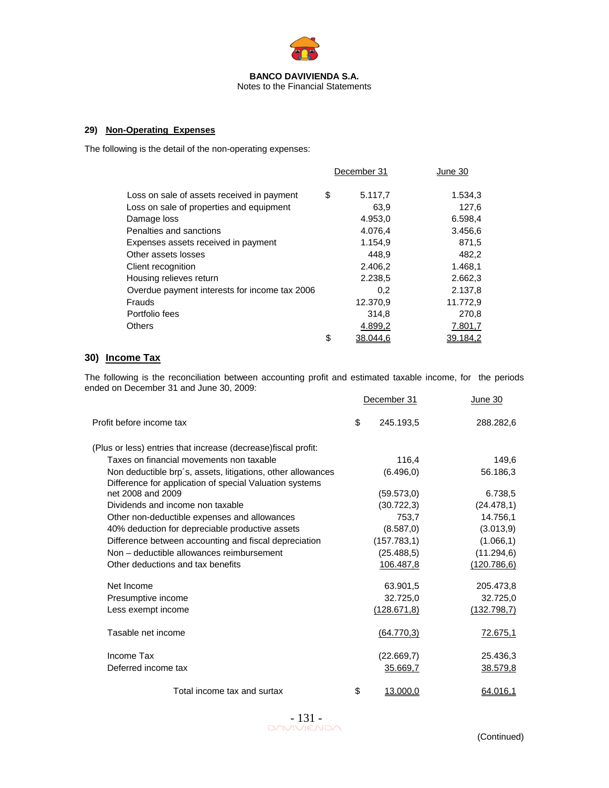

Notes to the Financial Statements

## **29) Non-Operating Expenses**

The following is the detail of the non-operating expenses:

|                                               | December 31    | June 30         |
|-----------------------------------------------|----------------|-----------------|
| Loss on sale of assets received in payment    | \$<br>5.117,7  | 1.534,3         |
| Loss on sale of properties and equipment      | 63.9           | 127,6           |
| Damage loss                                   | 4.953,0        | 6.598,4         |
| Penalties and sanctions                       | 4.076,4        | 3.456,6         |
| Expenses assets received in payment           | 1.154,9        | 871,5           |
| Other assets losses                           | 448.9          | 482,2           |
| Client recognition                            | 2.406,2        | 1.468,1         |
| Housing relieves return                       | 2.238.5        | 2.662,3         |
| Overdue payment interests for income tax 2006 | 0,2            | 2.137,8         |
| Frauds                                        | 12,370.9       | 11.772,9        |
| Portfolio fees                                | 314.8          | 270,8           |
| <b>Others</b>                                 | 4.899,2        | 7.801,7         |
|                                               | \$<br>38.044,6 | <u>39.184,2</u> |

## **30) Income Tax**

The following is the reconciliation between accounting profit and estimated taxable income, for the periods ended on December 31 and June 30, 2009:

|                                                                                                                        | December 31     | June 30      |
|------------------------------------------------------------------------------------------------------------------------|-----------------|--------------|
| Profit before income tax                                                                                               | \$<br>245.193.5 | 288.282,6    |
| (Plus or less) entries that increase (decrease) fiscal profit:                                                         |                 |              |
| Taxes on financial movements non taxable                                                                               | 116,4           | 149,6        |
| Non deductible brp's, assets, litigations, other allowances<br>Difference for application of special Valuation systems | (6.496, 0)      | 56.186,3     |
| net 2008 and 2009                                                                                                      | (59.573, 0)     | 6.738,5      |
| Dividends and income non taxable                                                                                       | (30.722,3)      | (24.478,1)   |
| Other non-deductible expenses and allowances                                                                           | 753,7           | 14.756,1     |
| 40% deduction for depreciable productive assets                                                                        | (8.587,0)       | (3.013, 9)   |
| Difference between accounting and fiscal depreciation                                                                  | (157.783, 1)    | (1.066, 1)   |
| Non - deductible allowances reimbursement                                                                              | (25.488, 5)     | (11.294, 6)  |
| Other deductions and tax benefits                                                                                      | 106.487,8       | (120.786, 6) |
| Net Income                                                                                                             | 63.901,5        | 205.473,8    |
| Presumptive income                                                                                                     | 32.725,0        | 32.725,0     |
| Less exempt income                                                                                                     | (128.671, 8)    | (132.798,7)  |
| Tasable net income                                                                                                     | (64.770,3)      | 72.675,1     |
| Income Tax                                                                                                             | (22.669,7)      | 25.436,3     |
| Deferred income tax                                                                                                    | 35.669,7        | 38.579,8     |
| Total income tax and surtax                                                                                            | \$<br>13.000,0  | 64.016,1     |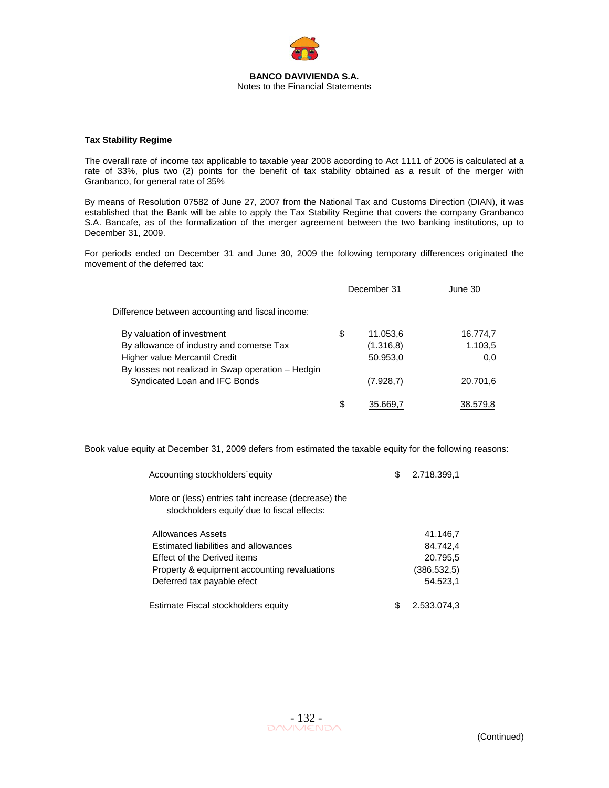

### **Tax Stability Regime**

The overall rate of income tax applicable to taxable year 2008 according to Act 1111 of 2006 is calculated at a rate of 33%, plus two (2) points for the benefit of tax stability obtained as a result of the merger with Granbanco, for general rate of 35%

By means of Resolution 07582 of June 27, 2007 from the National Tax and Customs Direction (DIAN), it was established that the Bank will be able to apply the Tax Stability Regime that covers the company Granbanco S.A. Bancafe, as of the formalization of the merger agreement between the two banking institutions, up to December 31, 2009.

For periods ended on December 31 and June 30, 2009 the following temporary differences originated the movement of the deferred tax:

|                                                                                    | December 31    | June 30  |
|------------------------------------------------------------------------------------|----------------|----------|
| Difference between accounting and fiscal income:                                   |                |          |
| By valuation of investment                                                         | \$<br>11.053,6 | 16.774,7 |
| By allowance of industry and comerse Tax                                           | (1.316, 8)     | 1.103,5  |
| Higher value Mercantil Credit<br>By losses not realizad in Swap operation - Hedgin | 50.953,0       | 0,0      |
| Syndicated Loan and IFC Bonds                                                      | (7.928,7)      | 20.701,6 |
|                                                                                    | \$<br>35.669.7 | 38.579.8 |

Book value equity at December 31, 2009 defers from estimated the taxable equity for the following reasons:

| Accounting stockholders equity                                                                    | S | 2.718.399.1                      |
|---------------------------------------------------------------------------------------------------|---|----------------------------------|
| More or (less) entries taht increase (decrease) the<br>stockholders equity due to fiscal effects: |   |                                  |
| Allowances Assets<br>Estimated liabilities and allowances<br>Effect of the Derived items          |   | 41.146.7<br>84.742.4<br>20.795,5 |
| Property & equipment accounting revaluations<br>Deferred tax payable efect                        |   | (386.532.5)<br>54.523,1          |
| Estimate Fiscal stockholders equity                                                               | S | 2.533.074.3                      |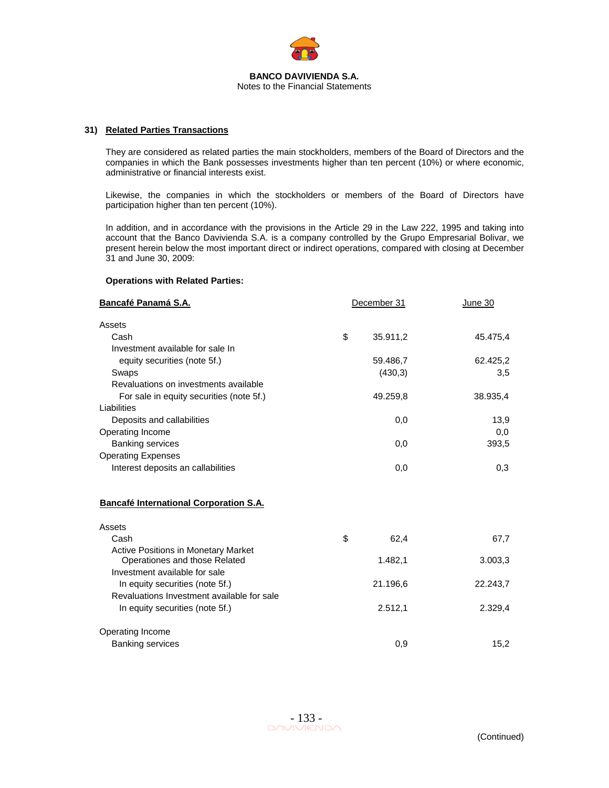

### **31) Related Parties Transactions**

They are considered as related parties the main stockholders, members of the Board of Directors and the companies in which the Bank possesses investments higher than ten percent (10%) or where economic, administrative or financial interests exist.

Likewise, the companies in which the stockholders or members of the Board of Directors have participation higher than ten percent (10%).

In addition, and in accordance with the provisions in the Article 29 in the Law 222, 1995 and taking into account that the Banco Davivienda S.A. is a company controlled by the Grupo Empresarial Bolivar, we present herein below the most important direct or indirect operations, compared with closing at December 31 and June 30, 2009:

#### **Operations with Related Parties:**

| <b>Bancafé Panamá S.A.</b><br>December 31                                     |    |          | June 30  |
|-------------------------------------------------------------------------------|----|----------|----------|
| Assets                                                                        |    |          |          |
| Cash                                                                          | \$ | 35.911,2 | 45.475,4 |
| Investment available for sale In                                              |    |          |          |
| equity securities (note 5f.)                                                  |    | 59.486,7 | 62.425,2 |
| Swaps                                                                         |    | (430,3)  | 3,5      |
| Revaluations on investments available                                         |    |          |          |
| For sale in equity securities (note 5f.)                                      |    | 49.259,8 | 38.935,4 |
| Liabilities                                                                   |    |          |          |
| Deposits and callabilities                                                    |    | 0,0      | 13,9     |
| Operating Income                                                              |    |          | 0,0      |
| <b>Banking services</b>                                                       |    | 0,0      | 393,5    |
| <b>Operating Expenses</b>                                                     |    |          |          |
| Interest deposits an callabilities                                            |    | 0,0      | 0,3      |
| Bancafé International Corporation S.A.                                        |    |          |          |
| Assets                                                                        |    |          |          |
| Cash                                                                          | \$ | 62,4     | 67,7     |
| <b>Active Positions in Monetary Market</b>                                    |    |          |          |
| Operationes and those Related                                                 |    | 1.482,1  | 3.003,3  |
| Investment available for sale                                                 |    |          |          |
| In equity securities (note 5f.)<br>Revaluations Investment available for sale |    | 21.196,6 | 22.243,7 |
|                                                                               |    |          |          |
| In equity securities (note 5f.)                                               |    | 2.512,1  | 2.329,4  |
| Operating Income                                                              |    |          |          |
| <b>Banking services</b>                                                       |    | 0,9      | 15,2     |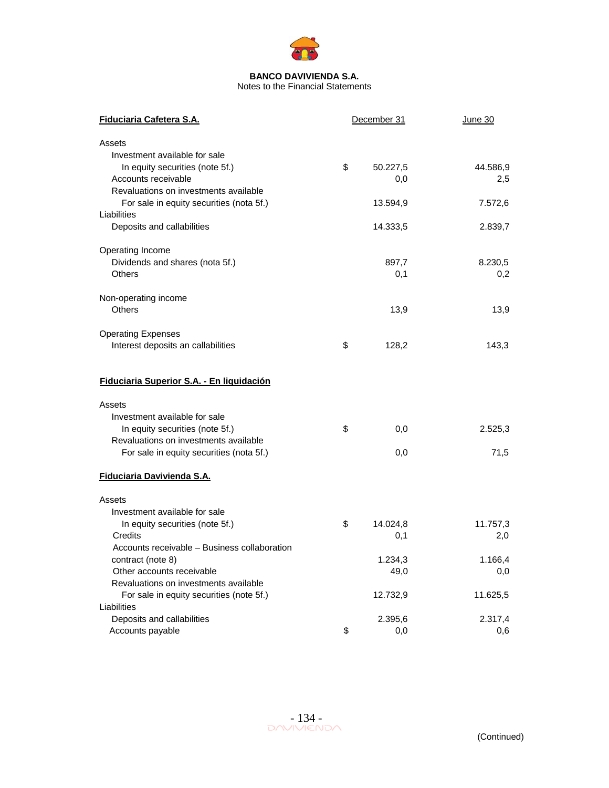

| Fiduciaria Cafetera S.A.                     | December 31 |          | June 30  |  |
|----------------------------------------------|-------------|----------|----------|--|
| Assets                                       |             |          |          |  |
| Investment available for sale                |             |          |          |  |
| In equity securities (note 5f.)              | \$          | 50.227,5 | 44.586,9 |  |
| Accounts receivable                          |             | 0,0      | 2,5      |  |
| Revaluations on investments available        |             |          |          |  |
| For sale in equity securities (nota 5f.)     |             | 13.594,9 | 7.572,6  |  |
| Liabilities                                  |             |          |          |  |
| Deposits and callabilities                   |             | 14.333,5 | 2.839,7  |  |
| Operating Income                             |             |          |          |  |
| Dividends and shares (nota 5f.)              |             | 897,7    | 8.230,5  |  |
| <b>Others</b>                                |             | 0,1      | 0,2      |  |
| Non-operating income                         |             |          |          |  |
| <b>Others</b>                                |             | 13,9     | 13,9     |  |
| <b>Operating Expenses</b>                    |             |          |          |  |
| Interest deposits an callabilities           | \$          | 128,2    | 143,3    |  |
|                                              |             |          |          |  |
| Fiduciaria Superior S.A. - En liquidación    |             |          |          |  |
| Assets                                       |             |          |          |  |
| Investment available for sale                |             |          |          |  |
| In equity securities (note 5f.)              | \$          | 0,0      | 2.525,3  |  |
| Revaluations on investments available        |             |          |          |  |
| For sale in equity securities (nota 5f.)     |             | 0,0      | 71,5     |  |
| Fiduciaria Davivienda S.A.                   |             |          |          |  |
| Assets                                       |             |          |          |  |
| Investment available for sale                |             |          |          |  |
| In equity securities (note 5f.)              | \$          | 14.024,8 | 11.757,3 |  |
| Credits                                      |             | 0,1      | 2,0      |  |
| Accounts receivable – Business collaboration |             |          |          |  |
| contract (note 8)                            |             | 1.234,3  | 1.166,4  |  |
| Other accounts receivable                    |             | 49,0     | 0,0      |  |
| Revaluations on investments available        |             |          |          |  |
| For sale in equity securities (note 5f.)     |             | 12.732,9 | 11.625,5 |  |
| Liabilities                                  |             |          |          |  |
| Deposits and callabilities                   |             | 2.395,6  | 2.317,4  |  |
| Accounts payable                             | \$          | 0,0      | 0,6      |  |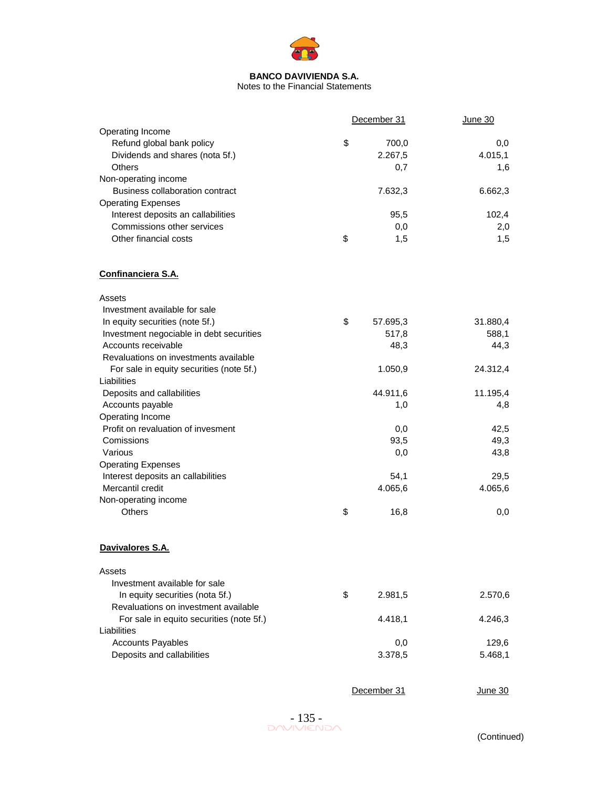

|                                          | December 31    | <b>June 30</b> |
|------------------------------------------|----------------|----------------|
| Operating Income                         |                |                |
| Refund global bank policy                | \$<br>700,0    | 0,0            |
| Dividends and shares (nota 5f.)          | 2.267,5        | 4.015,1        |
| <b>Others</b>                            | 0,7            | 1,6            |
| Non-operating income                     |                |                |
| Business collaboration contract          | 7.632,3        | 6.662,3        |
| <b>Operating Expenses</b>                |                |                |
| Interest deposits an callabilities       | 95,5           | 102,4          |
| Commissions other services               | 0,0            | 2,0            |
| Other financial costs                    | \$<br>1,5      | 1,5            |
|                                          |                |                |
| Confinanciera S.A.                       |                |                |
| Assets                                   |                |                |
| Investment available for sale            |                |                |
| In equity securities (note 5f.)          | \$<br>57.695,3 | 31.880,4       |
| Investment negociable in debt securities | 517,8          | 588,1          |
| Accounts receivable                      | 48,3           | 44,3           |
| Revaluations on investments available    |                |                |
| For sale in equity securities (note 5f.) | 1.050,9        | 24.312,4       |
| Liabilities                              |                |                |
| Deposits and callabilities               | 44.911,6       | 11.195,4       |
| Accounts payable                         | 1,0            | 4,8            |
| Operating Income                         |                |                |
| Profit on revaluation of invesment       | 0,0            | 42,5           |
| Comissions                               | 93,5           | 49,3           |
| Various                                  | 0,0            | 43,8           |
| <b>Operating Expenses</b>                |                |                |
| Interest deposits an callabilities       |                |                |
| Mercantil credit                         | 54,1           | 29,5           |
|                                          | 4.065,6        | 4.065,6        |
| Non-operating income                     |                |                |
| Others                                   | \$<br>16,8     | 0,0            |
| Davivalores S.A.                         |                |                |
| Assets                                   |                |                |
| Investment available for sale            |                |                |
| In equity securities (nota 5f.)          | \$<br>2.981,5  | 2.570,6        |
| Revaluations on investment available     |                |                |
| For sale in equito securities (note 5f.) | 4.418,1        | 4.246,3        |
| Liabilities                              |                |                |
| <b>Accounts Payables</b>                 | 0,0            | 129,6          |
| Deposits and callabilities               | 3.378,5        | 5.468,1        |
|                                          |                |                |
|                                          | December 31    | <u>June 30</u> |

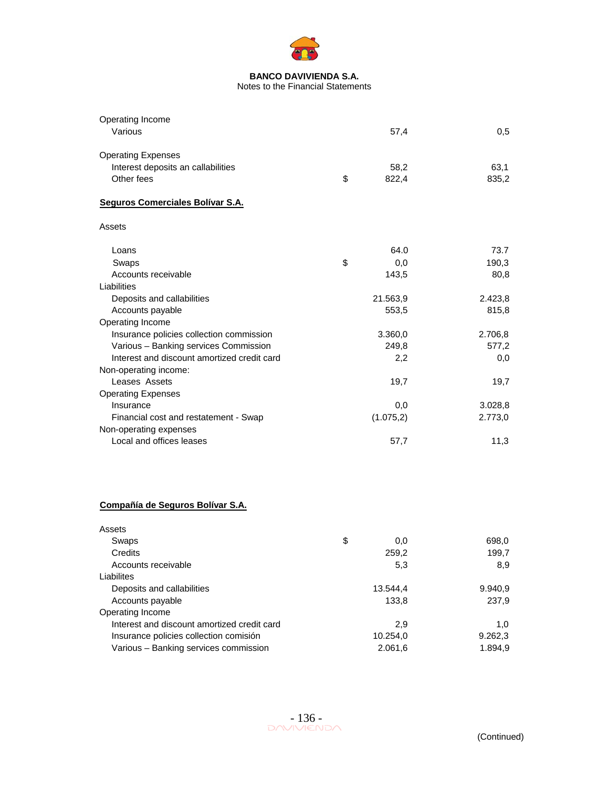

| Operating Income                            |             |         |
|---------------------------------------------|-------------|---------|
| Various                                     | 57,4        | 0,5     |
| <b>Operating Expenses</b>                   |             |         |
| Interest deposits an callabilities          | 58,2        | 63,1    |
| Other fees                                  | \$<br>822,4 | 835,2   |
| Seguros Comerciales Bolívar S.A.            |             |         |
| Assets                                      |             |         |
| Loans                                       | 64.0        | 73.7    |
| Swaps                                       | \$<br>0,0   | 190,3   |
| Accounts receivable                         | 143,5       | 80,8    |
| Liabilities                                 |             |         |
| Deposits and callabilities                  | 21.563,9    | 2.423,8 |
| Accounts payable                            | 553,5       | 815,8   |
| Operating Income                            |             |         |
| Insurance policies collection commission    | 3.360,0     | 2.706,8 |
| Various - Banking services Commission       | 249,8       | 577,2   |
| Interest and discount amortized credit card | 2,2         | 0,0     |
| Non-operating income:                       |             |         |
| Leases Assets                               | 19,7        | 19,7    |
| <b>Operating Expenses</b>                   |             |         |
| Insurance                                   | 0,0         | 3.028,8 |
| Financial cost and restatement - Swap       | (1.075,2)   | 2.773,0 |
| Non-operating expenses                      |             |         |
| Local and offices leases                    | 57,7        | 11,3    |
| Compañía de Seguros Bolívar S.A.            |             |         |
| Assets                                      |             |         |
| Swaps                                       | \$<br>0,0   | 698,0   |
| Credits                                     | 259,2       | 199,7   |
| Accounts receivable                         | 5,3         | 8,9     |
| Liabilites                                  |             |         |
| Deposits and callabilities                  | 13.544,4    | 9.940,9 |
| Accounts payable                            | 133,8       | 237,9   |
| Operating Income                            |             |         |
| Interest and discount amortized credit card | 2,9         | 1,0     |
| Insurance policies collection comisión      | 10.254,0    | 9.262,3 |
| Various - Banking services commission       | 2.061,6     | 1.894,9 |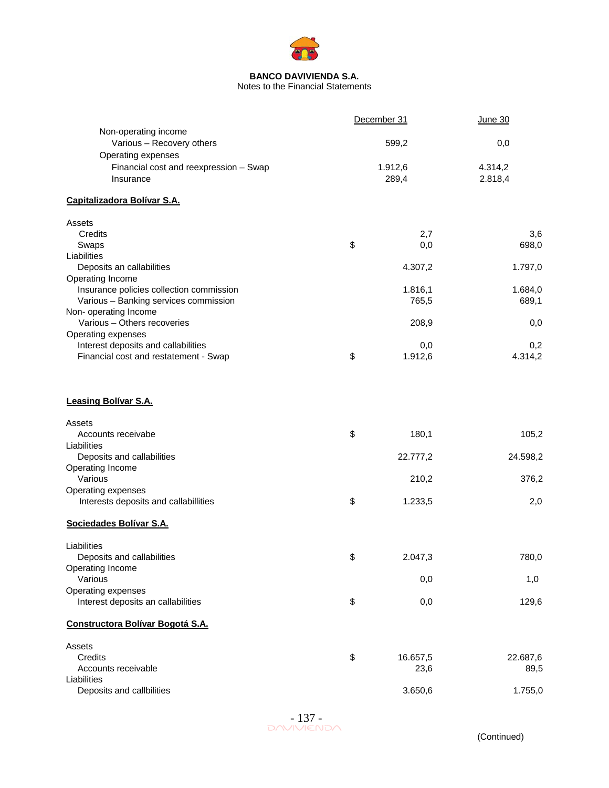

Notes to the Financial Statements

|                                          | December 31    | <b>June 30</b> |
|------------------------------------------|----------------|----------------|
| Non-operating income                     |                |                |
| Various - Recovery others                | 599,2          | 0,0            |
| Operating expenses                       |                |                |
| Financial cost and reexpression - Swap   | 1.912,6        | 4.314,2        |
| Insurance                                | 289,4          | 2.818,4        |
| Capitalizadora Bolívar S.A.              |                |                |
| Assets                                   |                |                |
| Credits                                  | 2,7            | 3,6            |
| Swaps                                    | \$<br>0,0      | 698,0          |
| Liabilities                              |                |                |
| Deposits an callabilities                | 4.307,2        | 1.797,0        |
| Operating Income                         |                |                |
| Insurance policies collection commission | 1.816,1        | 1.684,0        |
| Various - Banking services commission    | 765,5          | 689,1          |
| Non- operating Income                    |                |                |
| Various - Others recoveries              | 208,9          | 0,0            |
| Operating expenses                       |                |                |
| Interest deposits and callabilities      | 0,0            | 0,2            |
| Financial cost and restatement - Swap    | \$<br>1.912,6  | 4.314,2        |
| <b>Leasing Bolívar S.A.</b>              |                |                |
| Assets                                   |                |                |
| Accounts receivabe                       | \$<br>180,1    | 105,2          |
| Liabilities                              |                |                |
| Deposits and callabilities               | 22.777,2       | 24.598,2       |
| Operating Income                         |                |                |
| Various                                  | 210,2          | 376,2          |
| Operating expenses                       |                |                |
| Interests deposits and callabillities    | \$<br>1.233,5  | 2,0            |
| Sociedades Bolívar S.A.                  |                |                |
| Liabilities                              |                |                |
| Deposits and callabilities               | \$<br>2.047,3  | 780,0          |
| Operating Income                         |                |                |
| Various                                  | 0,0            | 1,0            |
| Operating expenses                       |                |                |
| Interest deposits an callabilities       | \$<br>0,0      | 129,6          |
| Constructora Bolívar Bogotá S.A.         |                |                |
| Assets                                   |                |                |
| Credits                                  | \$<br>16.657,5 | 22.687,6       |
| Accounts receivable                      | 23,6           | 89,5           |
| Liabilities                              |                |                |
| Deposits and callbilities                | 3.650,6        | 1.755,0        |

 $-137$ <br>DAVIVIENDA

(Continued)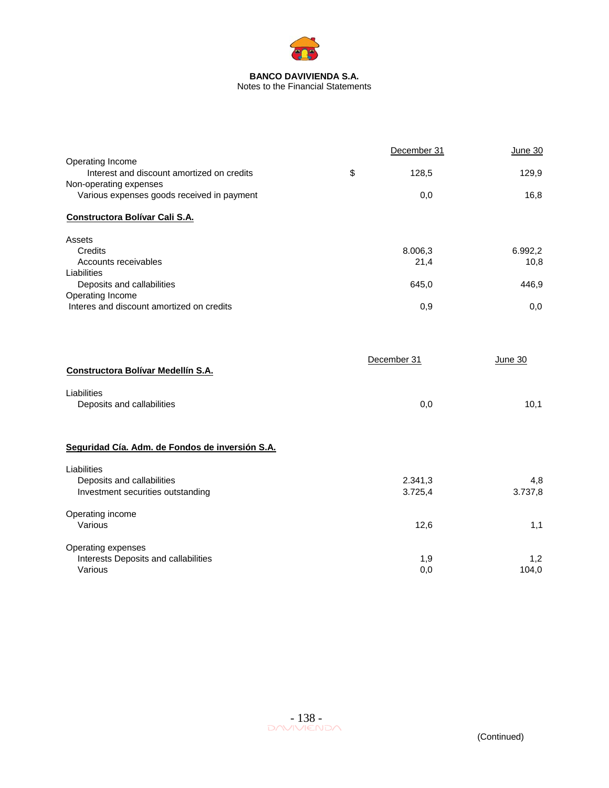

|                                                                | December 31 | June 30 |
|----------------------------------------------------------------|-------------|---------|
| Operating Income<br>Interest and discount amortized on credits | \$<br>128,5 | 129,9   |
| Non-operating expenses                                         |             |         |
| Various expenses goods received in payment                     | 0,0         | 16,8    |
| Constructora Bolívar Cali S.A.                                 |             |         |
| Assets                                                         |             |         |
| Credits                                                        | 8.006,3     | 6.992,2 |
| Accounts receivables                                           | 21,4        | 10,8    |
| Liabilities                                                    |             |         |
| Deposits and callabilities<br>Operating Income                 | 645,0       | 446,9   |
| Interes and discount amortized on credits                      | 0,9         | 0,0     |
|                                                                |             |         |
| Constructora Bolívar Medellín S.A.                             | December 31 | June 30 |
|                                                                |             |         |
| Liabilities                                                    |             |         |
| Deposits and callabilities                                     | 0,0         | 10,1    |
| Seguridad Cía. Adm. de Fondos de inversión S.A.                |             |         |
| Liabilities                                                    |             |         |
| Deposits and callabilities                                     | 2.341,3     | 4,8     |
| Investment securities outstanding                              | 3.725,4     | 3.737,8 |
| Operating income                                               |             |         |
| Various                                                        | 12,6        | 1,1     |
| Operating expenses                                             |             |         |
| Interests Deposits and callabilities                           | 1,9         | 1,2     |
| Various                                                        | 0,0         | 104,0   |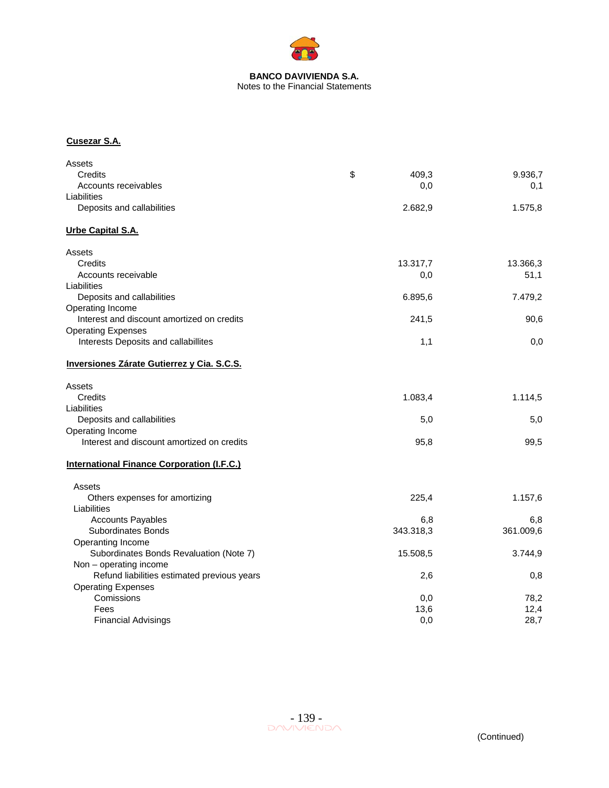

## **BANCO DAVIVIENDA S.A.**  Notes to the Financial Statements

## **Cusezar S.A.**

| Assets                                            |           |                  |
|---------------------------------------------------|-----------|------------------|
| Credits                                           | \$        | 409,3<br>9.936,7 |
| Accounts receivables                              |           | 0,0<br>0,1       |
| Liabilities                                       |           |                  |
| Deposits and callabilities                        | 2.682,9   | 1.575,8          |
| Urbe Capital S.A.                                 |           |                  |
| Assets                                            |           |                  |
| Credits                                           | 13.317,7  | 13.366,3         |
| Accounts receivable                               |           | 0,0<br>51,1      |
| Liabilities                                       |           |                  |
| Deposits and callabilities                        | 6.895,6   | 7.479,2          |
| Operating Income                                  |           |                  |
| Interest and discount amortized on credits        |           | 241,5<br>90,6    |
| <b>Operating Expenses</b>                         |           |                  |
| Interests Deposits and callabillites              |           | 1,1<br>0,0       |
| Inversiones Zárate Gutierrez y Cia. S.C.S.        |           |                  |
| Assets                                            |           |                  |
| Credits                                           | 1.083,4   | 1.114,5          |
| Liabilities                                       |           |                  |
| Deposits and callabilities                        |           | 5,0<br>5,0       |
| Operating Income                                  |           |                  |
| Interest and discount amortized on credits        |           | 95,8<br>99,5     |
| <b>International Finance Corporation (I.F.C.)</b> |           |                  |
| Assets                                            |           |                  |
| Others expenses for amortizing                    |           | 1.157,6<br>225,4 |
| Liabilities                                       |           |                  |
| <b>Accounts Payables</b>                          |           | 6,8<br>6,8       |
| <b>Subordinates Bonds</b>                         | 343.318,3 | 361.009,6        |
| Operanting Income                                 |           |                  |
| Subordinates Bonds Revaluation (Note 7)           | 15.508,5  | 3.744,9          |
| Non - operating income                            |           |                  |
| Refund liabilities estimated previous years       |           | 2,6<br>0,8       |
| <b>Operating Expenses</b>                         |           |                  |
| Comissions                                        |           | 0,0<br>78,2      |
| Fees                                              |           | 13,6<br>12,4     |
| <b>Financial Advisings</b>                        |           | 0.0<br>28,7      |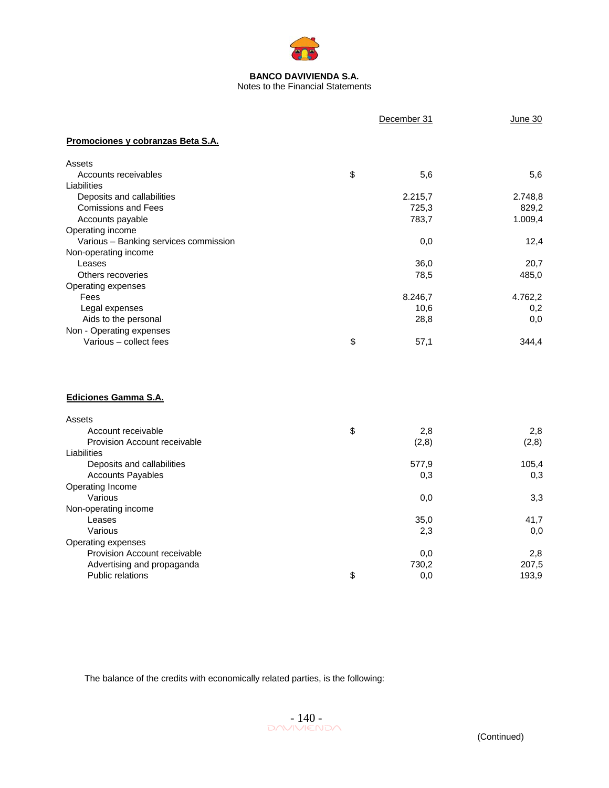

|                                       | December 31 | June 30 |
|---------------------------------------|-------------|---------|
| Promociones y cobranzas Beta S.A.     |             |         |
| Assets                                |             |         |
| Accounts receivables                  | \$<br>5,6   | 5,6     |
| Liabilities                           |             |         |
| Deposits and callabilities            | 2.215,7     | 2.748,8 |
| <b>Comissions and Fees</b>            | 725,3       | 829,2   |
| Accounts payable                      | 783,7       | 1.009,4 |
| Operating income                      |             |         |
| Various - Banking services commission | 0,0         | 12,4    |
| Non-operating income                  |             |         |
| Leases                                | 36,0        | 20,7    |
| Others recoveries                     | 78,5        | 485,0   |
| Operating expenses                    |             |         |
| Fees                                  | 8.246,7     | 4.762,2 |
| Legal expenses                        | 10,6        | 0,2     |
| Aids to the personal                  | 28,8        | 0,0     |
| Non - Operating expenses              |             |         |
| Various - collect fees                | \$<br>57,1  | 344,4   |
| Ediciones Gamma S.A.                  |             |         |
| Assets                                |             |         |
| Account receivable                    | \$<br>2,8   | 2,8     |
| Provision Account receivable          | (2,8)       | (2,8)   |
| Liabilities                           |             |         |
| Deposits and callabilities            | 577,9       | 105,4   |
| <b>Accounts Payables</b>              | 0,3         | 0,3     |
| Operating Income                      |             |         |
| Various                               | 0,0         | 3,3     |
| Non-operating income                  |             |         |
| Leases                                | 35,0        | 41,7    |
| Various                               | 2,3         | 0,0     |
| Operating expenses                    |             |         |
| Provision Account receivable          | 0,0         | 2,8     |
| Advertising and propaganda            | 730,2       | 207,5   |
| <b>Public relations</b>               | \$<br>0,0   | 193,9   |
|                                       |             |         |

The balance of the credits with economically related parties, is the following: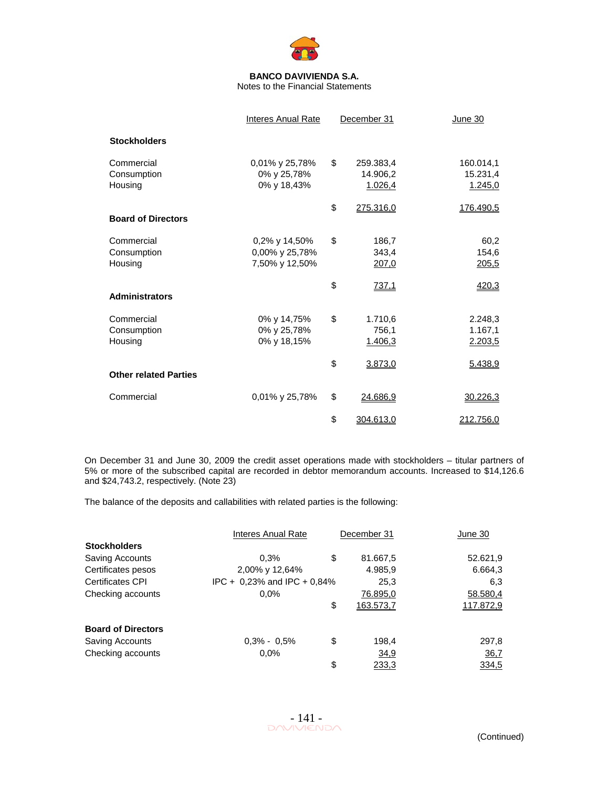

Notes to the Financial Statements

|                                      | <b>Interes Anual Rate</b>                         | December 31                            | June 30                          |
|--------------------------------------|---------------------------------------------------|----------------------------------------|----------------------------------|
| <b>Stockholders</b>                  |                                                   |                                        |                                  |
| Commercial<br>Consumption<br>Housing | 0,01% y 25,78%<br>0% y 25,78%<br>0% y 18,43%      | \$<br>259.383,4<br>14.906,2<br>1.026,4 | 160.014,1<br>15.231,4<br>1.245,0 |
| <b>Board of Directors</b>            |                                                   | \$<br>275.316,0                        | 176.490,5                        |
| Commercial<br>Consumption<br>Housing | 0,2% y 14,50%<br>0,00% y 25,78%<br>7,50% y 12,50% | \$<br>186,7<br>343,4<br>207,0          | 60,2<br>154,6<br>205,5           |
| <b>Administrators</b>                |                                                   | \$<br>737,1                            | 420,3                            |
| Commercial<br>Consumption<br>Housing | 0% y 14,75%<br>0% y 25,78%<br>0% y 18,15%         | \$<br>1.710,6<br>756,1<br>1.406,3      | 2.248,3<br>1.167,1<br>2.203,5    |
| <b>Other related Parties</b>         |                                                   | \$<br>3.873,0                          | 5.438,9                          |
| Commercial                           | 0,01% y 25,78%                                    | \$<br>24.686,9                         | 30.226,3                         |
|                                      |                                                   | \$<br>304.613,0                        | 212.756,0                        |

On December 31 and June 30, 2009 the credit asset operations made with stockholders – titular partners of 5% or more of the subscribed capital are recorded in debtor memorandum accounts. Increased to \$14,126.6 and \$24,743.2, respectively. (Note 23)

The balance of the deposits and callabilities with related parties is the following:

|                           | Interes Anual Rate          | December 31 |           | June 30     |
|---------------------------|-----------------------------|-------------|-----------|-------------|
| <b>Stockholders</b>       |                             |             |           |             |
| Saving Accounts           | 0.3%                        | \$          | 81.667,5  | 52.621,9    |
| Certificates pesos        | 2,00% y 12,64%              |             | 4.985,9   | 6.664,3     |
| <b>Certificates CPI</b>   | IPC + 0,23% and IPC + 0,84% |             | 25,3      | 6,3         |
| Checking accounts         | $0.0\%$                     |             | 76.895,0  | 58.580,4    |
|                           |                             | \$          | 163.573,7 | 117.872,9   |
| <b>Board of Directors</b> |                             |             |           |             |
| <b>Saving Accounts</b>    | $0.3\% - 0.5\%$             | \$          | 198,4     | 297,8       |
| Checking accounts         | 0.0%                        |             | 34,9      | <u>36,7</u> |
|                           |                             | \$          | 233,3     | 334,5       |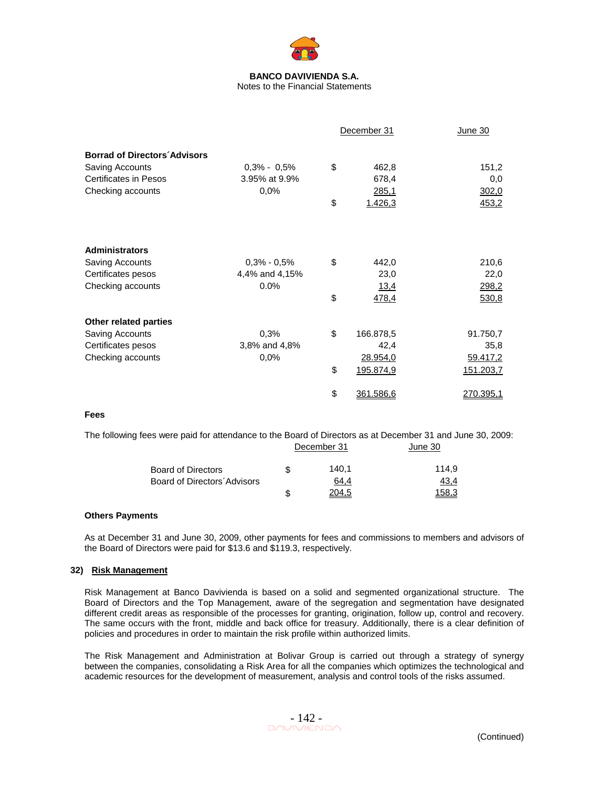

Notes to the Financial Statements

|                                     |                 | December 31     | June 30      |  |
|-------------------------------------|-----------------|-----------------|--------------|--|
| <b>Borrad of Directors Advisors</b> |                 |                 |              |  |
| Saving Accounts                     | $0,3\% - 0,5\%$ | \$<br>462,8     | 151,2        |  |
| <b>Certificates in Pesos</b>        | 3.95% at 9.9%   | 678,4           | 0,0          |  |
| Checking accounts                   | 0,0%            | 285,1           | 302,0        |  |
|                                     |                 | \$<br>1.426,3   | 453,2        |  |
|                                     |                 |                 |              |  |
| <b>Administrators</b>               |                 |                 |              |  |
| Saving Accounts                     | $0.3\% - 0.5\%$ | \$<br>442,0     | 210,6        |  |
| Certificates pesos                  | 4,4% and 4,15%  | 23,0            | 22,0         |  |
| Checking accounts                   | 0.0%            | <u>13,4</u>     | <u>298,2</u> |  |
|                                     |                 | \$<br>478,4     | 530,8        |  |
| Other related parties               |                 |                 |              |  |
| Saving Accounts                     | 0,3%            | \$<br>166.878,5 | 91.750,7     |  |
| Certificates pesos                  | 3,8% and 4,8%   | 42,4            | 35,8         |  |
| Checking accounts                   | 0,0%            | 28.954,0        | 59.417,2     |  |
|                                     |                 | \$<br>195.874,9 | 151.203,7    |  |
|                                     |                 | \$<br>361.586,6 | 270.395,1    |  |
| Fees                                |                 |                 |              |  |

The following fees were paid for attendance to the Board of Directors as at December 31 and June 30, 2009:

|                             |   | December 31 | June 30 |  |
|-----------------------------|---|-------------|---------|--|
| <b>Board of Directors</b>   | S | 140.1       | 114.9   |  |
| Board of Directors Advisors |   | 64.4        | 43,4    |  |
|                             |   | 204.5       | 158.3   |  |

## **Others Payments**

As at December 31 and June 30, 2009, other payments for fees and commissions to members and advisors of the Board of Directors were paid for \$13.6 and \$119.3, respectively.

## **32) Risk Management**

Risk Management at Banco Davivienda is based on a solid and segmented organizational structure. The Board of Directors and the Top Management, aware of the segregation and segmentation have designated different credit areas as responsible of the processes for granting, origination, follow up, control and recovery. The same occurs with the front, middle and back office for treasury. Additionally, there is a clear definition of policies and procedures in order to maintain the risk profile within authorized limits.

The Risk Management and Administration at Bolivar Group is carried out through a strategy of synergy between the companies, consolidating a Risk Area for all the companies which optimizes the technological and academic resources for the development of measurement, analysis and control tools of the risks assumed.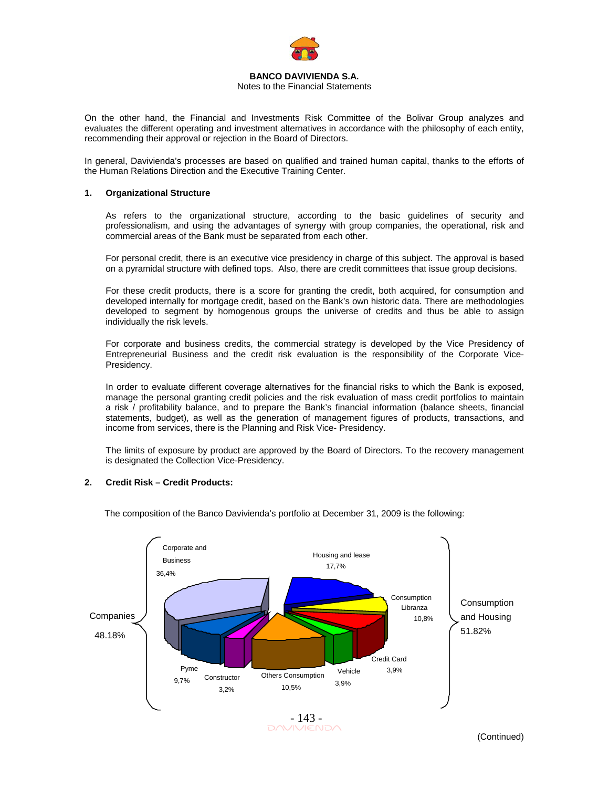

# Notes to the Financial Statements

On the other hand, the Financial and Investments Risk Committee of the Bolivar Group analyzes and evaluates the different operating and investment alternatives in accordance with the philosophy of each entity, recommending their approval or rejection in the Board of Directors.

In general, Davivienda's processes are based on qualified and trained human capital, thanks to the efforts of the Human Relations Direction and the Executive Training Center.

### **1. Organizational Structure**

As refers to the organizational structure, according to the basic guidelines of security and professionalism, and using the advantages of synergy with group companies, the operational, risk and commercial areas of the Bank must be separated from each other.

For personal credit, there is an executive vice presidency in charge of this subject. The approval is based on a pyramidal structure with defined tops. Also, there are credit committees that issue group decisions.

For these credit products, there is a score for granting the credit, both acquired, for consumption and developed internally for mortgage credit, based on the Bank's own historic data. There are methodologies developed to segment by homogenous groups the universe of credits and thus be able to assign individually the risk levels.

For corporate and business credits, the commercial strategy is developed by the Vice Presidency of Entrepreneurial Business and the credit risk evaluation is the responsibility of the Corporate Vice-Presidency.

In order to evaluate different coverage alternatives for the financial risks to which the Bank is exposed, manage the personal granting credit policies and the risk evaluation of mass credit portfolios to maintain a risk / profitability balance, and to prepare the Bank's financial information (balance sheets, financial statements, budget), as well as the generation of management figures of products, transactions, and income from services, there is the Planning and Risk Vice- Presidency.

The limits of exposure by product are approved by the Board of Directors. To the recovery management is designated the Collection Vice-Presidency.

## **2. Credit Risk – Credit Products:**

- 143<br>DAVIVIENDA Others Consumption 10,5% **Constructor** 3,2% Vehicle 3,9% Pyme 9,7% Credit Card 3,9% Housing and lease 17,7% Consumption Libranza 10,8% Corporate and Business 36,4% Companies 48.18% Consumption and Housing 51.82%

The composition of the Banco Davivienda's portfolio at December 31, 2009 is the following: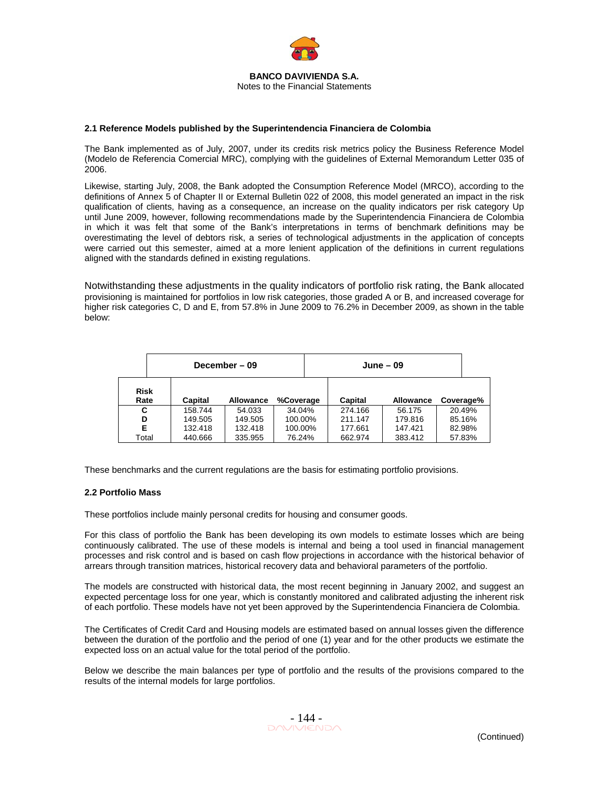

### **2.1 Reference Models published by the Superintendencia Financiera de Colombia**

The Bank implemented as of July, 2007, under its credits risk metrics policy the Business Reference Model (Modelo de Referencia Comercial MRC), complying with the guidelines of External Memorandum Letter 035 of 2006.

Likewise, starting July, 2008, the Bank adopted the Consumption Reference Model (MRCO), according to the definitions of Annex 5 of Chapter II or External Bulletin 022 of 2008, this model generated an impact in the risk qualification of clients, having as a consequence, an increase on the quality indicators per risk category Up until June 2009, however, following recommendations made by the Superintendencia Financiera de Colombia in which it was felt that some of the Bank's interpretations in terms of benchmark definitions may be overestimating the level of debtors risk, a series of technological adjustments in the application of concepts were carried out this semester, aimed at a more lenient application of the definitions in current regulations aligned with the standards defined in existing regulations.

Notwithstanding these adjustments in the quality indicators of portfolio risk rating, the Bank allocated provisioning is maintained for portfolios in low risk categories, those graded A or B, and increased coverage for higher risk categories C, D and E, from 57.8% in June 2009 to 76.2% in December 2009, as shown in the table below:

|                     | December - 09 |         |                  |           |  | June – 09 |         |                  |  |           |
|---------------------|---------------|---------|------------------|-----------|--|-----------|---------|------------------|--|-----------|
| <b>Risk</b><br>Rate |               | Capital | <b>Allowance</b> | %Coverage |  | Capital   |         | <b>Allowance</b> |  | Coverage% |
| C                   |               | 158.744 | 54.033           | 34.04%    |  | 274.166   | 56.175  |                  |  | 20.49%    |
| D                   |               | 149.505 | 149.505          | 100.00%   |  | 211.147   |         | 179.816          |  | 85.16%    |
| Е                   |               | 132.418 | 132.418          | 100.00%   |  | 177.661   | 147.421 |                  |  | 82.98%    |
| Total               |               | 440.666 | 335.955          | 76.24%    |  | 662.974   | 383.412 |                  |  | 57.83%    |

These benchmarks and the current regulations are the basis for estimating portfolio provisions.

#### **2.2 Portfolio Mass**

These portfolios include mainly personal credits for housing and consumer goods.

For this class of portfolio the Bank has been developing its own models to estimate losses which are being continuously calibrated. The use of these models is internal and being a tool used in financial management processes and risk control and is based on cash flow projections in accordance with the historical behavior of arrears through transition matrices, historical recovery data and behavioral parameters of the portfolio.

The models are constructed with historical data, the most recent beginning in January 2002, and suggest an expected percentage loss for one year, which is constantly monitored and calibrated adjusting the inherent risk of each portfolio. These models have not yet been approved by the Superintendencia Financiera de Colombia.

The Certificates of Credit Card and Housing models are estimated based on annual losses given the difference between the duration of the portfolio and the period of one (1) year and for the other products we estimate the expected loss on an actual value for the total period of the portfolio.

Below we describe the main balances per type of portfolio and the results of the provisions compared to the results of the internal models for large portfolios.

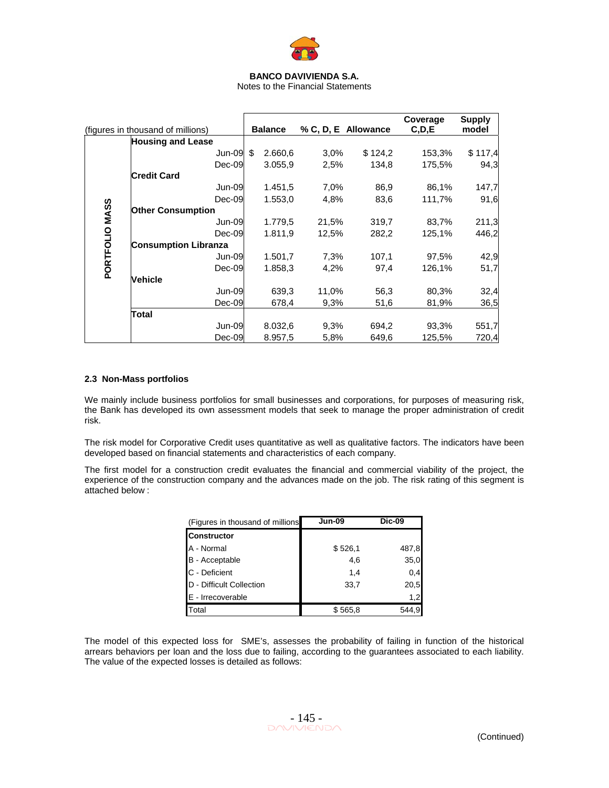

Notes to the Financial Statements

|                | (figures in thousand of millions) | <b>Balance</b> |       | % C, D, E Allowance | Coverage<br>C, D, E | <b>Supply</b><br>model |
|----------------|-----------------------------------|----------------|-------|---------------------|---------------------|------------------------|
|                | <b>Housing and Lease</b>          |                |       |                     |                     |                        |
|                | Jun-09                            | \$<br>2.660,6  | 3.0%  | \$124,2             | 153,3%              | \$117,4                |
|                | $Dec-09$                          | 3.055,9        | 2,5%  | 134,8               | 175,5%              | 94,3                   |
|                | <b>Credit Card</b>                |                |       |                     |                     |                        |
|                | Jun-09                            | 1.451,5        | 7,0%  | 86,9                | 86,1%               | 147,7                  |
|                | $Dec-09$                          | 1.553,0        | 4,8%  | 83,6                | 111,7%              | 91,6                   |
| PORTFOLIO MASS | <b>Other Consumption</b>          |                |       |                     |                     |                        |
|                | Jun-09                            | 1.779,5        | 21,5% | 319,7               | 83,7%               | 211,3                  |
|                | $Dec-09$                          | 1.811,9        | 12,5% | 282,2               | 125,1%              | 446,2                  |
|                | <b>Consumption Libranza</b>       |                |       |                     |                     |                        |
|                | Jun-09                            | 1.501,7        | 7,3%  | 107,1               | 97,5%               | 42,9                   |
|                | $Dec-09$                          | 1.858,3        | 4,2%  | 97,4                | 126,1%              | 51,7                   |
|                | Vehicle                           |                |       |                     |                     |                        |
|                | Jun-09                            | 639,3          | 11,0% | 56,3                | 80,3%               | 32,4                   |
|                | $Dec-09$                          | 678,4          | 9,3%  | 51,6                | 81,9%               | 36,5                   |
|                | Total                             |                |       |                     |                     |                        |
|                | Jun-09                            | 8.032,6        | 9,3%  | 694,2               | 93,3%               | 551,7                  |
|                | $Dec-09$                          | 8.957,5        | 5,8%  | 649,6               | 125,5%              | 720,4                  |

## **2.3 Non-Mass portfolios**

We mainly include business portfolios for small businesses and corporations, for purposes of measuring risk, the Bank has developed its own assessment models that seek to manage the proper administration of credit risk.

The risk model for Corporative Credit uses quantitative as well as qualitative factors. The indicators have been developed based on financial statements and characteristics of each company.

The first model for a construction credit evaluates the financial and commercial viability of the project, the experience of the construction company and the advances made on the job. The risk rating of this segment is attached below :

| (Figures in thousand of millions | <b>Jun-09</b> | <b>Dic-09</b> |
|----------------------------------|---------------|---------------|
| <b>Constructor</b>               |               |               |
| A - Normal                       | \$526,1       | 487,8         |
| B - Acceptable                   | 4,6           | 35,0          |
| C - Deficient                    | 1.4           | 0,4           |
| D - Difficult Collection         | 33,7          | 20,5          |
| E - Irrecoverable                |               | 1,2           |
| Total                            | \$565,8       | 544.9         |

The model of this expected loss for SME's, assesses the probability of failing in function of the historical arrears behaviors per loan and the loss due to failing, according to the guarantees associated to each liability. The value of the expected losses is detailed as follows: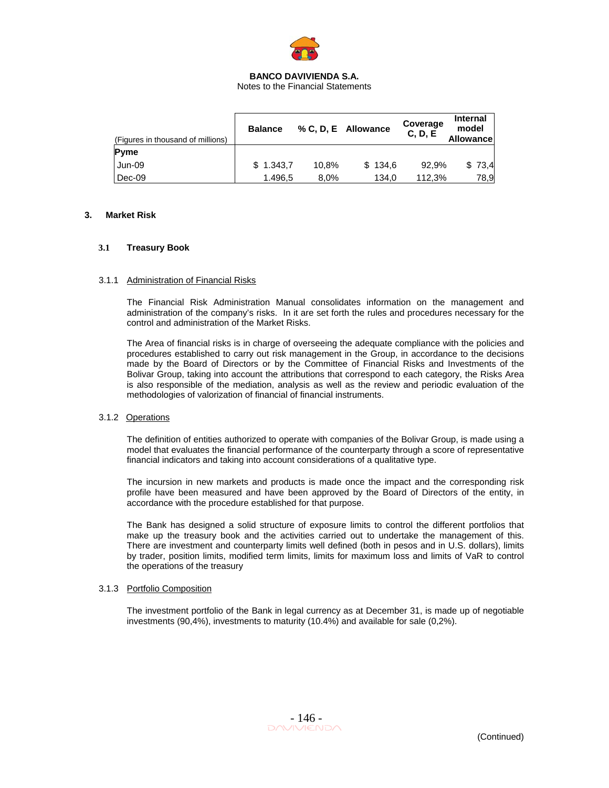

Notes to the Financial Statements

| (Figures in thousand of millions) | <b>Balance</b> |       | % C, D, E Allowance | Coverage<br>C, D, E | <b>Internal</b><br>model<br><b>Allowancel</b> |
|-----------------------------------|----------------|-------|---------------------|---------------------|-----------------------------------------------|
| <b>Pyme</b>                       |                |       |                     |                     |                                               |
| Jun-09                            | \$1.343.7      | 10.8% | \$134.6             | 92.9%               | \$73,4                                        |
| Dec-09                            | 1.496.5        | 8.0%  | 134.0               | 112.3%              | 78,9                                          |

### **3. Market Risk**

### **3.1 Treasury Book**

### 3.1.1 Administration of Financial Risks

The Financial Risk Administration Manual consolidates information on the management and administration of the company's risks. In it are set forth the rules and procedures necessary for the control and administration of the Market Risks.

The Area of financial risks is in charge of overseeing the adequate compliance with the policies and procedures established to carry out risk management in the Group, in accordance to the decisions made by the Board of Directors or by the Committee of Financial Risks and Investments of the Bolivar Group, taking into account the attributions that correspond to each category, the Risks Area is also responsible of the mediation, analysis as well as the review and periodic evaluation of the methodologies of valorization of financial of financial instruments.

## 3.1.2 Operations

The definition of entities authorized to operate with companies of the Bolivar Group, is made using a model that evaluates the financial performance of the counterparty through a score of representative financial indicators and taking into account considerations of a qualitative type.

The incursion in new markets and products is made once the impact and the corresponding risk profile have been measured and have been approved by the Board of Directors of the entity, in accordance with the procedure established for that purpose.

The Bank has designed a solid structure of exposure limits to control the different portfolios that make up the treasury book and the activities carried out to undertake the management of this. There are investment and counterparty limits well defined (both in pesos and in U.S. dollars), limits by trader, position limits, modified term limits, limits for maximum loss and limits of VaR to control the operations of the treasury

## 3.1.3 Portfolio Composition

The investment portfolio of the Bank in legal currency as at December 31, is made up of negotiable investments (90,4%), investments to maturity (10.4%) and available for sale (0,2%).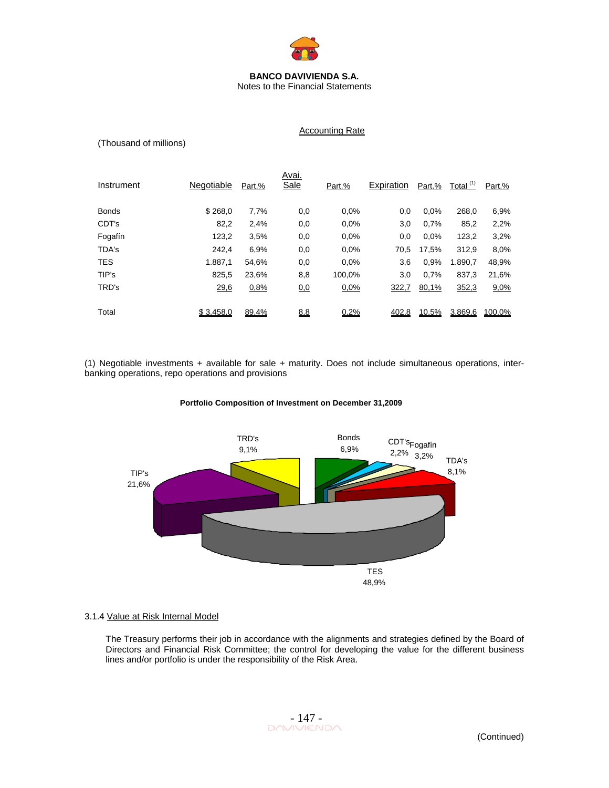

Notes to the Financial Statements

Accounting Rate

## (Thousand of millions)

| Instrument   | Negotiable | Part.% | Avai.<br>Sale | Part.% | Expiration | Part.% | Total <sup>(1)</sup> | Part.% |
|--------------|------------|--------|---------------|--------|------------|--------|----------------------|--------|
| <b>Bonds</b> | \$268,0    | 7,7%   | 0,0           | 0.0%   | 0,0        | 0.0%   | 268.0                | 6,9%   |
| CDT's        | 82,2       | 2,4%   | 0,0           | 0.0%   | 3,0        | 0.7%   | 85,2                 | 2,2%   |
| Fogafín      | 123,2      | 3.5%   | 0,0           | 0.0%   | 0,0        | 0.0%   | 123,2                | 3,2%   |
| TDA's        | 242.4      | 6,9%   | 0,0           | 0.0%   | 70,5       | 17,5%  | 312,9                | 8,0%   |
| <b>TES</b>   | 1.887.1    | 54,6%  | 0,0           | 0.0%   | 3,6        | 0.9%   | 1.890,7              | 48,9%  |
| TIP's        | 825.5      | 23,6%  | 8,8           | 100.0% | 3,0        | 0.7%   | 837,3                | 21,6%  |
| TRD's        | 29,6       | 0,8%   | <u>0.0</u>    | 0,0%   | 322,7      | 80,1%  | 352,3                | 9,0%   |
|              |            |        |               |        |            |        |                      |        |
| Total        | \$3.458.0  | 89,4%  | <u>8,8</u>    | 0,2%   | 402.8      | 10,5%  | 3.869.6              | 100.0% |

(1) Negotiable investments + available for sale + maturity. Does not include simultaneous operations, interbanking operations, repo operations and provisions

# **Portfolio Composition of Investment on December 31,2009**



## 3.1.4 Value at Risk Internal Model

The Treasury performs their job in accordance with the alignments and strategies defined by the Board of Directors and Financial Risk Committee; the control for developing the value for the different business lines and/or portfolio is under the responsibility of the Risk Area.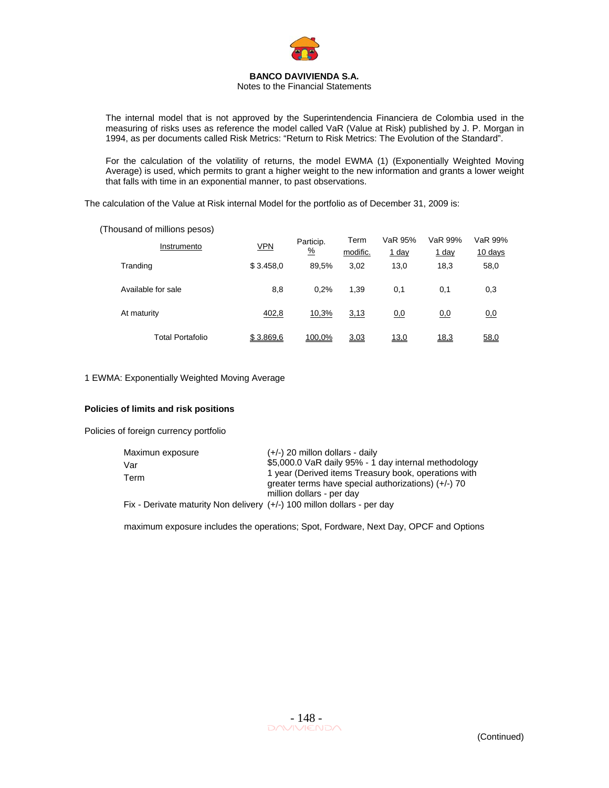

Notes to the Financial Statements

The internal model that is not approved by the Superintendencia Financiera de Colombia used in the measuring of risks uses as reference the model called VaR (Value at Risk) published by J. P. Morgan in 1994, as per documents called Risk Metrics: "Return to Risk Metrics: The Evolution of the Standard".

For the calculation of the volatility of returns, the model EWMA (1) (Exponentially Weighted Moving Average) is used, which permits to grant a higher weight to the new information and grants a lower weight that falls with time in an exponential manner, to past observations.

The calculation of the Value at Risk internal Model for the portfolio as of December 31, 2009 is:

(Thousand of millions pesos)

| Instrumento        | <b>VPN</b> | Particip.<br>$\frac{0}{2}$ | Term<br>modific. | VaR 95%<br>$1$ day | VaR 99%<br><u>1 day</u> | VaR 99%<br>$10 \text{ days}$ |
|--------------------|------------|----------------------------|------------------|--------------------|-------------------------|------------------------------|
| Tranding           | \$3.458,0  | 89.5%                      | 3,02             | 13,0               | 18,3                    | 58,0                         |
| Available for sale | 8,8        | 0.2%                       | 1.39             | 0,1                | 0,1                     | 0,3                          |
| At maturity        | 402,8      | 10,3%                      | 3,13             | 0,0                | 0,0                     | <u>0.0</u>                   |
| Total Portafolio   | \$3.869,6  | 100.0%                     | 3,03             | 13,0               | 18,3                    | 58,0                         |

1 EWMA: Exponentially Weighted Moving Average

## **Policies of limits and risk positions**

Policies of foreign currency portfolio

| Maximun exposure                                                        | $(+/-)$ 20 millon dollars - daily                     |
|-------------------------------------------------------------------------|-------------------------------------------------------|
| Var                                                                     | \$5,000.0 VaR daily 95% - 1 day internal methodology  |
| Term                                                                    | 1 year (Derived items Treasury book, operations with  |
|                                                                         | greater terms have special authorizations) $(+/-)$ 70 |
|                                                                         | million dollars - per day                             |
| Fix - Derivate maturity Non delivery (+/-) 100 millon dollars - per day |                                                       |

maximum exposure includes the operations; Spot, Fordware, Next Day, OPCF and Options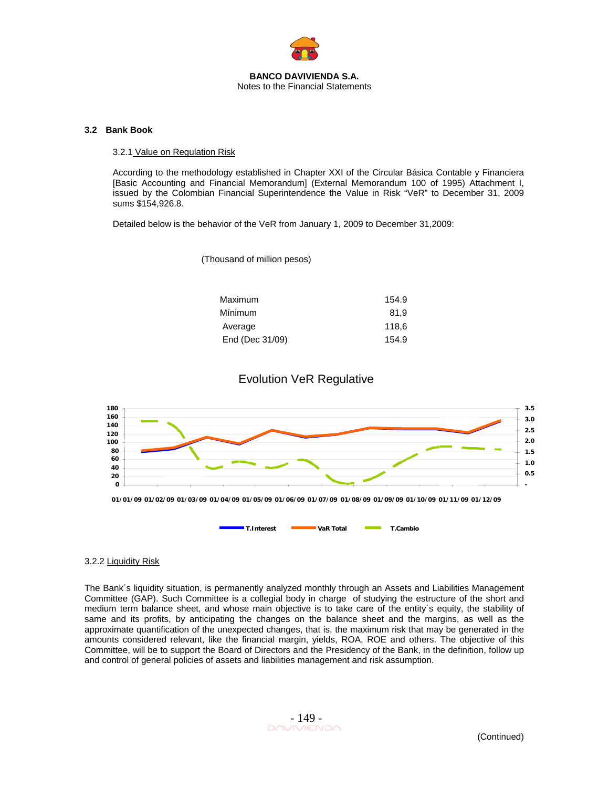

## **3.2 Bank Book**

## 3.2.1 Value on Regulation Risk

According to the methodology established in Chapter XXI of the Circular Básica Contable y Financiera [Basic Accounting and Financial Memorandum] (External Memorandum 100 of 1995) Attachment I, issued by the Colombian Financial Superintendence the Value in Risk "VeR" to December 31, 2009 sums \$154,926.8.

Detailed below is the behavior of the VeR from January 1, 2009 to December 31,2009:

(Thousand of million pesos)

| 154.9 |
|-------|
| 81.9  |
| 118.6 |
| 154.9 |
|       |

# Evolution VeR Regulative



## 3.2.2 Liquidity Risk

The Bank´s liquidity situation, is permanently analyzed monthly through an Assets and Liabilities Management Committee (GAP). Such Committee is a collegial body in charge of studying the estructure of the short and medium term balance sheet, and whose main objective is to take care of the entity´s equity, the stability of same and its profits, by anticipating the changes on the balance sheet and the margins, as well as the approximate quantification of the unexpected changes, that is, the maximum risk that may be generated in the amounts considered relevant, like the financial margin, yields, ROA, ROE and others. The objective of this Committee, will be to support the Board of Directors and the Presidency of the Bank, in the definition, follow up and control of general policies of assets and liabilities management and risk assumption.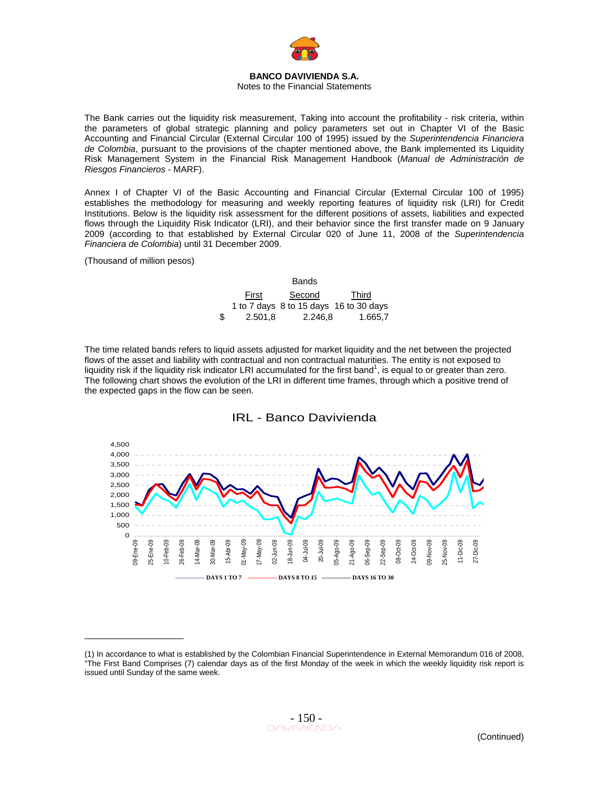

## Notes to the Financial Statements

The Bank carries out the liquidity risk measurement, Taking into account the profitability - risk criteria, within the parameters of global strategic planning and policy parameters set out in Chapter VI of the Basic Accounting and Financial Circular (External Circular 100 of 1995) issued by the *Superintendencia Financiera de Colombia*, pursuant to the provisions of the chapter mentioned above, the Bank implemented its Liquidity Risk Management System in the Financial Risk Management Handbook (*Manual de Administración de Riesgos Financieros* - MARF).

Annex I of Chapter VI of the Basic Accounting and Financial Circular (External Circular 100 of 1995) establishes the methodology for measuring and weekly reporting features of liquidity risk (LRI) for Credit Institutions. Below is the liquidity risk assessment for the different positions of assets, liabilities and expected flows through the Liquidity Risk Indicator (LRI), and their behavior since the first transfer made on 9 January 2009 (according to that established by External Circular 020 of June 11, 2008 of the *Superintendencia Financiera de Colombia*) until 31 December 2009.

(Thousand of million pesos)

 $\_$ 

#### Bands

| First         | Second  | Third                                  |  |  |
|---------------|---------|----------------------------------------|--|--|
|               |         | 1 to 7 days 8 to 15 days 16 to 30 days |  |  |
| \$<br>2.501,8 | 2.246,8 | 1.665,7                                |  |  |

The time related bands refers to liquid assets adjusted for market liquidity and the net between the projected flows of the asset and liability with contractual and non contractual maturities. The entity is not exposed to liquidity risk if the liquidity risk indicator LRI accumulated for the first band<sup>1</sup>, is equal to or greater than zero. The following chart shows the evolution of the LRI in different time frames, through which a positive trend of the expected gaps in the flow can be seen.



#### (1) In accordance to what is established by the Colombian Financial Superintendence in External Memorandum 016 of 2008, "The First Band Comprises (7) calendar days as of the first Monday of the week in which the weekly liquidity risk report is issued until Sunday of the same week.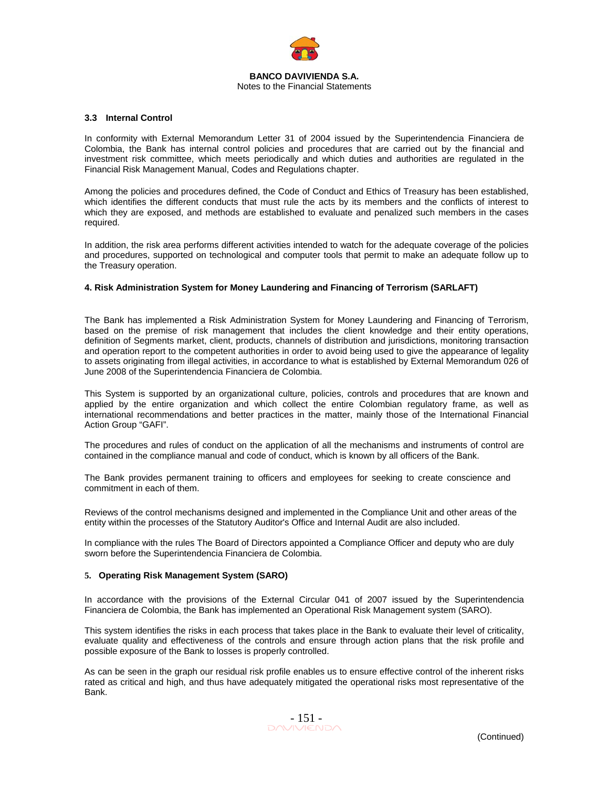

### **3.3 Internal Control**

In conformity with External Memorandum Letter 31 of 2004 issued by the Superintendencia Financiera de Colombia, the Bank has internal control policies and procedures that are carried out by the financial and investment risk committee, which meets periodically and which duties and authorities are regulated in the Financial Risk Management Manual, Codes and Regulations chapter.

Among the policies and procedures defined, the Code of Conduct and Ethics of Treasury has been established, which identifies the different conducts that must rule the acts by its members and the conflicts of interest to which they are exposed, and methods are established to evaluate and penalized such members in the cases required.

In addition, the risk area performs different activities intended to watch for the adequate coverage of the policies and procedures, supported on technological and computer tools that permit to make an adequate follow up to the Treasury operation.

## **4. Risk Administration System for Money Laundering and Financing of Terrorism (SARLAFT)**

The Bank has implemented a Risk Administration System for Money Laundering and Financing of Terrorism, based on the premise of risk management that includes the client knowledge and their entity operations, definition of Segments market, client, products, channels of distribution and jurisdictions, monitoring transaction and operation report to the competent authorities in order to avoid being used to give the appearance of legality to assets originating from illegal activities, in accordance to what is established by External Memorandum 026 of June 2008 of the Superintendencia Financiera de Colombia.

This System is supported by an organizational culture, policies, controls and procedures that are known and applied by the entire organization and which collect the entire Colombian regulatory frame, as well as international recommendations and better practices in the matter, mainly those of the International Financial Action Group "GAFI".

The procedures and rules of conduct on the application of all the mechanisms and instruments of control are contained in the compliance manual and code of conduct, which is known by all officers of the Bank.

The Bank provides permanent training to officers and employees for seeking to create conscience and commitment in each of them.

Reviews of the control mechanisms designed and implemented in the Compliance Unit and other areas of the entity within the processes of the Statutory Auditor's Office and Internal Audit are also included.

In compliance with the rules The Board of Directors appointed a Compliance Officer and deputy who are duly sworn before the Superintendencia Financiera de Colombia.

#### **5. Operating Risk Management System (SARO)**

In accordance with the provisions of the External Circular 041 of 2007 issued by the Superintendencia Financiera de Colombia, the Bank has implemented an Operational Risk Management system (SARO).

This system identifies the risks in each process that takes place in the Bank to evaluate their level of criticality, evaluate quality and effectiveness of the controls and ensure through action plans that the risk profile and possible exposure of the Bank to losses is properly controlled.

As can be seen in the graph our residual risk profile enables us to ensure effective control of the inherent risks rated as critical and high, and thus have adequately mitigated the operational risks most representative of the Bank.

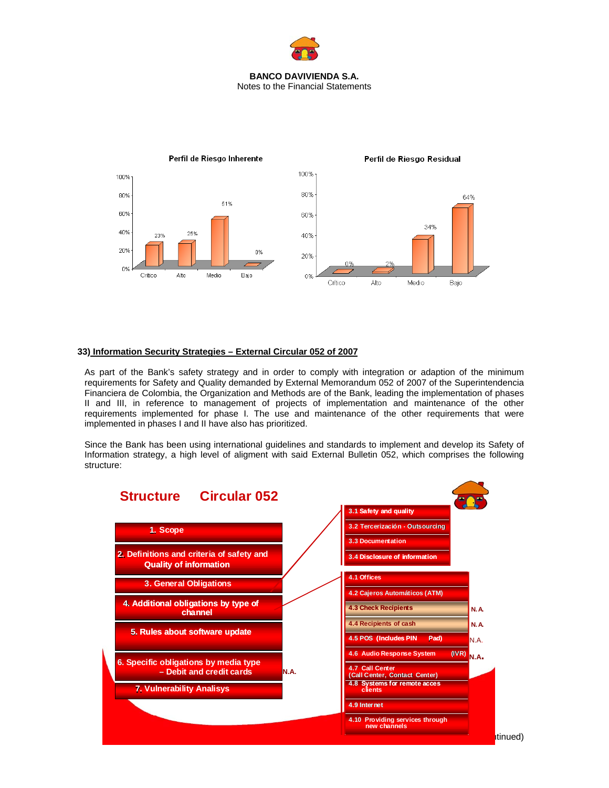



## **33) Information Security Strategies – External Circular 052 of 2007**

As part of the Bank's safety strategy and in order to comply with integration or adaption of the minimum requirements for Safety and Quality demanded by External Memorandum 052 of 2007 of the Superintendencia Financiera de Colombia, the Organization and Methods are of the Bank, leading the implementation of phases II and III, in reference to management of projects of implementation and maintenance of the other requirements implemented for phase I. The use and maintenance of the other requirements that were implemented in phases I and II have also has prioritized.

Since the Bank has been using international guidelines and standards to implement and develop its Safety of Information strategy, a high level of aligment with said External Bulletin 052, which comprises the following structure:

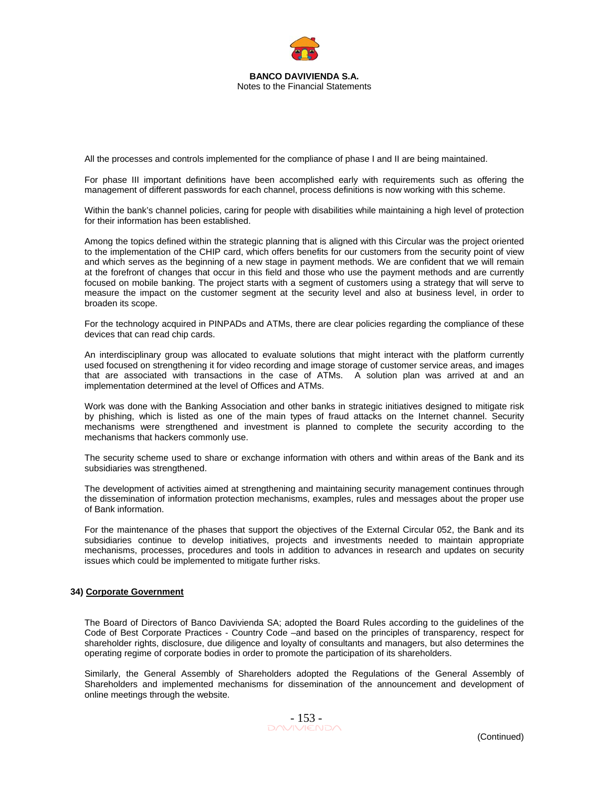

All the processes and controls implemented for the compliance of phase I and II are being maintained.

For phase III important definitions have been accomplished early with requirements such as offering the management of different passwords for each channel, process definitions is now working with this scheme.

Within the bank's channel policies, caring for people with disabilities while maintaining a high level of protection for their information has been established.

Among the topics defined within the strategic planning that is aligned with this Circular was the project oriented to the implementation of the CHIP card, which offers benefits for our customers from the security point of view and which serves as the beginning of a new stage in payment methods. We are confident that we will remain at the forefront of changes that occur in this field and those who use the payment methods and are currently focused on mobile banking. The project starts with a segment of customers using a strategy that will serve to measure the impact on the customer segment at the security level and also at business level, in order to broaden its scope.

For the technology acquired in PINPADs and ATMs, there are clear policies regarding the compliance of these devices that can read chip cards.

An interdisciplinary group was allocated to evaluate solutions that might interact with the platform currently used focused on strengthening it for video recording and image storage of customer service areas, and images that are associated with transactions in the case of ATMs. A solution plan was arrived at and an implementation determined at the level of Offices and ATMs.

Work was done with the Banking Association and other banks in strategic initiatives designed to mitigate risk by phishing, which is listed as one of the main types of fraud attacks on the Internet channel. Security mechanisms were strengthened and investment is planned to complete the security according to the mechanisms that hackers commonly use.

The security scheme used to share or exchange information with others and within areas of the Bank and its subsidiaries was strengthened.

The development of activities aimed at strengthening and maintaining security management continues through the dissemination of information protection mechanisms, examples, rules and messages about the proper use of Bank information.

For the maintenance of the phases that support the objectives of the External Circular 052, the Bank and its subsidiaries continue to develop initiatives, projects and investments needed to maintain appropriate mechanisms, processes, procedures and tools in addition to advances in research and updates on security issues which could be implemented to mitigate further risks.

#### **34) Corporate Government**

The Board of Directors of Banco Davivienda SA; adopted the Board Rules according to the guidelines of the Code of Best Corporate Practices - Country Code –and based on the principles of transparency, respect for shareholder rights, disclosure, due diligence and loyalty of consultants and managers, but also determines the operating regime of corporate bodies in order to promote the participation of its shareholders.

Similarly, the General Assembly of Shareholders adopted the Regulations of the General Assembly of Shareholders and implemented mechanisms for dissemination of the announcement and development of online meetings through the website.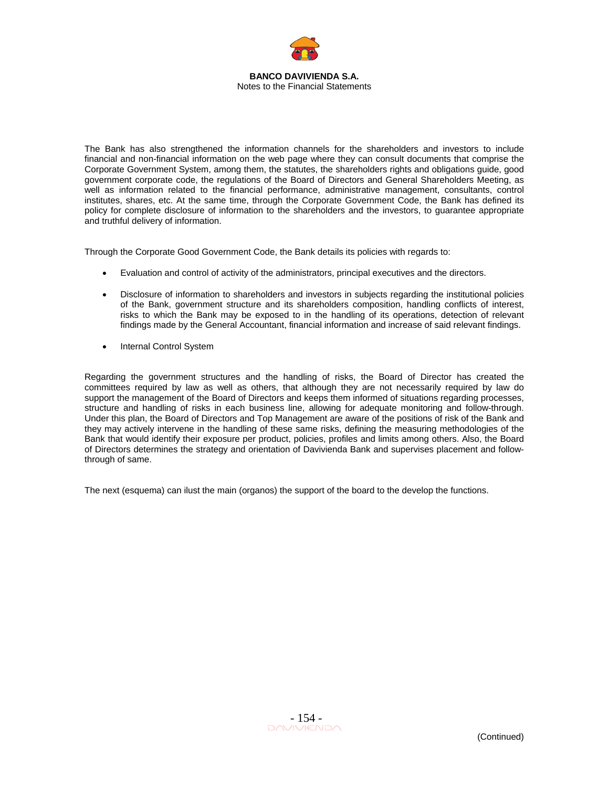

The Bank has also strengthened the information channels for the shareholders and investors to include financial and non-financial information on the web page where they can consult documents that comprise the Corporate Government System, among them, the statutes, the shareholders rights and obligations guide, good government corporate code, the regulations of the Board of Directors and General Shareholders Meeting, as well as information related to the financial performance, administrative management, consultants, control institutes, shares, etc. At the same time, through the Corporate Government Code, the Bank has defined its policy for complete disclosure of information to the shareholders and the investors, to guarantee appropriate and truthful delivery of information.

Through the Corporate Good Government Code, the Bank details its policies with regards to:

- Evaluation and control of activity of the administrators, principal executives and the directors.
- Disclosure of information to shareholders and investors in subjects regarding the institutional policies of the Bank, government structure and its shareholders composition, handling conflicts of interest, risks to which the Bank may be exposed to in the handling of its operations, detection of relevant findings made by the General Accountant, financial information and increase of said relevant findings.
- Internal Control System

Regarding the government structures and the handling of risks, the Board of Director has created the committees required by law as well as others, that although they are not necessarily required by law do support the management of the Board of Directors and keeps them informed of situations regarding processes, structure and handling of risks in each business line, allowing for adequate monitoring and follow-through. Under this plan, the Board of Directors and Top Management are aware of the positions of risk of the Bank and they may actively intervene in the handling of these same risks, defining the measuring methodologies of the Bank that would identify their exposure per product, policies, profiles and limits among others. Also, the Board of Directors determines the strategy and orientation of Davivienda Bank and supervises placement and followthrough of same.

The next (esquema) can ilust the main (organos) the support of the board to the develop the functions.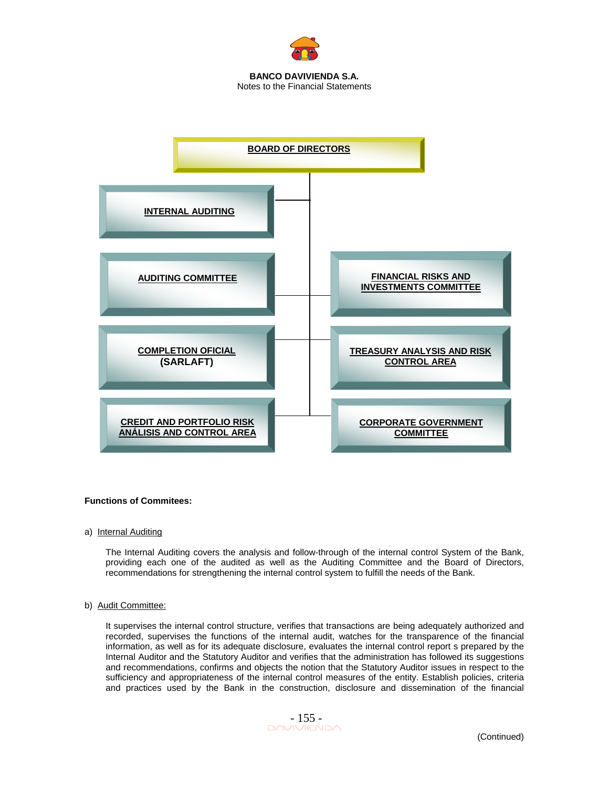



#### **Functions of Commitees:**

a) Internal Auditing

The Internal Auditing covers the analysis and follow-through of the internal control System of the Bank, providing each one of the audited as well as the Auditing Committee and the Board of Directors, recommendations for strengthening the internal control system to fulfill the needs of the Bank.

### b) Audit Committee:

It supervises the internal control structure, verifies that transactions are being adequately authorized and recorded, supervises the functions of the internal audit, watches for the transparence of the financial information, as well as for its adequate disclosure, evaluates the internal control report s prepared by the Internal Auditor and the Statutory Auditor and verifies that the administration has followed its suggestions and recommendations, confirms and objects the notion that the Statutory Auditor issues in respect to the sufficiency and appropriateness of the internal control measures of the entity. Establish policies, criteria and practices used by the Bank in the construction, disclosure and dissemination of the financial

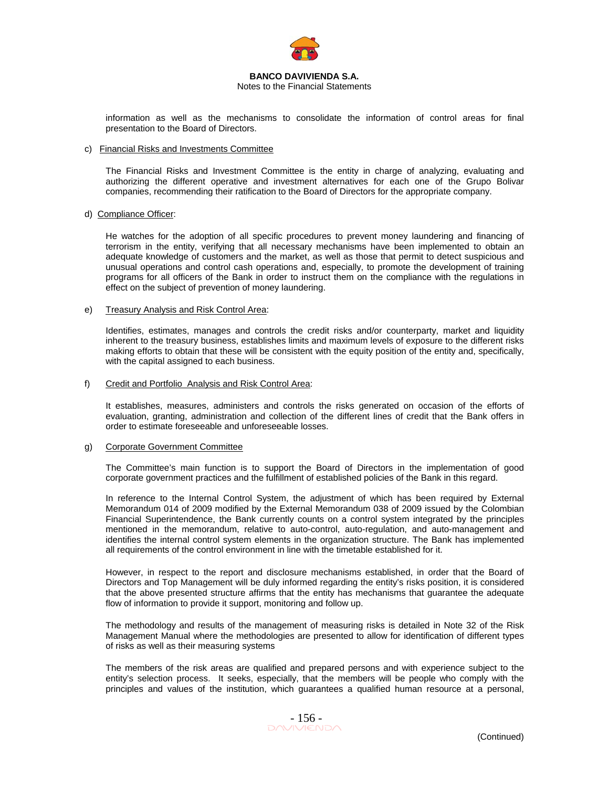

Notes to the Financial Statements

information as well as the mechanisms to consolidate the information of control areas for final presentation to the Board of Directors.

### c) Financial Risks and Investments Committee

The Financial Risks and Investment Committee is the entity in charge of analyzing, evaluating and authorizing the different operative and investment alternatives for each one of the Grupo Bolivar companies, recommending their ratification to the Board of Directors for the appropriate company.

### d) Compliance Officer:

He watches for the adoption of all specific procedures to prevent money laundering and financing of terrorism in the entity, verifying that all necessary mechanisms have been implemented to obtain an adequate knowledge of customers and the market, as well as those that permit to detect suspicious and unusual operations and control cash operations and, especially, to promote the development of training programs for all officers of the Bank in order to instruct them on the compliance with the regulations in effect on the subject of prevention of money laundering.

### e) Treasury Analysis and Risk Control Area:

Identifies, estimates, manages and controls the credit risks and/or counterparty, market and liquidity inherent to the treasury business, establishes limits and maximum levels of exposure to the different risks making efforts to obtain that these will be consistent with the equity position of the entity and, specifically, with the capital assigned to each business.

### f) Credit and Portfolio Analysis and Risk Control Area:

It establishes, measures, administers and controls the risks generated on occasion of the efforts of evaluation, granting, administration and collection of the different lines of credit that the Bank offers in order to estimate foreseeable and unforeseeable losses.

#### g) Corporate Government Committee

The Committee's main function is to support the Board of Directors in the implementation of good corporate government practices and the fulfillment of established policies of the Bank in this regard.

In reference to the Internal Control System, the adjustment of which has been required by External Memorandum 014 of 2009 modified by the External Memorandum 038 of 2009 issued by the Colombian Financial Superintendence, the Bank currently counts on a control system integrated by the principles mentioned in the memorandum, relative to auto-control, auto-regulation, and auto-management and identifies the internal control system elements in the organization structure. The Bank has implemented all requirements of the control environment in line with the timetable established for it.

However, in respect to the report and disclosure mechanisms established, in order that the Board of Directors and Top Management will be duly informed regarding the entity's risks position, it is considered that the above presented structure affirms that the entity has mechanisms that guarantee the adequate flow of information to provide it support, monitoring and follow up.

The methodology and results of the management of measuring risks is detailed in Note 32 of the Risk Management Manual where the methodologies are presented to allow for identification of different types of risks as well as their measuring systems

The members of the risk areas are qualified and prepared persons and with experience subject to the entity's selection process. It seeks, especially, that the members will be people who comply with the principles and values of the institution, which guarantees a qualified human resource at a personal,

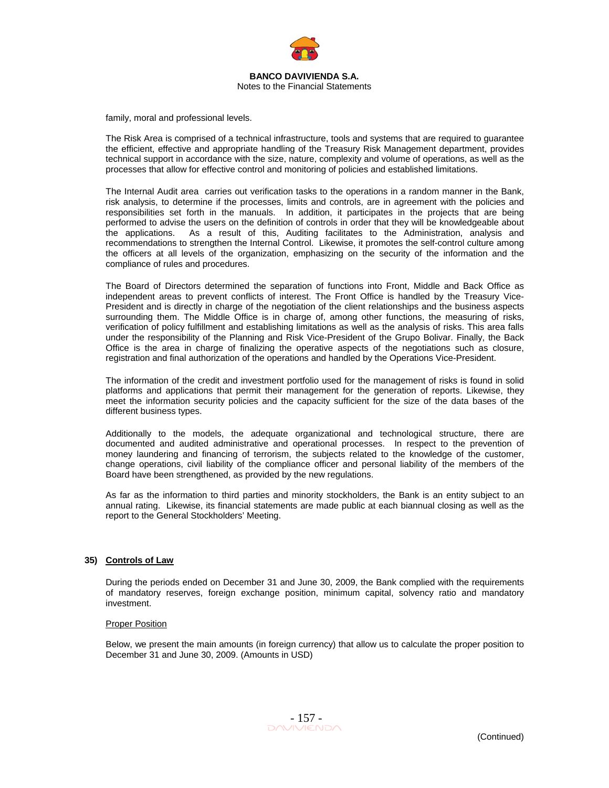

family, moral and professional levels.

The Risk Area is comprised of a technical infrastructure, tools and systems that are required to guarantee the efficient, effective and appropriate handling of the Treasury Risk Management department, provides technical support in accordance with the size, nature, complexity and volume of operations, as well as the processes that allow for effective control and monitoring of policies and established limitations.

The Internal Audit area carries out verification tasks to the operations in a random manner in the Bank, risk analysis, to determine if the processes, limits and controls, are in agreement with the policies and responsibilities set forth in the manuals. In addition, it participates in the projects that are being performed to advise the users on the definition of controls in order that they will be knowledgeable about the applications. As a result of this, Auditing facilitates to the Administration, analysis and recommendations to strengthen the Internal Control. Likewise, it promotes the self-control culture among the officers at all levels of the organization, emphasizing on the security of the information and the compliance of rules and procedures.

The Board of Directors determined the separation of functions into Front, Middle and Back Office as independent areas to prevent conflicts of interest. The Front Office is handled by the Treasury Vice-President and is directly in charge of the negotiation of the client relationships and the business aspects surrounding them. The Middle Office is in charge of, among other functions, the measuring of risks, verification of policy fulfillment and establishing limitations as well as the analysis of risks. This area falls under the responsibility of the Planning and Risk Vice-President of the Grupo Bolivar. Finally, the Back Office is the area in charge of finalizing the operative aspects of the negotiations such as closure, registration and final authorization of the operations and handled by the Operations Vice-President.

The information of the credit and investment portfolio used for the management of risks is found in solid platforms and applications that permit their management for the generation of reports. Likewise, they meet the information security policies and the capacity sufficient for the size of the data bases of the different business types.

Additionally to the models, the adequate organizational and technological structure, there are documented and audited administrative and operational processes. In respect to the prevention of money laundering and financing of terrorism, the subjects related to the knowledge of the customer, change operations, civil liability of the compliance officer and personal liability of the members of the Board have been strengthened, as provided by the new regulations.

As far as the information to third parties and minority stockholders, the Bank is an entity subject to an annual rating. Likewise, its financial statements are made public at each biannual closing as well as the report to the General Stockholders' Meeting.

## **35) Controls of Law**

During the periods ended on December 31 and June 30, 2009, the Bank complied with the requirements of mandatory reserves, foreign exchange position, minimum capital, solvency ratio and mandatory investment.

#### Proper Position

Below, we present the main amounts (in foreign currency) that allow us to calculate the proper position to December 31 and June 30, 2009. (Amounts in USD)